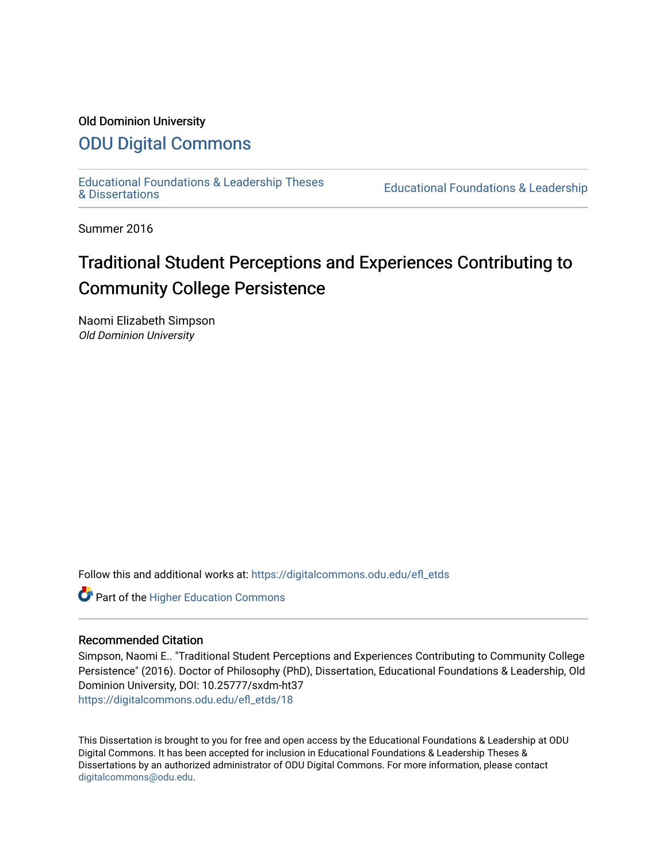# Old Dominion University

# [ODU Digital Commons](https://digitalcommons.odu.edu/)

[Educational Foundations & Leadership Theses](https://digitalcommons.odu.edu/efl_etds) 

Educational Foundations & Leadership

Summer 2016

# Traditional Student Perceptions and Experiences Contributing to Community College Persistence

Naomi Elizabeth Simpson Old Dominion University

Follow this and additional works at: [https://digitalcommons.odu.edu/efl\\_etds](https://digitalcommons.odu.edu/efl_etds?utm_source=digitalcommons.odu.edu%2Fefl_etds%2F18&utm_medium=PDF&utm_campaign=PDFCoverPages) 

**Part of the Higher Education Commons** 

# Recommended Citation

Simpson, Naomi E.. "Traditional Student Perceptions and Experiences Contributing to Community College Persistence" (2016). Doctor of Philosophy (PhD), Dissertation, Educational Foundations & Leadership, Old Dominion University, DOI: 10.25777/sxdm-ht37 [https://digitalcommons.odu.edu/efl\\_etds/18](https://digitalcommons.odu.edu/efl_etds/18?utm_source=digitalcommons.odu.edu%2Fefl_etds%2F18&utm_medium=PDF&utm_campaign=PDFCoverPages)

This Dissertation is brought to you for free and open access by the Educational Foundations & Leadership at ODU Digital Commons. It has been accepted for inclusion in Educational Foundations & Leadership Theses & Dissertations by an authorized administrator of ODU Digital Commons. For more information, please contact [digitalcommons@odu.edu](mailto:digitalcommons@odu.edu).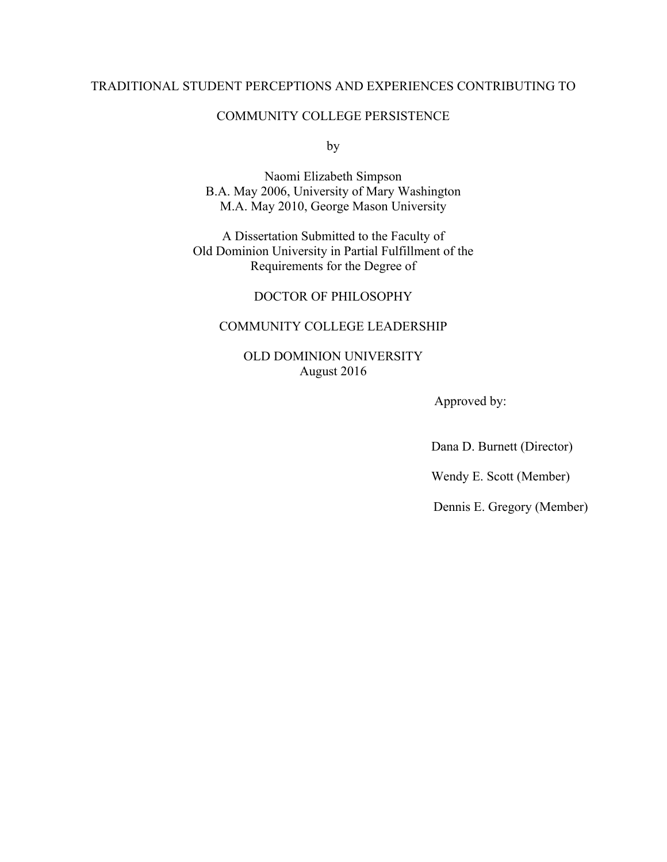# TRADITIONAL STUDENT PERCEPTIONS AND EXPERIENCES CONTRIBUTING TO

# COMMUNITY COLLEGE PERSISTENCE

by

Naomi Elizabeth Simpson B.A. May 2006, University of Mary Washington M.A. May 2010, George Mason University

A Dissertation Submitted to the Faculty of Old Dominion University in Partial Fulfillment of the Requirements for the Degree of

DOCTOR OF PHILOSOPHY

# COMMUNITY COLLEGE LEADERSHIP

OLD DOMINION UNIVERSITY August 2016

Approved by:

Dana D. Burnett (Director)

Wendy E. Scott (Member)

Dennis E. Gregory (Member)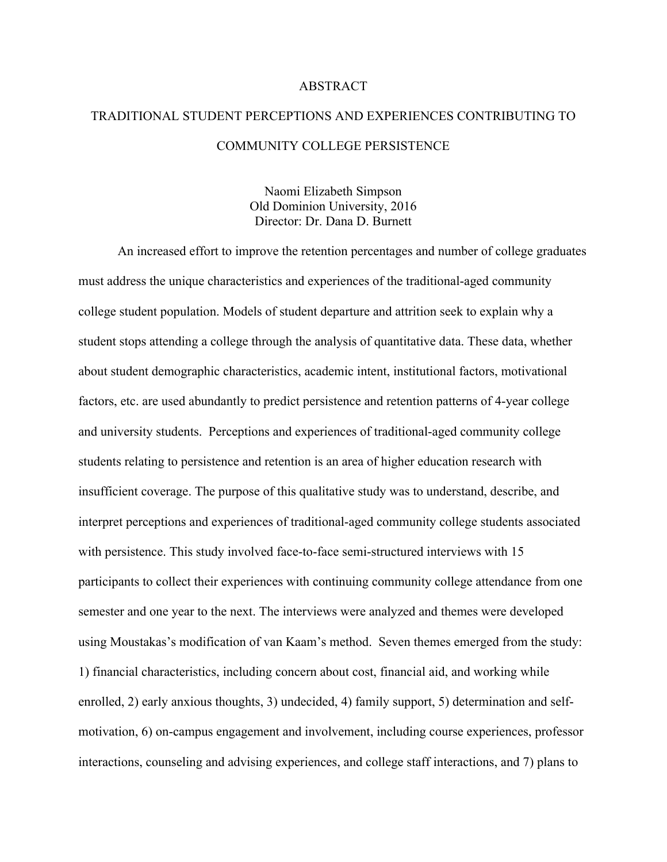## ABSTRACT

# TRADITIONAL STUDENT PERCEPTIONS AND EXPERIENCES CONTRIBUTING TO COMMUNITY COLLEGE PERSISTENCE

Naomi Elizabeth Simpson Old Dominion University, 2016 Director: Dr. Dana D. Burnett

An increased effort to improve the retention percentages and number of college graduates must address the unique characteristics and experiences of the traditional-aged community college student population. Models of student departure and attrition seek to explain why a student stops attending a college through the analysis of quantitative data. These data, whether about student demographic characteristics, academic intent, institutional factors, motivational factors, etc. are used abundantly to predict persistence and retention patterns of 4-year college and university students. Perceptions and experiences of traditional-aged community college students relating to persistence and retention is an area of higher education research with insufficient coverage. The purpose of this qualitative study was to understand, describe, and interpret perceptions and experiences of traditional-aged community college students associated with persistence. This study involved face-to-face semi-structured interviews with 15 participants to collect their experiences with continuing community college attendance from one semester and one year to the next. The interviews were analyzed and themes were developed using Moustakas's modification of van Kaam's method. Seven themes emerged from the study: 1) financial characteristics, including concern about cost, financial aid, and working while enrolled, 2) early anxious thoughts, 3) undecided, 4) family support, 5) determination and selfmotivation, 6) on-campus engagement and involvement, including course experiences, professor interactions, counseling and advising experiences, and college staff interactions, and 7) plans to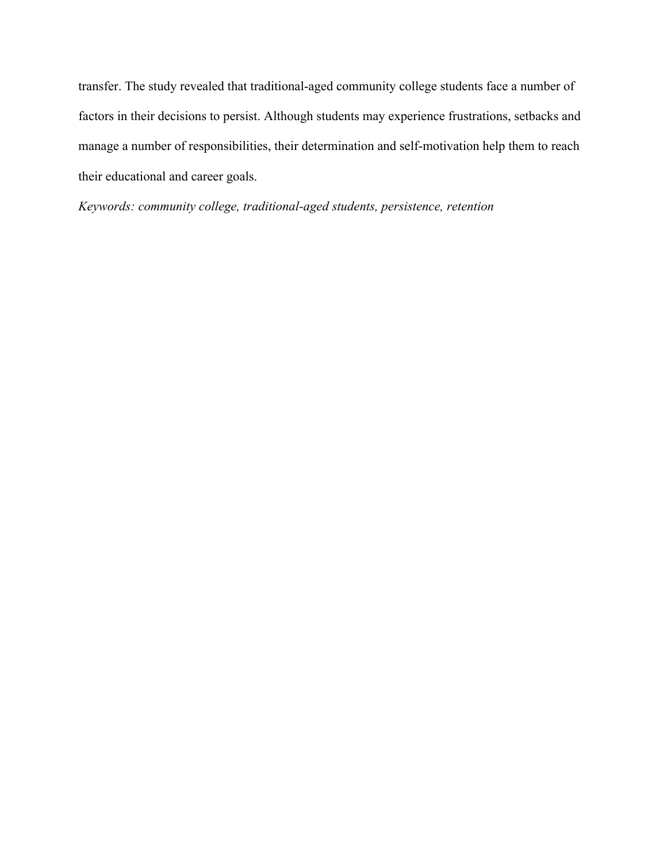transfer. The study revealed that traditional-aged community college students face a number of factors in their decisions to persist. Although students may experience frustrations, setbacks and manage a number of responsibilities, their determination and self-motivation help them to reach their educational and career goals.

*Keywords: community college, traditional-aged students, persistence, retention*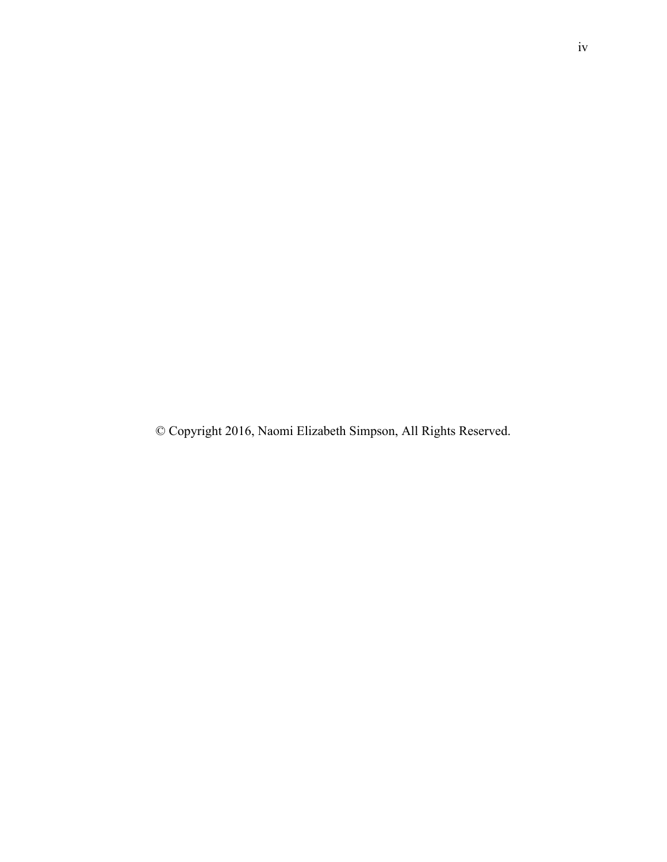© Copyright 2016, Naomi Elizabeth Simpson, All Rights Reserved.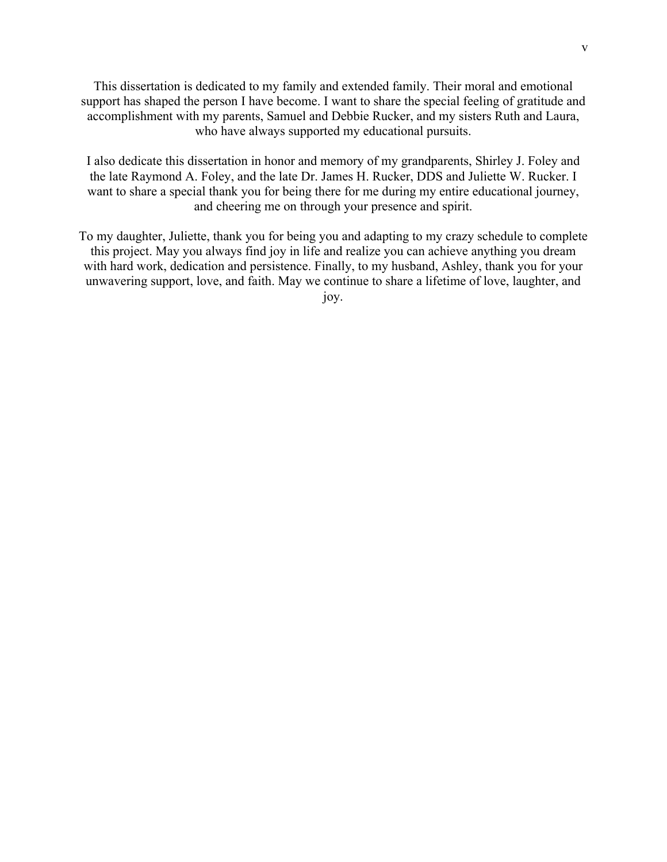This dissertation is dedicated to my family and extended family. Their moral and emotional support has shaped the person I have become. I want to share the special feeling of gratitude and accomplishment with my parents, Samuel and Debbie Rucker, and my sisters Ruth and Laura, who have always supported my educational pursuits.

I also dedicate this dissertation in honor and memory of my grandparents, Shirley J. Foley and the late Raymond A. Foley, and the late Dr. James H. Rucker, DDS and Juliette W. Rucker. I want to share a special thank you for being there for me during my entire educational journey, and cheering me on through your presence and spirit.

To my daughter, Juliette, thank you for being you and adapting to my crazy schedule to complete this project. May you always find joy in life and realize you can achieve anything you dream with hard work, dedication and persistence. Finally, to my husband, Ashley, thank you for your unwavering support, love, and faith. May we continue to share a lifetime of love, laughter, and joy.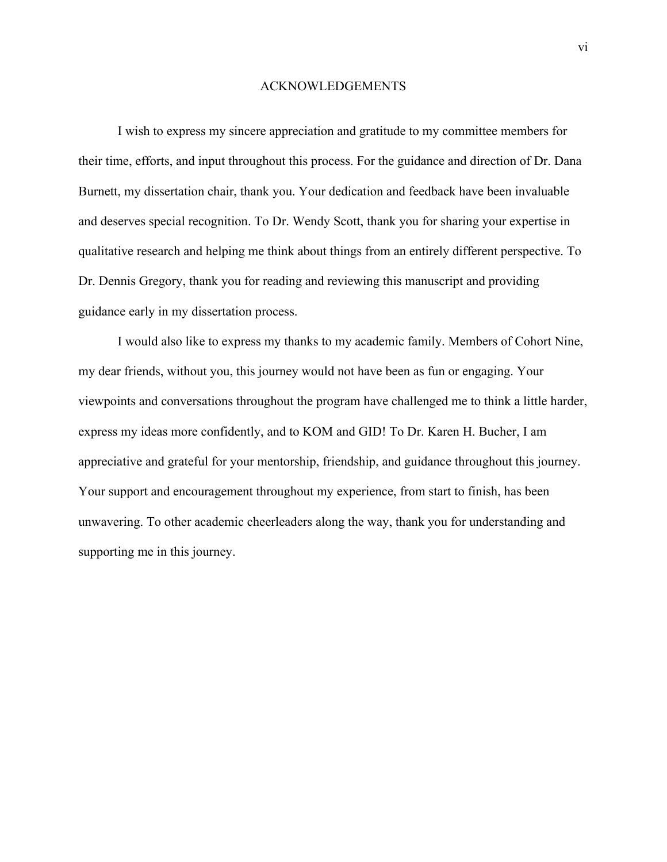## ACKNOWLEDGEMENTS

I wish to express my sincere appreciation and gratitude to my committee members for their time, efforts, and input throughout this process. For the guidance and direction of Dr. Dana Burnett, my dissertation chair, thank you. Your dedication and feedback have been invaluable and deserves special recognition. To Dr. Wendy Scott, thank you for sharing your expertise in qualitative research and helping me think about things from an entirely different perspective. To Dr. Dennis Gregory, thank you for reading and reviewing this manuscript and providing guidance early in my dissertation process.

I would also like to express my thanks to my academic family. Members of Cohort Nine, my dear friends, without you, this journey would not have been as fun or engaging. Your viewpoints and conversations throughout the program have challenged me to think a little harder, express my ideas more confidently, and to KOM and GID! To Dr. Karen H. Bucher, I am appreciative and grateful for your mentorship, friendship, and guidance throughout this journey. Your support and encouragement throughout my experience, from start to finish, has been unwavering. To other academic cheerleaders along the way, thank you for understanding and supporting me in this journey.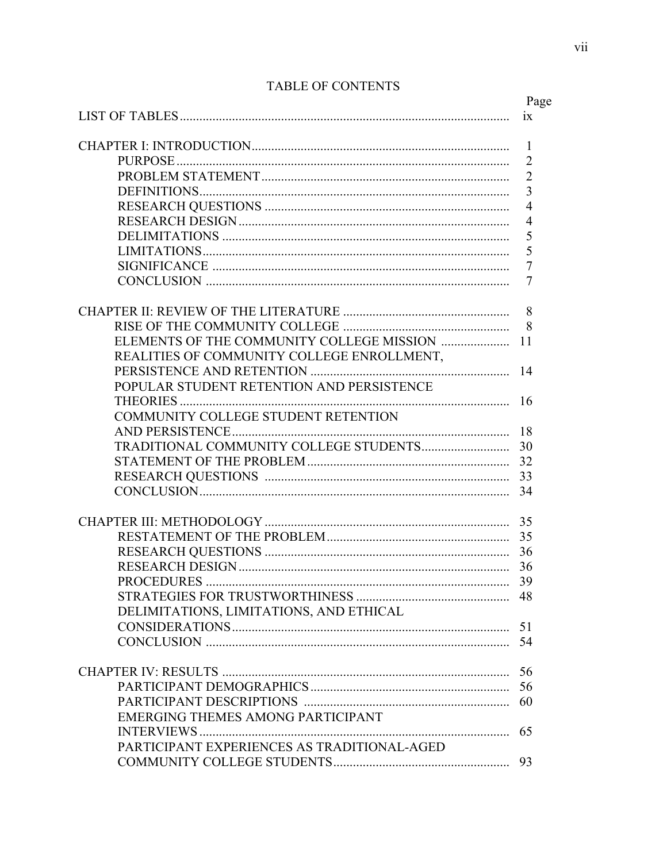|                                             | Page                |
|---------------------------------------------|---------------------|
|                                             | ix                  |
|                                             |                     |
|                                             | 1<br>$\overline{2}$ |
|                                             | $\overline{2}$      |
|                                             | 3                   |
|                                             | $\overline{4}$      |
|                                             | $\overline{4}$      |
|                                             | 5                   |
|                                             | 5                   |
|                                             | $\overline{7}$      |
|                                             |                     |
|                                             | 7                   |
|                                             | 8                   |
|                                             | 8                   |
|                                             | 11                  |
| REALITIES OF COMMUNITY COLLEGE ENROLLMENT,  |                     |
|                                             | 14                  |
| POPULAR STUDENT RETENTION AND PERSISTENCE   |                     |
|                                             |                     |
| COMMUNITY COLLEGE STUDENT RETENTION         |                     |
|                                             |                     |
|                                             |                     |
|                                             |                     |
|                                             |                     |
|                                             |                     |
|                                             |                     |
|                                             |                     |
|                                             |                     |
|                                             |                     |
|                                             |                     |
| PROCEDURES                                  | 39                  |
|                                             |                     |
| DELIMITATIONS, LIMITATIONS, AND ETHICAL     |                     |
|                                             |                     |
|                                             |                     |
|                                             | 56                  |
|                                             | 56                  |
|                                             |                     |
| <b>EMERGING THEMES AMONG PARTICIPANT</b>    |                     |
|                                             |                     |
| PARTICIPANT EXPERIENCES AS TRADITIONAL-AGED |                     |
|                                             | 93                  |
|                                             |                     |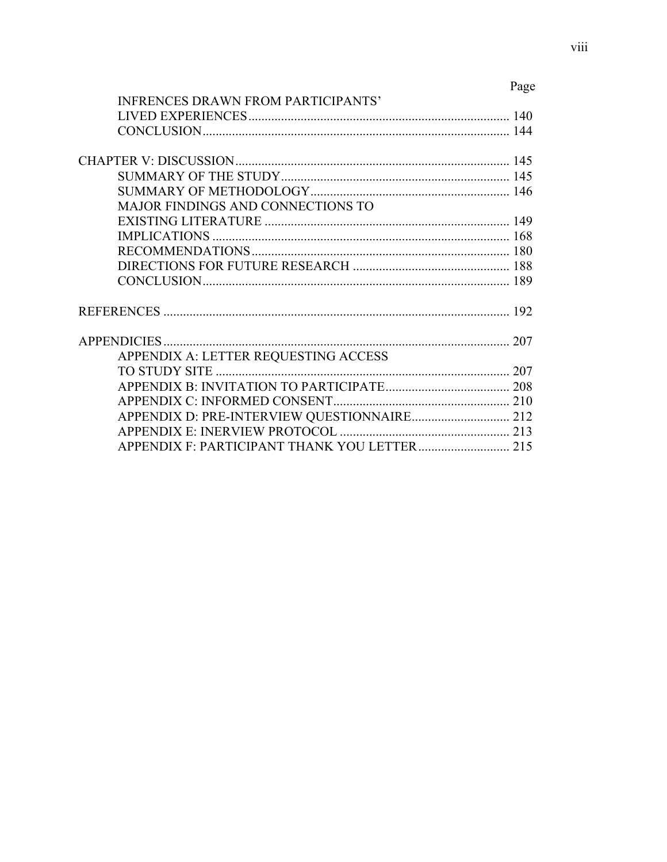|                                           | Page |
|-------------------------------------------|------|
| <b>INFRENCES DRAWN FROM PARTICIPANTS'</b> |      |
|                                           |      |
|                                           |      |
|                                           |      |
|                                           |      |
|                                           |      |
| MAJOR FINDINGS AND CONNECTIONS TO         |      |
|                                           |      |
| <b>IMPLICATIONS</b>                       |      |
|                                           |      |
|                                           |      |
|                                           |      |
|                                           |      |
|                                           |      |
| APPENDIX A: LETTER REQUESTING ACCESS      |      |
|                                           |      |
|                                           |      |
|                                           |      |
|                                           |      |
|                                           |      |
|                                           |      |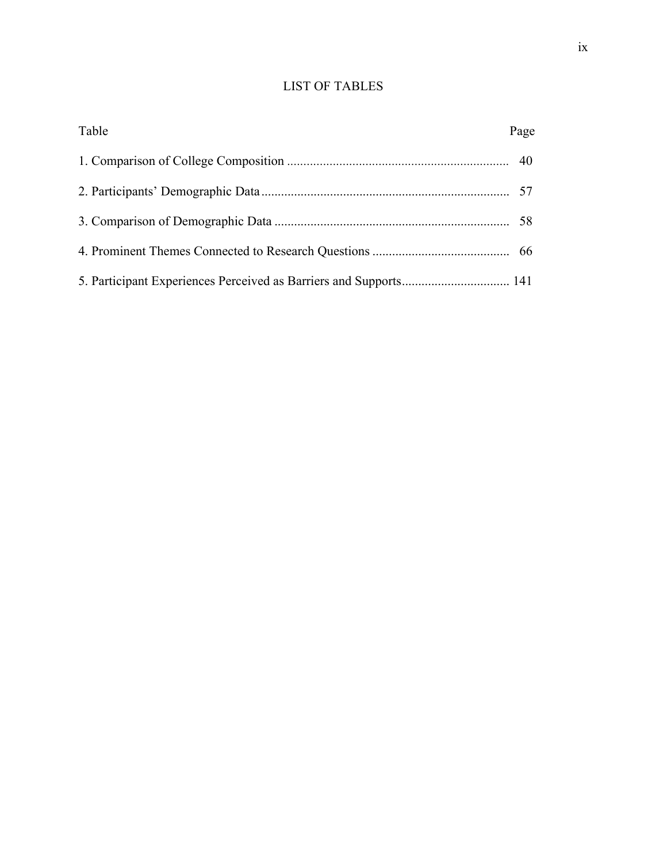# LIST OF TABLES

| Table | Page |
|-------|------|
|       |      |
|       |      |
|       |      |
|       |      |
|       |      |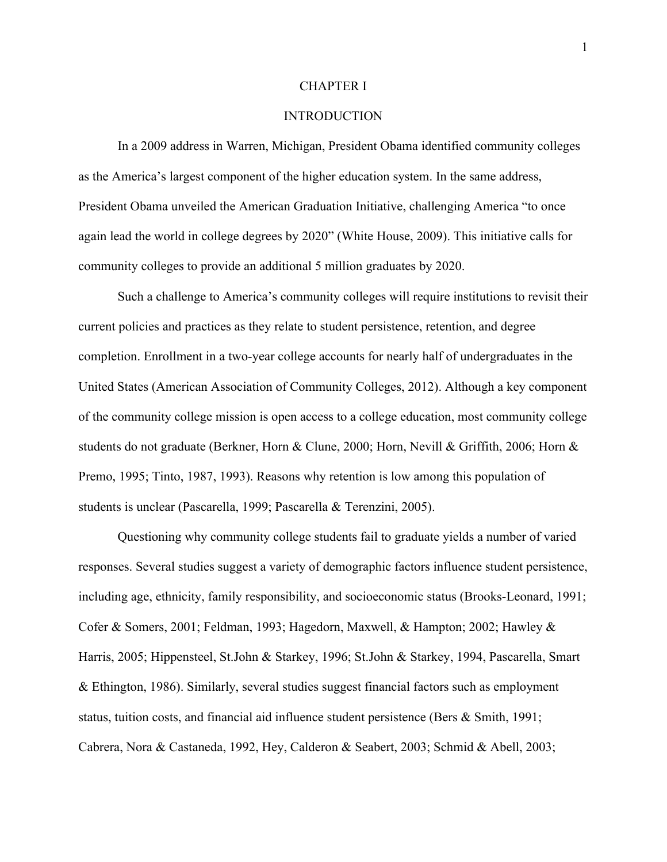### CHAPTER I

# **INTRODUCTION**

In a 2009 address in Warren, Michigan, President Obama identified community colleges as the America's largest component of the higher education system. In the same address, President Obama unveiled the American Graduation Initiative, challenging America "to once again lead the world in college degrees by 2020" (White House, 2009). This initiative calls for community colleges to provide an additional 5 million graduates by 2020.

Such a challenge to America's community colleges will require institutions to revisit their current policies and practices as they relate to student persistence, retention, and degree completion. Enrollment in a two-year college accounts for nearly half of undergraduates in the United States (American Association of Community Colleges, 2012). Although a key component of the community college mission is open access to a college education, most community college students do not graduate (Berkner, Horn & Clune, 2000; Horn, Nevill & Griffith, 2006; Horn & Premo, 1995; Tinto, 1987, 1993). Reasons why retention is low among this population of students is unclear (Pascarella, 1999; Pascarella & Terenzini, 2005).

Questioning why community college students fail to graduate yields a number of varied responses. Several studies suggest a variety of demographic factors influence student persistence, including age, ethnicity, family responsibility, and socioeconomic status (Brooks-Leonard, 1991; Cofer & Somers, 2001; Feldman, 1993; Hagedorn, Maxwell, & Hampton; 2002; Hawley & Harris, 2005; Hippensteel, St.John & Starkey, 1996; St.John & Starkey, 1994, Pascarella, Smart & Ethington, 1986). Similarly, several studies suggest financial factors such as employment status, tuition costs, and financial aid influence student persistence (Bers & Smith, 1991; Cabrera, Nora & Castaneda, 1992, Hey, Calderon & Seabert, 2003; Schmid & Abell, 2003;

1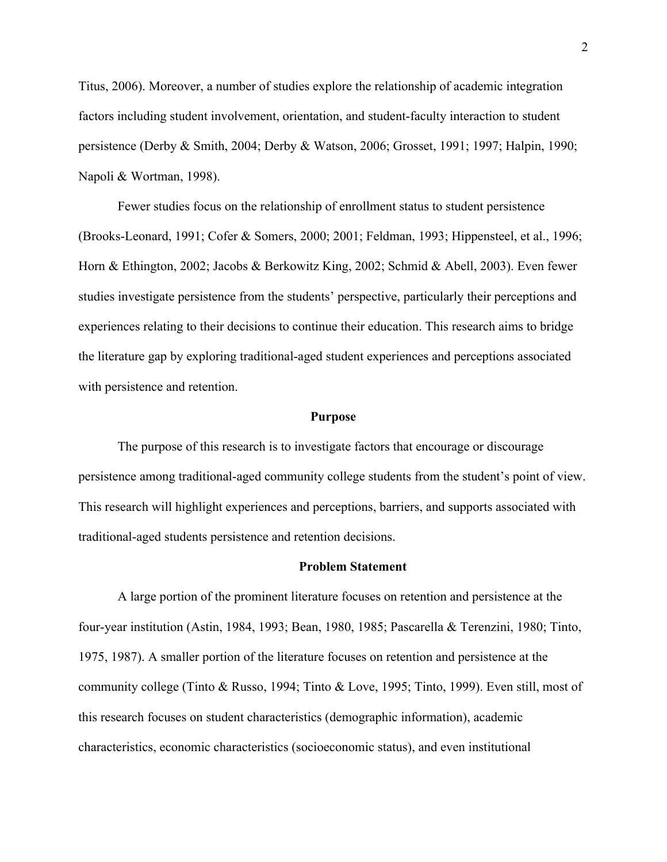Titus, 2006). Moreover, a number of studies explore the relationship of academic integration factors including student involvement, orientation, and student-faculty interaction to student persistence (Derby & Smith, 2004; Derby & Watson, 2006; Grosset, 1991; 1997; Halpin, 1990; Napoli & Wortman, 1998).

Fewer studies focus on the relationship of enrollment status to student persistence (Brooks-Leonard, 1991; Cofer & Somers, 2000; 2001; Feldman, 1993; Hippensteel, et al., 1996; Horn & Ethington, 2002; Jacobs & Berkowitz King, 2002; Schmid & Abell, 2003). Even fewer studies investigate persistence from the students' perspective, particularly their perceptions and experiences relating to their decisions to continue their education. This research aims to bridge the literature gap by exploring traditional-aged student experiences and perceptions associated with persistence and retention.

#### **Purpose**

The purpose of this research is to investigate factors that encourage or discourage persistence among traditional-aged community college students from the student's point of view. This research will highlight experiences and perceptions, barriers, and supports associated with traditional-aged students persistence and retention decisions.

## **Problem Statement**

A large portion of the prominent literature focuses on retention and persistence at the four-year institution (Astin, 1984, 1993; Bean, 1980, 1985; Pascarella & Terenzini, 1980; Tinto, 1975, 1987). A smaller portion of the literature focuses on retention and persistence at the community college (Tinto & Russo, 1994; Tinto & Love, 1995; Tinto, 1999). Even still, most of this research focuses on student characteristics (demographic information), academic characteristics, economic characteristics (socioeconomic status), and even institutional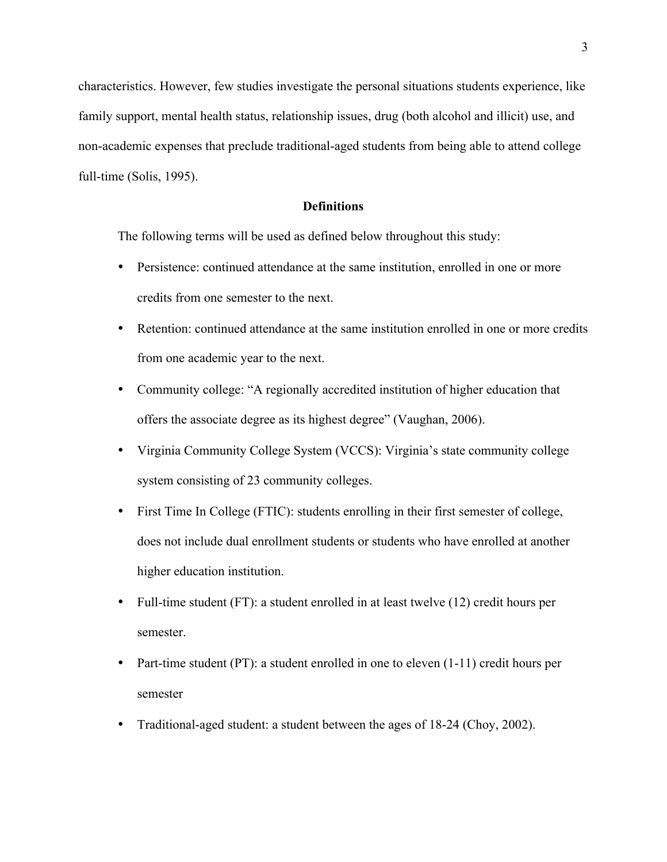characteristics. However, few studies investigate the personal situations students experience, like family support, mental health status, relationship issues, drug (both alcohol and illicit) use, and non-academic expenses that preclude traditional-aged students from being able to attend college full-time (Solis, 1995).

# **Definitions**

The following terms will be used as defined below throughout this study:

- Persistence: continued attendance at the same institution, enrolled in one or more credits from one semester to the next.
- Retention: continued attendance at the same institution enrolled in one or more credits from one academic year to the next.
- Community college: "A regionally accredited institution of higher education that offers the associate degree as its highest degree" (Vaughan, 2006).
- Virginia Community College System (VCCS): Virginia's state community college system consisting of 23 community colleges.
- First Time In College (FTIC): students enrolling in their first semester of college, does not include dual enrollment students or students who have enrolled at another higher education institution.
- Full-time student (FT): a student enrolled in at least twelve (12) credit hours per semester.
- Part-time student (PT): a student enrolled in one to eleven (1-11) credit hours per semester
- Traditional-aged student: a student between the ages of 18-24 (Choy, 2002).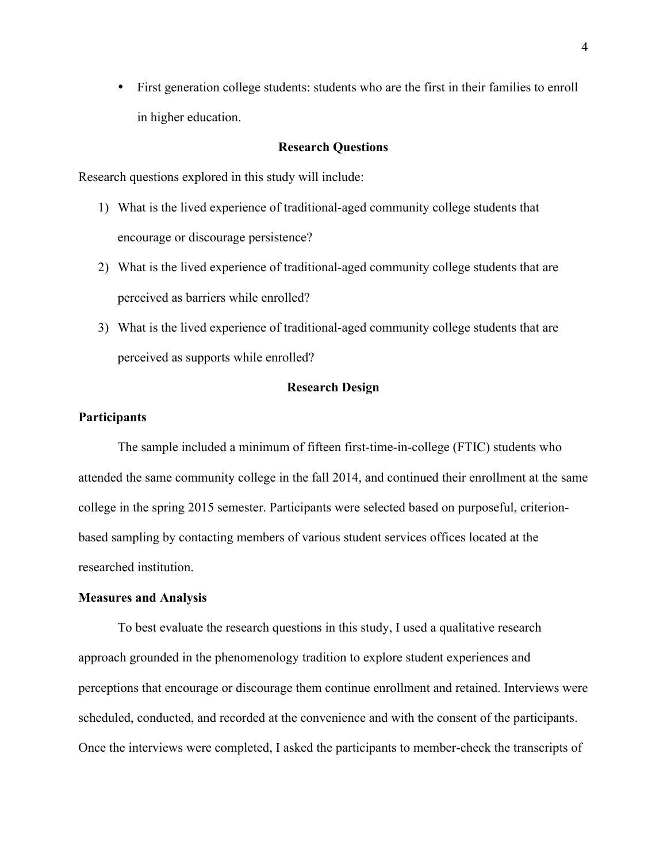• First generation college students: students who are the first in their families to enroll in higher education.

# **Research Questions**

Research questions explored in this study will include:

- 1) What is the lived experience of traditional-aged community college students that encourage or discourage persistence?
- 2) What is the lived experience of traditional-aged community college students that are perceived as barriers while enrolled?
- 3) What is the lived experience of traditional-aged community college students that are perceived as supports while enrolled?

#### **Research Design**

# **Participants**

The sample included a minimum of fifteen first-time-in-college (FTIC) students who attended the same community college in the fall 2014, and continued their enrollment at the same college in the spring 2015 semester. Participants were selected based on purposeful, criterionbased sampling by contacting members of various student services offices located at the researched institution.

#### **Measures and Analysis**

To best evaluate the research questions in this study, I used a qualitative research approach grounded in the phenomenology tradition to explore student experiences and perceptions that encourage or discourage them continue enrollment and retained. Interviews were scheduled, conducted, and recorded at the convenience and with the consent of the participants. Once the interviews were completed, I asked the participants to member-check the transcripts of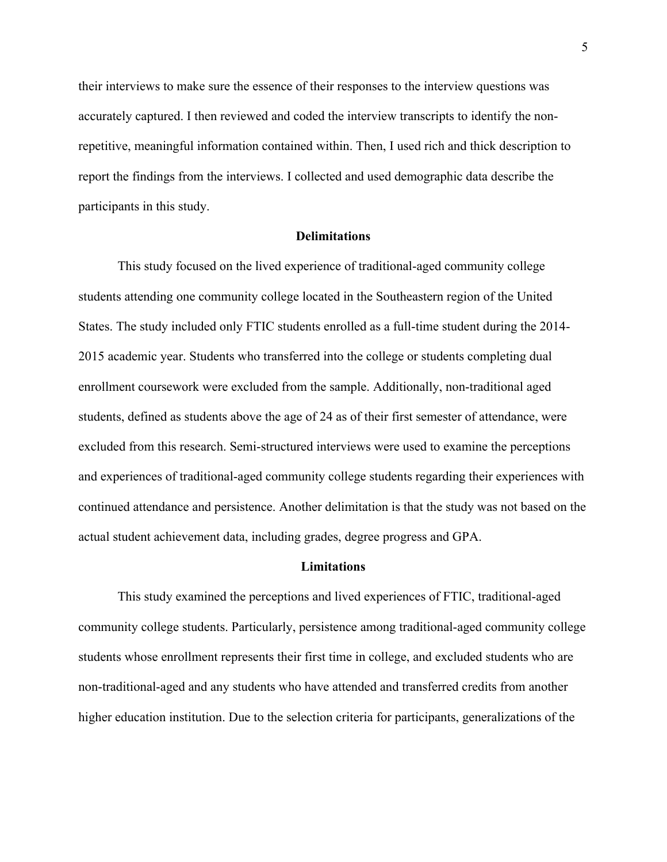their interviews to make sure the essence of their responses to the interview questions was accurately captured. I then reviewed and coded the interview transcripts to identify the nonrepetitive, meaningful information contained within. Then, I used rich and thick description to report the findings from the interviews. I collected and used demographic data describe the participants in this study.

### **Delimitations**

This study focused on the lived experience of traditional-aged community college students attending one community college located in the Southeastern region of the United States. The study included only FTIC students enrolled as a full-time student during the 2014- 2015 academic year. Students who transferred into the college or students completing dual enrollment coursework were excluded from the sample. Additionally, non-traditional aged students, defined as students above the age of 24 as of their first semester of attendance, were excluded from this research. Semi-structured interviews were used to examine the perceptions and experiences of traditional-aged community college students regarding their experiences with continued attendance and persistence. Another delimitation is that the study was not based on the actual student achievement data, including grades, degree progress and GPA.

## **Limitations**

This study examined the perceptions and lived experiences of FTIC, traditional-aged community college students. Particularly, persistence among traditional-aged community college students whose enrollment represents their first time in college, and excluded students who are non-traditional-aged and any students who have attended and transferred credits from another higher education institution. Due to the selection criteria for participants, generalizations of the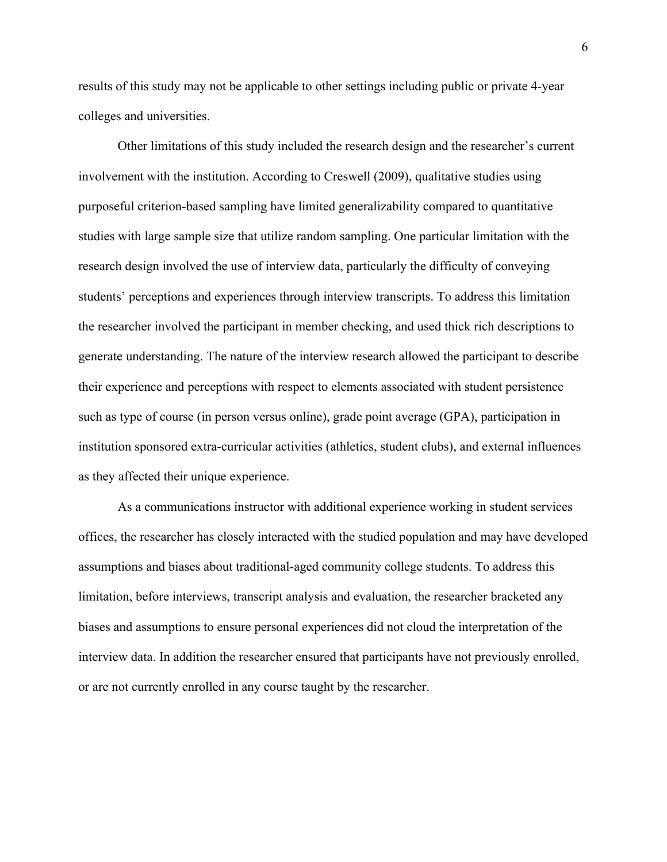results of this study may not be applicable to other settings including public or private 4-year colleges and universities.

Other limitations of this study included the research design and the researcher's current involvement with the institution. According to Creswell (2009), qualitative studies using purposeful criterion-based sampling have limited generalizability compared to quantitative studies with large sample size that utilize random sampling. One particular limitation with the research design involved the use of interview data, particularly the difficulty of conveying students' perceptions and experiences through interview transcripts. To address this limitation the researcher involved the participant in member checking, and used thick rich descriptions to generate understanding. The nature of the interview research allowed the participant to describe their experience and perceptions with respect to elements associated with student persistence such as type of course (in person versus online), grade point average (GPA), participation in institution sponsored extra-curricular activities (athletics, student clubs), and external influences as they affected their unique experience.

As a communications instructor with additional experience working in student services offices, the researcher has closely interacted with the studied population and may have developed assumptions and biases about traditional-aged community college students. To address this limitation, before interviews, transcript analysis and evaluation, the researcher bracketed any biases and assumptions to ensure personal experiences did not cloud the interpretation of the interview data. In addition the researcher ensured that participants have not previously enrolled, or are not currently enrolled in any course taught by the researcher.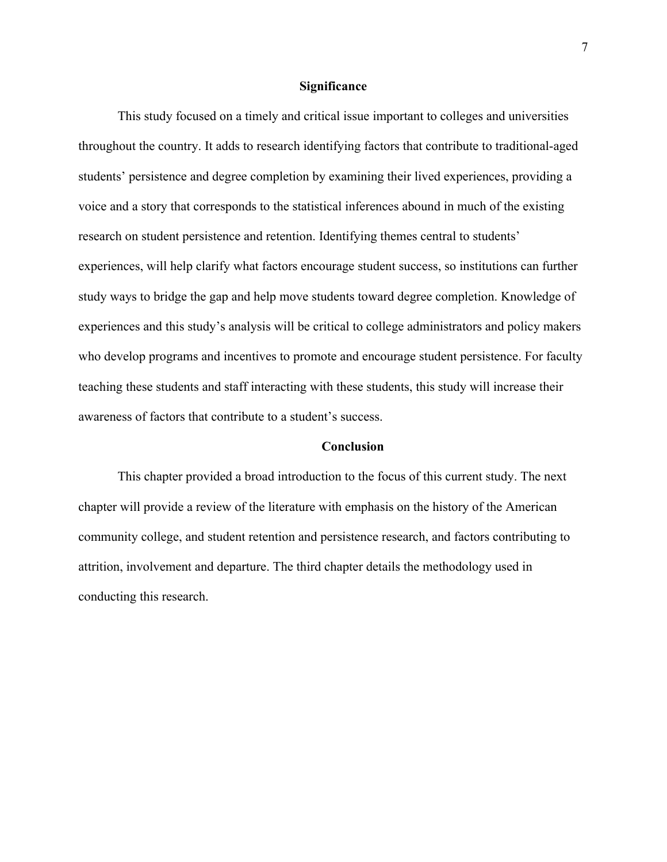# **Significance**

This study focused on a timely and critical issue important to colleges and universities throughout the country. It adds to research identifying factors that contribute to traditional-aged students' persistence and degree completion by examining their lived experiences, providing a voice and a story that corresponds to the statistical inferences abound in much of the existing research on student persistence and retention. Identifying themes central to students' experiences, will help clarify what factors encourage student success, so institutions can further study ways to bridge the gap and help move students toward degree completion. Knowledge of experiences and this study's analysis will be critical to college administrators and policy makers who develop programs and incentives to promote and encourage student persistence. For faculty teaching these students and staff interacting with these students, this study will increase their awareness of factors that contribute to a student's success.

## **Conclusion**

This chapter provided a broad introduction to the focus of this current study. The next chapter will provide a review of the literature with emphasis on the history of the American community college, and student retention and persistence research, and factors contributing to attrition, involvement and departure. The third chapter details the methodology used in conducting this research.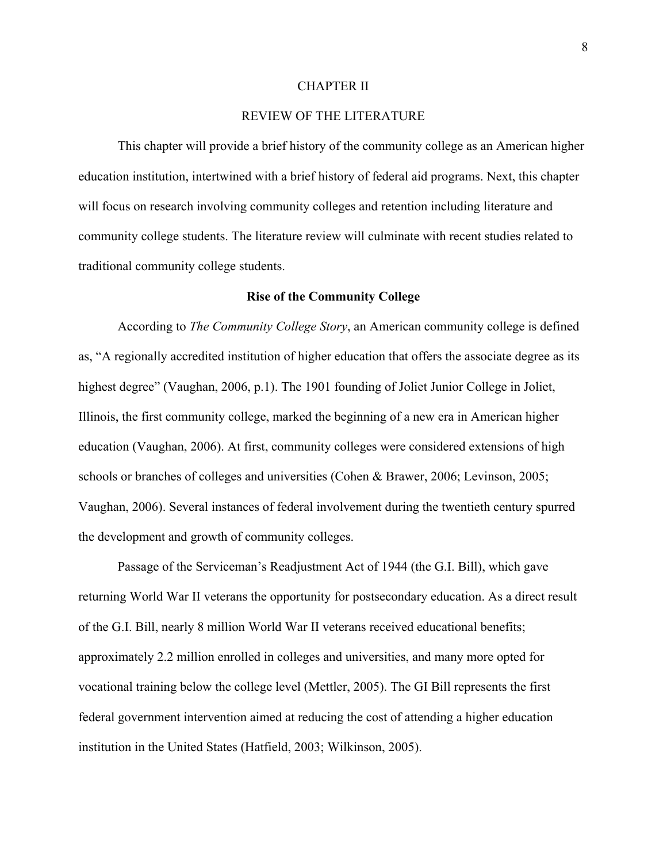### CHAPTER II

# REVIEW OF THE LITERATURE

This chapter will provide a brief history of the community college as an American higher education institution, intertwined with a brief history of federal aid programs. Next, this chapter will focus on research involving community colleges and retention including literature and community college students. The literature review will culminate with recent studies related to traditional community college students.

#### **Rise of the Community College**

According to *The Community College Story*, an American community college is defined as, "A regionally accredited institution of higher education that offers the associate degree as its highest degree" (Vaughan, 2006, p.1). The 1901 founding of Joliet Junior College in Joliet, Illinois, the first community college, marked the beginning of a new era in American higher education (Vaughan, 2006). At first, community colleges were considered extensions of high schools or branches of colleges and universities (Cohen & Brawer, 2006; Levinson, 2005; Vaughan, 2006). Several instances of federal involvement during the twentieth century spurred the development and growth of community colleges.

Passage of the Serviceman's Readjustment Act of 1944 (the G.I. Bill), which gave returning World War II veterans the opportunity for postsecondary education. As a direct result of the G.I. Bill, nearly 8 million World War II veterans received educational benefits; approximately 2.2 million enrolled in colleges and universities, and many more opted for vocational training below the college level (Mettler, 2005). The GI Bill represents the first federal government intervention aimed at reducing the cost of attending a higher education institution in the United States (Hatfield, 2003; Wilkinson, 2005).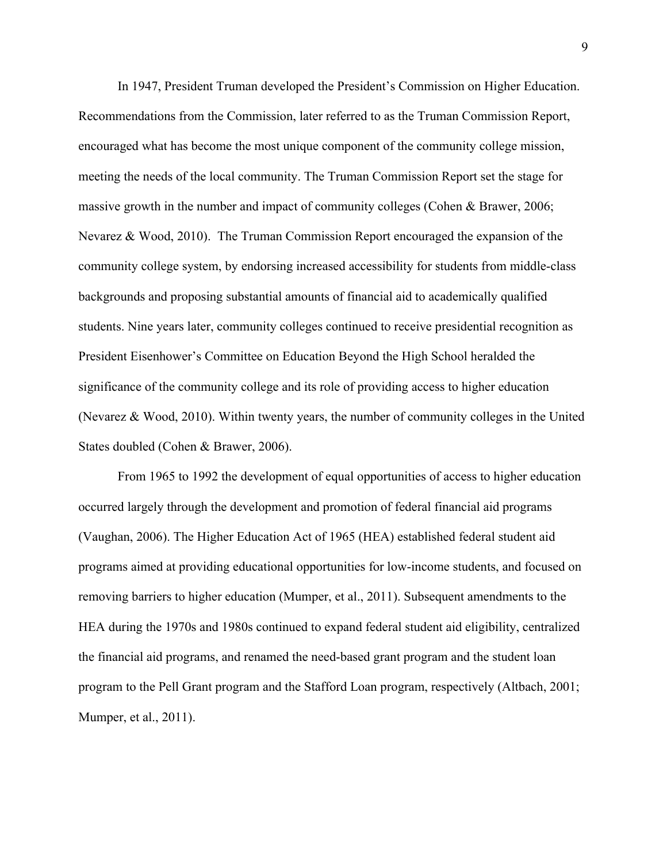In 1947, President Truman developed the President's Commission on Higher Education. Recommendations from the Commission, later referred to as the Truman Commission Report, encouraged what has become the most unique component of the community college mission, meeting the needs of the local community. The Truman Commission Report set the stage for massive growth in the number and impact of community colleges (Cohen & Brawer, 2006; Nevarez & Wood, 2010). The Truman Commission Report encouraged the expansion of the community college system, by endorsing increased accessibility for students from middle-class backgrounds and proposing substantial amounts of financial aid to academically qualified students. Nine years later, community colleges continued to receive presidential recognition as President Eisenhower's Committee on Education Beyond the High School heralded the significance of the community college and its role of providing access to higher education (Nevarez & Wood, 2010). Within twenty years, the number of community colleges in the United States doubled (Cohen & Brawer, 2006).

From 1965 to 1992 the development of equal opportunities of access to higher education occurred largely through the development and promotion of federal financial aid programs (Vaughan, 2006). The Higher Education Act of 1965 (HEA) established federal student aid programs aimed at providing educational opportunities for low-income students, and focused on removing barriers to higher education (Mumper, et al., 2011). Subsequent amendments to the HEA during the 1970s and 1980s continued to expand federal student aid eligibility, centralized the financial aid programs, and renamed the need-based grant program and the student loan program to the Pell Grant program and the Stafford Loan program, respectively (Altbach, 2001; Mumper, et al., 2011).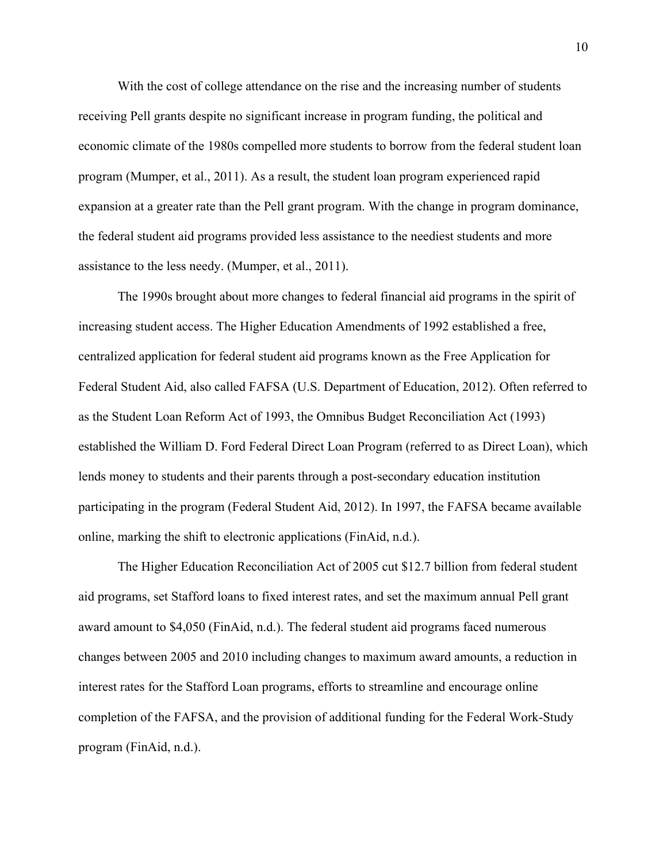With the cost of college attendance on the rise and the increasing number of students receiving Pell grants despite no significant increase in program funding, the political and economic climate of the 1980s compelled more students to borrow from the federal student loan program (Mumper, et al., 2011). As a result, the student loan program experienced rapid expansion at a greater rate than the Pell grant program. With the change in program dominance, the federal student aid programs provided less assistance to the neediest students and more assistance to the less needy. (Mumper, et al., 2011).

The 1990s brought about more changes to federal financial aid programs in the spirit of increasing student access. The Higher Education Amendments of 1992 established a free, centralized application for federal student aid programs known as the Free Application for Federal Student Aid, also called FAFSA (U.S. Department of Education, 2012). Often referred to as the Student Loan Reform Act of 1993, the Omnibus Budget Reconciliation Act (1993) established the William D. Ford Federal Direct Loan Program (referred to as Direct Loan), which lends money to students and their parents through a post-secondary education institution participating in the program (Federal Student Aid, 2012). In 1997, the FAFSA became available online, marking the shift to electronic applications (FinAid, n.d.).

The Higher Education Reconciliation Act of 2005 cut \$12.7 billion from federal student aid programs, set Stafford loans to fixed interest rates, and set the maximum annual Pell grant award amount to \$4,050 (FinAid, n.d.). The federal student aid programs faced numerous changes between 2005 and 2010 including changes to maximum award amounts, a reduction in interest rates for the Stafford Loan programs, efforts to streamline and encourage online completion of the FAFSA, and the provision of additional funding for the Federal Work-Study program (FinAid, n.d.).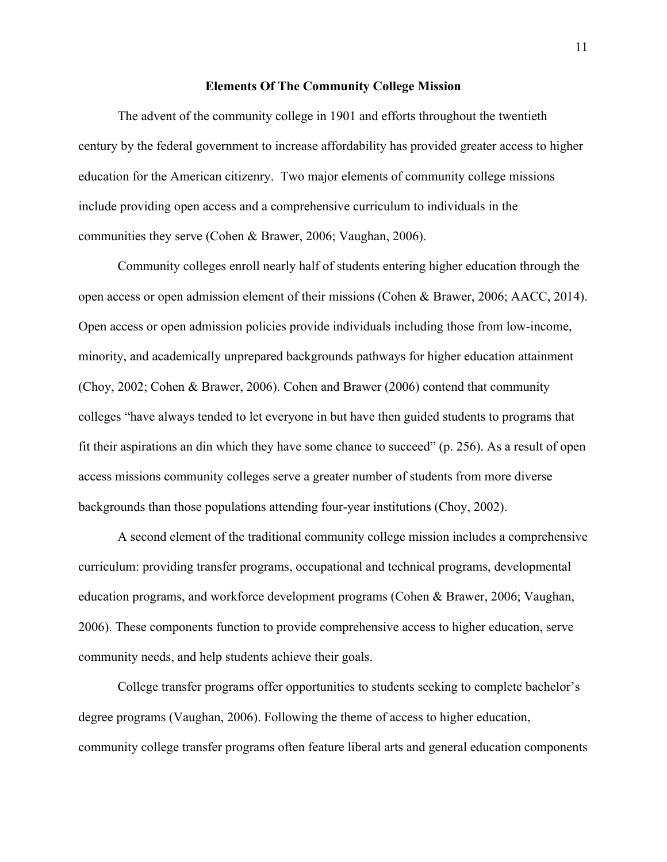## **Elements Of The Community College Mission**

The advent of the community college in 1901 and efforts throughout the twentieth century by the federal government to increase affordability has provided greater access to higher education for the American citizenry. Two major elements of community college missions include providing open access and a comprehensive curriculum to individuals in the communities they serve (Cohen & Brawer, 2006; Vaughan, 2006).

Community colleges enroll nearly half of students entering higher education through the open access or open admission element of their missions (Cohen & Brawer, 2006; AACC, 2014). Open access or open admission policies provide individuals including those from low-income, minority, and academically unprepared backgrounds pathways for higher education attainment (Choy, 2002; Cohen & Brawer, 2006). Cohen and Brawer (2006) contend that community colleges "have always tended to let everyone in but have then guided students to programs that fit their aspirations an din which they have some chance to succeed" (p. 256). As a result of open access missions community colleges serve a greater number of students from more diverse backgrounds than those populations attending four-year institutions (Choy, 2002).

A second element of the traditional community college mission includes a comprehensive curriculum: providing transfer programs, occupational and technical programs, developmental education programs, and workforce development programs (Cohen & Brawer, 2006; Vaughan, 2006). These components function to provide comprehensive access to higher education, serve community needs, and help students achieve their goals.

College transfer programs offer opportunities to students seeking to complete bachelor's degree programs (Vaughan, 2006). Following the theme of access to higher education, community college transfer programs often feature liberal arts and general education components

11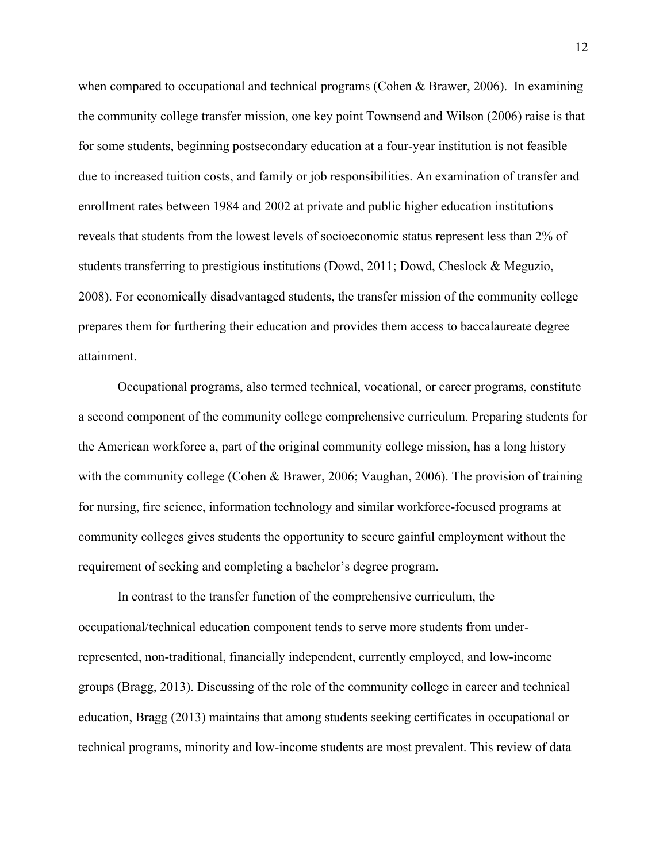when compared to occupational and technical programs (Cohen & Brawer, 2006). In examining the community college transfer mission, one key point Townsend and Wilson (2006) raise is that for some students, beginning postsecondary education at a four-year institution is not feasible due to increased tuition costs, and family or job responsibilities. An examination of transfer and enrollment rates between 1984 and 2002 at private and public higher education institutions reveals that students from the lowest levels of socioeconomic status represent less than 2% of students transferring to prestigious institutions (Dowd, 2011; Dowd, Cheslock & Meguzio, 2008). For economically disadvantaged students, the transfer mission of the community college prepares them for furthering their education and provides them access to baccalaureate degree attainment.

Occupational programs, also termed technical, vocational, or career programs, constitute a second component of the community college comprehensive curriculum. Preparing students for the American workforce a, part of the original community college mission, has a long history with the community college (Cohen & Brawer, 2006; Vaughan, 2006). The provision of training for nursing, fire science, information technology and similar workforce-focused programs at community colleges gives students the opportunity to secure gainful employment without the requirement of seeking and completing a bachelor's degree program.

In contrast to the transfer function of the comprehensive curriculum, the occupational/technical education component tends to serve more students from underrepresented, non-traditional, financially independent, currently employed, and low-income groups (Bragg, 2013). Discussing of the role of the community college in career and technical education, Bragg (2013) maintains that among students seeking certificates in occupational or technical programs, minority and low-income students are most prevalent. This review of data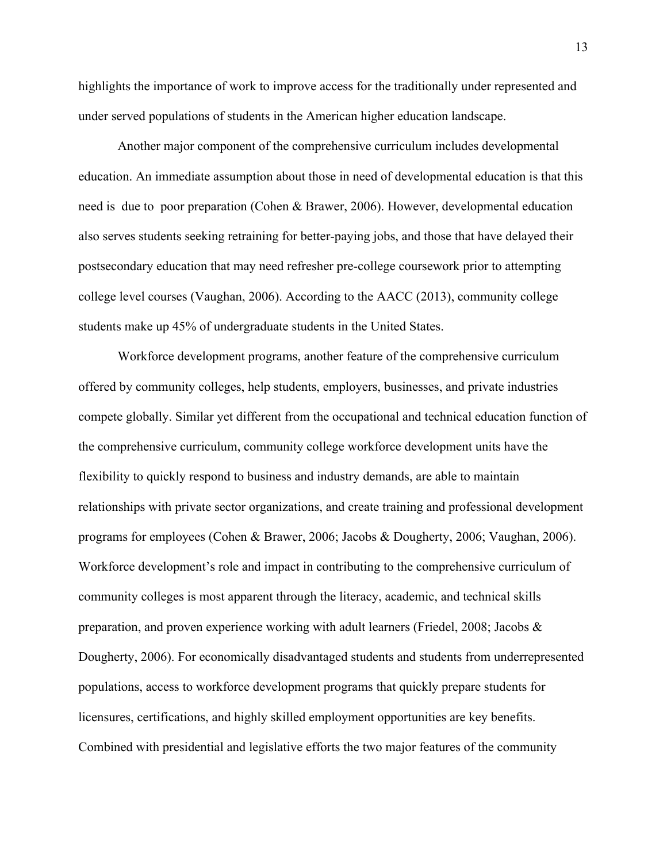highlights the importance of work to improve access for the traditionally under represented and under served populations of students in the American higher education landscape.

Another major component of the comprehensive curriculum includes developmental education. An immediate assumption about those in need of developmental education is that this need is due to poor preparation (Cohen & Brawer, 2006). However, developmental education also serves students seeking retraining for better-paying jobs, and those that have delayed their postsecondary education that may need refresher pre-college coursework prior to attempting college level courses (Vaughan, 2006). According to the AACC (2013), community college students make up 45% of undergraduate students in the United States.

Workforce development programs, another feature of the comprehensive curriculum offered by community colleges, help students, employers, businesses, and private industries compete globally. Similar yet different from the occupational and technical education function of the comprehensive curriculum, community college workforce development units have the flexibility to quickly respond to business and industry demands, are able to maintain relationships with private sector organizations, and create training and professional development programs for employees (Cohen & Brawer, 2006; Jacobs & Dougherty, 2006; Vaughan, 2006). Workforce development's role and impact in contributing to the comprehensive curriculum of community colleges is most apparent through the literacy, academic, and technical skills preparation, and proven experience working with adult learners (Friedel, 2008; Jacobs & Dougherty, 2006). For economically disadvantaged students and students from underrepresented populations, access to workforce development programs that quickly prepare students for licensures, certifications, and highly skilled employment opportunities are key benefits. Combined with presidential and legislative efforts the two major features of the community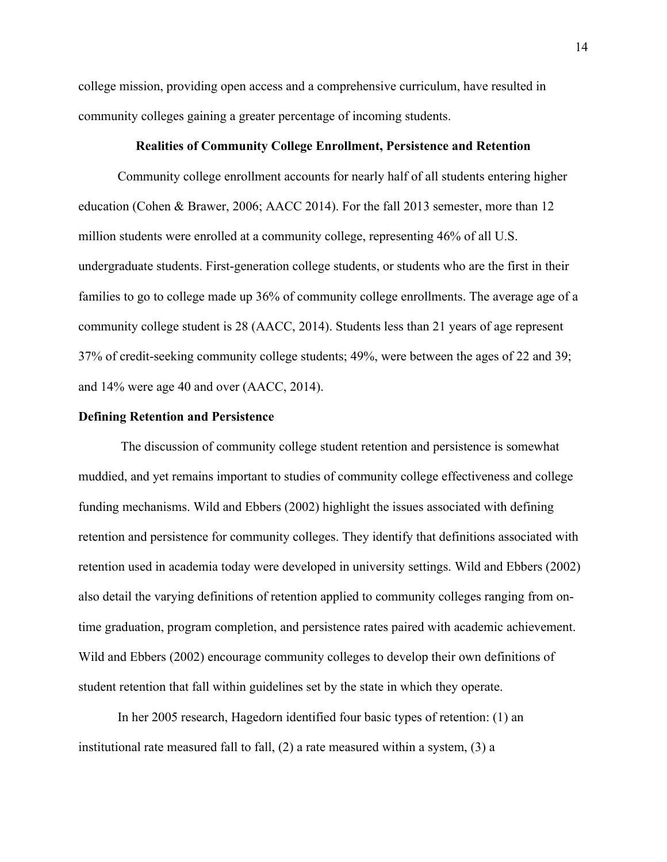college mission, providing open access and a comprehensive curriculum, have resulted in community colleges gaining a greater percentage of incoming students.

# **Realities of Community College Enrollment, Persistence and Retention**

Community college enrollment accounts for nearly half of all students entering higher education (Cohen & Brawer, 2006; AACC 2014). For the fall 2013 semester, more than 12 million students were enrolled at a community college, representing 46% of all U.S. undergraduate students. First-generation college students, or students who are the first in their families to go to college made up 36% of community college enrollments. The average age of a community college student is 28 (AACC, 2014). Students less than 21 years of age represent 37% of credit-seeking community college students; 49%, were between the ages of 22 and 39; and 14% were age 40 and over (AACC, 2014).

# **Defining Retention and Persistence**

The discussion of community college student retention and persistence is somewhat muddied, and yet remains important to studies of community college effectiveness and college funding mechanisms. Wild and Ebbers (2002) highlight the issues associated with defining retention and persistence for community colleges. They identify that definitions associated with retention used in academia today were developed in university settings. Wild and Ebbers (2002) also detail the varying definitions of retention applied to community colleges ranging from ontime graduation, program completion, and persistence rates paired with academic achievement. Wild and Ebbers (2002) encourage community colleges to develop their own definitions of student retention that fall within guidelines set by the state in which they operate.

In her 2005 research, Hagedorn identified four basic types of retention: (1) an institutional rate measured fall to fall, (2) a rate measured within a system, (3) a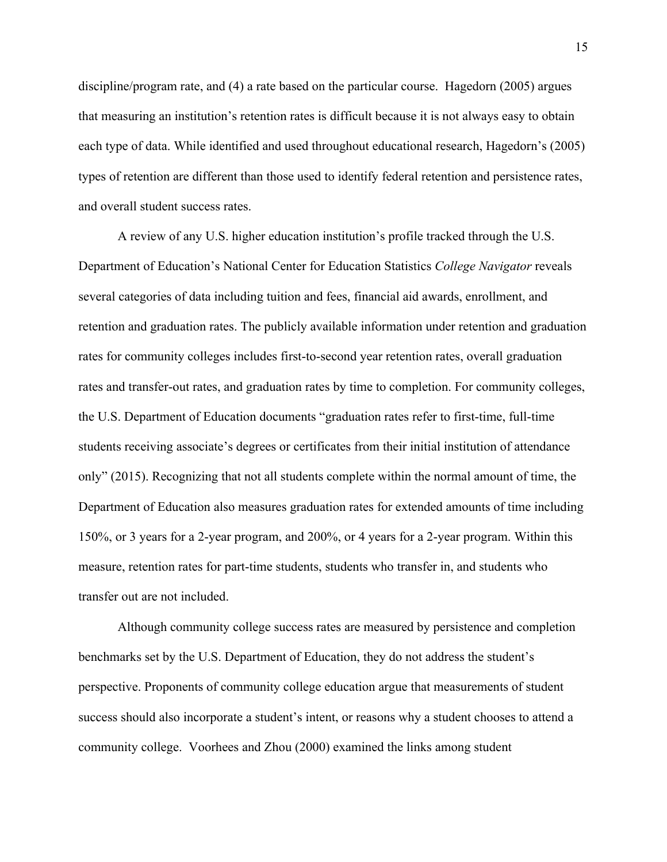discipline/program rate, and (4) a rate based on the particular course. Hagedorn (2005) argues that measuring an institution's retention rates is difficult because it is not always easy to obtain each type of data. While identified and used throughout educational research, Hagedorn's (2005) types of retention are different than those used to identify federal retention and persistence rates, and overall student success rates.

A review of any U.S. higher education institution's profile tracked through the U.S. Department of Education's National Center for Education Statistics *College Navigator* reveals several categories of data including tuition and fees, financial aid awards, enrollment, and retention and graduation rates. The publicly available information under retention and graduation rates for community colleges includes first-to-second year retention rates, overall graduation rates and transfer-out rates, and graduation rates by time to completion. For community colleges, the U.S. Department of Education documents "graduation rates refer to first-time, full-time students receiving associate's degrees or certificates from their initial institution of attendance only" (2015). Recognizing that not all students complete within the normal amount of time, the Department of Education also measures graduation rates for extended amounts of time including 150%, or 3 years for a 2-year program, and 200%, or 4 years for a 2-year program. Within this measure, retention rates for part-time students, students who transfer in, and students who transfer out are not included.

Although community college success rates are measured by persistence and completion benchmarks set by the U.S. Department of Education, they do not address the student's perspective. Proponents of community college education argue that measurements of student success should also incorporate a student's intent, or reasons why a student chooses to attend a community college. Voorhees and Zhou (2000) examined the links among student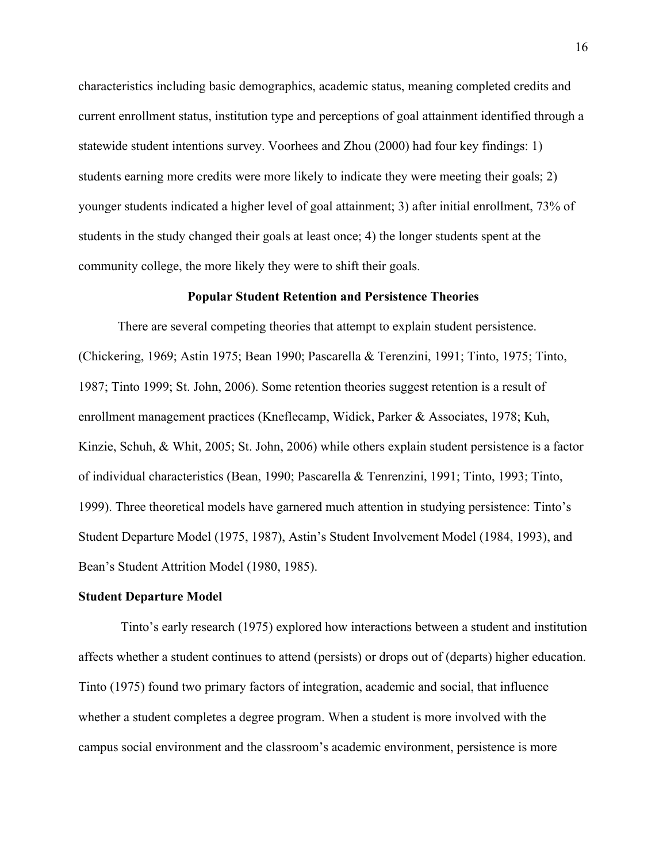characteristics including basic demographics, academic status, meaning completed credits and current enrollment status, institution type and perceptions of goal attainment identified through a statewide student intentions survey. Voorhees and Zhou (2000) had four key findings: 1) students earning more credits were more likely to indicate they were meeting their goals; 2) younger students indicated a higher level of goal attainment; 3) after initial enrollment, 73% of students in the study changed their goals at least once; 4) the longer students spent at the community college, the more likely they were to shift their goals.

# **Popular Student Retention and Persistence Theories**

There are several competing theories that attempt to explain student persistence. (Chickering, 1969; Astin 1975; Bean 1990; Pascarella & Terenzini, 1991; Tinto, 1975; Tinto, 1987; Tinto 1999; St. John, 2006). Some retention theories suggest retention is a result of enrollment management practices (Kneflecamp, Widick, Parker & Associates, 1978; Kuh, Kinzie, Schuh, & Whit, 2005; St. John, 2006) while others explain student persistence is a factor of individual characteristics (Bean, 1990; Pascarella & Tenrenzini, 1991; Tinto, 1993; Tinto, 1999). Three theoretical models have garnered much attention in studying persistence: Tinto's Student Departure Model (1975, 1987), Astin's Student Involvement Model (1984, 1993), and Bean's Student Attrition Model (1980, 1985).

#### **Student Departure Model**

Tinto's early research (1975) explored how interactions between a student and institution affects whether a student continues to attend (persists) or drops out of (departs) higher education. Tinto (1975) found two primary factors of integration, academic and social, that influence whether a student completes a degree program. When a student is more involved with the campus social environment and the classroom's academic environment, persistence is more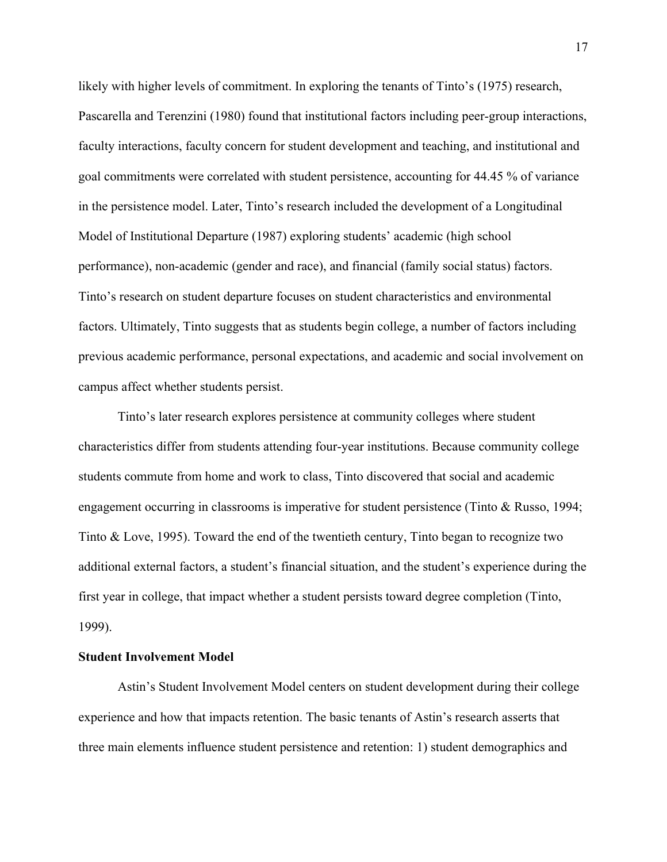likely with higher levels of commitment. In exploring the tenants of Tinto's (1975) research, Pascarella and Terenzini (1980) found that institutional factors including peer-group interactions, faculty interactions, faculty concern for student development and teaching, and institutional and goal commitments were correlated with student persistence, accounting for 44.45 % of variance in the persistence model. Later, Tinto's research included the development of a Longitudinal Model of Institutional Departure (1987) exploring students' academic (high school performance), non-academic (gender and race), and financial (family social status) factors. Tinto's research on student departure focuses on student characteristics and environmental factors. Ultimately, Tinto suggests that as students begin college, a number of factors including previous academic performance, personal expectations, and academic and social involvement on campus affect whether students persist.

Tinto's later research explores persistence at community colleges where student characteristics differ from students attending four-year institutions. Because community college students commute from home and work to class, Tinto discovered that social and academic engagement occurring in classrooms is imperative for student persistence (Tinto & Russo, 1994; Tinto & Love, 1995). Toward the end of the twentieth century, Tinto began to recognize two additional external factors, a student's financial situation, and the student's experience during the first year in college, that impact whether a student persists toward degree completion (Tinto, 1999).

# **Student Involvement Model**

Astin's Student Involvement Model centers on student development during their college experience and how that impacts retention. The basic tenants of Astin's research asserts that three main elements influence student persistence and retention: 1) student demographics and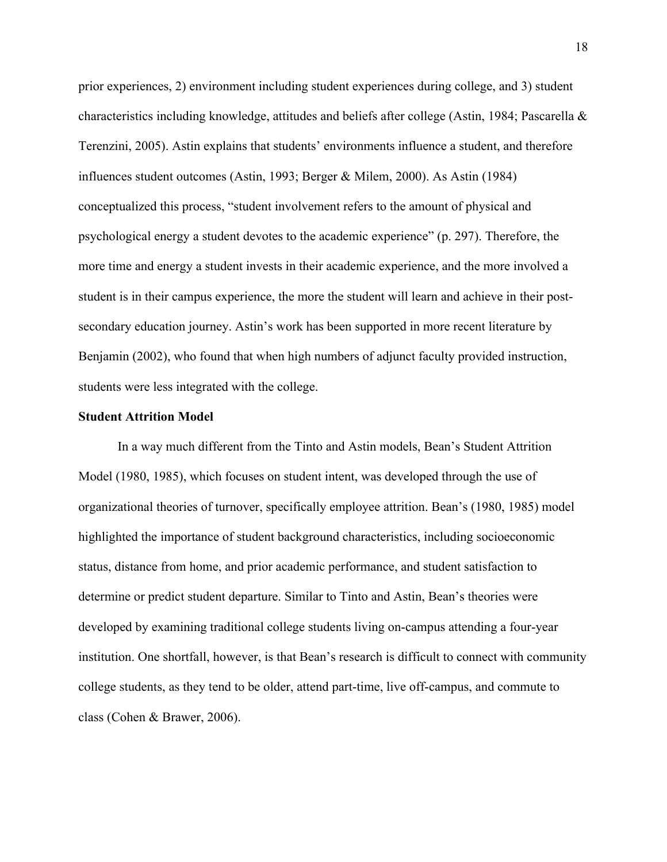prior experiences, 2) environment including student experiences during college, and 3) student characteristics including knowledge, attitudes and beliefs after college (Astin, 1984; Pascarella & Terenzini, 2005). Astin explains that students' environments influence a student, and therefore influences student outcomes (Astin, 1993; Berger & Milem, 2000). As Astin (1984) conceptualized this process, "student involvement refers to the amount of physical and psychological energy a student devotes to the academic experience" (p. 297). Therefore, the more time and energy a student invests in their academic experience, and the more involved a student is in their campus experience, the more the student will learn and achieve in their postsecondary education journey. Astin's work has been supported in more recent literature by Benjamin (2002), who found that when high numbers of adjunct faculty provided instruction, students were less integrated with the college.

## **Student Attrition Model**

In a way much different from the Tinto and Astin models, Bean's Student Attrition Model (1980, 1985), which focuses on student intent, was developed through the use of organizational theories of turnover, specifically employee attrition. Bean's (1980, 1985) model highlighted the importance of student background characteristics, including socioeconomic status, distance from home, and prior academic performance, and student satisfaction to determine or predict student departure. Similar to Tinto and Astin, Bean's theories were developed by examining traditional college students living on-campus attending a four-year institution. One shortfall, however, is that Bean's research is difficult to connect with community college students, as they tend to be older, attend part-time, live off-campus, and commute to class (Cohen & Brawer, 2006).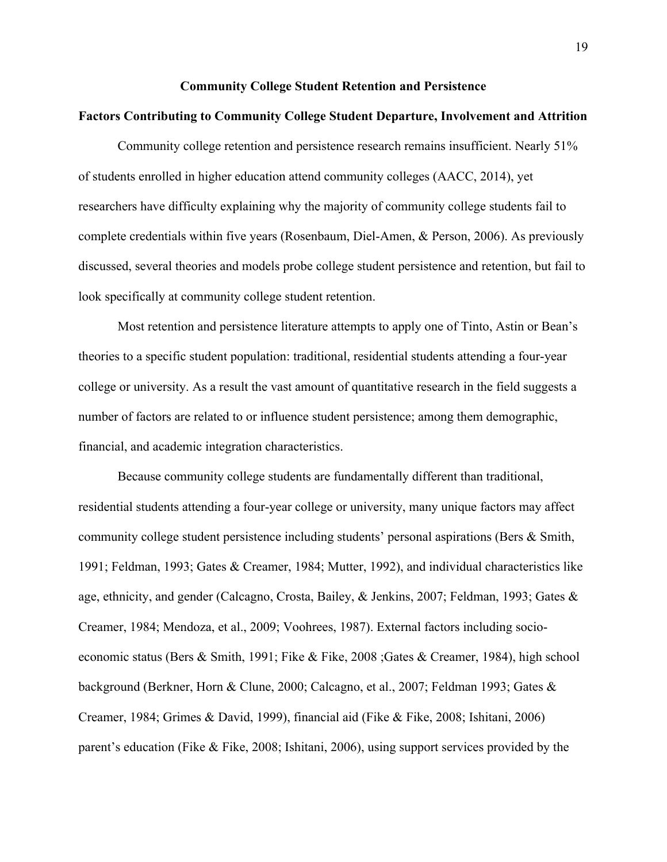## **Community College Student Retention and Persistence**

# **Factors Contributing to Community College Student Departure, Involvement and Attrition**

Community college retention and persistence research remains insufficient. Nearly 51% of students enrolled in higher education attend community colleges (AACC, 2014), yet researchers have difficulty explaining why the majority of community college students fail to complete credentials within five years (Rosenbaum, Diel-Amen, & Person, 2006). As previously discussed, several theories and models probe college student persistence and retention, but fail to look specifically at community college student retention.

Most retention and persistence literature attempts to apply one of Tinto, Astin or Bean's theories to a specific student population: traditional, residential students attending a four-year college or university. As a result the vast amount of quantitative research in the field suggests a number of factors are related to or influence student persistence; among them demographic, financial, and academic integration characteristics.

Because community college students are fundamentally different than traditional, residential students attending a four-year college or university, many unique factors may affect community college student persistence including students' personal aspirations (Bers & Smith, 1991; Feldman, 1993; Gates & Creamer, 1984; Mutter, 1992), and individual characteristics like age, ethnicity, and gender (Calcagno, Crosta, Bailey, & Jenkins, 2007; Feldman, 1993; Gates & Creamer, 1984; Mendoza, et al., 2009; Voohrees, 1987). External factors including socioeconomic status (Bers & Smith, 1991; Fike & Fike, 2008 ;Gates & Creamer, 1984), high school background (Berkner, Horn & Clune, 2000; Calcagno, et al., 2007; Feldman 1993; Gates & Creamer, 1984; Grimes & David, 1999), financial aid (Fike & Fike, 2008; Ishitani, 2006) parent's education (Fike & Fike, 2008; Ishitani, 2006), using support services provided by the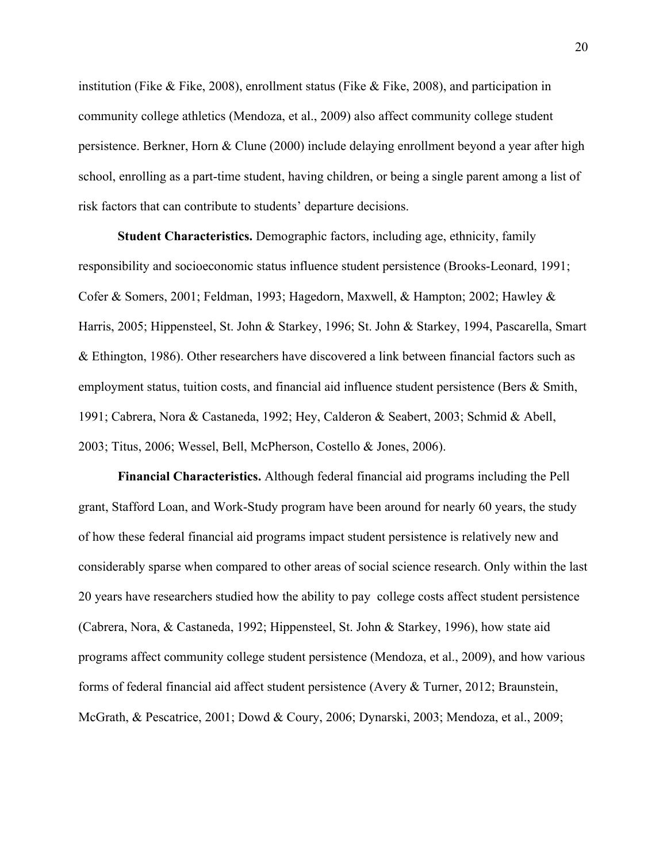institution (Fike  $\&$  Fike, 2008), enrollment status (Fike  $\&$  Fike, 2008), and participation in community college athletics (Mendoza, et al., 2009) also affect community college student persistence. Berkner, Horn & Clune (2000) include delaying enrollment beyond a year after high school, enrolling as a part-time student, having children, or being a single parent among a list of risk factors that can contribute to students' departure decisions.

**Student Characteristics.** Demographic factors, including age, ethnicity, family responsibility and socioeconomic status influence student persistence (Brooks-Leonard, 1991; Cofer & Somers, 2001; Feldman, 1993; Hagedorn, Maxwell, & Hampton; 2002; Hawley & Harris, 2005; Hippensteel, St. John & Starkey, 1996; St. John & Starkey, 1994, Pascarella, Smart & Ethington, 1986). Other researchers have discovered a link between financial factors such as employment status, tuition costs, and financial aid influence student persistence (Bers & Smith, 1991; Cabrera, Nora & Castaneda, 1992; Hey, Calderon & Seabert, 2003; Schmid & Abell, 2003; Titus, 2006; Wessel, Bell, McPherson, Costello & Jones, 2006).

**Financial Characteristics.** Although federal financial aid programs including the Pell grant, Stafford Loan, and Work-Study program have been around for nearly 60 years, the study of how these federal financial aid programs impact student persistence is relatively new and considerably sparse when compared to other areas of social science research. Only within the last 20 years have researchers studied how the ability to pay college costs affect student persistence (Cabrera, Nora, & Castaneda, 1992; Hippensteel, St. John & Starkey, 1996), how state aid programs affect community college student persistence (Mendoza, et al., 2009), and how various forms of federal financial aid affect student persistence (Avery & Turner, 2012; Braunstein, McGrath, & Pescatrice, 2001; Dowd & Coury, 2006; Dynarski, 2003; Mendoza, et al., 2009;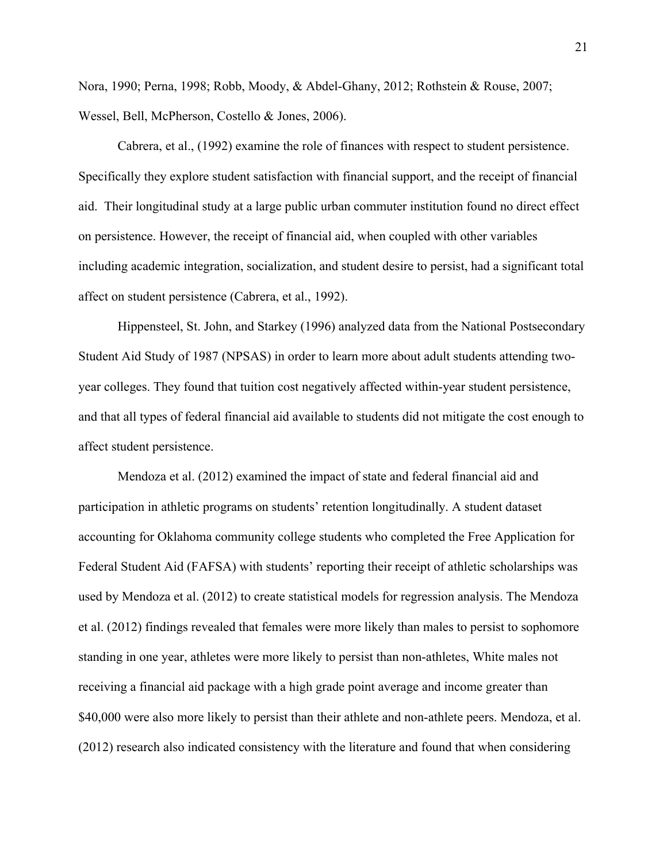Nora, 1990; Perna, 1998; Robb, Moody, & Abdel-Ghany, 2012; Rothstein & Rouse, 2007; Wessel, Bell, McPherson, Costello & Jones, 2006).

Cabrera, et al., (1992) examine the role of finances with respect to student persistence. Specifically they explore student satisfaction with financial support, and the receipt of financial aid. Their longitudinal study at a large public urban commuter institution found no direct effect on persistence. However, the receipt of financial aid, when coupled with other variables including academic integration, socialization, and student desire to persist, had a significant total affect on student persistence (Cabrera, et al., 1992).

Hippensteel, St. John, and Starkey (1996) analyzed data from the National Postsecondary Student Aid Study of 1987 (NPSAS) in order to learn more about adult students attending twoyear colleges. They found that tuition cost negatively affected within-year student persistence, and that all types of federal financial aid available to students did not mitigate the cost enough to affect student persistence.

Mendoza et al. (2012) examined the impact of state and federal financial aid and participation in athletic programs on students' retention longitudinally. A student dataset accounting for Oklahoma community college students who completed the Free Application for Federal Student Aid (FAFSA) with students' reporting their receipt of athletic scholarships was used by Mendoza et al. (2012) to create statistical models for regression analysis. The Mendoza et al. (2012) findings revealed that females were more likely than males to persist to sophomore standing in one year, athletes were more likely to persist than non-athletes, White males not receiving a financial aid package with a high grade point average and income greater than \$40,000 were also more likely to persist than their athlete and non-athlete peers. Mendoza, et al. (2012) research also indicated consistency with the literature and found that when considering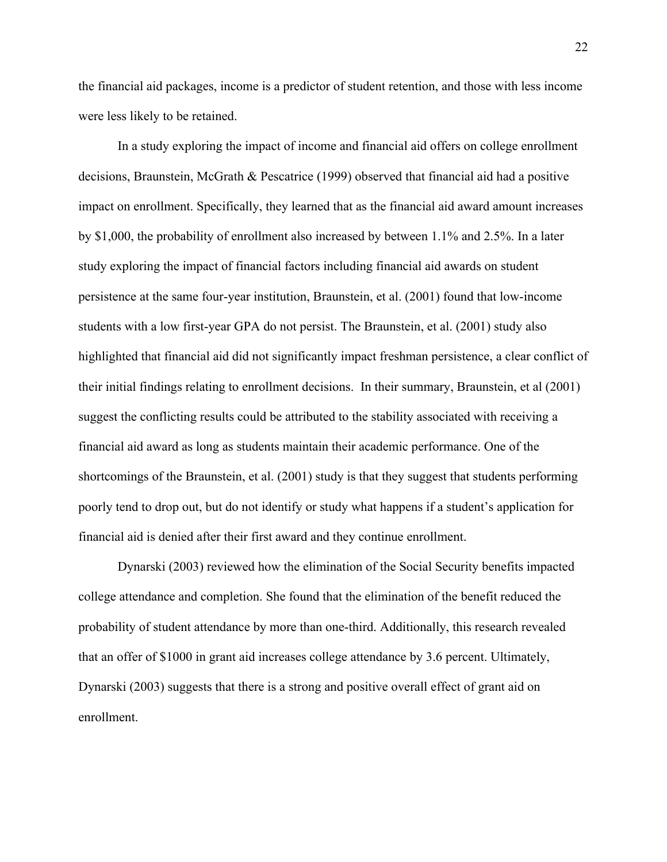the financial aid packages, income is a predictor of student retention, and those with less income were less likely to be retained.

In a study exploring the impact of income and financial aid offers on college enrollment decisions, Braunstein, McGrath & Pescatrice (1999) observed that financial aid had a positive impact on enrollment. Specifically, they learned that as the financial aid award amount increases by \$1,000, the probability of enrollment also increased by between 1.1% and 2.5%. In a later study exploring the impact of financial factors including financial aid awards on student persistence at the same four-year institution, Braunstein, et al. (2001) found that low-income students with a low first-year GPA do not persist. The Braunstein, et al. (2001) study also highlighted that financial aid did not significantly impact freshman persistence, a clear conflict of their initial findings relating to enrollment decisions. In their summary, Braunstein, et al (2001) suggest the conflicting results could be attributed to the stability associated with receiving a financial aid award as long as students maintain their academic performance. One of the shortcomings of the Braunstein, et al. (2001) study is that they suggest that students performing poorly tend to drop out, but do not identify or study what happens if a student's application for financial aid is denied after their first award and they continue enrollment.

Dynarski (2003) reviewed how the elimination of the Social Security benefits impacted college attendance and completion. She found that the elimination of the benefit reduced the probability of student attendance by more than one-third. Additionally, this research revealed that an offer of \$1000 in grant aid increases college attendance by 3.6 percent. Ultimately, Dynarski (2003) suggests that there is a strong and positive overall effect of grant aid on enrollment.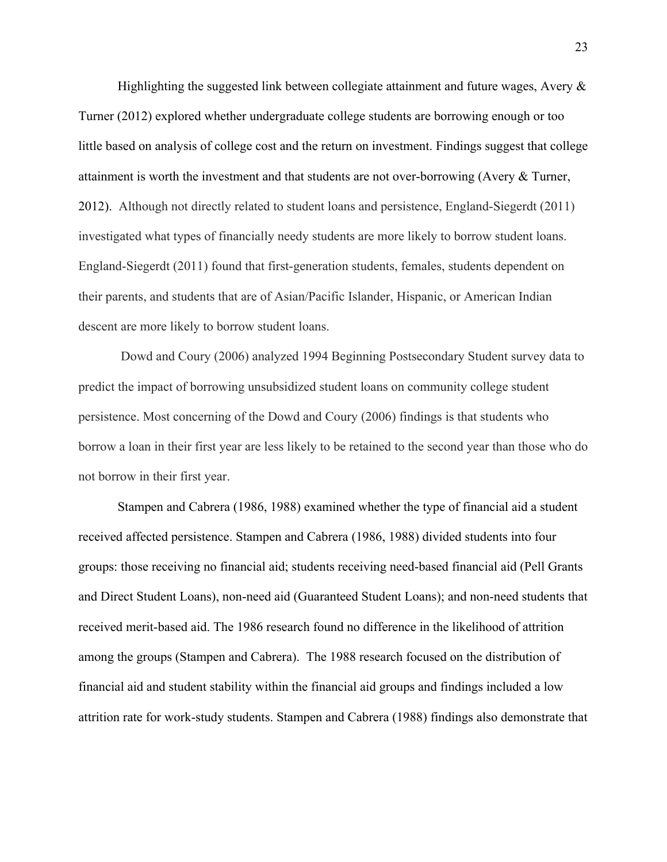Highlighting the suggested link between collegiate attainment and future wages, Avery  $\&$ Turner (2012) explored whether undergraduate college students are borrowing enough or too little based on analysis of college cost and the return on investment. Findings suggest that college attainment is worth the investment and that students are not over-borrowing (Avery & Turner, 2012). Although not directly related to student loans and persistence, England-Siegerdt (2011) investigated what types of financially needy students are more likely to borrow student loans. England-Siegerdt (2011) found that first-generation students, females, students dependent on their parents, and students that are of Asian/Pacific Islander, Hispanic, or American Indian descent are more likely to borrow student loans.

Dowd and Coury (2006) analyzed 1994 Beginning Postsecondary Student survey data to predict the impact of borrowing unsubsidized student loans on community college student persistence. Most concerning of the Dowd and Coury (2006) findings is that students who borrow a loan in their first year are less likely to be retained to the second year than those who do not borrow in their first year.

Stampen and Cabrera (1986, 1988) examined whether the type of financial aid a student received affected persistence. Stampen and Cabrera (1986, 1988) divided students into four groups: those receiving no financial aid; students receiving need-based financial aid (Pell Grants and Direct Student Loans), non-need aid (Guaranteed Student Loans); and non-need students that received merit-based aid. The 1986 research found no difference in the likelihood of attrition among the groups (Stampen and Cabrera). The 1988 research focused on the distribution of financial aid and student stability within the financial aid groups and findings included a low attrition rate for work-study students. Stampen and Cabrera (1988) findings also demonstrate that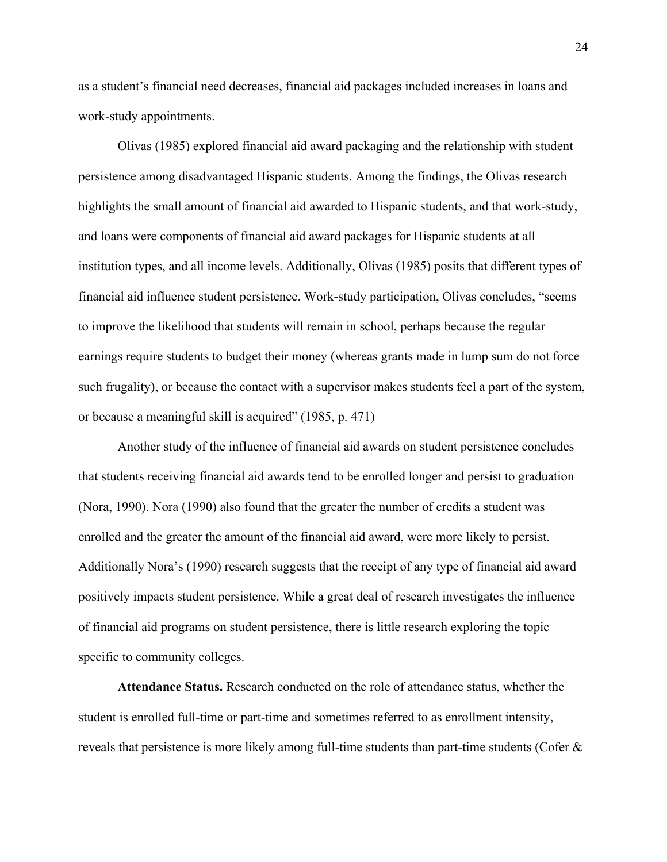as a student's financial need decreases, financial aid packages included increases in loans and work-study appointments.

Olivas (1985) explored financial aid award packaging and the relationship with student persistence among disadvantaged Hispanic students. Among the findings, the Olivas research highlights the small amount of financial aid awarded to Hispanic students, and that work-study, and loans were components of financial aid award packages for Hispanic students at all institution types, and all income levels. Additionally, Olivas (1985) posits that different types of financial aid influence student persistence. Work-study participation, Olivas concludes, "seems to improve the likelihood that students will remain in school, perhaps because the regular earnings require students to budget their money (whereas grants made in lump sum do not force such frugality), or because the contact with a supervisor makes students feel a part of the system, or because a meaningful skill is acquired" (1985, p. 471)

Another study of the influence of financial aid awards on student persistence concludes that students receiving financial aid awards tend to be enrolled longer and persist to graduation (Nora, 1990). Nora (1990) also found that the greater the number of credits a student was enrolled and the greater the amount of the financial aid award, were more likely to persist. Additionally Nora's (1990) research suggests that the receipt of any type of financial aid award positively impacts student persistence. While a great deal of research investigates the influence of financial aid programs on student persistence, there is little research exploring the topic specific to community colleges.

**Attendance Status.** Research conducted on the role of attendance status, whether the student is enrolled full-time or part-time and sometimes referred to as enrollment intensity, reveals that persistence is more likely among full-time students than part-time students (Cofer  $\&$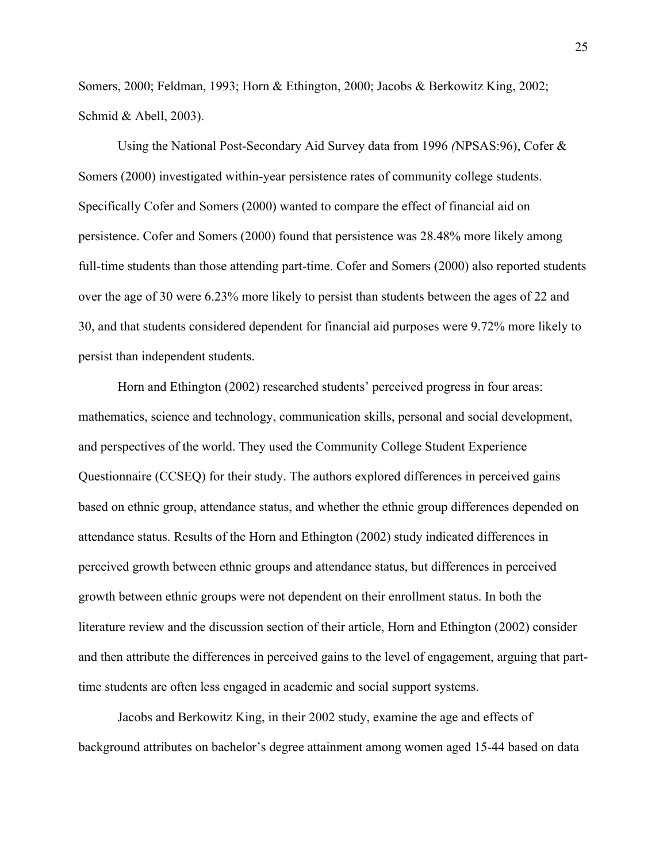Somers, 2000; Feldman, 1993; Horn & Ethington, 2000; Jacobs & Berkowitz King, 2002; Schmid & Abell, 2003).

Using the National Post-Secondary Aid Survey data from 1996 *(*NPSAS:96), Cofer & Somers (2000) investigated within-year persistence rates of community college students. Specifically Cofer and Somers (2000) wanted to compare the effect of financial aid on persistence. Cofer and Somers (2000) found that persistence was 28.48% more likely among full-time students than those attending part-time. Cofer and Somers (2000) also reported students over the age of 30 were 6.23% more likely to persist than students between the ages of 22 and 30, and that students considered dependent for financial aid purposes were 9.72% more likely to persist than independent students.

Horn and Ethington (2002) researched students' perceived progress in four areas: mathematics, science and technology, communication skills, personal and social development, and perspectives of the world. They used the Community College Student Experience Questionnaire (CCSEQ) for their study. The authors explored differences in perceived gains based on ethnic group, attendance status, and whether the ethnic group differences depended on attendance status. Results of the Horn and Ethington (2002) study indicated differences in perceived growth between ethnic groups and attendance status, but differences in perceived growth between ethnic groups were not dependent on their enrollment status. In both the literature review and the discussion section of their article, Horn and Ethington (2002) consider and then attribute the differences in perceived gains to the level of engagement, arguing that parttime students are often less engaged in academic and social support systems.

Jacobs and Berkowitz King, in their 2002 study, examine the age and effects of background attributes on bachelor's degree attainment among women aged 15-44 based on data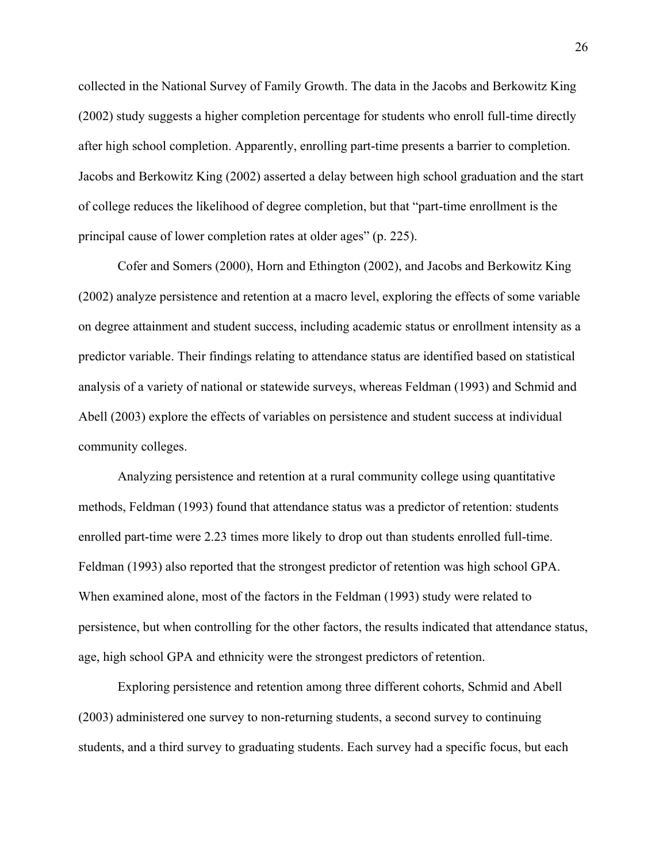collected in the National Survey of Family Growth. The data in the Jacobs and Berkowitz King (2002) study suggests a higher completion percentage for students who enroll full-time directly after high school completion. Apparently, enrolling part-time presents a barrier to completion. Jacobs and Berkowitz King (2002) asserted a delay between high school graduation and the start of college reduces the likelihood of degree completion, but that "part-time enrollment is the principal cause of lower completion rates at older ages" (p. 225).

Cofer and Somers (2000), Horn and Ethington (2002), and Jacobs and Berkowitz King (2002) analyze persistence and retention at a macro level, exploring the effects of some variable on degree attainment and student success, including academic status or enrollment intensity as a predictor variable. Their findings relating to attendance status are identified based on statistical analysis of a variety of national or statewide surveys, whereas Feldman (1993) and Schmid and Abell (2003) explore the effects of variables on persistence and student success at individual community colleges.

Analyzing persistence and retention at a rural community college using quantitative methods, Feldman (1993) found that attendance status was a predictor of retention: students enrolled part-time were 2.23 times more likely to drop out than students enrolled full-time. Feldman (1993) also reported that the strongest predictor of retention was high school GPA. When examined alone, most of the factors in the Feldman (1993) study were related to persistence, but when controlling for the other factors, the results indicated that attendance status, age, high school GPA and ethnicity were the strongest predictors of retention.

Exploring persistence and retention among three different cohorts, Schmid and Abell (2003) administered one survey to non-returning students, a second survey to continuing students, and a third survey to graduating students. Each survey had a specific focus, but each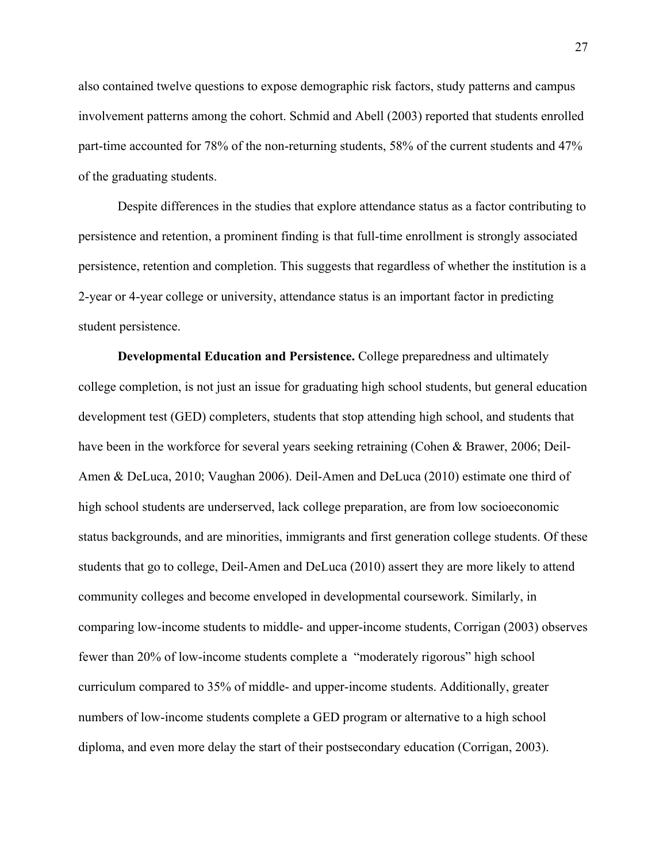also contained twelve questions to expose demographic risk factors, study patterns and campus involvement patterns among the cohort. Schmid and Abell (2003) reported that students enrolled part-time accounted for 78% of the non-returning students, 58% of the current students and 47% of the graduating students.

Despite differences in the studies that explore attendance status as a factor contributing to persistence and retention, a prominent finding is that full-time enrollment is strongly associated persistence, retention and completion. This suggests that regardless of whether the institution is a 2-year or 4-year college or university, attendance status is an important factor in predicting student persistence.

**Developmental Education and Persistence.** College preparedness and ultimately college completion, is not just an issue for graduating high school students, but general education development test (GED) completers, students that stop attending high school, and students that have been in the workforce for several years seeking retraining (Cohen & Brawer, 2006; Deil-Amen & DeLuca, 2010; Vaughan 2006). Deil-Amen and DeLuca (2010) estimate one third of high school students are underserved, lack college preparation, are from low socioeconomic status backgrounds, and are minorities, immigrants and first generation college students. Of these students that go to college, Deil-Amen and DeLuca (2010) assert they are more likely to attend community colleges and become enveloped in developmental coursework. Similarly, in comparing low-income students to middle- and upper-income students, Corrigan (2003) observes fewer than 20% of low-income students complete a "moderately rigorous" high school curriculum compared to 35% of middle- and upper-income students. Additionally, greater numbers of low-income students complete a GED program or alternative to a high school diploma, and even more delay the start of their postsecondary education (Corrigan, 2003).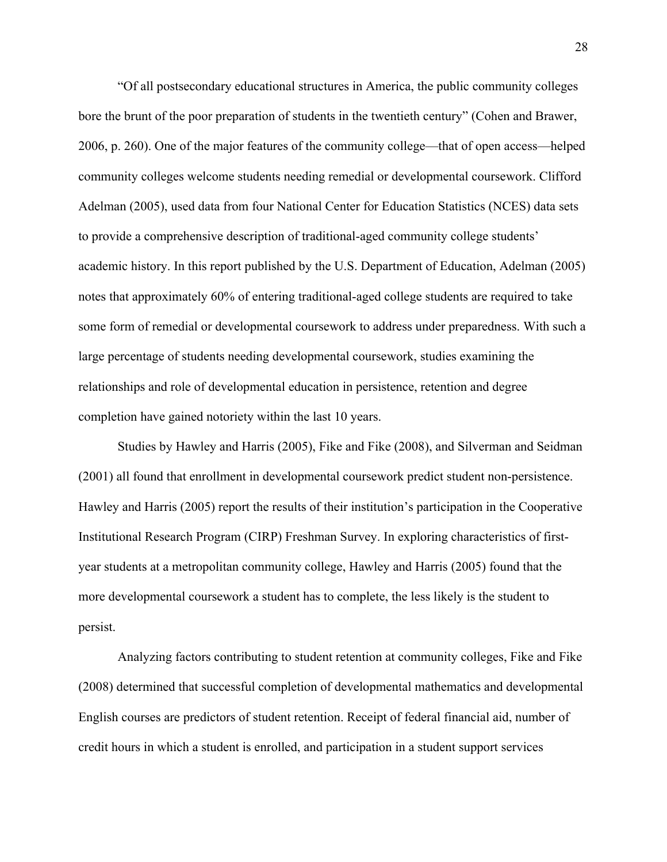"Of all postsecondary educational structures in America, the public community colleges bore the brunt of the poor preparation of students in the twentieth century" (Cohen and Brawer, 2006, p. 260). One of the major features of the community college—that of open access—helped community colleges welcome students needing remedial or developmental coursework. Clifford Adelman (2005), used data from four National Center for Education Statistics (NCES) data sets to provide a comprehensive description of traditional-aged community college students' academic history. In this report published by the U.S. Department of Education, Adelman (2005) notes that approximately 60% of entering traditional-aged college students are required to take some form of remedial or developmental coursework to address under preparedness. With such a large percentage of students needing developmental coursework, studies examining the relationships and role of developmental education in persistence, retention and degree completion have gained notoriety within the last 10 years.

Studies by Hawley and Harris (2005), Fike and Fike (2008), and Silverman and Seidman (2001) all found that enrollment in developmental coursework predict student non-persistence. Hawley and Harris (2005) report the results of their institution's participation in the Cooperative Institutional Research Program (CIRP) Freshman Survey. In exploring characteristics of firstyear students at a metropolitan community college, Hawley and Harris (2005) found that the more developmental coursework a student has to complete, the less likely is the student to persist.

Analyzing factors contributing to student retention at community colleges, Fike and Fike (2008) determined that successful completion of developmental mathematics and developmental English courses are predictors of student retention. Receipt of federal financial aid, number of credit hours in which a student is enrolled, and participation in a student support services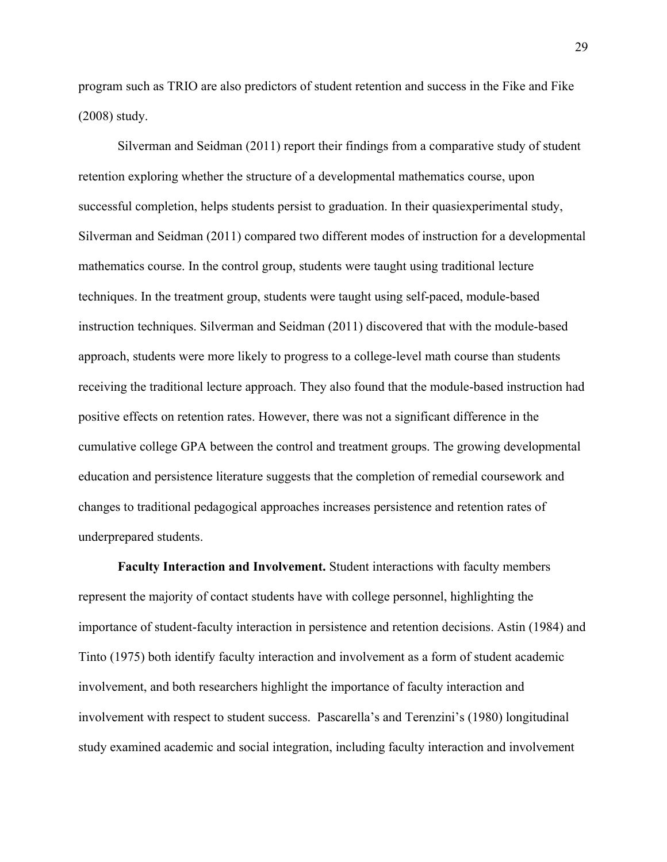program such as TRIO are also predictors of student retention and success in the Fike and Fike (2008) study.

Silverman and Seidman (2011) report their findings from a comparative study of student retention exploring whether the structure of a developmental mathematics course, upon successful completion, helps students persist to graduation. In their quasiexperimental study, Silverman and Seidman (2011) compared two different modes of instruction for a developmental mathematics course. In the control group, students were taught using traditional lecture techniques. In the treatment group, students were taught using self-paced, module-based instruction techniques. Silverman and Seidman (2011) discovered that with the module-based approach, students were more likely to progress to a college-level math course than students receiving the traditional lecture approach. They also found that the module-based instruction had positive effects on retention rates. However, there was not a significant difference in the cumulative college GPA between the control and treatment groups. The growing developmental education and persistence literature suggests that the completion of remedial coursework and changes to traditional pedagogical approaches increases persistence and retention rates of underprepared students.

**Faculty Interaction and Involvement.** Student interactions with faculty members represent the majority of contact students have with college personnel, highlighting the importance of student-faculty interaction in persistence and retention decisions. Astin (1984) and Tinto (1975) both identify faculty interaction and involvement as a form of student academic involvement, and both researchers highlight the importance of faculty interaction and involvement with respect to student success. Pascarella's and Terenzini's (1980) longitudinal study examined academic and social integration, including faculty interaction and involvement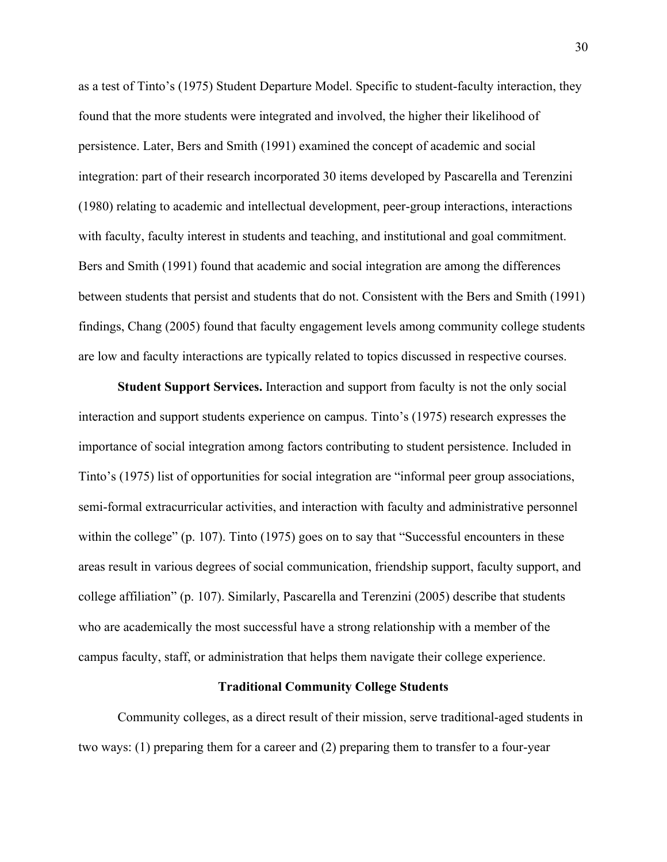as a test of Tinto's (1975) Student Departure Model. Specific to student-faculty interaction, they found that the more students were integrated and involved, the higher their likelihood of persistence. Later, Bers and Smith (1991) examined the concept of academic and social integration: part of their research incorporated 30 items developed by Pascarella and Terenzini (1980) relating to academic and intellectual development, peer-group interactions, interactions with faculty, faculty interest in students and teaching, and institutional and goal commitment. Bers and Smith (1991) found that academic and social integration are among the differences between students that persist and students that do not. Consistent with the Bers and Smith (1991) findings, Chang (2005) found that faculty engagement levels among community college students are low and faculty interactions are typically related to topics discussed in respective courses.

**Student Support Services.** Interaction and support from faculty is not the only social interaction and support students experience on campus. Tinto's (1975) research expresses the importance of social integration among factors contributing to student persistence. Included in Tinto's (1975) list of opportunities for social integration are "informal peer group associations, semi-formal extracurricular activities, and interaction with faculty and administrative personnel within the college" (p. 107). Tinto (1975) goes on to say that "Successful encounters in these areas result in various degrees of social communication, friendship support, faculty support, and college affiliation" (p. 107). Similarly, Pascarella and Terenzini (2005) describe that students who are academically the most successful have a strong relationship with a member of the campus faculty, staff, or administration that helps them navigate their college experience.

#### **Traditional Community College Students**

Community colleges, as a direct result of their mission, serve traditional-aged students in two ways: (1) preparing them for a career and (2) preparing them to transfer to a four-year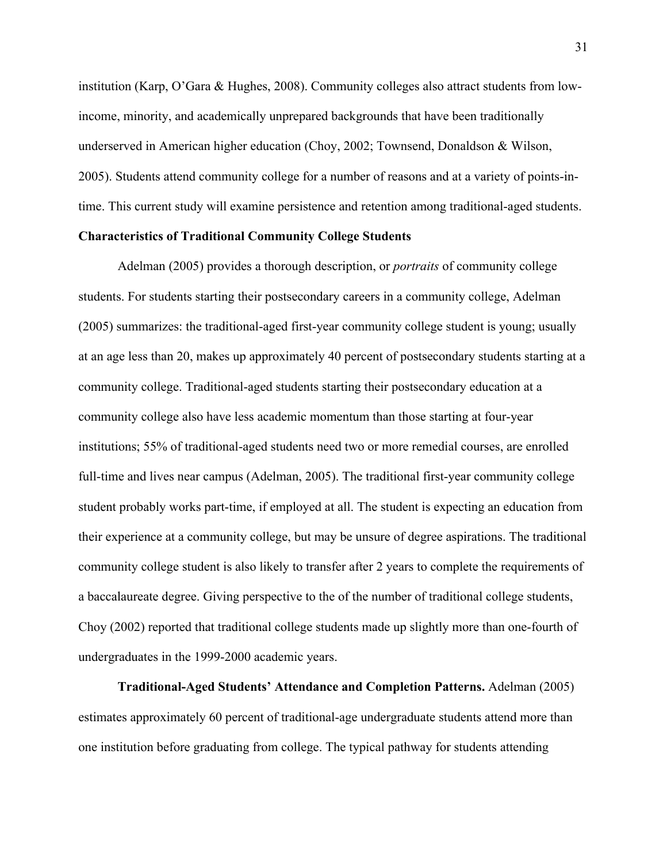institution (Karp, O'Gara & Hughes, 2008). Community colleges also attract students from lowincome, minority, and academically unprepared backgrounds that have been traditionally underserved in American higher education (Choy, 2002; Townsend, Donaldson & Wilson, 2005). Students attend community college for a number of reasons and at a variety of points-intime. This current study will examine persistence and retention among traditional-aged students.

# **Characteristics of Traditional Community College Students**

Adelman (2005) provides a thorough description, or *portraits* of community college students. For students starting their postsecondary careers in a community college, Adelman (2005) summarizes: the traditional-aged first-year community college student is young; usually at an age less than 20, makes up approximately 40 percent of postsecondary students starting at a community college. Traditional-aged students starting their postsecondary education at a community college also have less academic momentum than those starting at four-year institutions; 55% of traditional-aged students need two or more remedial courses, are enrolled full-time and lives near campus (Adelman, 2005). The traditional first-year community college student probably works part-time, if employed at all. The student is expecting an education from their experience at a community college, but may be unsure of degree aspirations. The traditional community college student is also likely to transfer after 2 years to complete the requirements of a baccalaureate degree. Giving perspective to the of the number of traditional college students, Choy (2002) reported that traditional college students made up slightly more than one-fourth of undergraduates in the 1999-2000 academic years.

**Traditional-Aged Students' Attendance and Completion Patterns.** Adelman (2005) estimates approximately 60 percent of traditional-age undergraduate students attend more than one institution before graduating from college. The typical pathway for students attending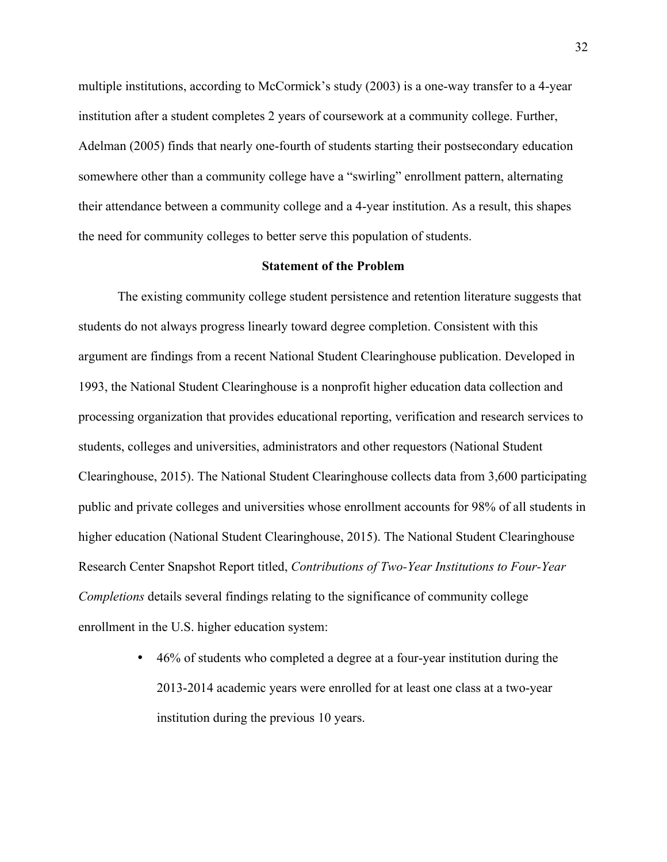multiple institutions, according to McCormick's study (2003) is a one-way transfer to a 4-year institution after a student completes 2 years of coursework at a community college. Further, Adelman (2005) finds that nearly one-fourth of students starting their postsecondary education somewhere other than a community college have a "swirling" enrollment pattern, alternating their attendance between a community college and a 4-year institution. As a result, this shapes the need for community colleges to better serve this population of students.

### **Statement of the Problem**

The existing community college student persistence and retention literature suggests that students do not always progress linearly toward degree completion. Consistent with this argument are findings from a recent National Student Clearinghouse publication. Developed in 1993, the National Student Clearinghouse is a nonprofit higher education data collection and processing organization that provides educational reporting, verification and research services to students, colleges and universities, administrators and other requestors (National Student Clearinghouse, 2015). The National Student Clearinghouse collects data from 3,600 participating public and private colleges and universities whose enrollment accounts for 98% of all students in higher education (National Student Clearinghouse, 2015). The National Student Clearinghouse Research Center Snapshot Report titled, *Contributions of Two-Year Institutions to Four-Year Completions* details several findings relating to the significance of community college enrollment in the U.S. higher education system:

> • 46% of students who completed a degree at a four-year institution during the 2013-2014 academic years were enrolled for at least one class at a two-year institution during the previous 10 years.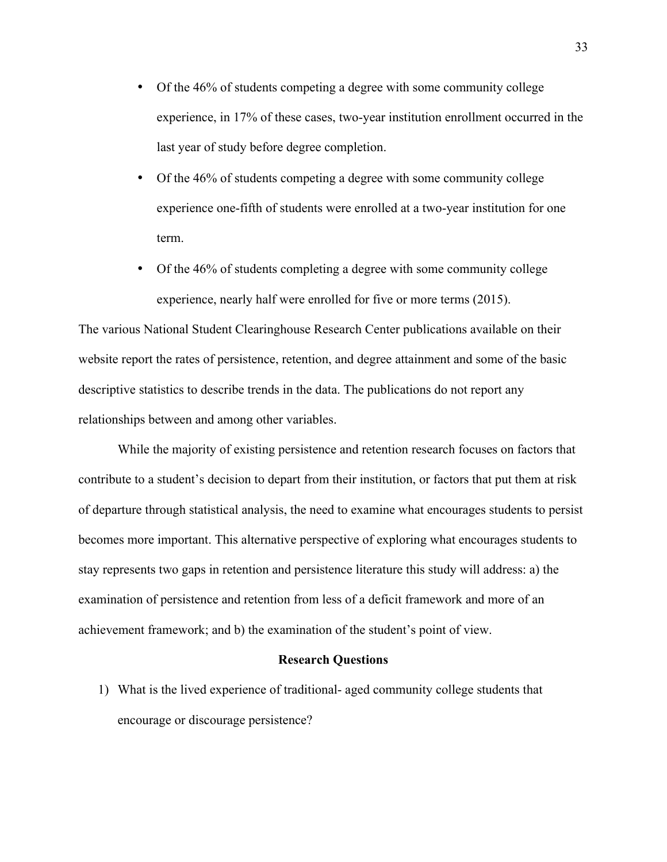- Of the 46% of students competing a degree with some community college experience, in 17% of these cases, two-year institution enrollment occurred in the last year of study before degree completion.
- Of the 46% of students competing a degree with some community college experience one-fifth of students were enrolled at a two-year institution for one term.
- Of the 46% of students completing a degree with some community college experience, nearly half were enrolled for five or more terms (2015).

The various National Student Clearinghouse Research Center publications available on their website report the rates of persistence, retention, and degree attainment and some of the basic descriptive statistics to describe trends in the data. The publications do not report any relationships between and among other variables.

While the majority of existing persistence and retention research focuses on factors that contribute to a student's decision to depart from their institution, or factors that put them at risk of departure through statistical analysis, the need to examine what encourages students to persist becomes more important. This alternative perspective of exploring what encourages students to stay represents two gaps in retention and persistence literature this study will address: a) the examination of persistence and retention from less of a deficit framework and more of an achievement framework; and b) the examination of the student's point of view.

#### **Research Questions**

1) What is the lived experience of traditional- aged community college students that encourage or discourage persistence?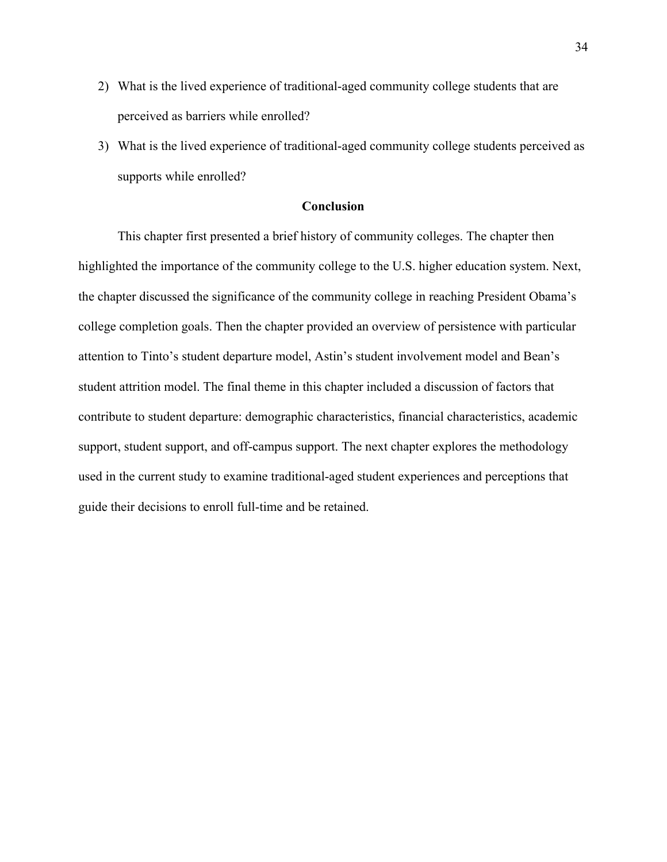- 2) What is the lived experience of traditional-aged community college students that are perceived as barriers while enrolled?
- 3) What is the lived experience of traditional-aged community college students perceived as supports while enrolled?

# **Conclusion**

This chapter first presented a brief history of community colleges. The chapter then highlighted the importance of the community college to the U.S. higher education system. Next, the chapter discussed the significance of the community college in reaching President Obama's college completion goals. Then the chapter provided an overview of persistence with particular attention to Tinto's student departure model, Astin's student involvement model and Bean's student attrition model. The final theme in this chapter included a discussion of factors that contribute to student departure: demographic characteristics, financial characteristics, academic support, student support, and off-campus support. The next chapter explores the methodology used in the current study to examine traditional-aged student experiences and perceptions that guide their decisions to enroll full-time and be retained.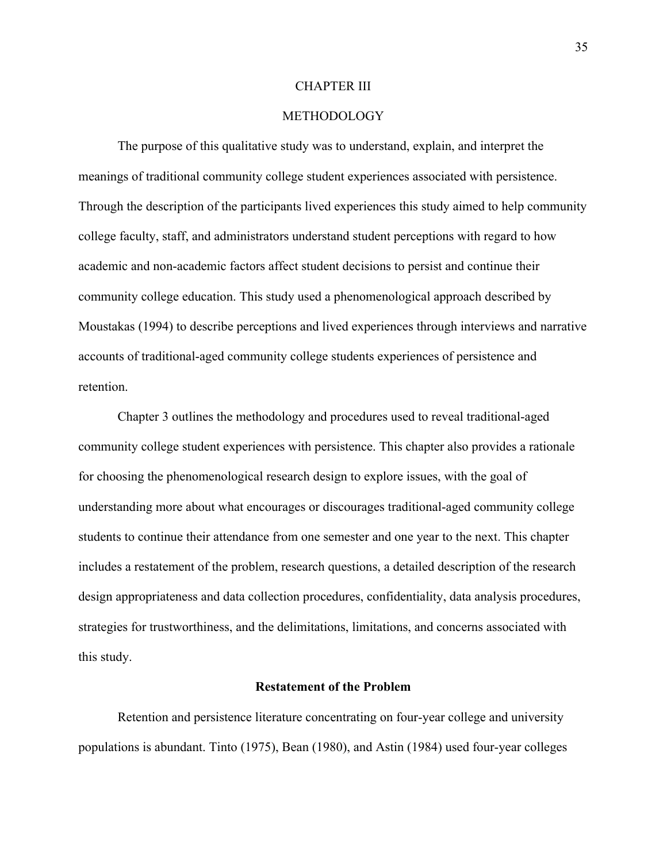### CHAPTER III

# METHODOLOGY

The purpose of this qualitative study was to understand, explain, and interpret the meanings of traditional community college student experiences associated with persistence. Through the description of the participants lived experiences this study aimed to help community college faculty, staff, and administrators understand student perceptions with regard to how academic and non-academic factors affect student decisions to persist and continue their community college education. This study used a phenomenological approach described by Moustakas (1994) to describe perceptions and lived experiences through interviews and narrative accounts of traditional-aged community college students experiences of persistence and retention.

Chapter 3 outlines the methodology and procedures used to reveal traditional-aged community college student experiences with persistence. This chapter also provides a rationale for choosing the phenomenological research design to explore issues, with the goal of understanding more about what encourages or discourages traditional-aged community college students to continue their attendance from one semester and one year to the next. This chapter includes a restatement of the problem, research questions, a detailed description of the research design appropriateness and data collection procedures, confidentiality, data analysis procedures, strategies for trustworthiness, and the delimitations, limitations, and concerns associated with this study.

#### **Restatement of the Problem**

Retention and persistence literature concentrating on four-year college and university populations is abundant. Tinto (1975), Bean (1980), and Astin (1984) used four-year colleges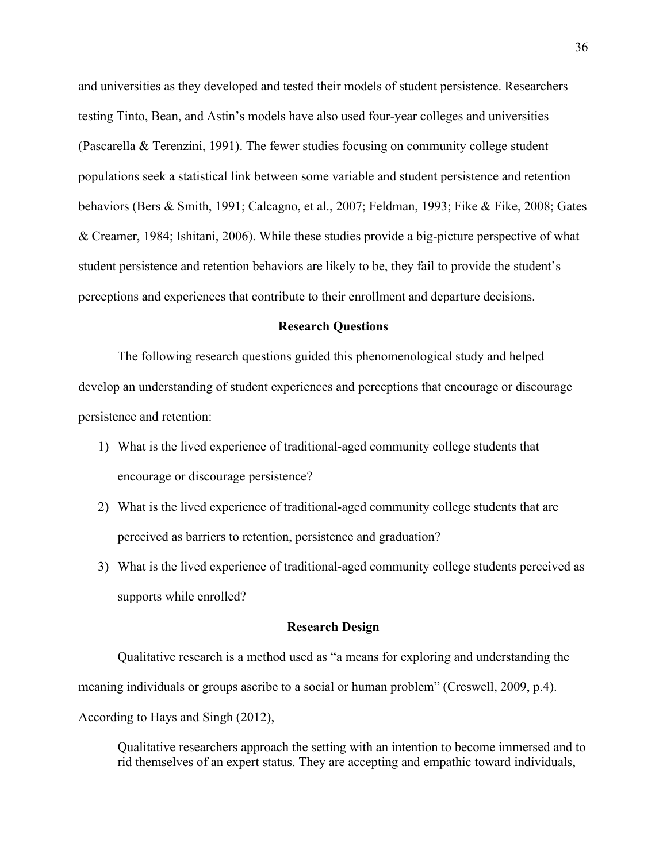and universities as they developed and tested their models of student persistence. Researchers testing Tinto, Bean, and Astin's models have also used four-year colleges and universities (Pascarella & Terenzini, 1991). The fewer studies focusing on community college student populations seek a statistical link between some variable and student persistence and retention behaviors (Bers & Smith, 1991; Calcagno, et al., 2007; Feldman, 1993; Fike & Fike, 2008; Gates & Creamer, 1984; Ishitani, 2006). While these studies provide a big-picture perspective of what student persistence and retention behaviors are likely to be, they fail to provide the student's perceptions and experiences that contribute to their enrollment and departure decisions.

### **Research Questions**

The following research questions guided this phenomenological study and helped develop an understanding of student experiences and perceptions that encourage or discourage persistence and retention:

- 1) What is the lived experience of traditional-aged community college students that encourage or discourage persistence?
- 2) What is the lived experience of traditional-aged community college students that are perceived as barriers to retention, persistence and graduation?
- 3) What is the lived experience of traditional-aged community college students perceived as supports while enrolled?

#### **Research Design**

Qualitative research is a method used as "a means for exploring and understanding the meaning individuals or groups ascribe to a social or human problem" (Creswell, 2009, p.4). According to Hays and Singh (2012),

Qualitative researchers approach the setting with an intention to become immersed and to rid themselves of an expert status. They are accepting and empathic toward individuals,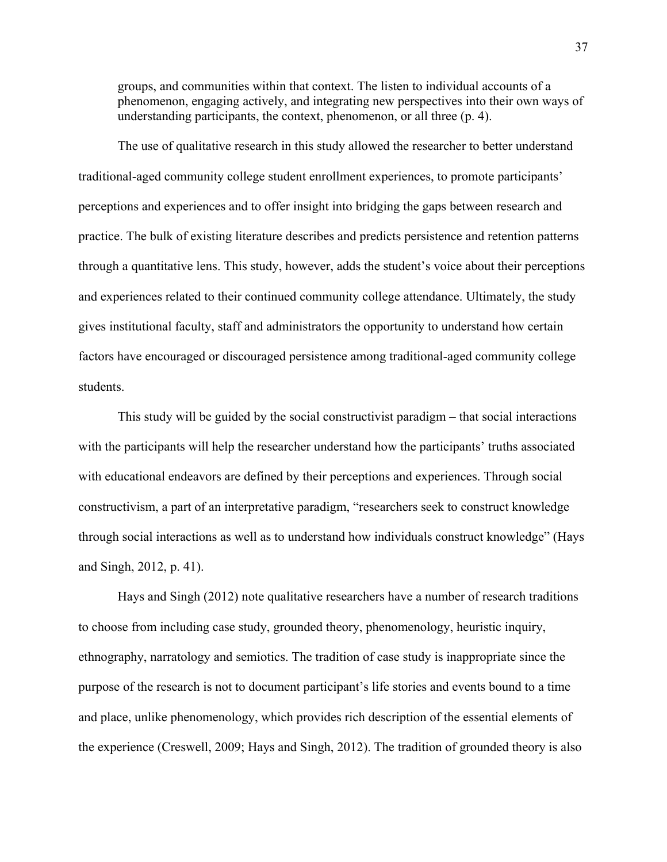groups, and communities within that context. The listen to individual accounts of a phenomenon, engaging actively, and integrating new perspectives into their own ways of understanding participants, the context, phenomenon, or all three (p. 4).

The use of qualitative research in this study allowed the researcher to better understand traditional-aged community college student enrollment experiences, to promote participants' perceptions and experiences and to offer insight into bridging the gaps between research and practice. The bulk of existing literature describes and predicts persistence and retention patterns through a quantitative lens. This study, however, adds the student's voice about their perceptions and experiences related to their continued community college attendance. Ultimately, the study gives institutional faculty, staff and administrators the opportunity to understand how certain factors have encouraged or discouraged persistence among traditional-aged community college students.

This study will be guided by the social constructivist paradigm – that social interactions with the participants will help the researcher understand how the participants' truths associated with educational endeavors are defined by their perceptions and experiences. Through social constructivism, a part of an interpretative paradigm, "researchers seek to construct knowledge through social interactions as well as to understand how individuals construct knowledge" (Hays and Singh, 2012, p. 41).

Hays and Singh (2012) note qualitative researchers have a number of research traditions to choose from including case study, grounded theory, phenomenology, heuristic inquiry, ethnography, narratology and semiotics. The tradition of case study is inappropriate since the purpose of the research is not to document participant's life stories and events bound to a time and place, unlike phenomenology, which provides rich description of the essential elements of the experience (Creswell, 2009; Hays and Singh, 2012). The tradition of grounded theory is also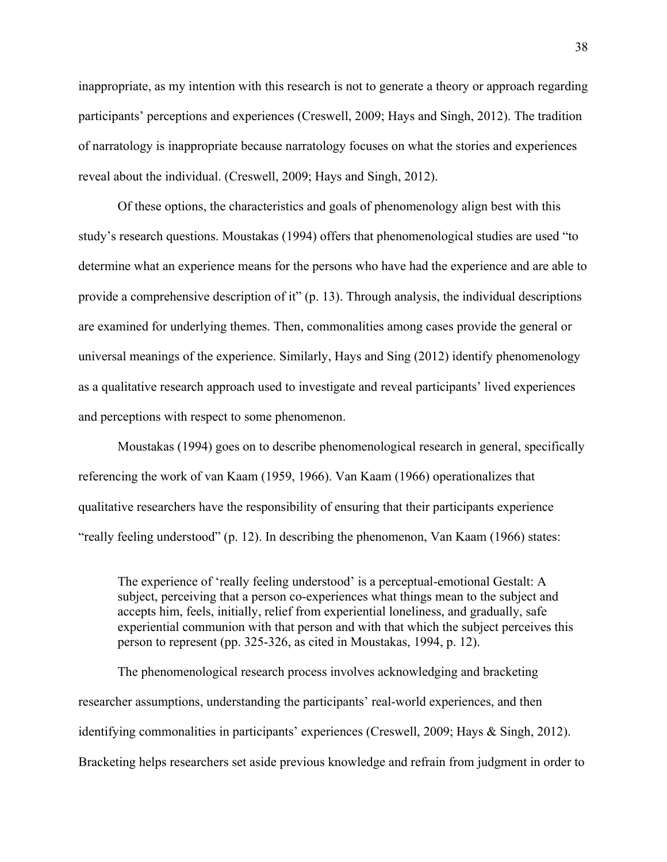inappropriate, as my intention with this research is not to generate a theory or approach regarding participants' perceptions and experiences (Creswell, 2009; Hays and Singh, 2012). The tradition of narratology is inappropriate because narratology focuses on what the stories and experiences reveal about the individual. (Creswell, 2009; Hays and Singh, 2012).

Of these options, the characteristics and goals of phenomenology align best with this study's research questions. Moustakas (1994) offers that phenomenological studies are used "to determine what an experience means for the persons who have had the experience and are able to provide a comprehensive description of it" (p. 13). Through analysis, the individual descriptions are examined for underlying themes. Then, commonalities among cases provide the general or universal meanings of the experience. Similarly, Hays and Sing (2012) identify phenomenology as a qualitative research approach used to investigate and reveal participants' lived experiences and perceptions with respect to some phenomenon.

Moustakas (1994) goes on to describe phenomenological research in general, specifically referencing the work of van Kaam (1959, 1966). Van Kaam (1966) operationalizes that qualitative researchers have the responsibility of ensuring that their participants experience "really feeling understood" (p. 12). In describing the phenomenon, Van Kaam (1966) states:

The experience of 'really feeling understood' is a perceptual-emotional Gestalt: A subject, perceiving that a person co-experiences what things mean to the subject and accepts him, feels, initially, relief from experiential loneliness, and gradually, safe experiential communion with that person and with that which the subject perceives this person to represent (pp. 325-326, as cited in Moustakas, 1994, p. 12).

The phenomenological research process involves acknowledging and bracketing researcher assumptions, understanding the participants' real-world experiences, and then identifying commonalities in participants' experiences (Creswell, 2009; Hays & Singh, 2012). Bracketing helps researchers set aside previous knowledge and refrain from judgment in order to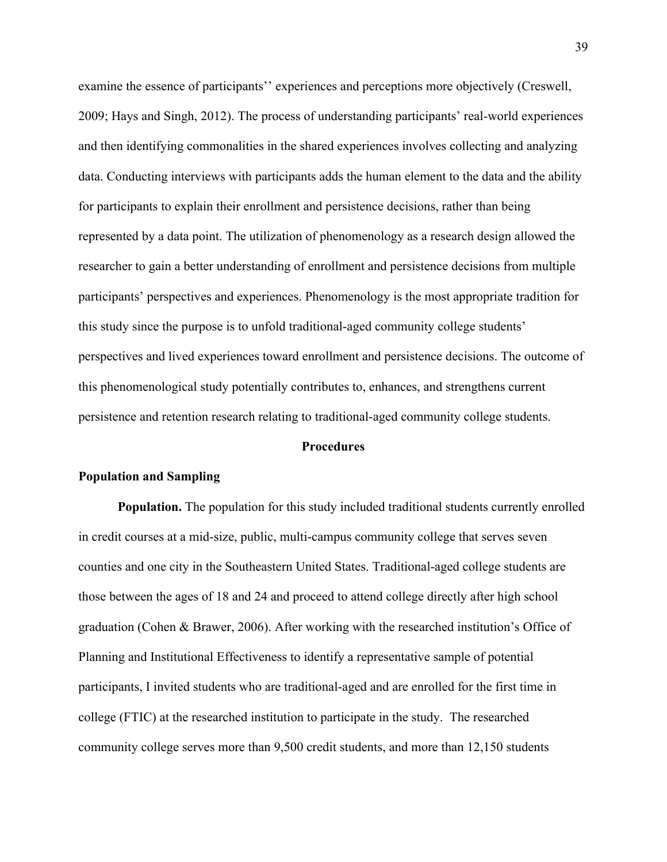examine the essence of participants'' experiences and perceptions more objectively (Creswell, 2009; Hays and Singh, 2012). The process of understanding participants' real-world experiences and then identifying commonalities in the shared experiences involves collecting and analyzing data. Conducting interviews with participants adds the human element to the data and the ability for participants to explain their enrollment and persistence decisions, rather than being represented by a data point. The utilization of phenomenology as a research design allowed the researcher to gain a better understanding of enrollment and persistence decisions from multiple participants' perspectives and experiences. Phenomenology is the most appropriate tradition for this study since the purpose is to unfold traditional-aged community college students' perspectives and lived experiences toward enrollment and persistence decisions. The outcome of this phenomenological study potentially contributes to, enhances, and strengthens current persistence and retention research relating to traditional-aged community college students.

#### **Procedures**

#### **Population and Sampling**

**Population.** The population for this study included traditional students currently enrolled in credit courses at a mid-size, public, multi-campus community college that serves seven counties and one city in the Southeastern United States. Traditional-aged college students are those between the ages of 18 and 24 and proceed to attend college directly after high school graduation (Cohen & Brawer, 2006). After working with the researched institution's Office of Planning and Institutional Effectiveness to identify a representative sample of potential participants, I invited students who are traditional-aged and are enrolled for the first time in college (FTIC) at the researched institution to participate in the study. The researched community college serves more than 9,500 credit students, and more than 12,150 students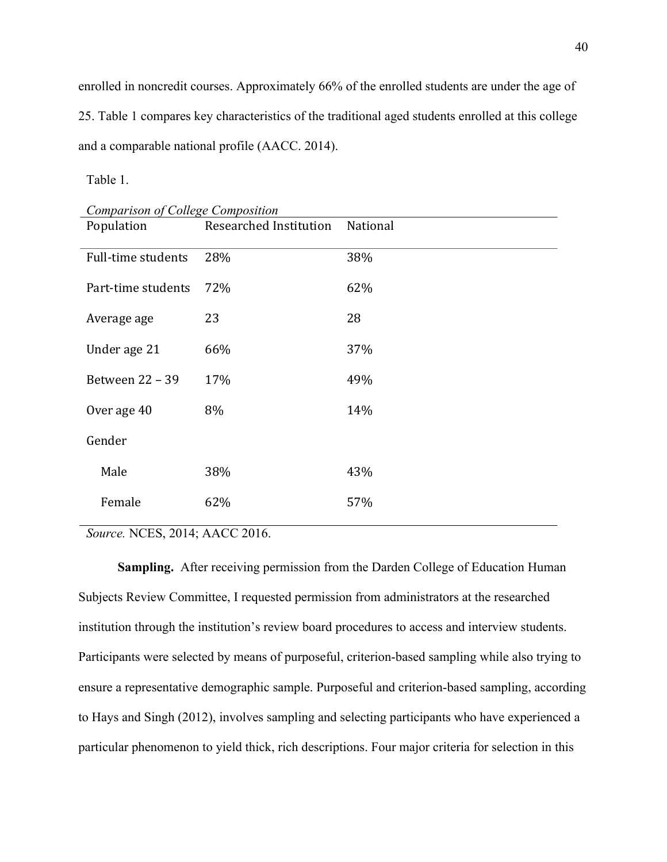enrolled in noncredit courses. Approximately 66% of the enrolled students are under the age of 25. Table 1 compares key characteristics of the traditional aged students enrolled at this college and a comparable national profile (AACC. 2014).

Table 1.

| Comparison of College Composition |                        |          |
|-----------------------------------|------------------------|----------|
| Population                        | Researched Institution | National |
| Full-time students                | 28%                    | 38%      |
| Part-time students                | 72%                    | 62%      |
| Average age                       | 23                     | 28       |
| Under age 21                      | 66%                    | 37%      |
| Between 22 - 39                   | 17%                    | 49%      |
| Over age 40                       | 8%                     | 14%      |
| Gender                            |                        |          |
| Male                              | 38%                    | 43%      |
| Female                            | 62%                    | 57%      |

*Source.* NCES, 2014; AACC 2016.

**Sampling.** After receiving permission from the Darden College of Education Human Subjects Review Committee, I requested permission from administrators at the researched institution through the institution's review board procedures to access and interview students. Participants were selected by means of purposeful, criterion-based sampling while also trying to ensure a representative demographic sample. Purposeful and criterion-based sampling, according to Hays and Singh (2012), involves sampling and selecting participants who have experienced a particular phenomenon to yield thick, rich descriptions. Four major criteria for selection in this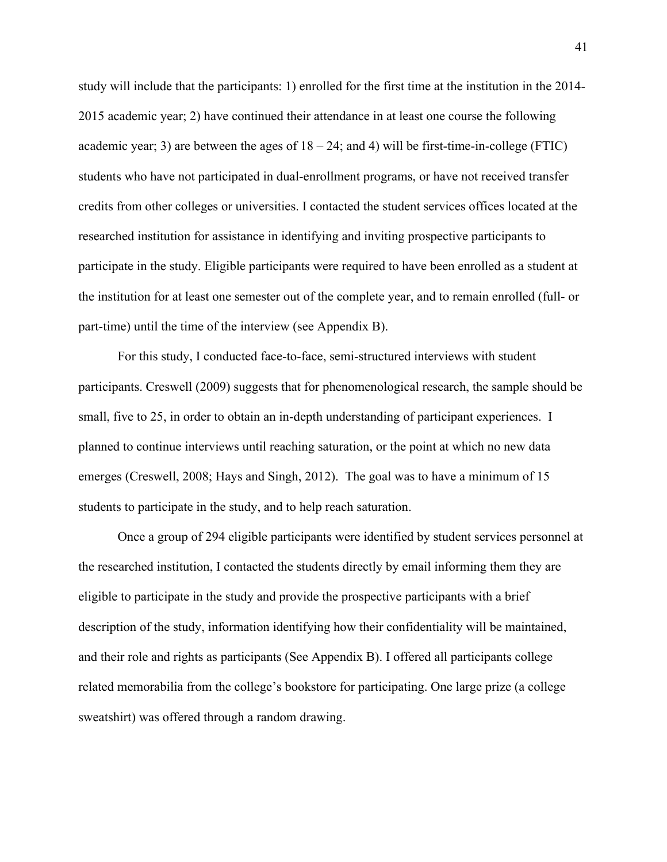study will include that the participants: 1) enrolled for the first time at the institution in the 2014- 2015 academic year; 2) have continued their attendance in at least one course the following academic year; 3) are between the ages of  $18 - 24$ ; and 4) will be first-time-in-college (FTIC) students who have not participated in dual-enrollment programs, or have not received transfer credits from other colleges or universities. I contacted the student services offices located at the researched institution for assistance in identifying and inviting prospective participants to participate in the study. Eligible participants were required to have been enrolled as a student at the institution for at least one semester out of the complete year, and to remain enrolled (full- or part-time) until the time of the interview (see Appendix B).

For this study, I conducted face-to-face, semi-structured interviews with student participants. Creswell (2009) suggests that for phenomenological research, the sample should be small, five to 25, in order to obtain an in-depth understanding of participant experiences. I planned to continue interviews until reaching saturation, or the point at which no new data emerges (Creswell, 2008; Hays and Singh, 2012). The goal was to have a minimum of 15 students to participate in the study, and to help reach saturation.

Once a group of 294 eligible participants were identified by student services personnel at the researched institution, I contacted the students directly by email informing them they are eligible to participate in the study and provide the prospective participants with a brief description of the study, information identifying how their confidentiality will be maintained, and their role and rights as participants (See Appendix B). I offered all participants college related memorabilia from the college's bookstore for participating. One large prize (a college sweatshirt) was offered through a random drawing.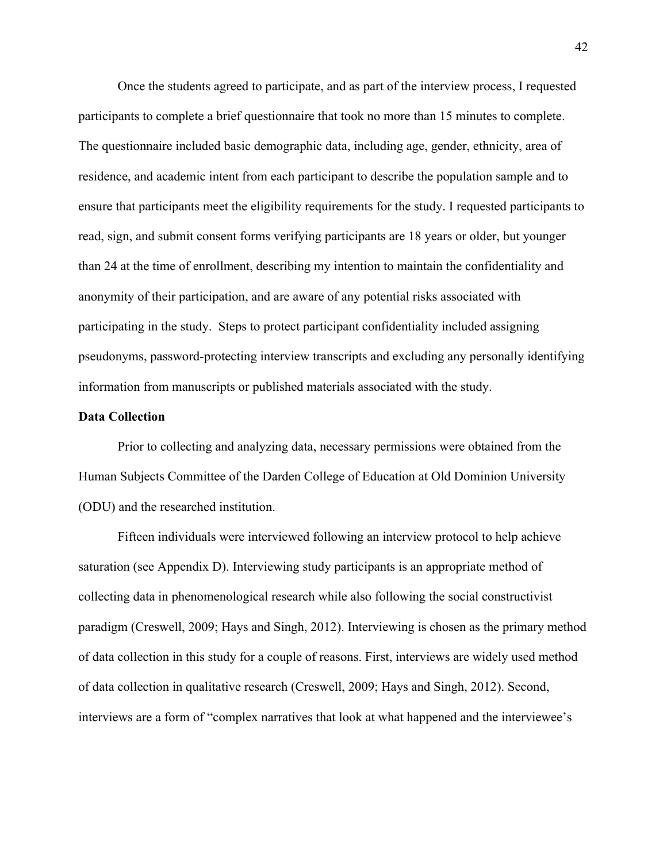Once the students agreed to participate, and as part of the interview process, I requested participants to complete a brief questionnaire that took no more than 15 minutes to complete. The questionnaire included basic demographic data, including age, gender, ethnicity, area of residence, and academic intent from each participant to describe the population sample and to ensure that participants meet the eligibility requirements for the study. I requested participants to read, sign, and submit consent forms verifying participants are 18 years or older, but younger than 24 at the time of enrollment, describing my intention to maintain the confidentiality and anonymity of their participation, and are aware of any potential risks associated with participating in the study. Steps to protect participant confidentiality included assigning pseudonyms, password-protecting interview transcripts and excluding any personally identifying information from manuscripts or published materials associated with the study.

### **Data Collection**

Prior to collecting and analyzing data, necessary permissions were obtained from the Human Subjects Committee of the Darden College of Education at Old Dominion University (ODU) and the researched institution.

Fifteen individuals were interviewed following an interview protocol to help achieve saturation (see Appendix D). Interviewing study participants is an appropriate method of collecting data in phenomenological research while also following the social constructivist paradigm (Creswell, 2009; Hays and Singh, 2012). Interviewing is chosen as the primary method of data collection in this study for a couple of reasons. First, interviews are widely used method of data collection in qualitative research (Creswell, 2009; Hays and Singh, 2012). Second, interviews are a form of "complex narratives that look at what happened and the interviewee's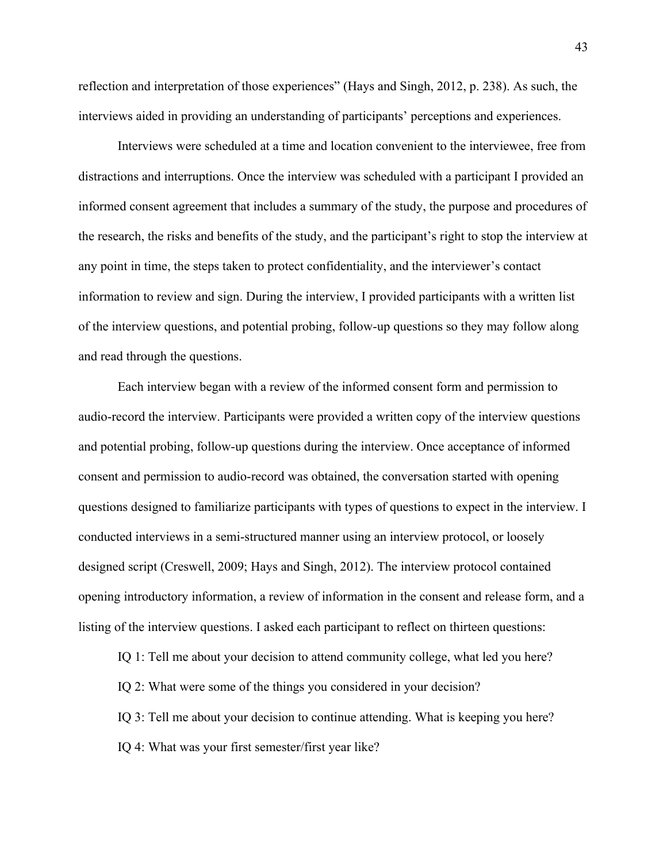reflection and interpretation of those experiences" (Hays and Singh, 2012, p. 238). As such, the interviews aided in providing an understanding of participants' perceptions and experiences.

Interviews were scheduled at a time and location convenient to the interviewee, free from distractions and interruptions. Once the interview was scheduled with a participant I provided an informed consent agreement that includes a summary of the study, the purpose and procedures of the research, the risks and benefits of the study, and the participant's right to stop the interview at any point in time, the steps taken to protect confidentiality, and the interviewer's contact information to review and sign. During the interview, I provided participants with a written list of the interview questions, and potential probing, follow-up questions so they may follow along and read through the questions.

Each interview began with a review of the informed consent form and permission to audio-record the interview. Participants were provided a written copy of the interview questions and potential probing, follow-up questions during the interview. Once acceptance of informed consent and permission to audio-record was obtained, the conversation started with opening questions designed to familiarize participants with types of questions to expect in the interview. I conducted interviews in a semi-structured manner using an interview protocol, or loosely designed script (Creswell, 2009; Hays and Singh, 2012). The interview protocol contained opening introductory information, a review of information in the consent and release form, and a listing of the interview questions. I asked each participant to reflect on thirteen questions:

IQ 1: Tell me about your decision to attend community college, what led you here?

IQ 2: What were some of the things you considered in your decision?

IQ 3: Tell me about your decision to continue attending. What is keeping you here?

IQ 4: What was your first semester/first year like?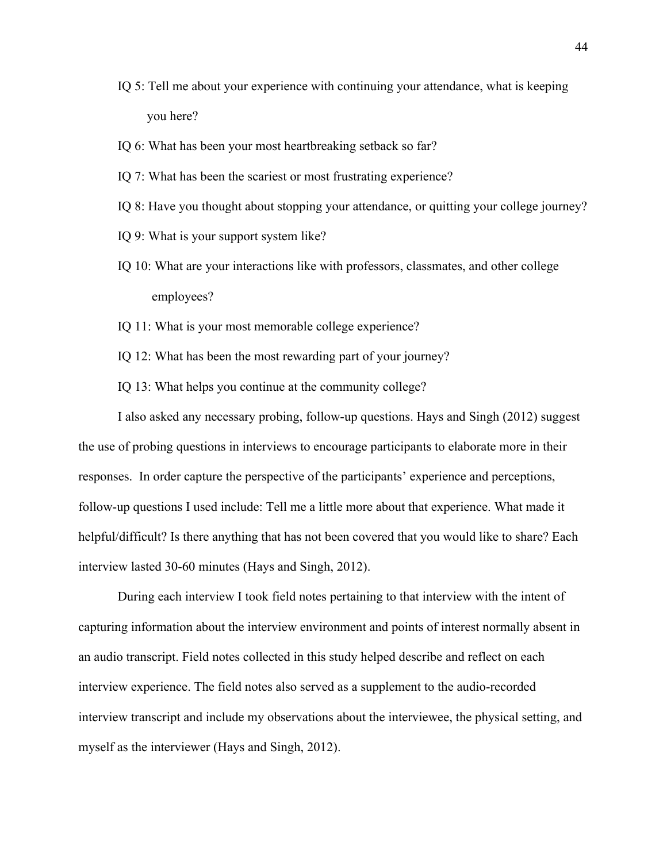- IQ 5: Tell me about your experience with continuing your attendance, what is keeping you here?
- IQ 6: What has been your most heartbreaking setback so far?
- IQ 7: What has been the scariest or most frustrating experience?
- IQ 8: Have you thought about stopping your attendance, or quitting your college journey?
- IQ 9: What is your support system like?
- IQ 10: What are your interactions like with professors, classmates, and other college employees?
- IQ 11: What is your most memorable college experience?
- IQ 12: What has been the most rewarding part of your journey?
- IQ 13: What helps you continue at the community college?

I also asked any necessary probing, follow-up questions. Hays and Singh (2012) suggest the use of probing questions in interviews to encourage participants to elaborate more in their responses. In order capture the perspective of the participants' experience and perceptions, follow-up questions I used include: Tell me a little more about that experience. What made it helpful/difficult? Is there anything that has not been covered that you would like to share? Each interview lasted 30-60 minutes (Hays and Singh, 2012).

During each interview I took field notes pertaining to that interview with the intent of capturing information about the interview environment and points of interest normally absent in an audio transcript. Field notes collected in this study helped describe and reflect on each interview experience. The field notes also served as a supplement to the audio-recorded interview transcript and include my observations about the interviewee, the physical setting, and myself as the interviewer (Hays and Singh, 2012).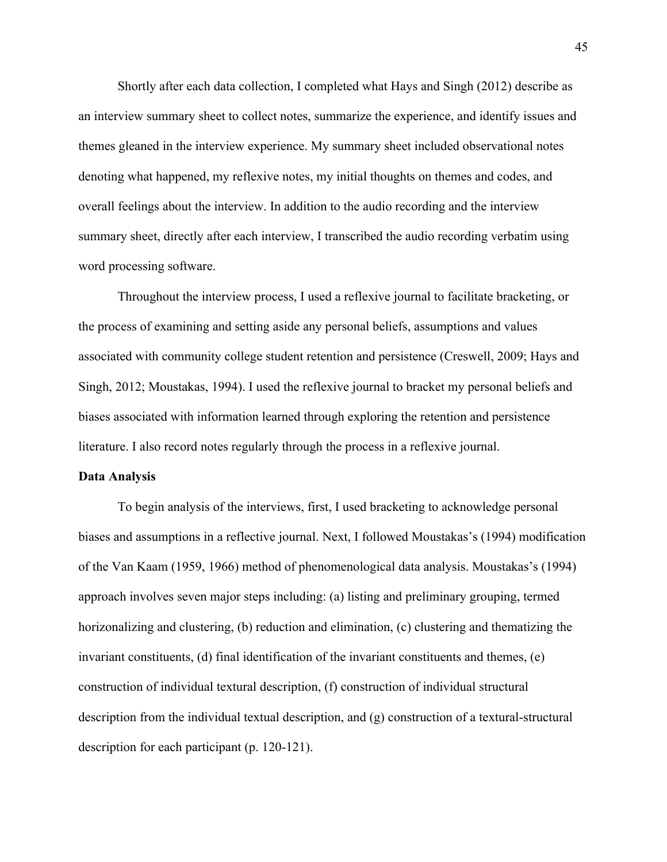Shortly after each data collection, I completed what Hays and Singh (2012) describe as an interview summary sheet to collect notes, summarize the experience, and identify issues and themes gleaned in the interview experience. My summary sheet included observational notes denoting what happened, my reflexive notes, my initial thoughts on themes and codes, and overall feelings about the interview. In addition to the audio recording and the interview summary sheet, directly after each interview, I transcribed the audio recording verbatim using word processing software.

Throughout the interview process, I used a reflexive journal to facilitate bracketing, or the process of examining and setting aside any personal beliefs, assumptions and values associated with community college student retention and persistence (Creswell, 2009; Hays and Singh, 2012; Moustakas, 1994). I used the reflexive journal to bracket my personal beliefs and biases associated with information learned through exploring the retention and persistence literature. I also record notes regularly through the process in a reflexive journal.

#### **Data Analysis**

To begin analysis of the interviews, first, I used bracketing to acknowledge personal biases and assumptions in a reflective journal. Next, I followed Moustakas's (1994) modification of the Van Kaam (1959, 1966) method of phenomenological data analysis. Moustakas's (1994) approach involves seven major steps including: (a) listing and preliminary grouping, termed horizonalizing and clustering, (b) reduction and elimination, (c) clustering and thematizing the invariant constituents, (d) final identification of the invariant constituents and themes, (e) construction of individual textural description, (f) construction of individual structural description from the individual textual description, and (g) construction of a textural-structural description for each participant (p. 120-121).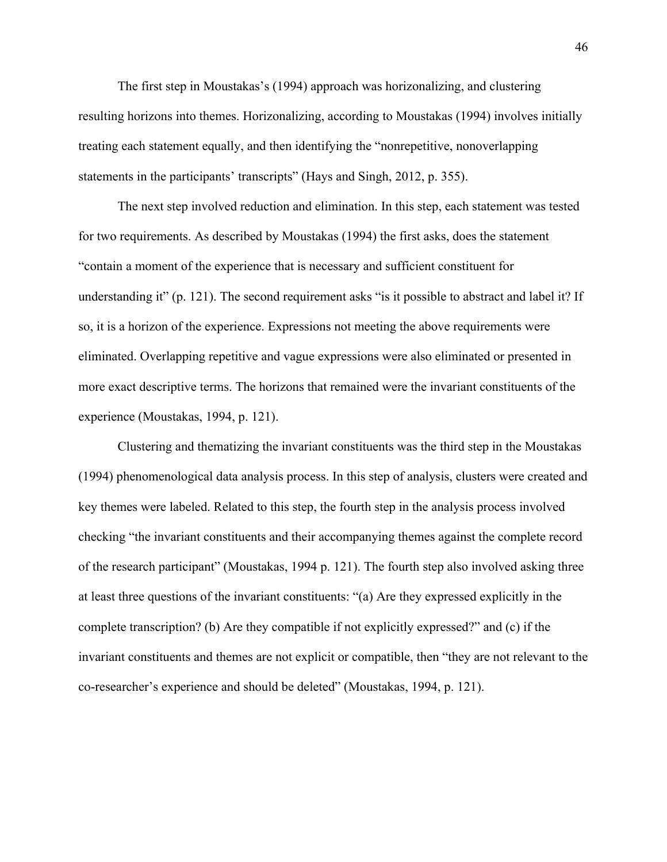The first step in Moustakas's (1994) approach was horizonalizing, and clustering resulting horizons into themes. Horizonalizing, according to Moustakas (1994) involves initially treating each statement equally, and then identifying the "nonrepetitive, nonoverlapping statements in the participants' transcripts" (Hays and Singh, 2012, p. 355).

The next step involved reduction and elimination. In this step, each statement was tested for two requirements. As described by Moustakas (1994) the first asks, does the statement "contain a moment of the experience that is necessary and sufficient constituent for understanding it" (p. 121). The second requirement asks "is it possible to abstract and label it? If so, it is a horizon of the experience. Expressions not meeting the above requirements were eliminated. Overlapping repetitive and vague expressions were also eliminated or presented in more exact descriptive terms. The horizons that remained were the invariant constituents of the experience (Moustakas, 1994, p. 121).

Clustering and thematizing the invariant constituents was the third step in the Moustakas (1994) phenomenological data analysis process. In this step of analysis, clusters were created and key themes were labeled. Related to this step, the fourth step in the analysis process involved checking "the invariant constituents and their accompanying themes against the complete record of the research participant" (Moustakas, 1994 p. 121). The fourth step also involved asking three at least three questions of the invariant constituents: "(a) Are they expressed explicitly in the complete transcription? (b) Are they compatible if not explicitly expressed?" and (c) if the invariant constituents and themes are not explicit or compatible, then "they are not relevant to the co-researcher's experience and should be deleted" (Moustakas, 1994, p. 121).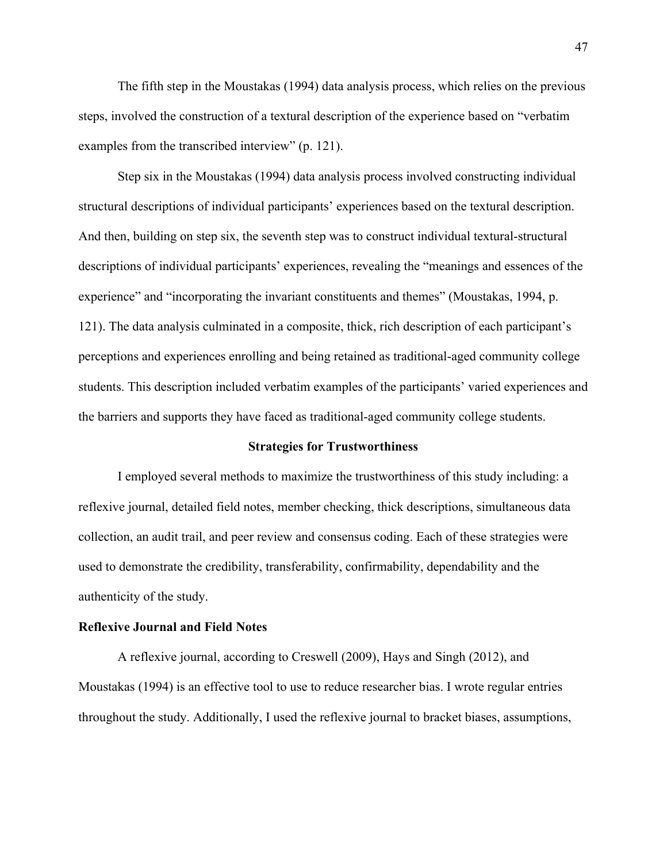The fifth step in the Moustakas (1994) data analysis process, which relies on the previous steps, involved the construction of a textural description of the experience based on "verbatim examples from the transcribed interview" (p. 121).

Step six in the Moustakas (1994) data analysis process involved constructing individual structural descriptions of individual participants' experiences based on the textural description. And then, building on step six, the seventh step was to construct individual textural-structural descriptions of individual participants' experiences, revealing the "meanings and essences of the experience" and "incorporating the invariant constituents and themes" (Moustakas, 1994, p. 121). The data analysis culminated in a composite, thick, rich description of each participant's perceptions and experiences enrolling and being retained as traditional-aged community college students. This description included verbatim examples of the participants' varied experiences and the barriers and supports they have faced as traditional-aged community college students.

#### **Strategies for Trustworthiness**

I employed several methods to maximize the trustworthiness of this study including: a reflexive journal, detailed field notes, member checking, thick descriptions, simultaneous data collection, an audit trail, and peer review and consensus coding. Each of these strategies were used to demonstrate the credibility, transferability, confirmability, dependability and the authenticity of the study.

# **Reflexive Journal and Field Notes**

A reflexive journal, according to Creswell (2009), Hays and Singh (2012), and Moustakas (1994) is an effective tool to use to reduce researcher bias. I wrote regular entries throughout the study. Additionally, I used the reflexive journal to bracket biases, assumptions,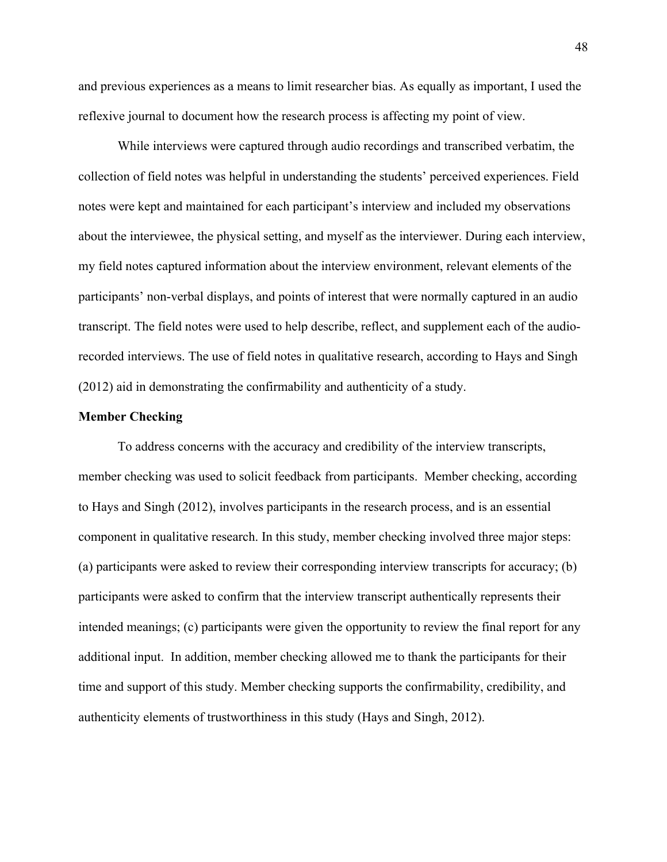and previous experiences as a means to limit researcher bias. As equally as important, I used the reflexive journal to document how the research process is affecting my point of view.

While interviews were captured through audio recordings and transcribed verbatim, the collection of field notes was helpful in understanding the students' perceived experiences. Field notes were kept and maintained for each participant's interview and included my observations about the interviewee, the physical setting, and myself as the interviewer. During each interview, my field notes captured information about the interview environment, relevant elements of the participants' non-verbal displays, and points of interest that were normally captured in an audio transcript. The field notes were used to help describe, reflect, and supplement each of the audiorecorded interviews. The use of field notes in qualitative research, according to Hays and Singh (2012) aid in demonstrating the confirmability and authenticity of a study.

## **Member Checking**

To address concerns with the accuracy and credibility of the interview transcripts, member checking was used to solicit feedback from participants. Member checking, according to Hays and Singh (2012), involves participants in the research process, and is an essential component in qualitative research. In this study, member checking involved three major steps: (a) participants were asked to review their corresponding interview transcripts for accuracy; (b) participants were asked to confirm that the interview transcript authentically represents their intended meanings; (c) participants were given the opportunity to review the final report for any additional input. In addition, member checking allowed me to thank the participants for their time and support of this study. Member checking supports the confirmability, credibility, and authenticity elements of trustworthiness in this study (Hays and Singh, 2012).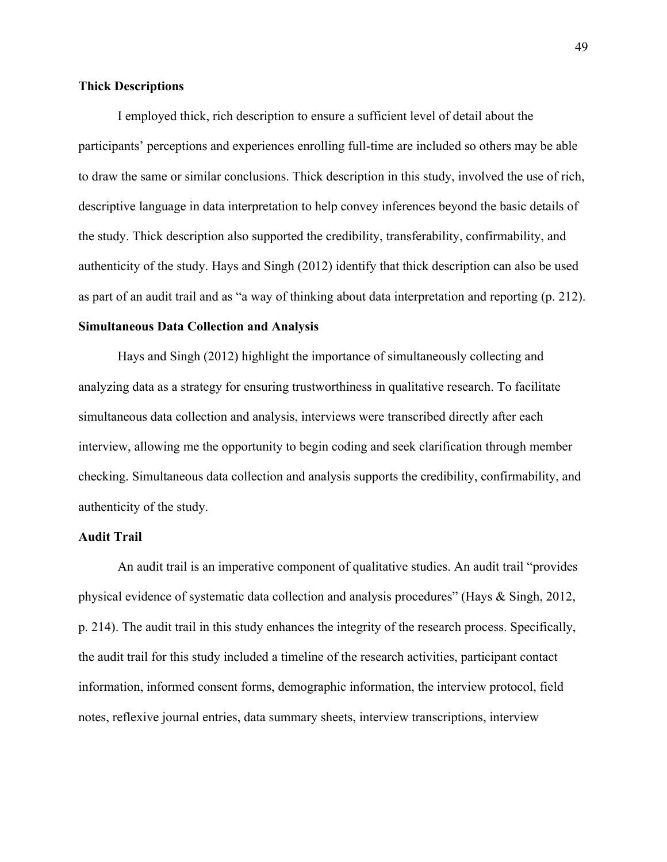# **Thick Descriptions**

I employed thick, rich description to ensure a sufficient level of detail about the participants' perceptions and experiences enrolling full-time are included so others may be able to draw the same or similar conclusions. Thick description in this study, involved the use of rich, descriptive language in data interpretation to help convey inferences beyond the basic details of the study. Thick description also supported the credibility, transferability, confirmability, and authenticity of the study. Hays and Singh (2012) identify that thick description can also be used as part of an audit trail and as "a way of thinking about data interpretation and reporting (p. 212).

# **Simultaneous Data Collection and Analysis**

Hays and Singh (2012) highlight the importance of simultaneously collecting and analyzing data as a strategy for ensuring trustworthiness in qualitative research. To facilitate simultaneous data collection and analysis, interviews were transcribed directly after each interview, allowing me the opportunity to begin coding and seek clarification through member checking. Simultaneous data collection and analysis supports the credibility, confirmability, and authenticity of the study.

# **Audit Trail**

An audit trail is an imperative component of qualitative studies. An audit trail "provides physical evidence of systematic data collection and analysis procedures" (Hays & Singh, 2012, p. 214). The audit trail in this study enhances the integrity of the research process. Specifically, the audit trail for this study included a timeline of the research activities, participant contact information, informed consent forms, demographic information, the interview protocol, field notes, reflexive journal entries, data summary sheets, interview transcriptions, interview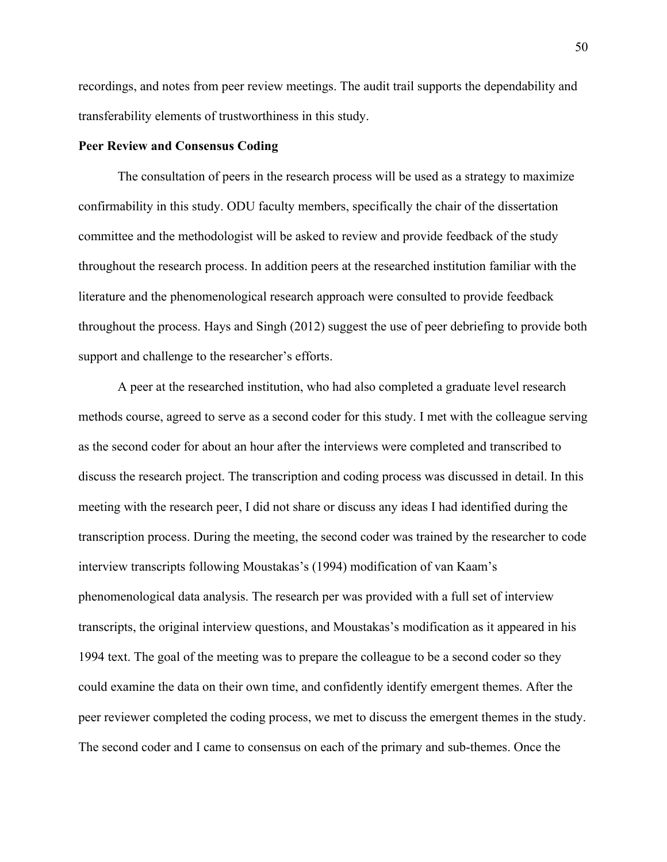recordings, and notes from peer review meetings. The audit trail supports the dependability and transferability elements of trustworthiness in this study.

## **Peer Review and Consensus Coding**

The consultation of peers in the research process will be used as a strategy to maximize confirmability in this study. ODU faculty members, specifically the chair of the dissertation committee and the methodologist will be asked to review and provide feedback of the study throughout the research process. In addition peers at the researched institution familiar with the literature and the phenomenological research approach were consulted to provide feedback throughout the process. Hays and Singh (2012) suggest the use of peer debriefing to provide both support and challenge to the researcher's efforts.

A peer at the researched institution, who had also completed a graduate level research methods course, agreed to serve as a second coder for this study. I met with the colleague serving as the second coder for about an hour after the interviews were completed and transcribed to discuss the research project. The transcription and coding process was discussed in detail. In this meeting with the research peer, I did not share or discuss any ideas I had identified during the transcription process. During the meeting, the second coder was trained by the researcher to code interview transcripts following Moustakas's (1994) modification of van Kaam's phenomenological data analysis. The research per was provided with a full set of interview transcripts, the original interview questions, and Moustakas's modification as it appeared in his 1994 text. The goal of the meeting was to prepare the colleague to be a second coder so they could examine the data on their own time, and confidently identify emergent themes. After the peer reviewer completed the coding process, we met to discuss the emergent themes in the study. The second coder and I came to consensus on each of the primary and sub-themes. Once the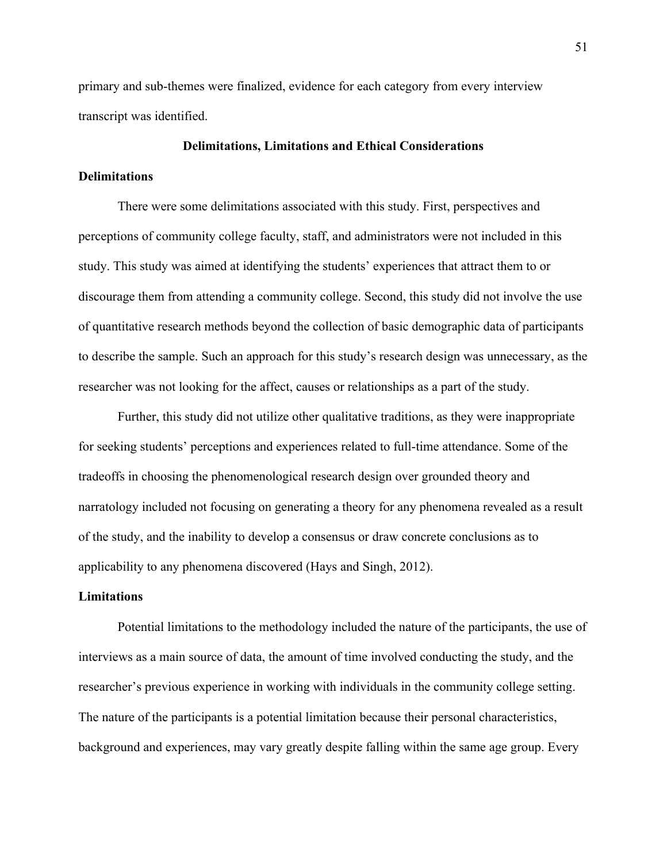primary and sub-themes were finalized, evidence for each category from every interview transcript was identified.

# **Delimitations, Limitations and Ethical Considerations**

# **Delimitations**

There were some delimitations associated with this study. First, perspectives and perceptions of community college faculty, staff, and administrators were not included in this study. This study was aimed at identifying the students' experiences that attract them to or discourage them from attending a community college. Second, this study did not involve the use of quantitative research methods beyond the collection of basic demographic data of participants to describe the sample. Such an approach for this study's research design was unnecessary, as the researcher was not looking for the affect, causes or relationships as a part of the study.

Further, this study did not utilize other qualitative traditions, as they were inappropriate for seeking students' perceptions and experiences related to full-time attendance. Some of the tradeoffs in choosing the phenomenological research design over grounded theory and narratology included not focusing on generating a theory for any phenomena revealed as a result of the study, and the inability to develop a consensus or draw concrete conclusions as to applicability to any phenomena discovered (Hays and Singh, 2012).

# **Limitations**

Potential limitations to the methodology included the nature of the participants, the use of interviews as a main source of data, the amount of time involved conducting the study, and the researcher's previous experience in working with individuals in the community college setting. The nature of the participants is a potential limitation because their personal characteristics, background and experiences, may vary greatly despite falling within the same age group. Every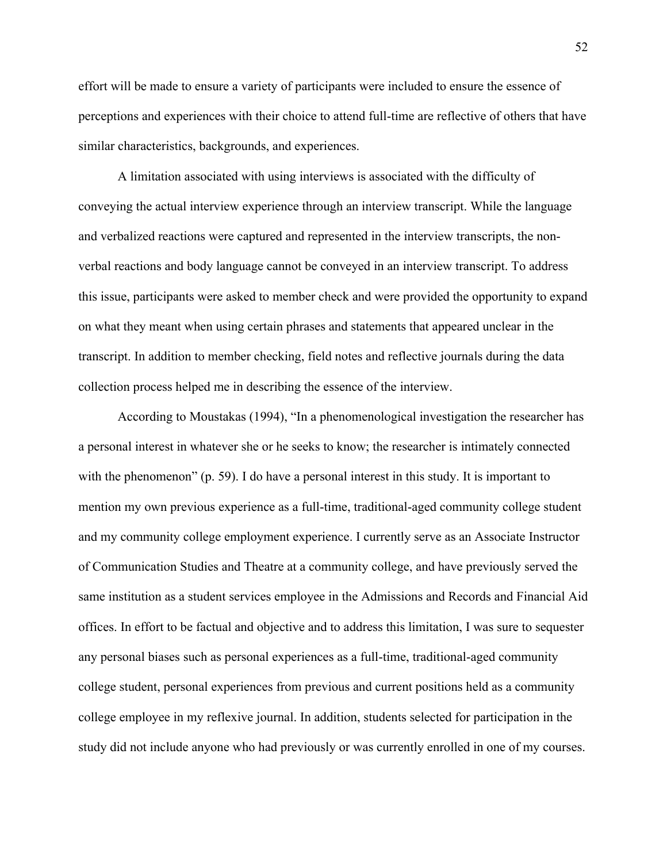effort will be made to ensure a variety of participants were included to ensure the essence of perceptions and experiences with their choice to attend full-time are reflective of others that have similar characteristics, backgrounds, and experiences.

A limitation associated with using interviews is associated with the difficulty of conveying the actual interview experience through an interview transcript. While the language and verbalized reactions were captured and represented in the interview transcripts, the nonverbal reactions and body language cannot be conveyed in an interview transcript. To address this issue, participants were asked to member check and were provided the opportunity to expand on what they meant when using certain phrases and statements that appeared unclear in the transcript. In addition to member checking, field notes and reflective journals during the data collection process helped me in describing the essence of the interview.

According to Moustakas (1994), "In a phenomenological investigation the researcher has a personal interest in whatever she or he seeks to know; the researcher is intimately connected with the phenomenon" (p. 59). I do have a personal interest in this study. It is important to mention my own previous experience as a full-time, traditional-aged community college student and my community college employment experience. I currently serve as an Associate Instructor of Communication Studies and Theatre at a community college, and have previously served the same institution as a student services employee in the Admissions and Records and Financial Aid offices. In effort to be factual and objective and to address this limitation, I was sure to sequester any personal biases such as personal experiences as a full-time, traditional-aged community college student, personal experiences from previous and current positions held as a community college employee in my reflexive journal. In addition, students selected for participation in the study did not include anyone who had previously or was currently enrolled in one of my courses.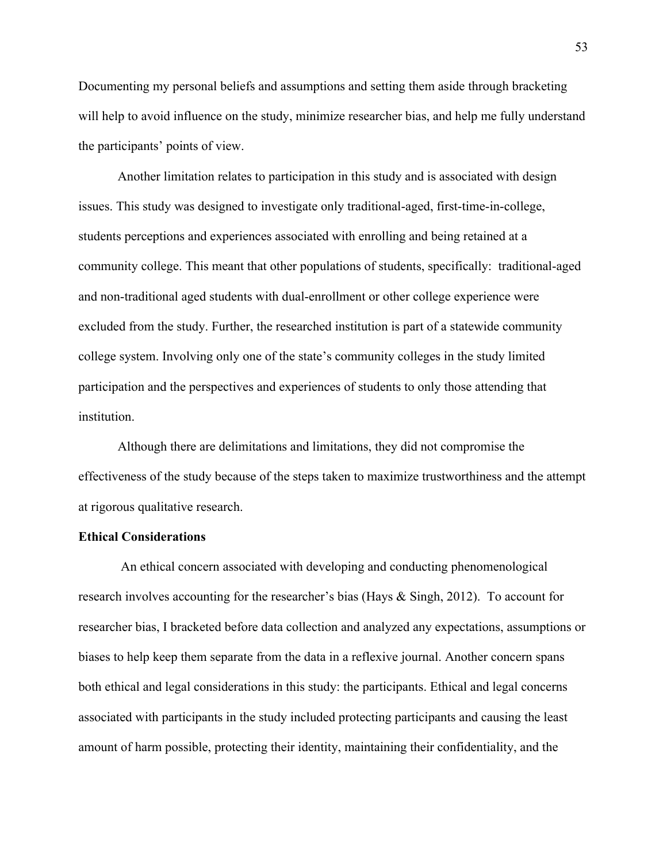Documenting my personal beliefs and assumptions and setting them aside through bracketing will help to avoid influence on the study, minimize researcher bias, and help me fully understand the participants' points of view.

Another limitation relates to participation in this study and is associated with design issues. This study was designed to investigate only traditional-aged, first-time-in-college, students perceptions and experiences associated with enrolling and being retained at a community college. This meant that other populations of students, specifically: traditional-aged and non-traditional aged students with dual-enrollment or other college experience were excluded from the study. Further, the researched institution is part of a statewide community college system. Involving only one of the state's community colleges in the study limited participation and the perspectives and experiences of students to only those attending that institution.

Although there are delimitations and limitations, they did not compromise the effectiveness of the study because of the steps taken to maximize trustworthiness and the attempt at rigorous qualitative research.

## **Ethical Considerations**

An ethical concern associated with developing and conducting phenomenological research involves accounting for the researcher's bias (Hays & Singh, 2012). To account for researcher bias, I bracketed before data collection and analyzed any expectations, assumptions or biases to help keep them separate from the data in a reflexive journal. Another concern spans both ethical and legal considerations in this study: the participants. Ethical and legal concerns associated with participants in the study included protecting participants and causing the least amount of harm possible, protecting their identity, maintaining their confidentiality, and the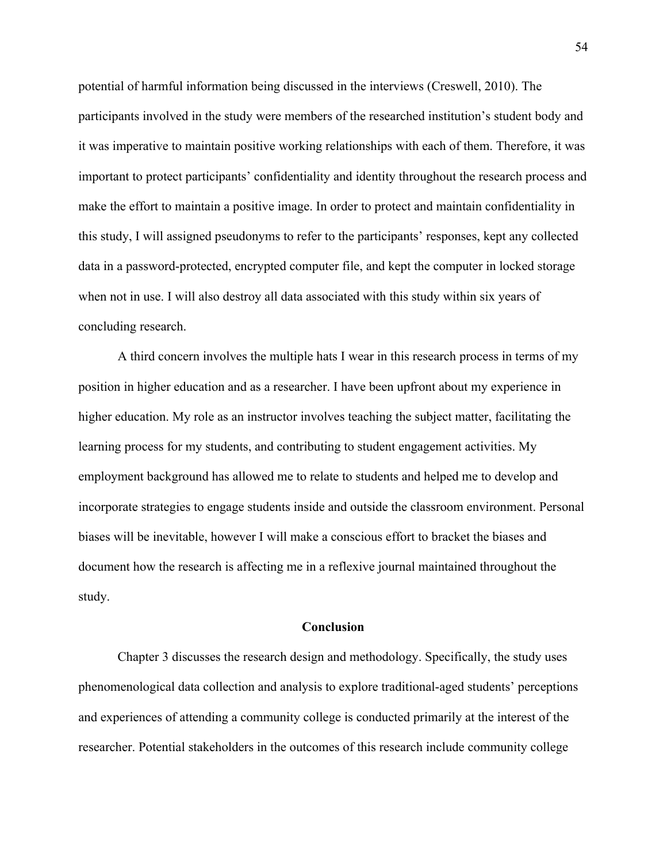potential of harmful information being discussed in the interviews (Creswell, 2010). The participants involved in the study were members of the researched institution's student body and it was imperative to maintain positive working relationships with each of them. Therefore, it was important to protect participants' confidentiality and identity throughout the research process and make the effort to maintain a positive image. In order to protect and maintain confidentiality in this study, I will assigned pseudonyms to refer to the participants' responses, kept any collected data in a password-protected, encrypted computer file, and kept the computer in locked storage when not in use. I will also destroy all data associated with this study within six years of concluding research.

A third concern involves the multiple hats I wear in this research process in terms of my position in higher education and as a researcher. I have been upfront about my experience in higher education. My role as an instructor involves teaching the subject matter, facilitating the learning process for my students, and contributing to student engagement activities. My employment background has allowed me to relate to students and helped me to develop and incorporate strategies to engage students inside and outside the classroom environment. Personal biases will be inevitable, however I will make a conscious effort to bracket the biases and document how the research is affecting me in a reflexive journal maintained throughout the study.

#### **Conclusion**

Chapter 3 discusses the research design and methodology. Specifically, the study uses phenomenological data collection and analysis to explore traditional-aged students' perceptions and experiences of attending a community college is conducted primarily at the interest of the researcher. Potential stakeholders in the outcomes of this research include community college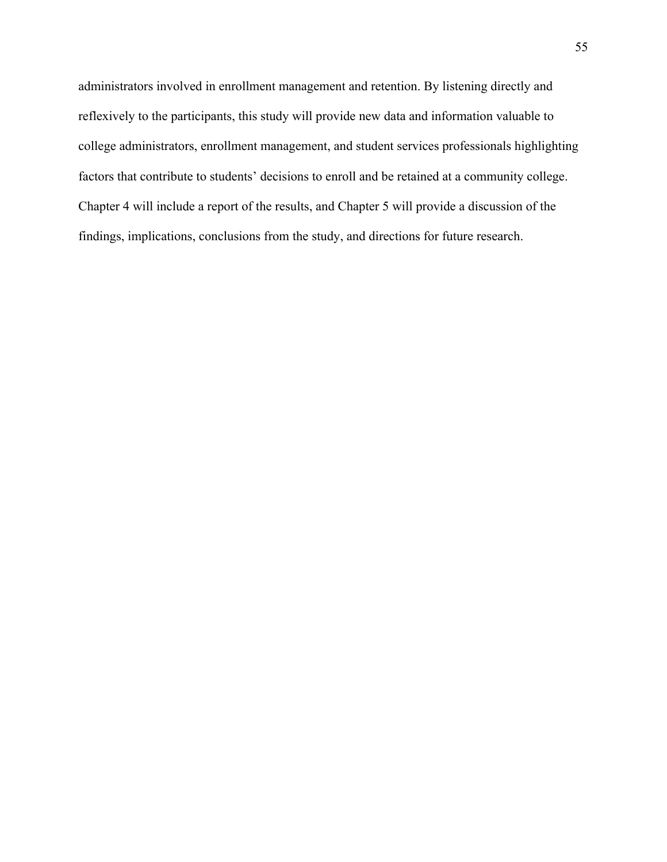administrators involved in enrollment management and retention. By listening directly and reflexively to the participants, this study will provide new data and information valuable to college administrators, enrollment management, and student services professionals highlighting factors that contribute to students' decisions to enroll and be retained at a community college. Chapter 4 will include a report of the results, and Chapter 5 will provide a discussion of the findings, implications, conclusions from the study, and directions for future research.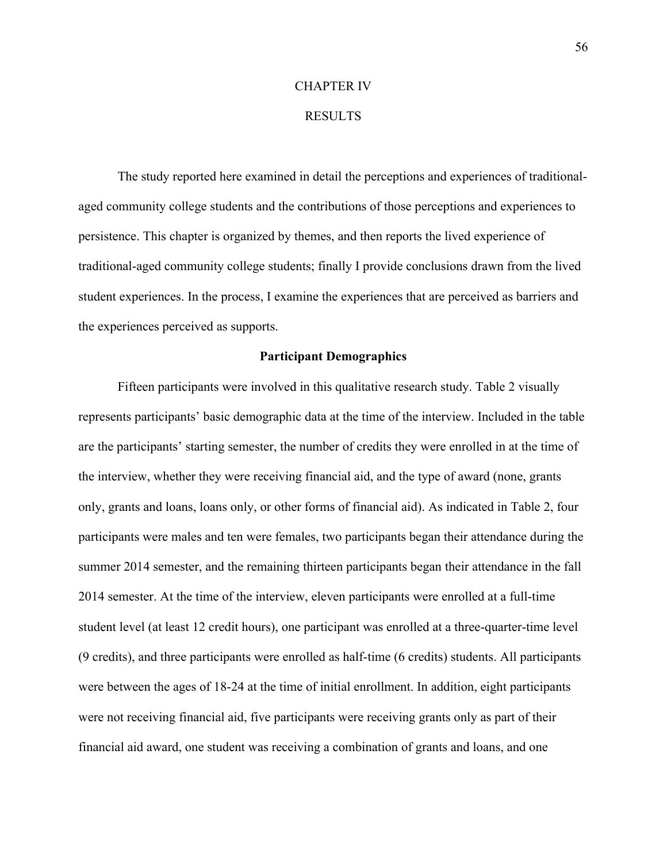## CHAPTER IV

### RESULTS

The study reported here examined in detail the perceptions and experiences of traditionalaged community college students and the contributions of those perceptions and experiences to persistence. This chapter is organized by themes, and then reports the lived experience of traditional-aged community college students; finally I provide conclusions drawn from the lived student experiences. In the process, I examine the experiences that are perceived as barriers and the experiences perceived as supports.

## **Participant Demographics**

Fifteen participants were involved in this qualitative research study. Table 2 visually represents participants' basic demographic data at the time of the interview. Included in the table are the participants' starting semester, the number of credits they were enrolled in at the time of the interview, whether they were receiving financial aid, and the type of award (none, grants only, grants and loans, loans only, or other forms of financial aid). As indicated in Table 2, four participants were males and ten were females, two participants began their attendance during the summer 2014 semester, and the remaining thirteen participants began their attendance in the fall 2014 semester. At the time of the interview, eleven participants were enrolled at a full-time student level (at least 12 credit hours), one participant was enrolled at a three-quarter-time level (9 credits), and three participants were enrolled as half-time (6 credits) students. All participants were between the ages of 18-24 at the time of initial enrollment. In addition, eight participants were not receiving financial aid, five participants were receiving grants only as part of their financial aid award, one student was receiving a combination of grants and loans, and one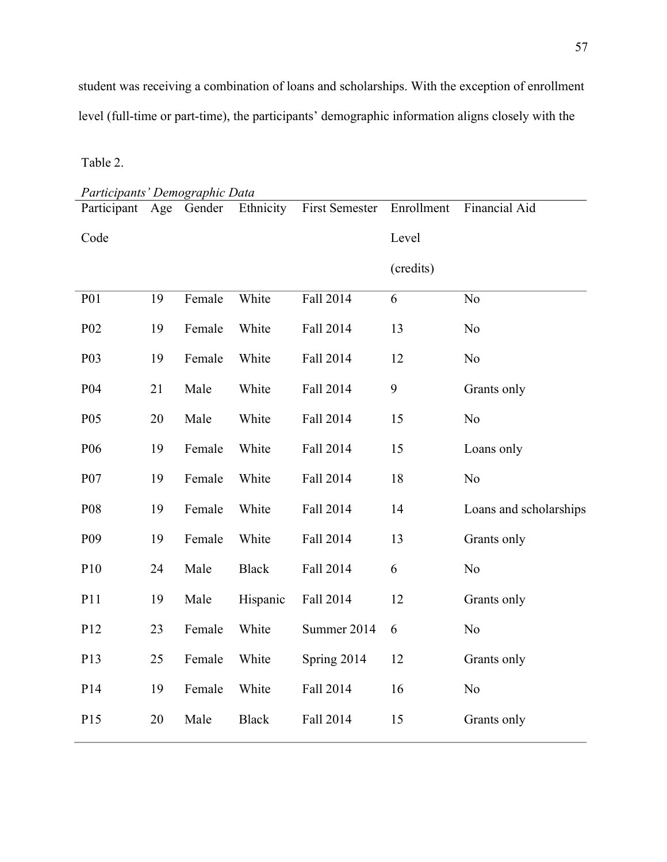student was receiving a combination of loans and scholarships. With the exception of enrollment level (full-time or part-time), the participants' demographic information aligns closely with the

Table 2.

*Participants' Demographic Data* Participant Age Gender Code Age Gender Ethnicity First Semester Enrollment Financial Aid Level (credits) P01 19 Female White Fall 2014 6 No P02 19 Female White Fall 2014 13 No P03 19 Female White Fall 2014 12 No P04 21 Male White Fall 2014 9 Grants only P05 20 Male White Fall 2014 15 No P06 19 Female White Fall 2014 15 Loans only P07 19 Female White Fall 2014 18 No P08 19 Female White Fall 2014 14 Loans and scholarships P09 19 Female White Fall 2014 13 Grants only P10 24 Male Black Fall 2014 6 No P11 19 Male Hispanic Fall 2014 12 Grants only P12 23 Female White Summer 2014 6 No P13 25 Female White Spring 2014 12 Grants only P14 19 Female White Fall 2014 16 No P15 20 Male Black Fall 2014 15 Grants only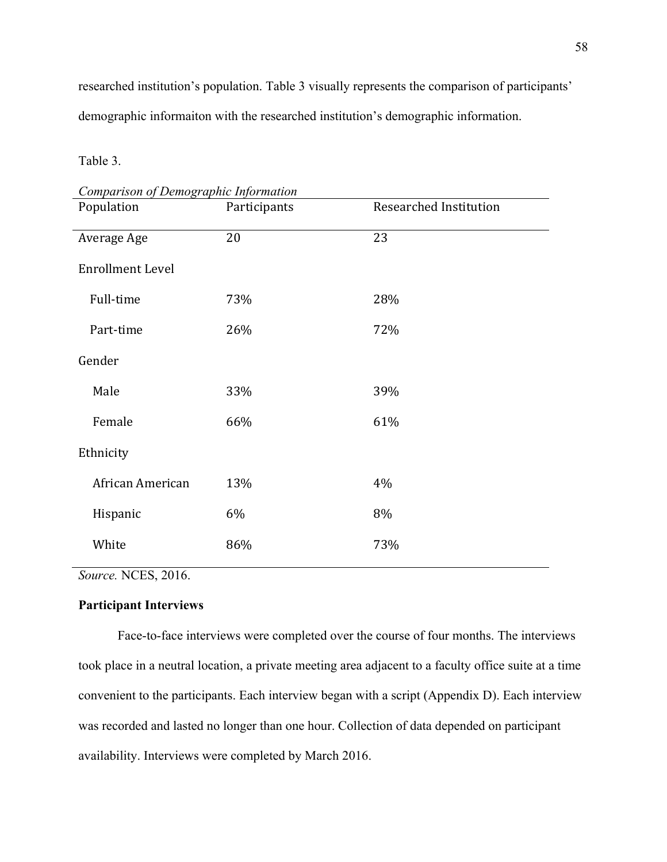researched institution's population. Table 3 visually represents the comparison of participants' demographic informaiton with the researched institution's demographic information.

Table 3.

*Comparison of Demographic Information* Population **Participants** Researched Institution Average Age 20 23 Enrollment Level Full-time 73% 28% Part-time 26% 72% Gender Male 33% 39% Female 66% 61% Ethnicity African American 13% 4% Hispanic 6% 8% White 86% 73%

*Source.* NCES, 2016.

# **Participant Interviews**

Face-to-face interviews were completed over the course of four months. The interviews took place in a neutral location, a private meeting area adjacent to a faculty office suite at a time convenient to the participants. Each interview began with a script (Appendix D). Each interview was recorded and lasted no longer than one hour. Collection of data depended on participant availability. Interviews were completed by March 2016.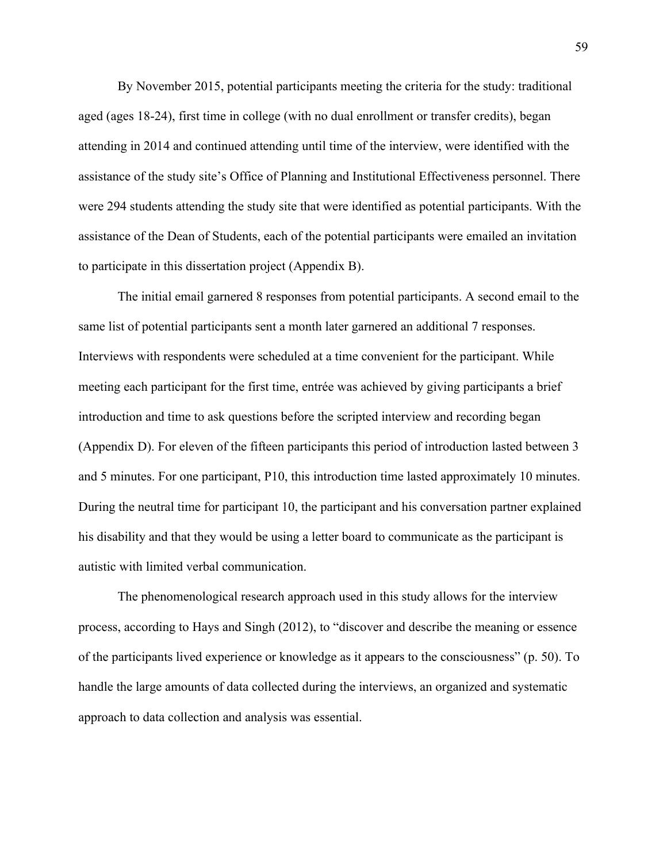By November 2015, potential participants meeting the criteria for the study: traditional aged (ages 18-24), first time in college (with no dual enrollment or transfer credits), began attending in 2014 and continued attending until time of the interview, were identified with the assistance of the study site's Office of Planning and Institutional Effectiveness personnel. There were 294 students attending the study site that were identified as potential participants. With the assistance of the Dean of Students, each of the potential participants were emailed an invitation to participate in this dissertation project (Appendix B).

The initial email garnered 8 responses from potential participants. A second email to the same list of potential participants sent a month later garnered an additional 7 responses. Interviews with respondents were scheduled at a time convenient for the participant. While meeting each participant for the first time, entrée was achieved by giving participants a brief introduction and time to ask questions before the scripted interview and recording began (Appendix D). For eleven of the fifteen participants this period of introduction lasted between 3 and 5 minutes. For one participant, P10, this introduction time lasted approximately 10 minutes. During the neutral time for participant 10, the participant and his conversation partner explained his disability and that they would be using a letter board to communicate as the participant is autistic with limited verbal communication.

The phenomenological research approach used in this study allows for the interview process, according to Hays and Singh (2012), to "discover and describe the meaning or essence of the participants lived experience or knowledge as it appears to the consciousness" (p. 50). To handle the large amounts of data collected during the interviews, an organized and systematic approach to data collection and analysis was essential.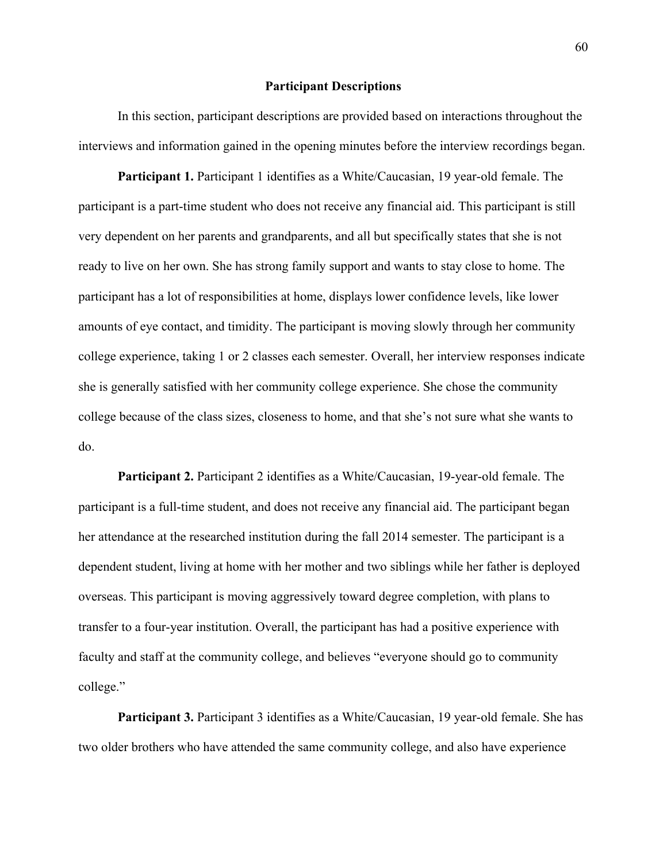### **Participant Descriptions**

In this section, participant descriptions are provided based on interactions throughout the interviews and information gained in the opening minutes before the interview recordings began.

**Participant 1.** Participant 1 identifies as a White/Caucasian, 19 year-old female. The participant is a part-time student who does not receive any financial aid. This participant is still very dependent on her parents and grandparents, and all but specifically states that she is not ready to live on her own. She has strong family support and wants to stay close to home. The participant has a lot of responsibilities at home, displays lower confidence levels, like lower amounts of eye contact, and timidity. The participant is moving slowly through her community college experience, taking 1 or 2 classes each semester. Overall, her interview responses indicate she is generally satisfied with her community college experience. She chose the community college because of the class sizes, closeness to home, and that she's not sure what she wants to do.

**Participant 2.** Participant 2 identifies as a White/Caucasian, 19-year-old female. The participant is a full-time student, and does not receive any financial aid. The participant began her attendance at the researched institution during the fall 2014 semester. The participant is a dependent student, living at home with her mother and two siblings while her father is deployed overseas. This participant is moving aggressively toward degree completion, with plans to transfer to a four-year institution. Overall, the participant has had a positive experience with faculty and staff at the community college, and believes "everyone should go to community college."

**Participant 3.** Participant 3 identifies as a White/Caucasian, 19 year-old female. She has two older brothers who have attended the same community college, and also have experience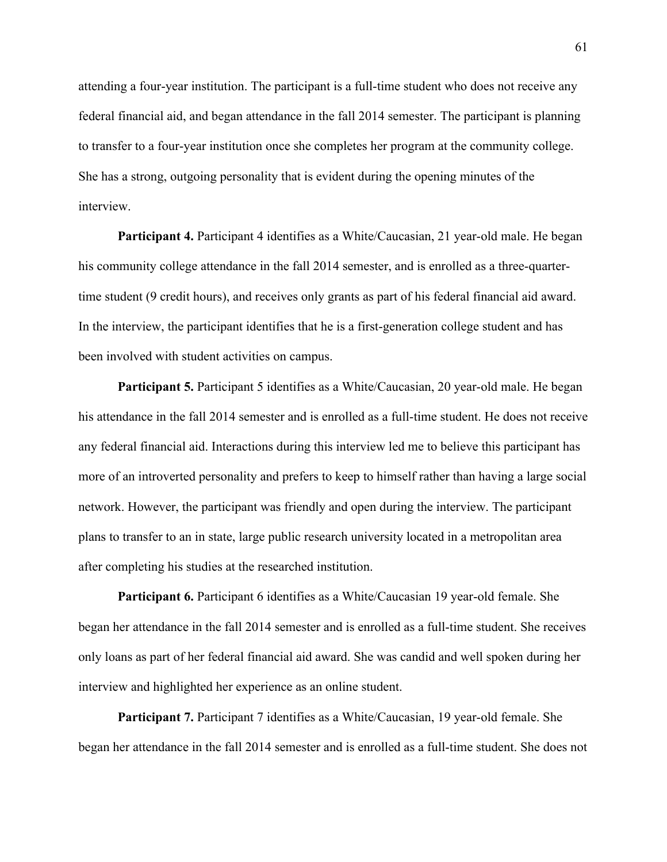attending a four-year institution. The participant is a full-time student who does not receive any federal financial aid, and began attendance in the fall 2014 semester. The participant is planning to transfer to a four-year institution once she completes her program at the community college. She has a strong, outgoing personality that is evident during the opening minutes of the interview.

**Participant 4.** Participant 4 identifies as a White/Caucasian, 21 year-old male. He began his community college attendance in the fall 2014 semester, and is enrolled as a three-quartertime student (9 credit hours), and receives only grants as part of his federal financial aid award. In the interview, the participant identifies that he is a first-generation college student and has been involved with student activities on campus.

**Participant 5.** Participant 5 identifies as a White/Caucasian, 20 year-old male. He began his attendance in the fall 2014 semester and is enrolled as a full-time student. He does not receive any federal financial aid. Interactions during this interview led me to believe this participant has more of an introverted personality and prefers to keep to himself rather than having a large social network. However, the participant was friendly and open during the interview. The participant plans to transfer to an in state, large public research university located in a metropolitan area after completing his studies at the researched institution.

**Participant 6.** Participant 6 identifies as a White/Caucasian 19 year-old female. She began her attendance in the fall 2014 semester and is enrolled as a full-time student. She receives only loans as part of her federal financial aid award. She was candid and well spoken during her interview and highlighted her experience as an online student.

**Participant 7.** Participant 7 identifies as a White/Caucasian, 19 year-old female. She began her attendance in the fall 2014 semester and is enrolled as a full-time student. She does not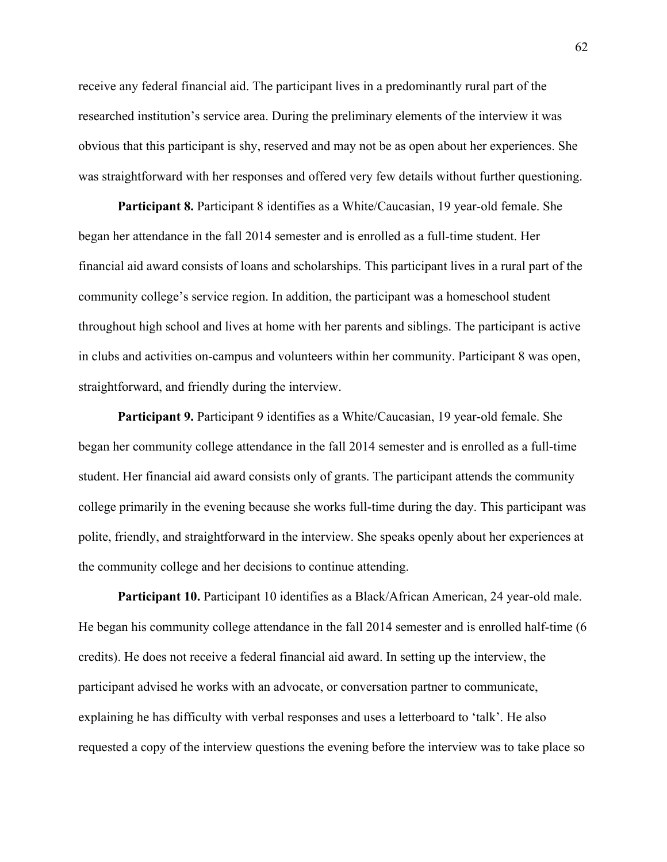receive any federal financial aid. The participant lives in a predominantly rural part of the researched institution's service area. During the preliminary elements of the interview it was obvious that this participant is shy, reserved and may not be as open about her experiences. She was straightforward with her responses and offered very few details without further questioning.

**Participant 8.** Participant 8 identifies as a White/Caucasian, 19 year-old female. She began her attendance in the fall 2014 semester and is enrolled as a full-time student. Her financial aid award consists of loans and scholarships. This participant lives in a rural part of the community college's service region. In addition, the participant was a homeschool student throughout high school and lives at home with her parents and siblings. The participant is active in clubs and activities on-campus and volunteers within her community. Participant 8 was open, straightforward, and friendly during the interview.

**Participant 9.** Participant 9 identifies as a White/Caucasian, 19 year-old female. She began her community college attendance in the fall 2014 semester and is enrolled as a full-time student. Her financial aid award consists only of grants. The participant attends the community college primarily in the evening because she works full-time during the day. This participant was polite, friendly, and straightforward in the interview. She speaks openly about her experiences at the community college and her decisions to continue attending.

Participant 10. Participant 10 identifies as a Black/African American, 24 year-old male. He began his community college attendance in the fall 2014 semester and is enrolled half-time (6 credits). He does not receive a federal financial aid award. In setting up the interview, the participant advised he works with an advocate, or conversation partner to communicate, explaining he has difficulty with verbal responses and uses a letterboard to 'talk'. He also requested a copy of the interview questions the evening before the interview was to take place so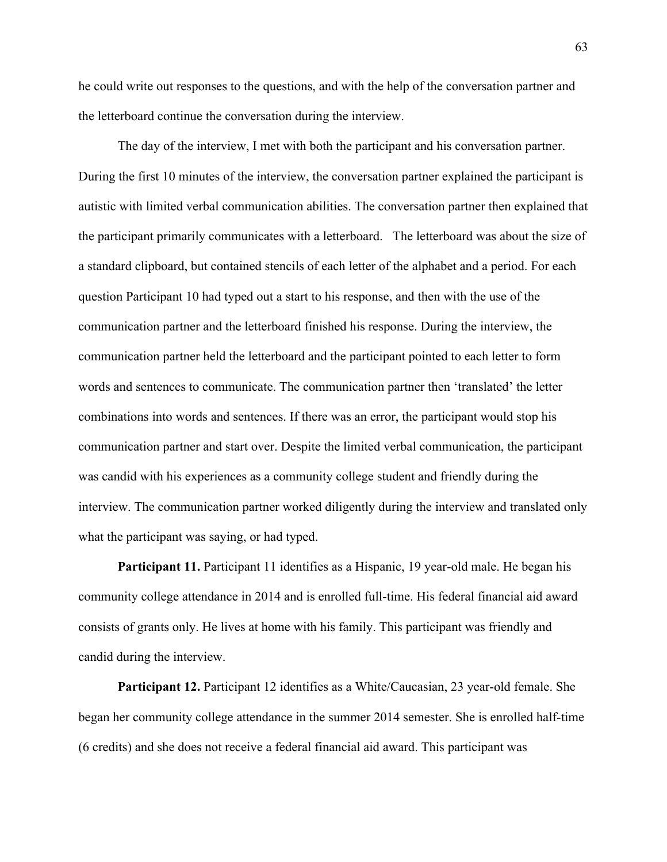he could write out responses to the questions, and with the help of the conversation partner and the letterboard continue the conversation during the interview.

The day of the interview, I met with both the participant and his conversation partner. During the first 10 minutes of the interview, the conversation partner explained the participant is autistic with limited verbal communication abilities. The conversation partner then explained that the participant primarily communicates with a letterboard. The letterboard was about the size of a standard clipboard, but contained stencils of each letter of the alphabet and a period. For each question Participant 10 had typed out a start to his response, and then with the use of the communication partner and the letterboard finished his response. During the interview, the communication partner held the letterboard and the participant pointed to each letter to form words and sentences to communicate. The communication partner then 'translated' the letter combinations into words and sentences. If there was an error, the participant would stop his communication partner and start over. Despite the limited verbal communication, the participant was candid with his experiences as a community college student and friendly during the interview. The communication partner worked diligently during the interview and translated only what the participant was saying, or had typed.

**Participant 11.** Participant 11 identifies as a Hispanic, 19 year-old male. He began his community college attendance in 2014 and is enrolled full-time. His federal financial aid award consists of grants only. He lives at home with his family. This participant was friendly and candid during the interview.

**Participant 12.** Participant 12 identifies as a White/Caucasian, 23 year-old female. She began her community college attendance in the summer 2014 semester. She is enrolled half-time (6 credits) and she does not receive a federal financial aid award. This participant was

63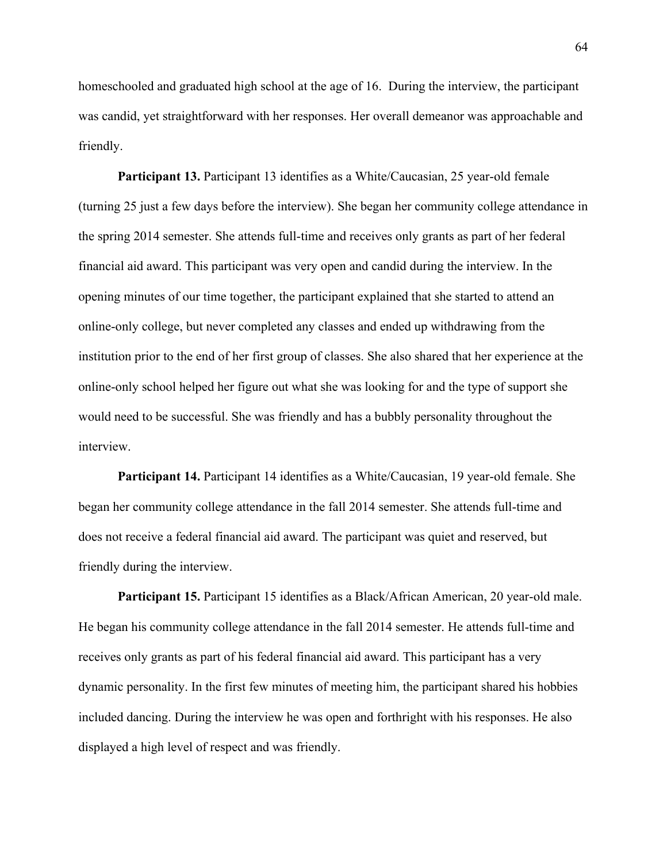homeschooled and graduated high school at the age of 16. During the interview, the participant was candid, yet straightforward with her responses. Her overall demeanor was approachable and friendly.

**Participant 13.** Participant 13 identifies as a White/Caucasian, 25 year-old female (turning 25 just a few days before the interview). She began her community college attendance in the spring 2014 semester. She attends full-time and receives only grants as part of her federal financial aid award. This participant was very open and candid during the interview. In the opening minutes of our time together, the participant explained that she started to attend an online-only college, but never completed any classes and ended up withdrawing from the institution prior to the end of her first group of classes. She also shared that her experience at the online-only school helped her figure out what she was looking for and the type of support she would need to be successful. She was friendly and has a bubbly personality throughout the interview.

**Participant 14.** Participant 14 identifies as a White/Caucasian, 19 year-old female. She began her community college attendance in the fall 2014 semester. She attends full-time and does not receive a federal financial aid award. The participant was quiet and reserved, but friendly during the interview.

**Participant 15.** Participant 15 identifies as a Black/African American, 20 year-old male. He began his community college attendance in the fall 2014 semester. He attends full-time and receives only grants as part of his federal financial aid award. This participant has a very dynamic personality. In the first few minutes of meeting him, the participant shared his hobbies included dancing. During the interview he was open and forthright with his responses. He also displayed a high level of respect and was friendly.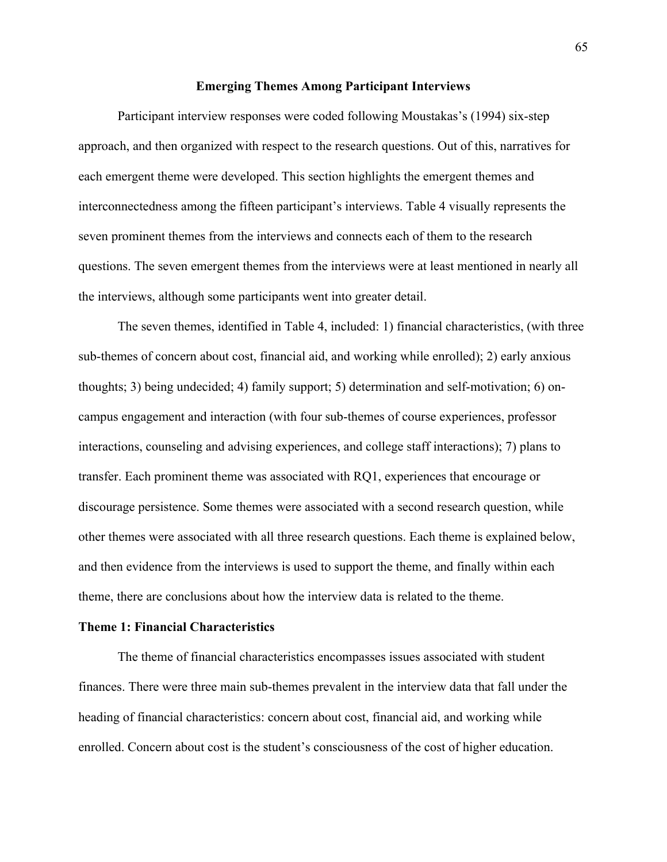### **Emerging Themes Among Participant Interviews**

Participant interview responses were coded following Moustakas's (1994) six-step approach, and then organized with respect to the research questions. Out of this, narratives for each emergent theme were developed. This section highlights the emergent themes and interconnectedness among the fifteen participant's interviews. Table 4 visually represents the seven prominent themes from the interviews and connects each of them to the research questions. The seven emergent themes from the interviews were at least mentioned in nearly all the interviews, although some participants went into greater detail.

The seven themes, identified in Table 4, included: 1) financial characteristics, (with three sub-themes of concern about cost, financial aid, and working while enrolled); 2) early anxious thoughts; 3) being undecided; 4) family support; 5) determination and self-motivation; 6) oncampus engagement and interaction (with four sub-themes of course experiences, professor interactions, counseling and advising experiences, and college staff interactions); 7) plans to transfer. Each prominent theme was associated with RQ1, experiences that encourage or discourage persistence. Some themes were associated with a second research question, while other themes were associated with all three research questions. Each theme is explained below, and then evidence from the interviews is used to support the theme, and finally within each theme, there are conclusions about how the interview data is related to the theme.

### **Theme 1: Financial Characteristics**

The theme of financial characteristics encompasses issues associated with student finances. There were three main sub-themes prevalent in the interview data that fall under the heading of financial characteristics: concern about cost, financial aid, and working while enrolled. Concern about cost is the student's consciousness of the cost of higher education.

65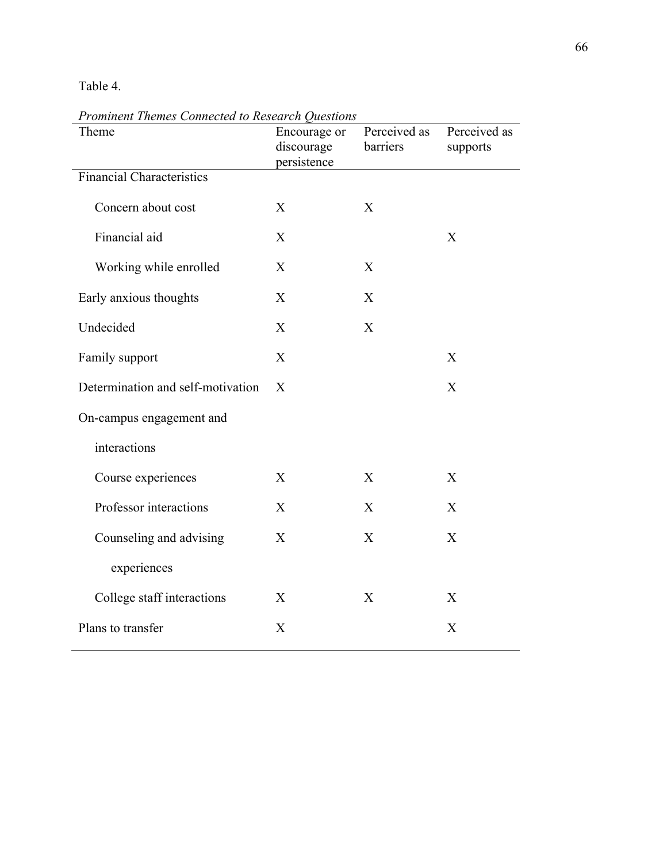# Table 4.

| Theme                             | Encourage or<br>discourage<br>persistence | Perceived as<br>barriers | Perceived as<br>supports |
|-----------------------------------|-------------------------------------------|--------------------------|--------------------------|
| <b>Financial Characteristics</b>  |                                           |                          |                          |
| Concern about cost                | X                                         | X                        |                          |
| Financial aid                     | X                                         |                          | X                        |
| Working while enrolled            | X                                         | X                        |                          |
| Early anxious thoughts            | X                                         | X                        |                          |
| Undecided                         | X                                         | X                        |                          |
| Family support                    | X                                         |                          | X                        |
| Determination and self-motivation | $\mathbf{X}$                              |                          | X                        |
| On-campus engagement and          |                                           |                          |                          |
| interactions                      |                                           |                          |                          |
| Course experiences                | X                                         | X                        | X                        |
| Professor interactions            | X                                         | X                        | X                        |
| Counseling and advising           | X                                         | X                        | X                        |
| experiences                       |                                           |                          |                          |
| College staff interactions        | X                                         | X                        | X                        |
| Plans to transfer                 | X                                         |                          | X                        |

*Prominent Themes Connected to Research Questions*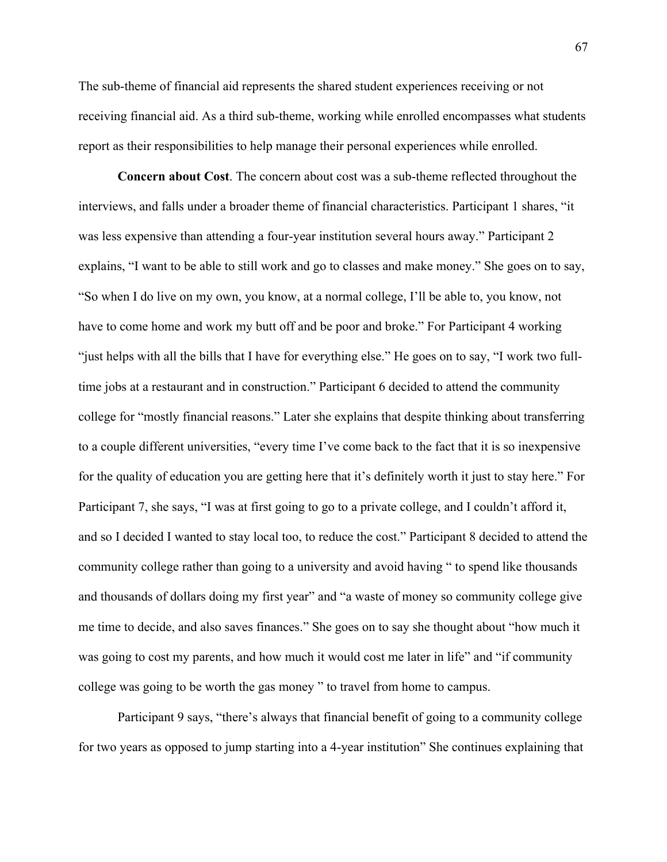The sub-theme of financial aid represents the shared student experiences receiving or not receiving financial aid. As a third sub-theme, working while enrolled encompasses what students report as their responsibilities to help manage their personal experiences while enrolled.

**Concern about Cost**. The concern about cost was a sub-theme reflected throughout the interviews, and falls under a broader theme of financial characteristics. Participant 1 shares, "it was less expensive than attending a four-year institution several hours away." Participant 2 explains, "I want to be able to still work and go to classes and make money." She goes on to say, "So when I do live on my own, you know, at a normal college, I'll be able to, you know, not have to come home and work my butt off and be poor and broke." For Participant 4 working "just helps with all the bills that I have for everything else." He goes on to say, "I work two fulltime jobs at a restaurant and in construction." Participant 6 decided to attend the community college for "mostly financial reasons." Later she explains that despite thinking about transferring to a couple different universities, "every time I've come back to the fact that it is so inexpensive for the quality of education you are getting here that it's definitely worth it just to stay here." For Participant 7, she says, "I was at first going to go to a private college, and I couldn't afford it, and so I decided I wanted to stay local too, to reduce the cost." Participant 8 decided to attend the community college rather than going to a university and avoid having " to spend like thousands and thousands of dollars doing my first year" and "a waste of money so community college give me time to decide, and also saves finances." She goes on to say she thought about "how much it was going to cost my parents, and how much it would cost me later in life" and "if community college was going to be worth the gas money " to travel from home to campus.

Participant 9 says, "there's always that financial benefit of going to a community college for two years as opposed to jump starting into a 4-year institution" She continues explaining that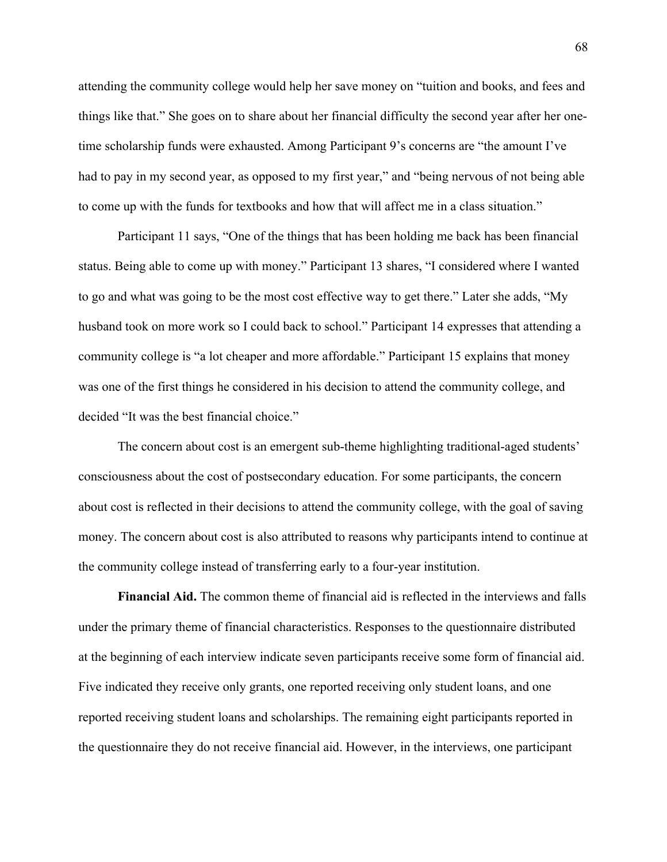attending the community college would help her save money on "tuition and books, and fees and things like that." She goes on to share about her financial difficulty the second year after her onetime scholarship funds were exhausted. Among Participant 9's concerns are "the amount I've had to pay in my second year, as opposed to my first year," and "being nervous of not being able to come up with the funds for textbooks and how that will affect me in a class situation."

Participant 11 says, "One of the things that has been holding me back has been financial status. Being able to come up with money." Participant 13 shares, "I considered where I wanted to go and what was going to be the most cost effective way to get there." Later she adds, "My husband took on more work so I could back to school." Participant 14 expresses that attending a community college is "a lot cheaper and more affordable." Participant 15 explains that money was one of the first things he considered in his decision to attend the community college, and decided "It was the best financial choice."

The concern about cost is an emergent sub-theme highlighting traditional-aged students' consciousness about the cost of postsecondary education. For some participants, the concern about cost is reflected in their decisions to attend the community college, with the goal of saving money. The concern about cost is also attributed to reasons why participants intend to continue at the community college instead of transferring early to a four-year institution.

**Financial Aid.** The common theme of financial aid is reflected in the interviews and falls under the primary theme of financial characteristics. Responses to the questionnaire distributed at the beginning of each interview indicate seven participants receive some form of financial aid. Five indicated they receive only grants, one reported receiving only student loans, and one reported receiving student loans and scholarships. The remaining eight participants reported in the questionnaire they do not receive financial aid. However, in the interviews, one participant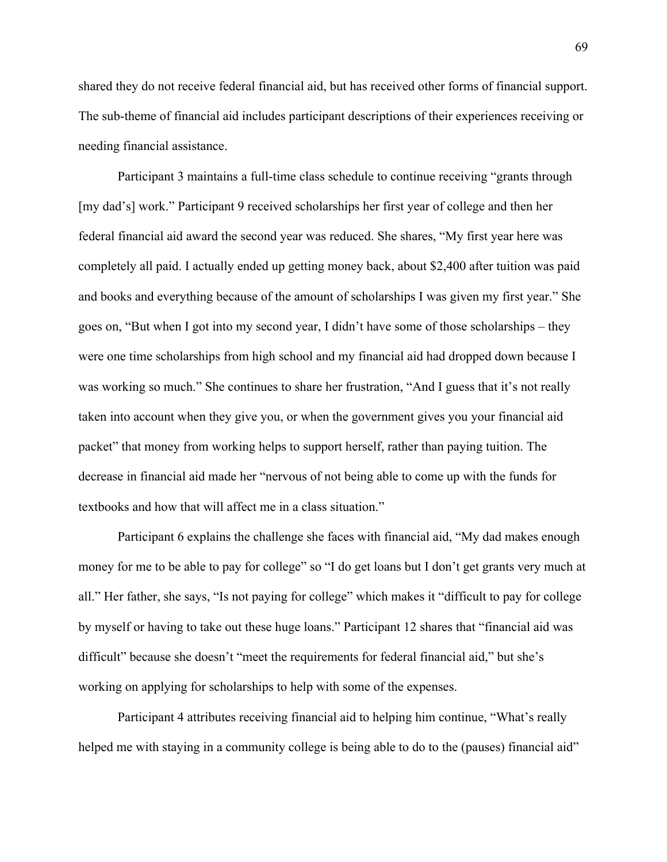shared they do not receive federal financial aid, but has received other forms of financial support. The sub-theme of financial aid includes participant descriptions of their experiences receiving or needing financial assistance.

Participant 3 maintains a full-time class schedule to continue receiving "grants through [my dad's] work." Participant 9 received scholarships her first year of college and then her federal financial aid award the second year was reduced. She shares, "My first year here was completely all paid. I actually ended up getting money back, about \$2,400 after tuition was paid and books and everything because of the amount of scholarships I was given my first year." She goes on, "But when I got into my second year, I didn't have some of those scholarships – they were one time scholarships from high school and my financial aid had dropped down because I was working so much." She continues to share her frustration, "And I guess that it's not really taken into account when they give you, or when the government gives you your financial aid packet" that money from working helps to support herself, rather than paying tuition. The decrease in financial aid made her "nervous of not being able to come up with the funds for textbooks and how that will affect me in a class situation."

Participant 6 explains the challenge she faces with financial aid, "My dad makes enough money for me to be able to pay for college" so "I do get loans but I don't get grants very much at all." Her father, she says, "Is not paying for college" which makes it "difficult to pay for college by myself or having to take out these huge loans." Participant 12 shares that "financial aid was difficult" because she doesn't "meet the requirements for federal financial aid," but she's working on applying for scholarships to help with some of the expenses.

Participant 4 attributes receiving financial aid to helping him continue, "What's really helped me with staying in a community college is being able to do to the (pauses) financial aid"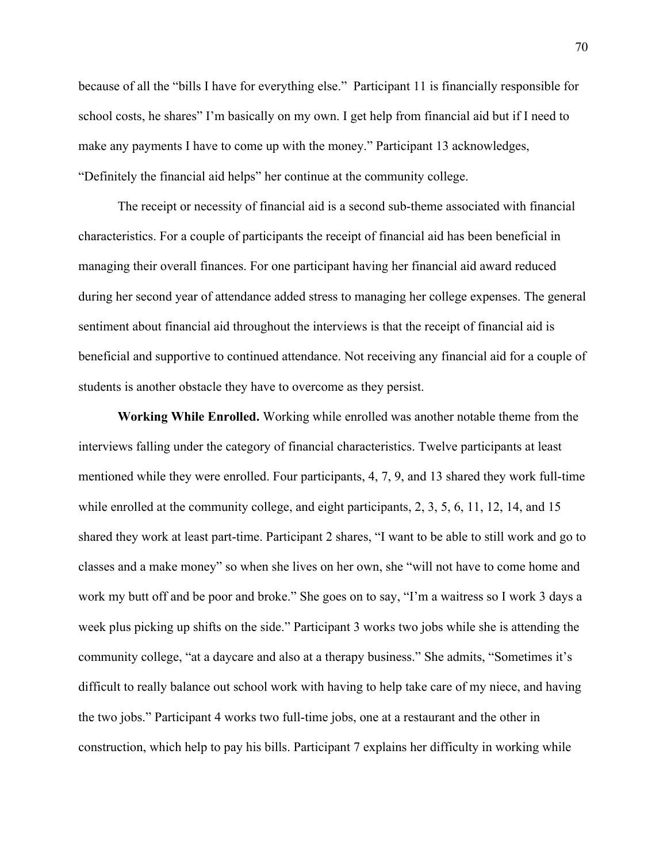because of all the "bills I have for everything else." Participant 11 is financially responsible for school costs, he shares" I'm basically on my own. I get help from financial aid but if I need to make any payments I have to come up with the money." Participant 13 acknowledges, "Definitely the financial aid helps" her continue at the community college.

The receipt or necessity of financial aid is a second sub-theme associated with financial characteristics. For a couple of participants the receipt of financial aid has been beneficial in managing their overall finances. For one participant having her financial aid award reduced during her second year of attendance added stress to managing her college expenses. The general sentiment about financial aid throughout the interviews is that the receipt of financial aid is beneficial and supportive to continued attendance. Not receiving any financial aid for a couple of students is another obstacle they have to overcome as they persist.

**Working While Enrolled.** Working while enrolled was another notable theme from the interviews falling under the category of financial characteristics. Twelve participants at least mentioned while they were enrolled. Four participants, 4, 7, 9, and 13 shared they work full-time while enrolled at the community college, and eight participants, 2, 3, 5, 6, 11, 12, 14, and 15 shared they work at least part-time. Participant 2 shares, "I want to be able to still work and go to classes and a make money" so when she lives on her own, she "will not have to come home and work my butt off and be poor and broke." She goes on to say, "I'm a waitress so I work 3 days a week plus picking up shifts on the side." Participant 3 works two jobs while she is attending the community college, "at a daycare and also at a therapy business." She admits, "Sometimes it's difficult to really balance out school work with having to help take care of my niece, and having the two jobs." Participant 4 works two full-time jobs, one at a restaurant and the other in construction, which help to pay his bills. Participant 7 explains her difficulty in working while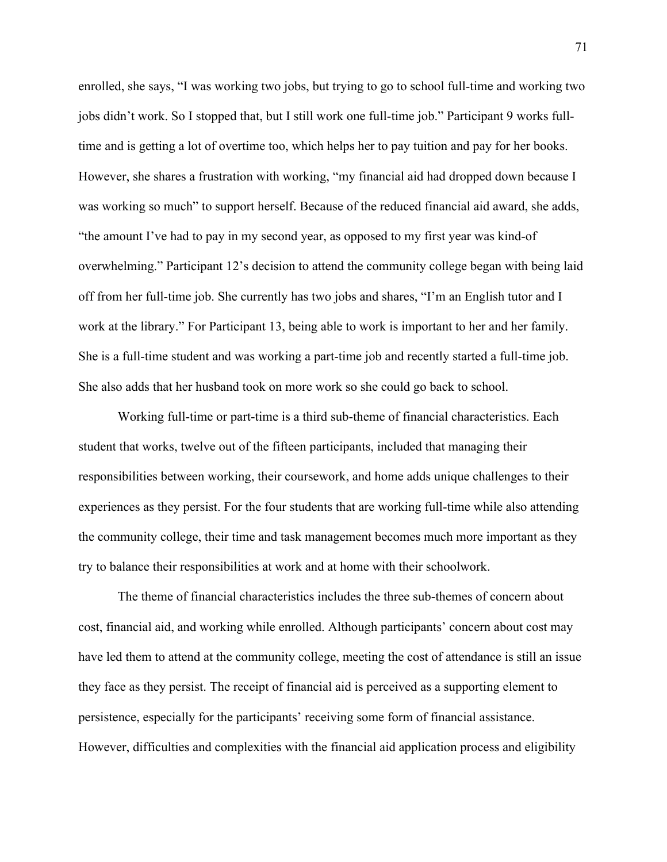enrolled, she says, "I was working two jobs, but trying to go to school full-time and working two jobs didn't work. So I stopped that, but I still work one full-time job." Participant 9 works fulltime and is getting a lot of overtime too, which helps her to pay tuition and pay for her books. However, she shares a frustration with working, "my financial aid had dropped down because I was working so much" to support herself. Because of the reduced financial aid award, she adds, "the amount I've had to pay in my second year, as opposed to my first year was kind-of overwhelming." Participant 12's decision to attend the community college began with being laid off from her full-time job. She currently has two jobs and shares, "I'm an English tutor and I work at the library." For Participant 13, being able to work is important to her and her family. She is a full-time student and was working a part-time job and recently started a full-time job. She also adds that her husband took on more work so she could go back to school.

Working full-time or part-time is a third sub-theme of financial characteristics. Each student that works, twelve out of the fifteen participants, included that managing their responsibilities between working, their coursework, and home adds unique challenges to their experiences as they persist. For the four students that are working full-time while also attending the community college, their time and task management becomes much more important as they try to balance their responsibilities at work and at home with their schoolwork.

The theme of financial characteristics includes the three sub-themes of concern about cost, financial aid, and working while enrolled. Although participants' concern about cost may have led them to attend at the community college, meeting the cost of attendance is still an issue they face as they persist. The receipt of financial aid is perceived as a supporting element to persistence, especially for the participants' receiving some form of financial assistance. However, difficulties and complexities with the financial aid application process and eligibility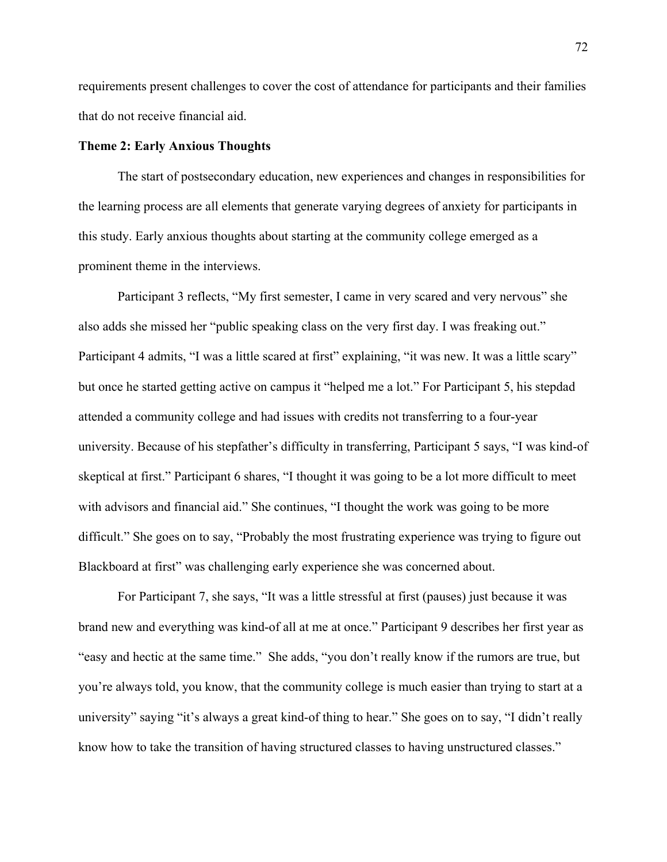requirements present challenges to cover the cost of attendance for participants and their families that do not receive financial aid.

## **Theme 2: Early Anxious Thoughts**

The start of postsecondary education, new experiences and changes in responsibilities for the learning process are all elements that generate varying degrees of anxiety for participants in this study. Early anxious thoughts about starting at the community college emerged as a prominent theme in the interviews.

Participant 3 reflects, "My first semester, I came in very scared and very nervous" she also adds she missed her "public speaking class on the very first day. I was freaking out." Participant 4 admits, "I was a little scared at first" explaining, "it was new. It was a little scary" but once he started getting active on campus it "helped me a lot." For Participant 5, his stepdad attended a community college and had issues with credits not transferring to a four-year university. Because of his stepfather's difficulty in transferring, Participant 5 says, "I was kind-of skeptical at first." Participant 6 shares, "I thought it was going to be a lot more difficult to meet with advisors and financial aid." She continues, "I thought the work was going to be more difficult." She goes on to say, "Probably the most frustrating experience was trying to figure out Blackboard at first" was challenging early experience she was concerned about.

For Participant 7, she says, "It was a little stressful at first (pauses) just because it was brand new and everything was kind-of all at me at once." Participant 9 describes her first year as "easy and hectic at the same time." She adds, "you don't really know if the rumors are true, but you're always told, you know, that the community college is much easier than trying to start at a university" saying "it's always a great kind-of thing to hear." She goes on to say, "I didn't really know how to take the transition of having structured classes to having unstructured classes."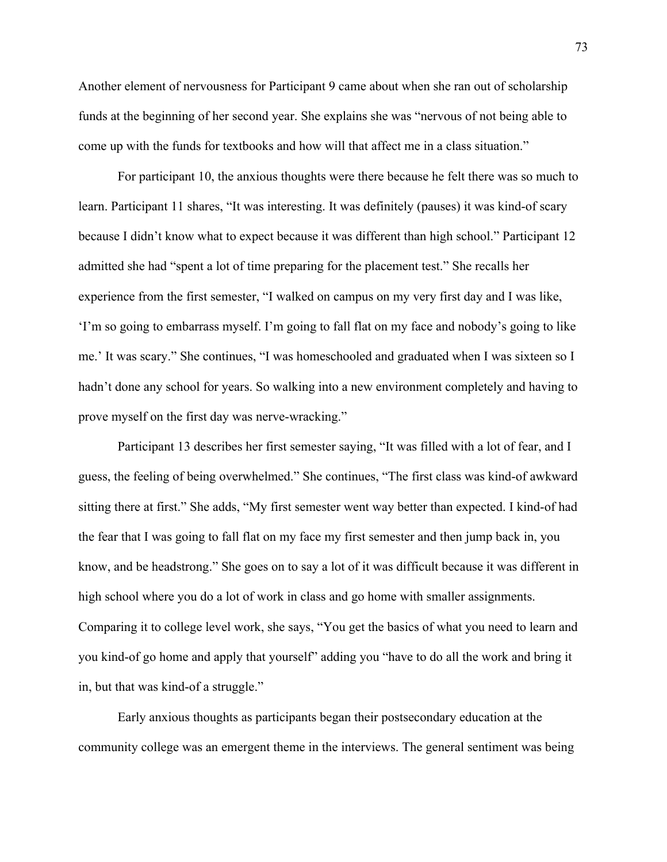Another element of nervousness for Participant 9 came about when she ran out of scholarship funds at the beginning of her second year. She explains she was "nervous of not being able to come up with the funds for textbooks and how will that affect me in a class situation."

For participant 10, the anxious thoughts were there because he felt there was so much to learn. Participant 11 shares, "It was interesting. It was definitely (pauses) it was kind-of scary because I didn't know what to expect because it was different than high school." Participant 12 admitted she had "spent a lot of time preparing for the placement test." She recalls her experience from the first semester, "I walked on campus on my very first day and I was like, 'I'm so going to embarrass myself. I'm going to fall flat on my face and nobody's going to like me.' It was scary." She continues, "I was homeschooled and graduated when I was sixteen so I hadn't done any school for years. So walking into a new environment completely and having to prove myself on the first day was nerve-wracking."

Participant 13 describes her first semester saying, "It was filled with a lot of fear, and I guess, the feeling of being overwhelmed." She continues, "The first class was kind-of awkward sitting there at first." She adds, "My first semester went way better than expected. I kind-of had the fear that I was going to fall flat on my face my first semester and then jump back in, you know, and be headstrong." She goes on to say a lot of it was difficult because it was different in high school where you do a lot of work in class and go home with smaller assignments. Comparing it to college level work, she says, "You get the basics of what you need to learn and you kind-of go home and apply that yourself" adding you "have to do all the work and bring it in, but that was kind-of a struggle."

Early anxious thoughts as participants began their postsecondary education at the community college was an emergent theme in the interviews. The general sentiment was being

73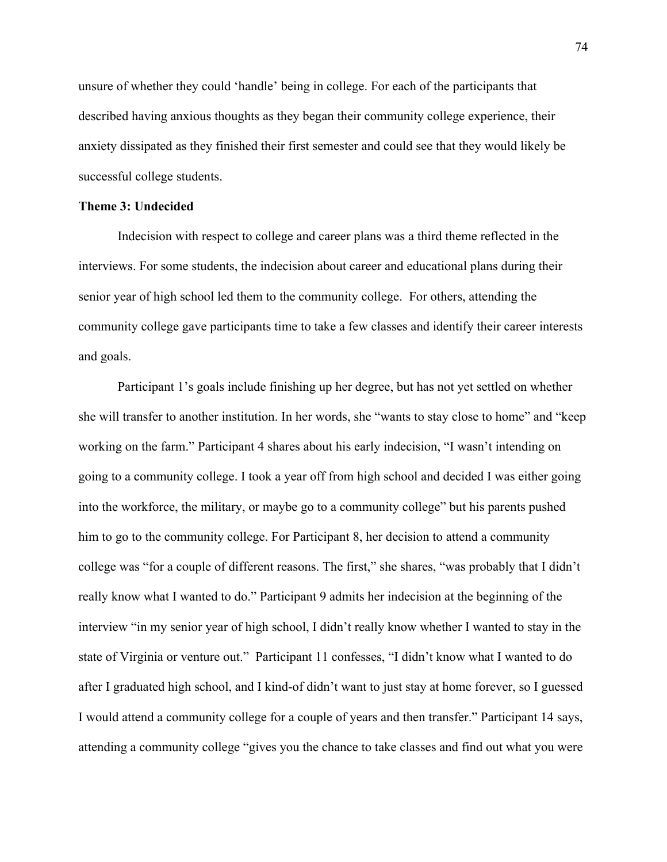unsure of whether they could 'handle' being in college. For each of the participants that described having anxious thoughts as they began their community college experience, their anxiety dissipated as they finished their first semester and could see that they would likely be successful college students.

### **Theme 3: Undecided**

Indecision with respect to college and career plans was a third theme reflected in the interviews. For some students, the indecision about career and educational plans during their senior year of high school led them to the community college. For others, attending the community college gave participants time to take a few classes and identify their career interests and goals.

Participant 1's goals include finishing up her degree, but has not yet settled on whether she will transfer to another institution. In her words, she "wants to stay close to home" and "keep working on the farm." Participant 4 shares about his early indecision, "I wasn't intending on going to a community college. I took a year off from high school and decided I was either going into the workforce, the military, or maybe go to a community college" but his parents pushed him to go to the community college. For Participant 8, her decision to attend a community college was "for a couple of different reasons. The first," she shares, "was probably that I didn't really know what I wanted to do." Participant 9 admits her indecision at the beginning of the interview "in my senior year of high school, I didn't really know whether I wanted to stay in the state of Virginia or venture out." Participant 11 confesses, "I didn't know what I wanted to do after I graduated high school, and I kind-of didn't want to just stay at home forever, so I guessed I would attend a community college for a couple of years and then transfer." Participant 14 says, attending a community college "gives you the chance to take classes and find out what you were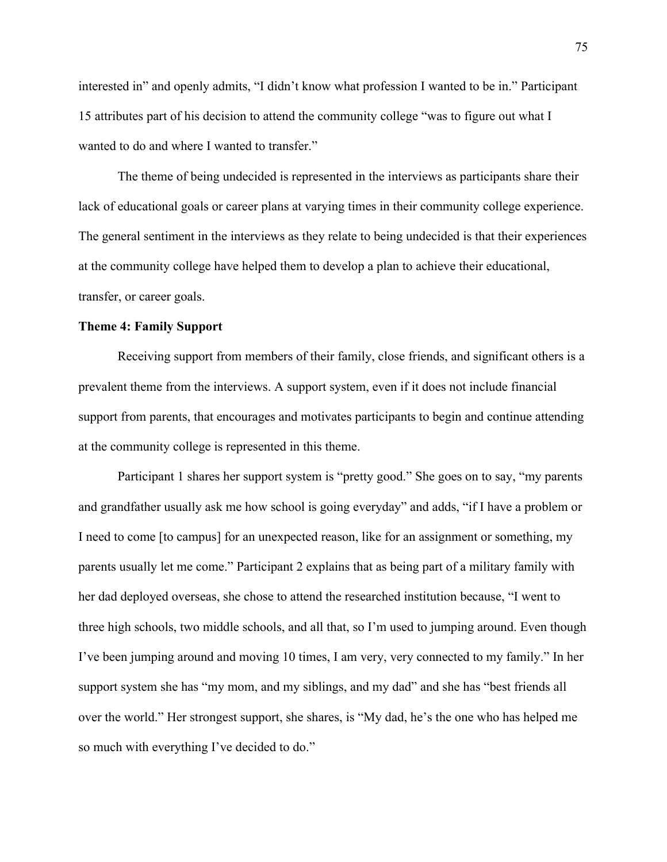interested in" and openly admits, "I didn't know what profession I wanted to be in." Participant 15 attributes part of his decision to attend the community college "was to figure out what I wanted to do and where I wanted to transfer."

The theme of being undecided is represented in the interviews as participants share their lack of educational goals or career plans at varying times in their community college experience. The general sentiment in the interviews as they relate to being undecided is that their experiences at the community college have helped them to develop a plan to achieve their educational, transfer, or career goals.

# **Theme 4: Family Support**

Receiving support from members of their family, close friends, and significant others is a prevalent theme from the interviews. A support system, even if it does not include financial support from parents, that encourages and motivates participants to begin and continue attending at the community college is represented in this theme.

Participant 1 shares her support system is "pretty good." She goes on to say, "my parents and grandfather usually ask me how school is going everyday" and adds, "if I have a problem or I need to come [to campus] for an unexpected reason, like for an assignment or something, my parents usually let me come." Participant 2 explains that as being part of a military family with her dad deployed overseas, she chose to attend the researched institution because, "I went to three high schools, two middle schools, and all that, so I'm used to jumping around. Even though I've been jumping around and moving 10 times, I am very, very connected to my family." In her support system she has "my mom, and my siblings, and my dad" and she has "best friends all over the world." Her strongest support, she shares, is "My dad, he's the one who has helped me so much with everything I've decided to do."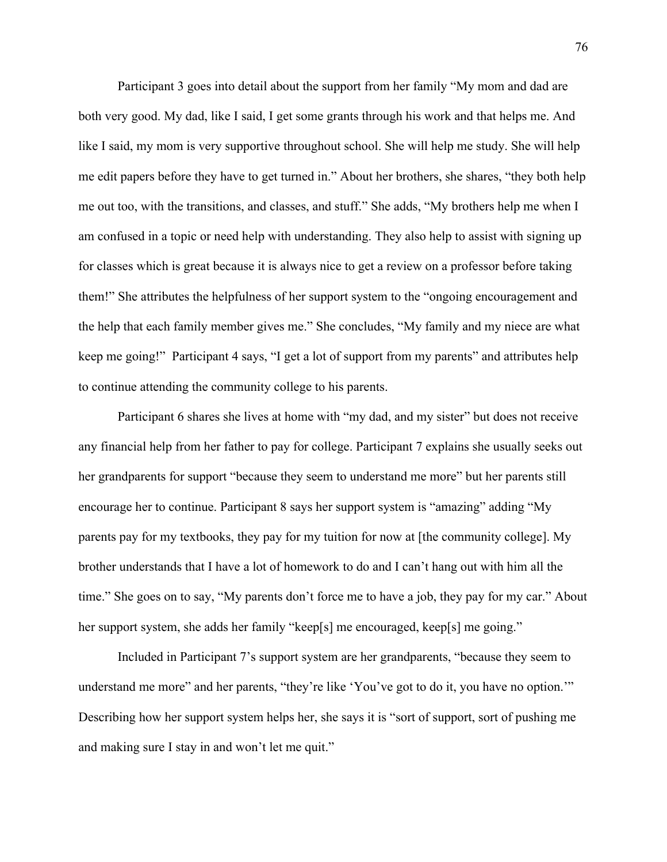Participant 3 goes into detail about the support from her family "My mom and dad are both very good. My dad, like I said, I get some grants through his work and that helps me. And like I said, my mom is very supportive throughout school. She will help me study. She will help me edit papers before they have to get turned in." About her brothers, she shares, "they both help me out too, with the transitions, and classes, and stuff." She adds, "My brothers help me when I am confused in a topic or need help with understanding. They also help to assist with signing up for classes which is great because it is always nice to get a review on a professor before taking them!" She attributes the helpfulness of her support system to the "ongoing encouragement and the help that each family member gives me." She concludes, "My family and my niece are what keep me going!" Participant 4 says, "I get a lot of support from my parents" and attributes help to continue attending the community college to his parents.

Participant 6 shares she lives at home with "my dad, and my sister" but does not receive any financial help from her father to pay for college. Participant 7 explains she usually seeks out her grandparents for support "because they seem to understand me more" but her parents still encourage her to continue. Participant 8 says her support system is "amazing" adding "My parents pay for my textbooks, they pay for my tuition for now at [the community college]. My brother understands that I have a lot of homework to do and I can't hang out with him all the time." She goes on to say, "My parents don't force me to have a job, they pay for my car." About her support system, she adds her family "keep[s] me encouraged, keep[s] me going."

Included in Participant 7's support system are her grandparents, "because they seem to understand me more" and her parents, "they're like 'You've got to do it, you have no option.'" Describing how her support system helps her, she says it is "sort of support, sort of pushing me and making sure I stay in and won't let me quit."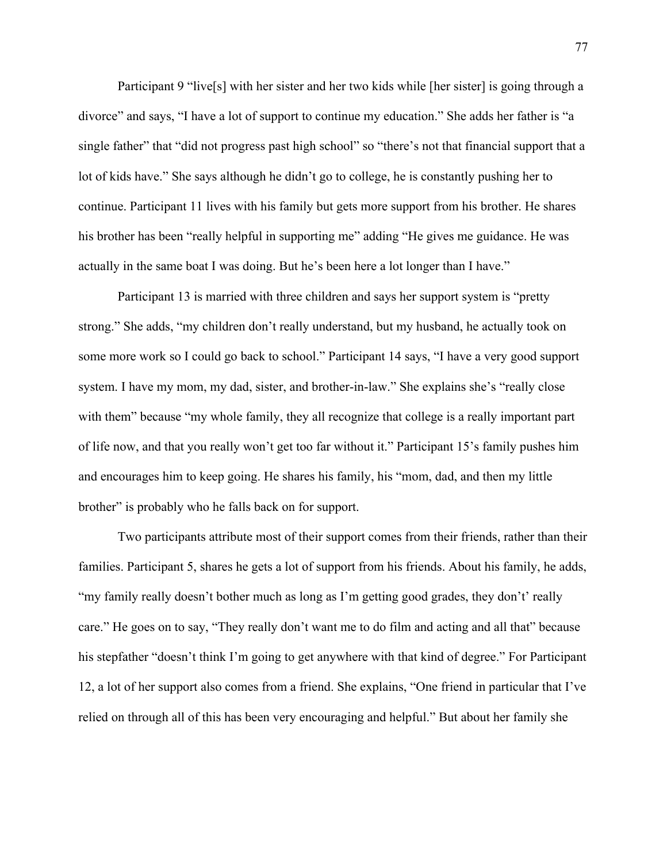Participant 9 "live[s] with her sister and her two kids while [her sister] is going through a divorce" and says, "I have a lot of support to continue my education." She adds her father is "a single father" that "did not progress past high school" so "there's not that financial support that a lot of kids have." She says although he didn't go to college, he is constantly pushing her to continue. Participant 11 lives with his family but gets more support from his brother. He shares his brother has been "really helpful in supporting me" adding "He gives me guidance. He was actually in the same boat I was doing. But he's been here a lot longer than I have."

Participant 13 is married with three children and says her support system is "pretty strong." She adds, "my children don't really understand, but my husband, he actually took on some more work so I could go back to school." Participant 14 says, "I have a very good support system. I have my mom, my dad, sister, and brother-in-law." She explains she's "really close with them" because "my whole family, they all recognize that college is a really important part of life now, and that you really won't get too far without it." Participant 15's family pushes him and encourages him to keep going. He shares his family, his "mom, dad, and then my little brother" is probably who he falls back on for support.

Two participants attribute most of their support comes from their friends, rather than their families. Participant 5, shares he gets a lot of support from his friends. About his family, he adds, "my family really doesn't bother much as long as I'm getting good grades, they don't' really care." He goes on to say, "They really don't want me to do film and acting and all that" because his stepfather "doesn't think I'm going to get anywhere with that kind of degree." For Participant 12, a lot of her support also comes from a friend. She explains, "One friend in particular that I've relied on through all of this has been very encouraging and helpful." But about her family she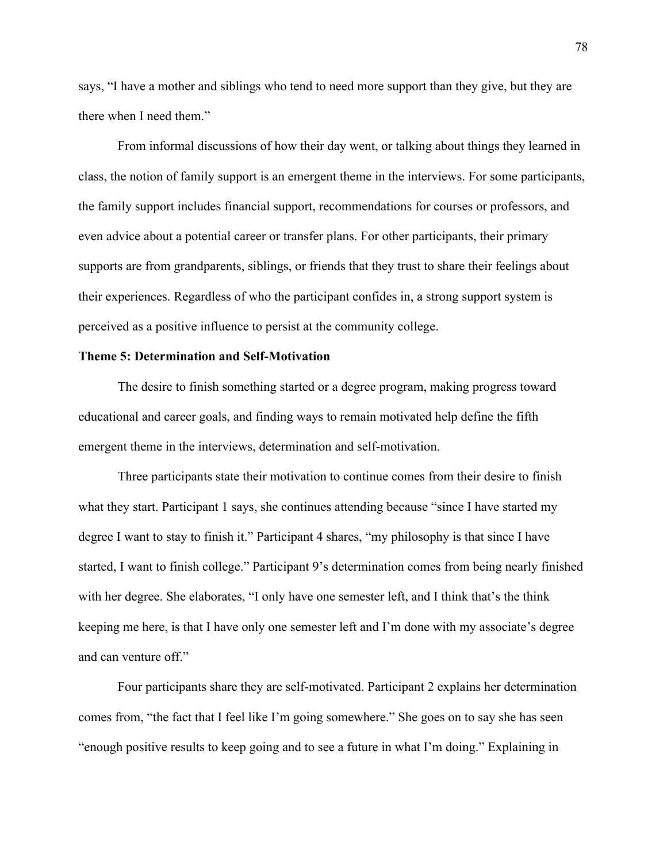says, "I have a mother and siblings who tend to need more support than they give, but they are there when I need them."

From informal discussions of how their day went, or talking about things they learned in class, the notion of family support is an emergent theme in the interviews. For some participants, the family support includes financial support, recommendations for courses or professors, and even advice about a potential career or transfer plans. For other participants, their primary supports are from grandparents, siblings, or friends that they trust to share their feelings about their experiences. Regardless of who the participant confides in, a strong support system is perceived as a positive influence to persist at the community college.

# **Theme 5: Determination and Self-Motivation**

The desire to finish something started or a degree program, making progress toward educational and career goals, and finding ways to remain motivated help define the fifth emergent theme in the interviews, determination and self-motivation.

Three participants state their motivation to continue comes from their desire to finish what they start. Participant 1 says, she continues attending because "since I have started my degree I want to stay to finish it." Participant 4 shares, "my philosophy is that since I have started, I want to finish college." Participant 9's determination comes from being nearly finished with her degree. She elaborates, "I only have one semester left, and I think that's the think keeping me here, is that I have only one semester left and I'm done with my associate's degree and can venture off."

Four participants share they are self-motivated. Participant 2 explains her determination comes from, "the fact that I feel like I'm going somewhere." She goes on to say she has seen "enough positive results to keep going and to see a future in what I'm doing." Explaining in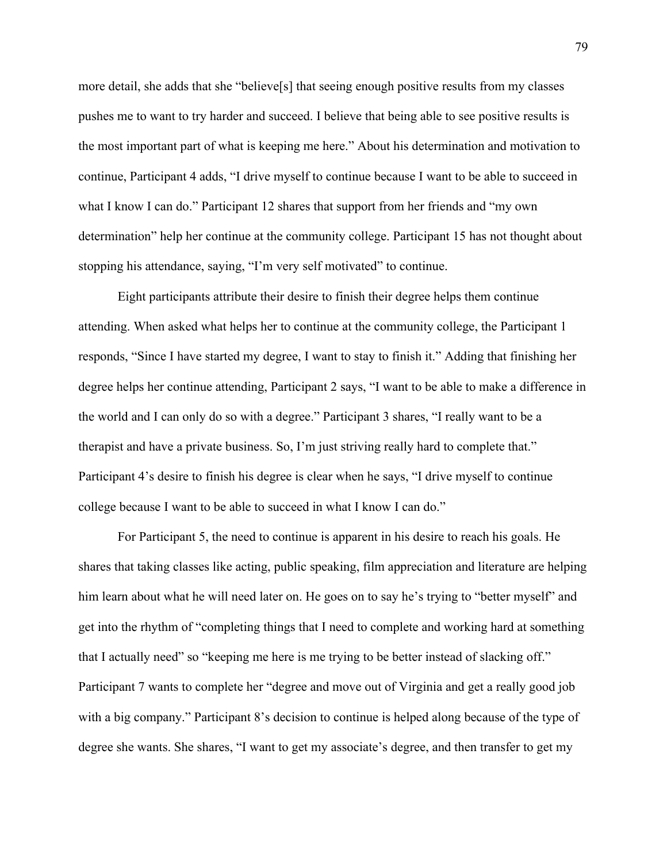more detail, she adds that she "believe[s] that seeing enough positive results from my classes pushes me to want to try harder and succeed. I believe that being able to see positive results is the most important part of what is keeping me here." About his determination and motivation to continue, Participant 4 adds, "I drive myself to continue because I want to be able to succeed in what I know I can do." Participant 12 shares that support from her friends and "my own determination" help her continue at the community college. Participant 15 has not thought about stopping his attendance, saying, "I'm very self motivated" to continue.

Eight participants attribute their desire to finish their degree helps them continue attending. When asked what helps her to continue at the community college, the Participant 1 responds, "Since I have started my degree, I want to stay to finish it." Adding that finishing her degree helps her continue attending, Participant 2 says, "I want to be able to make a difference in the world and I can only do so with a degree." Participant 3 shares, "I really want to be a therapist and have a private business. So, I'm just striving really hard to complete that." Participant 4's desire to finish his degree is clear when he says, "I drive myself to continue college because I want to be able to succeed in what I know I can do."

For Participant 5, the need to continue is apparent in his desire to reach his goals. He shares that taking classes like acting, public speaking, film appreciation and literature are helping him learn about what he will need later on. He goes on to say he's trying to "better myself" and get into the rhythm of "completing things that I need to complete and working hard at something that I actually need" so "keeping me here is me trying to be better instead of slacking off." Participant 7 wants to complete her "degree and move out of Virginia and get a really good job with a big company." Participant 8's decision to continue is helped along because of the type of degree she wants. She shares, "I want to get my associate's degree, and then transfer to get my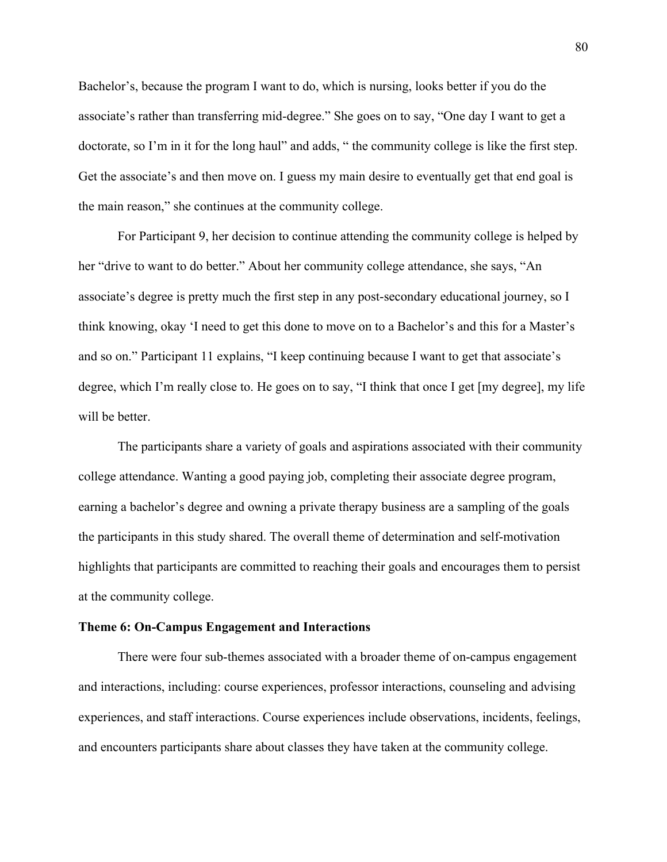Bachelor's, because the program I want to do, which is nursing, looks better if you do the associate's rather than transferring mid-degree." She goes on to say, "One day I want to get a doctorate, so I'm in it for the long haul" and adds, " the community college is like the first step. Get the associate's and then move on. I guess my main desire to eventually get that end goal is the main reason," she continues at the community college.

For Participant 9, her decision to continue attending the community college is helped by her "drive to want to do better." About her community college attendance, she says, "An associate's degree is pretty much the first step in any post-secondary educational journey, so I think knowing, okay 'I need to get this done to move on to a Bachelor's and this for a Master's and so on." Participant 11 explains, "I keep continuing because I want to get that associate's degree, which I'm really close to. He goes on to say, "I think that once I get [my degree], my life will be better.

The participants share a variety of goals and aspirations associated with their community college attendance. Wanting a good paying job, completing their associate degree program, earning a bachelor's degree and owning a private therapy business are a sampling of the goals the participants in this study shared. The overall theme of determination and self-motivation highlights that participants are committed to reaching their goals and encourages them to persist at the community college.

#### **Theme 6: On-Campus Engagement and Interactions**

There were four sub-themes associated with a broader theme of on-campus engagement and interactions, including: course experiences, professor interactions, counseling and advising experiences, and staff interactions. Course experiences include observations, incidents, feelings, and encounters participants share about classes they have taken at the community college.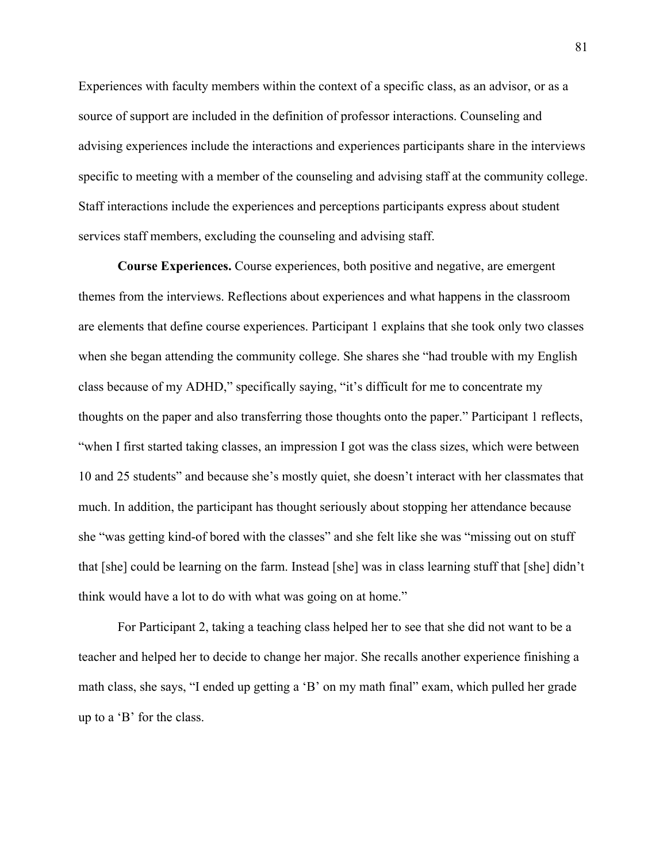Experiences with faculty members within the context of a specific class, as an advisor, or as a source of support are included in the definition of professor interactions. Counseling and advising experiences include the interactions and experiences participants share in the interviews specific to meeting with a member of the counseling and advising staff at the community college. Staff interactions include the experiences and perceptions participants express about student services staff members, excluding the counseling and advising staff.

**Course Experiences.** Course experiences, both positive and negative, are emergent themes from the interviews. Reflections about experiences and what happens in the classroom are elements that define course experiences. Participant 1 explains that she took only two classes when she began attending the community college. She shares she "had trouble with my English class because of my ADHD," specifically saying, "it's difficult for me to concentrate my thoughts on the paper and also transferring those thoughts onto the paper." Participant 1 reflects, "when I first started taking classes, an impression I got was the class sizes, which were between 10 and 25 students" and because she's mostly quiet, she doesn't interact with her classmates that much. In addition, the participant has thought seriously about stopping her attendance because she "was getting kind-of bored with the classes" and she felt like she was "missing out on stuff that [she] could be learning on the farm. Instead [she] was in class learning stuff that [she] didn't think would have a lot to do with what was going on at home."

For Participant 2, taking a teaching class helped her to see that she did not want to be a teacher and helped her to decide to change her major. She recalls another experience finishing a math class, she says, "I ended up getting a 'B' on my math final" exam, which pulled her grade up to a 'B' for the class.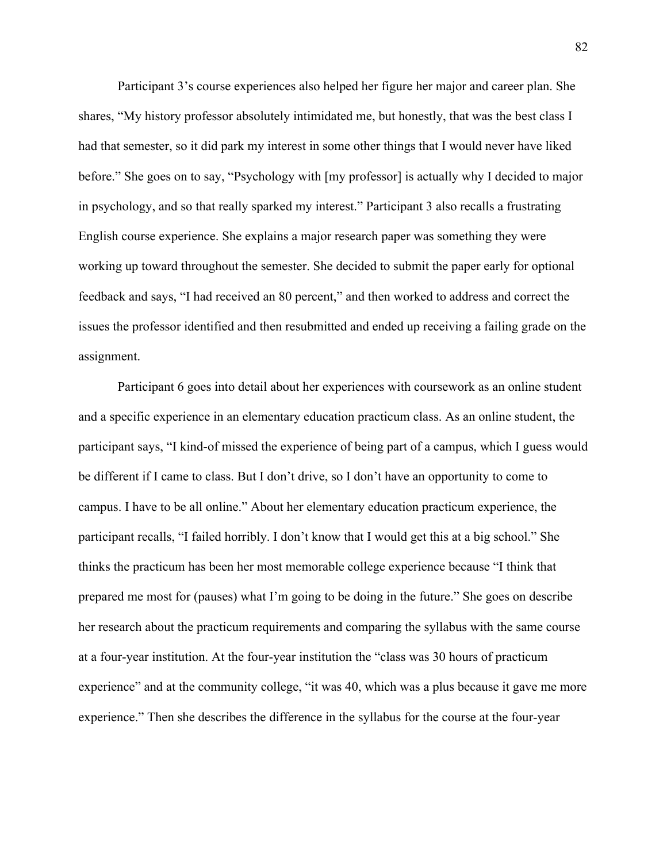Participant 3's course experiences also helped her figure her major and career plan. She shares, "My history professor absolutely intimidated me, but honestly, that was the best class I had that semester, so it did park my interest in some other things that I would never have liked before." She goes on to say, "Psychology with [my professor] is actually why I decided to major in psychology, and so that really sparked my interest." Participant 3 also recalls a frustrating English course experience. She explains a major research paper was something they were working up toward throughout the semester. She decided to submit the paper early for optional feedback and says, "I had received an 80 percent," and then worked to address and correct the issues the professor identified and then resubmitted and ended up receiving a failing grade on the assignment.

Participant 6 goes into detail about her experiences with coursework as an online student and a specific experience in an elementary education practicum class. As an online student, the participant says, "I kind-of missed the experience of being part of a campus, which I guess would be different if I came to class. But I don't drive, so I don't have an opportunity to come to campus. I have to be all online." About her elementary education practicum experience, the participant recalls, "I failed horribly. I don't know that I would get this at a big school." She thinks the practicum has been her most memorable college experience because "I think that prepared me most for (pauses) what I'm going to be doing in the future." She goes on describe her research about the practicum requirements and comparing the syllabus with the same course at a four-year institution. At the four-year institution the "class was 30 hours of practicum experience" and at the community college, "it was 40, which was a plus because it gave me more experience." Then she describes the difference in the syllabus for the course at the four-year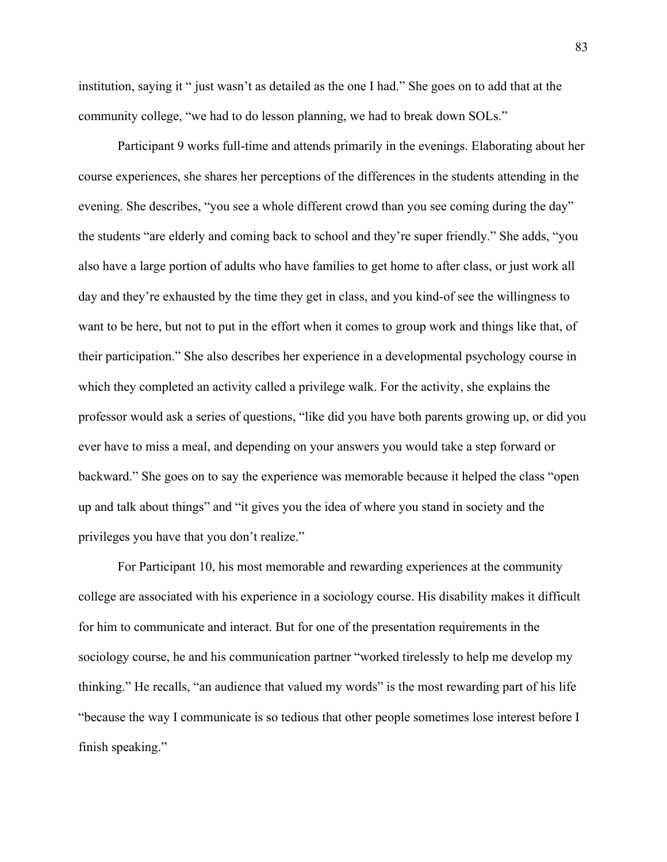institution, saying it " just wasn't as detailed as the one I had." She goes on to add that at the community college, "we had to do lesson planning, we had to break down SOLs."

Participant 9 works full-time and attends primarily in the evenings. Elaborating about her course experiences, she shares her perceptions of the differences in the students attending in the evening. She describes, "you see a whole different crowd than you see coming during the day" the students "are elderly and coming back to school and they're super friendly." She adds, "you also have a large portion of adults who have families to get home to after class, or just work all day and they're exhausted by the time they get in class, and you kind-of see the willingness to want to be here, but not to put in the effort when it comes to group work and things like that, of their participation." She also describes her experience in a developmental psychology course in which they completed an activity called a privilege walk. For the activity, she explains the professor would ask a series of questions, "like did you have both parents growing up, or did you ever have to miss a meal, and depending on your answers you would take a step forward or backward." She goes on to say the experience was memorable because it helped the class "open up and talk about things" and "it gives you the idea of where you stand in society and the privileges you have that you don't realize."

For Participant 10, his most memorable and rewarding experiences at the community college are associated with his experience in a sociology course. His disability makes it difficult for him to communicate and interact. But for one of the presentation requirements in the sociology course, he and his communication partner "worked tirelessly to help me develop my thinking." He recalls, "an audience that valued my words" is the most rewarding part of his life "because the way I communicate is so tedious that other people sometimes lose interest before I finish speaking."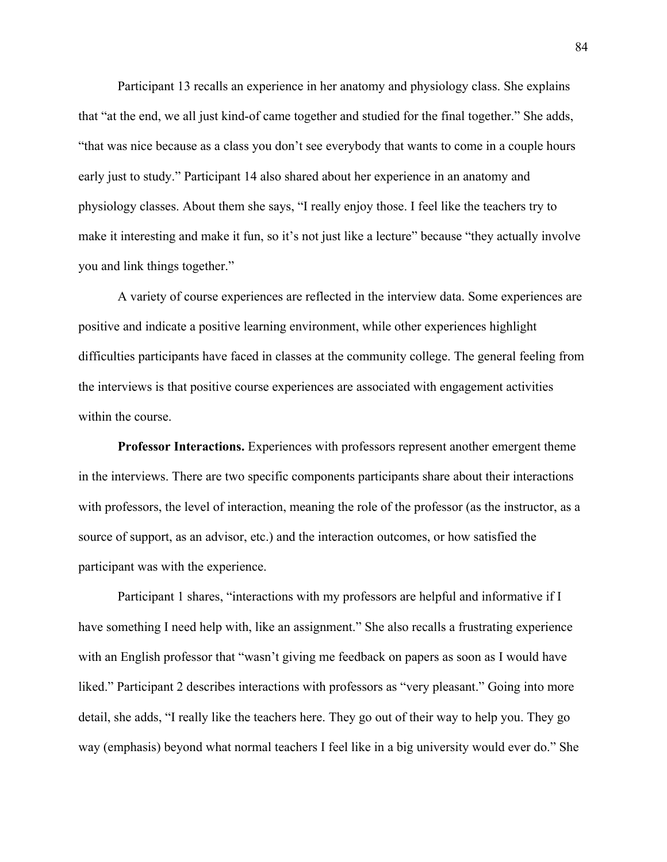Participant 13 recalls an experience in her anatomy and physiology class. She explains that "at the end, we all just kind-of came together and studied for the final together." She adds, "that was nice because as a class you don't see everybody that wants to come in a couple hours early just to study." Participant 14 also shared about her experience in an anatomy and physiology classes. About them she says, "I really enjoy those. I feel like the teachers try to make it interesting and make it fun, so it's not just like a lecture" because "they actually involve you and link things together."

A variety of course experiences are reflected in the interview data. Some experiences are positive and indicate a positive learning environment, while other experiences highlight difficulties participants have faced in classes at the community college. The general feeling from the interviews is that positive course experiences are associated with engagement activities within the course.

**Professor Interactions.** Experiences with professors represent another emergent theme in the interviews. There are two specific components participants share about their interactions with professors, the level of interaction, meaning the role of the professor (as the instructor, as a source of support, as an advisor, etc.) and the interaction outcomes, or how satisfied the participant was with the experience.

Participant 1 shares, "interactions with my professors are helpful and informative if I have something I need help with, like an assignment." She also recalls a frustrating experience with an English professor that "wasn't giving me feedback on papers as soon as I would have liked." Participant 2 describes interactions with professors as "very pleasant." Going into more detail, she adds, "I really like the teachers here. They go out of their way to help you. They go way (emphasis) beyond what normal teachers I feel like in a big university would ever do." She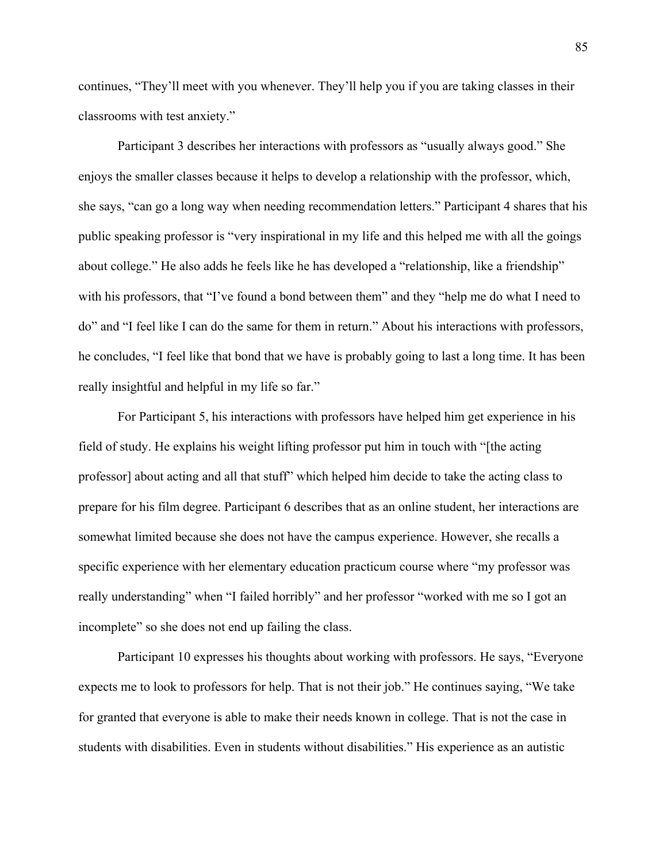continues, "They'll meet with you whenever. They'll help you if you are taking classes in their classrooms with test anxiety."

Participant 3 describes her interactions with professors as "usually always good." She enjoys the smaller classes because it helps to develop a relationship with the professor, which, she says, "can go a long way when needing recommendation letters." Participant 4 shares that his public speaking professor is "very inspirational in my life and this helped me with all the goings about college." He also adds he feels like he has developed a "relationship, like a friendship" with his professors, that "I've found a bond between them" and they "help me do what I need to do" and "I feel like I can do the same for them in return." About his interactions with professors, he concludes, "I feel like that bond that we have is probably going to last a long time. It has been really insightful and helpful in my life so far."

For Participant 5, his interactions with professors have helped him get experience in his field of study. He explains his weight lifting professor put him in touch with "[the acting professor] about acting and all that stuff" which helped him decide to take the acting class to prepare for his film degree. Participant 6 describes that as an online student, her interactions are somewhat limited because she does not have the campus experience. However, she recalls a specific experience with her elementary education practicum course where "my professor was really understanding" when "I failed horribly" and her professor "worked with me so I got an incomplete" so she does not end up failing the class.

Participant 10 expresses his thoughts about working with professors. He says, "Everyone expects me to look to professors for help. That is not their job." He continues saying, "We take for granted that everyone is able to make their needs known in college. That is not the case in students with disabilities. Even in students without disabilities." His experience as an autistic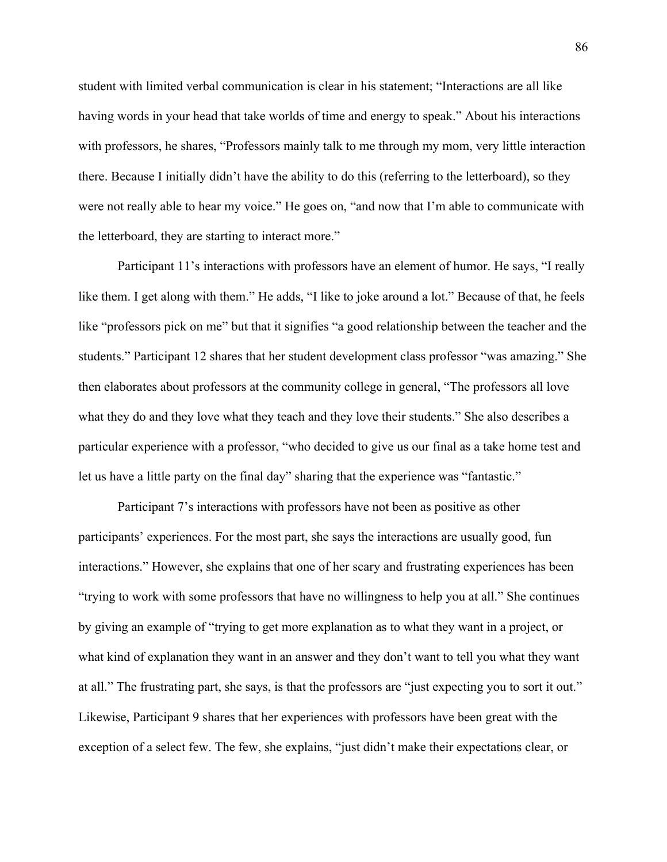student with limited verbal communication is clear in his statement; "Interactions are all like having words in your head that take worlds of time and energy to speak." About his interactions with professors, he shares, "Professors mainly talk to me through my mom, very little interaction there. Because I initially didn't have the ability to do this (referring to the letterboard), so they were not really able to hear my voice." He goes on, "and now that I'm able to communicate with the letterboard, they are starting to interact more."

Participant 11's interactions with professors have an element of humor. He says, "I really like them. I get along with them." He adds, "I like to joke around a lot." Because of that, he feels like "professors pick on me" but that it signifies "a good relationship between the teacher and the students." Participant 12 shares that her student development class professor "was amazing." She then elaborates about professors at the community college in general, "The professors all love what they do and they love what they teach and they love their students." She also describes a particular experience with a professor, "who decided to give us our final as a take home test and let us have a little party on the final day" sharing that the experience was "fantastic."

Participant 7's interactions with professors have not been as positive as other participants' experiences. For the most part, she says the interactions are usually good, fun interactions." However, she explains that one of her scary and frustrating experiences has been "trying to work with some professors that have no willingness to help you at all." She continues by giving an example of "trying to get more explanation as to what they want in a project, or what kind of explanation they want in an answer and they don't want to tell you what they want at all." The frustrating part, she says, is that the professors are "just expecting you to sort it out." Likewise, Participant 9 shares that her experiences with professors have been great with the exception of a select few. The few, she explains, "just didn't make their expectations clear, or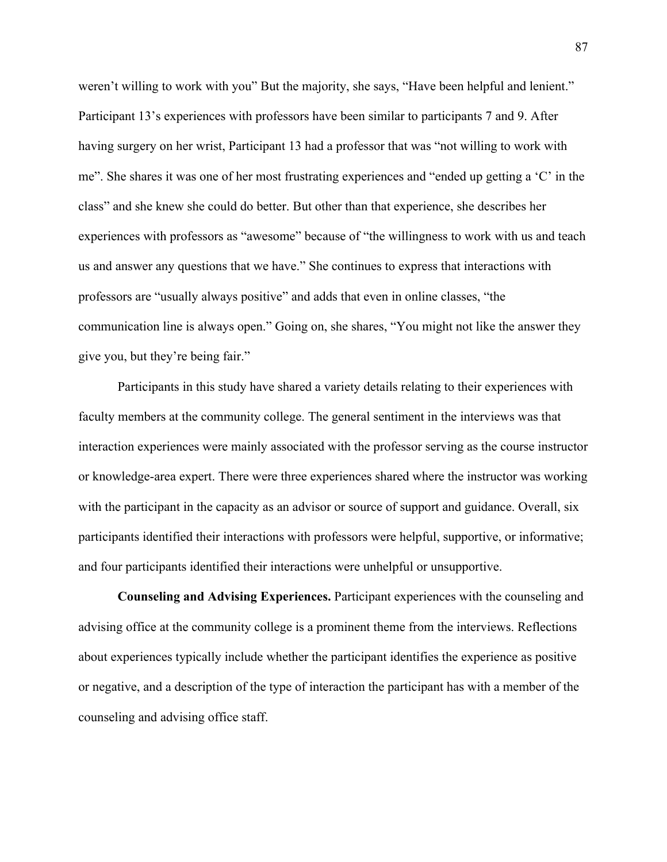weren't willing to work with you" But the majority, she says, "Have been helpful and lenient." Participant 13's experiences with professors have been similar to participants 7 and 9. After having surgery on her wrist, Participant 13 had a professor that was "not willing to work with me". She shares it was one of her most frustrating experiences and "ended up getting a 'C' in the class" and she knew she could do better. But other than that experience, she describes her experiences with professors as "awesome" because of "the willingness to work with us and teach us and answer any questions that we have." She continues to express that interactions with professors are "usually always positive" and adds that even in online classes, "the communication line is always open." Going on, she shares, "You might not like the answer they give you, but they're being fair."

Participants in this study have shared a variety details relating to their experiences with faculty members at the community college. The general sentiment in the interviews was that interaction experiences were mainly associated with the professor serving as the course instructor or knowledge-area expert. There were three experiences shared where the instructor was working with the participant in the capacity as an advisor or source of support and guidance. Overall, six participants identified their interactions with professors were helpful, supportive, or informative; and four participants identified their interactions were unhelpful or unsupportive.

**Counseling and Advising Experiences.** Participant experiences with the counseling and advising office at the community college is a prominent theme from the interviews. Reflections about experiences typically include whether the participant identifies the experience as positive or negative, and a description of the type of interaction the participant has with a member of the counseling and advising office staff.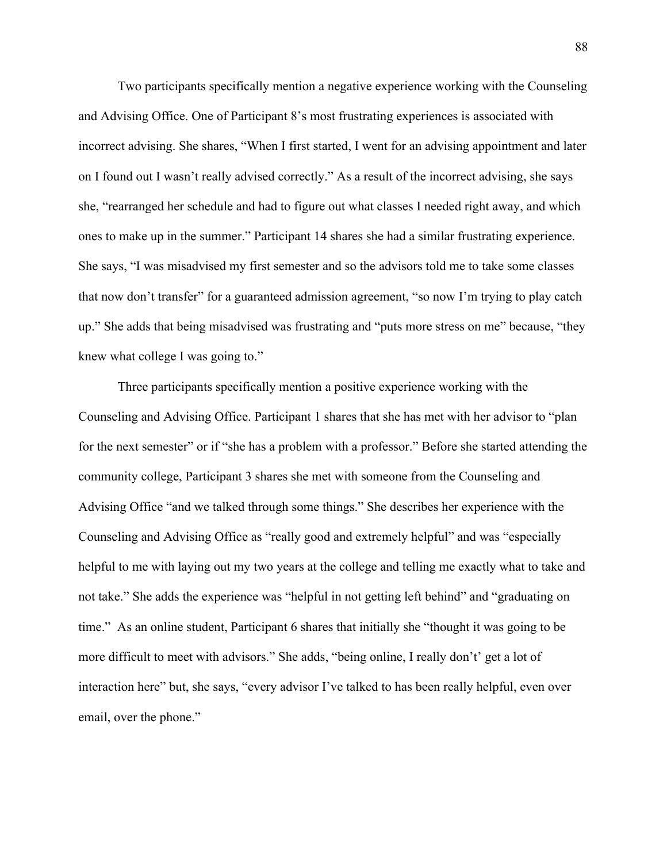Two participants specifically mention a negative experience working with the Counseling and Advising Office. One of Participant 8's most frustrating experiences is associated with incorrect advising. She shares, "When I first started, I went for an advising appointment and later on I found out I wasn't really advised correctly." As a result of the incorrect advising, she says she, "rearranged her schedule and had to figure out what classes I needed right away, and which ones to make up in the summer." Participant 14 shares she had a similar frustrating experience. She says, "I was misadvised my first semester and so the advisors told me to take some classes that now don't transfer" for a guaranteed admission agreement, "so now I'm trying to play catch up." She adds that being misadvised was frustrating and "puts more stress on me" because, "they knew what college I was going to."

Three participants specifically mention a positive experience working with the Counseling and Advising Office. Participant 1 shares that she has met with her advisor to "plan for the next semester" or if "she has a problem with a professor." Before she started attending the community college, Participant 3 shares she met with someone from the Counseling and Advising Office "and we talked through some things." She describes her experience with the Counseling and Advising Office as "really good and extremely helpful" and was "especially helpful to me with laying out my two years at the college and telling me exactly what to take and not take." She adds the experience was "helpful in not getting left behind" and "graduating on time." As an online student, Participant 6 shares that initially she "thought it was going to be more difficult to meet with advisors." She adds, "being online, I really don't' get a lot of interaction here" but, she says, "every advisor I've talked to has been really helpful, even over email, over the phone."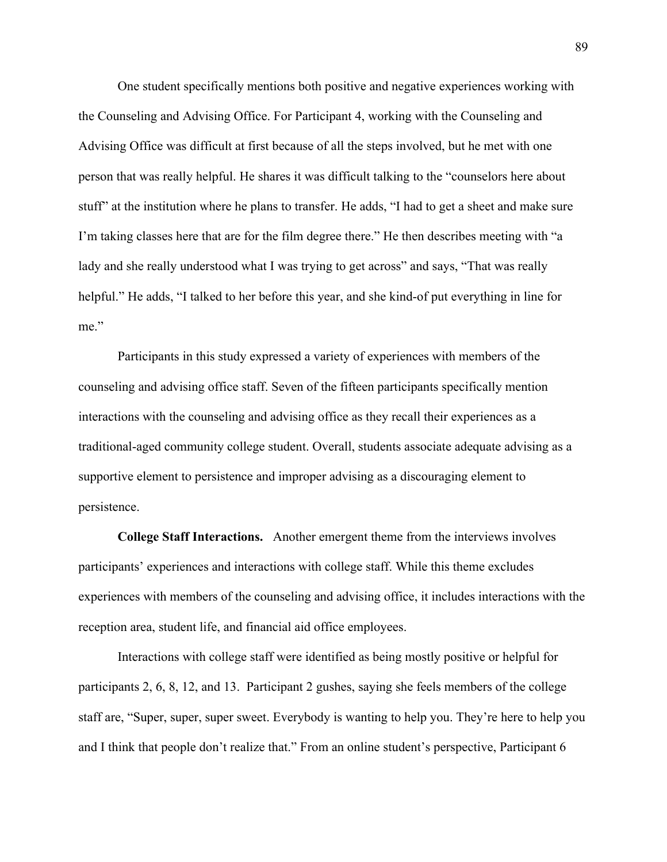One student specifically mentions both positive and negative experiences working with the Counseling and Advising Office. For Participant 4, working with the Counseling and Advising Office was difficult at first because of all the steps involved, but he met with one person that was really helpful. He shares it was difficult talking to the "counselors here about stuff" at the institution where he plans to transfer. He adds, "I had to get a sheet and make sure I'm taking classes here that are for the film degree there." He then describes meeting with "a lady and she really understood what I was trying to get across" and says, "That was really helpful." He adds, "I talked to her before this year, and she kind-of put everything in line for me"

Participants in this study expressed a variety of experiences with members of the counseling and advising office staff. Seven of the fifteen participants specifically mention interactions with the counseling and advising office as they recall their experiences as a traditional-aged community college student. Overall, students associate adequate advising as a supportive element to persistence and improper advising as a discouraging element to persistence.

**College Staff Interactions.** Another emergent theme from the interviews involves participants' experiences and interactions with college staff. While this theme excludes experiences with members of the counseling and advising office, it includes interactions with the reception area, student life, and financial aid office employees.

Interactions with college staff were identified as being mostly positive or helpful for participants 2, 6, 8, 12, and 13. Participant 2 gushes, saying she feels members of the college staff are, "Super, super, super sweet. Everybody is wanting to help you. They're here to help you and I think that people don't realize that." From an online student's perspective, Participant 6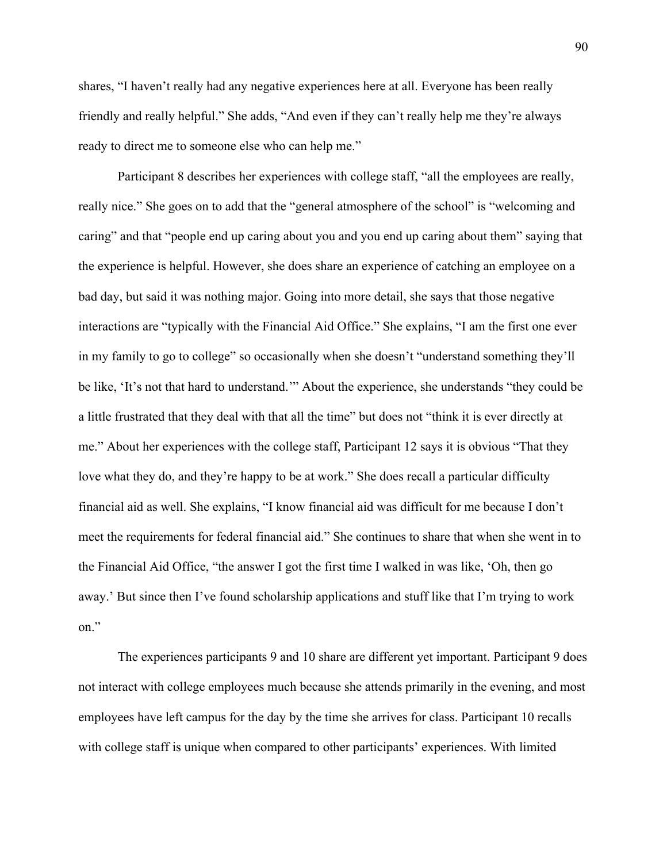shares, "I haven't really had any negative experiences here at all. Everyone has been really friendly and really helpful." She adds, "And even if they can't really help me they're always ready to direct me to someone else who can help me."

Participant 8 describes her experiences with college staff, "all the employees are really, really nice." She goes on to add that the "general atmosphere of the school" is "welcoming and caring" and that "people end up caring about you and you end up caring about them" saying that the experience is helpful. However, she does share an experience of catching an employee on a bad day, but said it was nothing major. Going into more detail, she says that those negative interactions are "typically with the Financial Aid Office." She explains, "I am the first one ever in my family to go to college" so occasionally when she doesn't "understand something they'll be like, 'It's not that hard to understand.'" About the experience, she understands "they could be a little frustrated that they deal with that all the time" but does not "think it is ever directly at me." About her experiences with the college staff, Participant 12 says it is obvious "That they love what they do, and they're happy to be at work." She does recall a particular difficulty financial aid as well. She explains, "I know financial aid was difficult for me because I don't meet the requirements for federal financial aid." She continues to share that when she went in to the Financial Aid Office, "the answer I got the first time I walked in was like, 'Oh, then go away.' But since then I've found scholarship applications and stuff like that I'm trying to work on."

The experiences participants 9 and 10 share are different yet important. Participant 9 does not interact with college employees much because she attends primarily in the evening, and most employees have left campus for the day by the time she arrives for class. Participant 10 recalls with college staff is unique when compared to other participants' experiences. With limited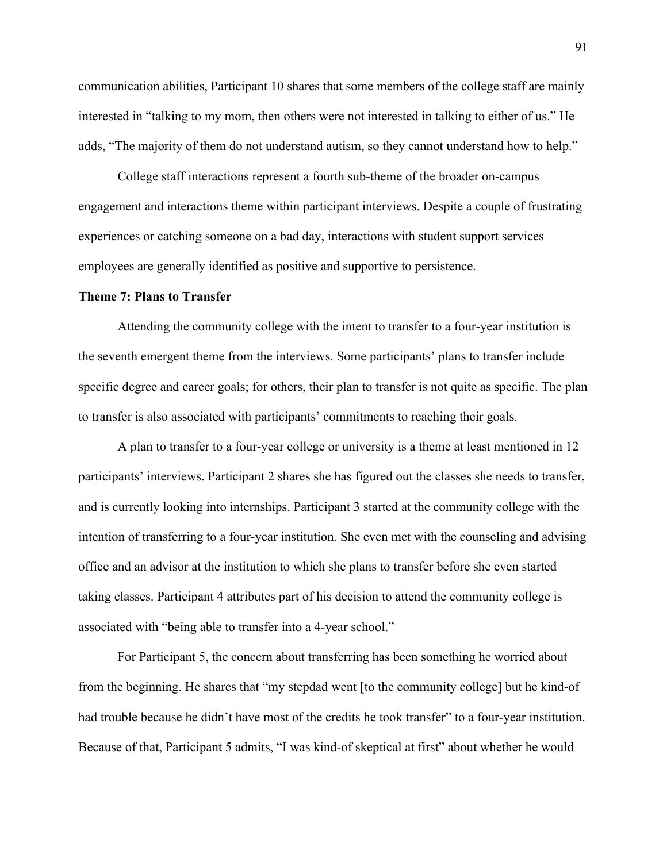communication abilities, Participant 10 shares that some members of the college staff are mainly interested in "talking to my mom, then others were not interested in talking to either of us." He adds, "The majority of them do not understand autism, so they cannot understand how to help."

College staff interactions represent a fourth sub-theme of the broader on-campus engagement and interactions theme within participant interviews. Despite a couple of frustrating experiences or catching someone on a bad day, interactions with student support services employees are generally identified as positive and supportive to persistence.

#### **Theme 7: Plans to Transfer**

Attending the community college with the intent to transfer to a four-year institution is the seventh emergent theme from the interviews. Some participants' plans to transfer include specific degree and career goals; for others, their plan to transfer is not quite as specific. The plan to transfer is also associated with participants' commitments to reaching their goals.

A plan to transfer to a four-year college or university is a theme at least mentioned in 12 participants' interviews. Participant 2 shares she has figured out the classes she needs to transfer, and is currently looking into internships. Participant 3 started at the community college with the intention of transferring to a four-year institution. She even met with the counseling and advising office and an advisor at the institution to which she plans to transfer before she even started taking classes. Participant 4 attributes part of his decision to attend the community college is associated with "being able to transfer into a 4-year school."

For Participant 5, the concern about transferring has been something he worried about from the beginning. He shares that "my stepdad went [to the community college] but he kind-of had trouble because he didn't have most of the credits he took transfer" to a four-year institution. Because of that, Participant 5 admits, "I was kind-of skeptical at first" about whether he would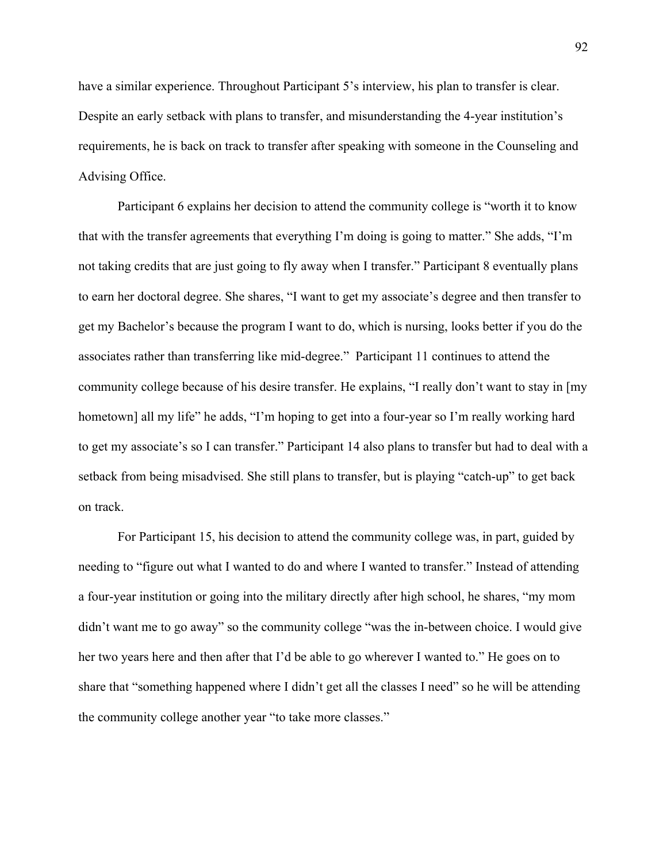have a similar experience. Throughout Participant 5's interview, his plan to transfer is clear. Despite an early setback with plans to transfer, and misunderstanding the 4-year institution's requirements, he is back on track to transfer after speaking with someone in the Counseling and Advising Office.

Participant 6 explains her decision to attend the community college is "worth it to know that with the transfer agreements that everything I'm doing is going to matter." She adds, "I'm not taking credits that are just going to fly away when I transfer." Participant 8 eventually plans to earn her doctoral degree. She shares, "I want to get my associate's degree and then transfer to get my Bachelor's because the program I want to do, which is nursing, looks better if you do the associates rather than transferring like mid-degree." Participant 11 continues to attend the community college because of his desire transfer. He explains, "I really don't want to stay in [my hometown] all my life" he adds, "I'm hoping to get into a four-year so I'm really working hard to get my associate's so I can transfer." Participant 14 also plans to transfer but had to deal with a setback from being misadvised. She still plans to transfer, but is playing "catch-up" to get back on track.

For Participant 15, his decision to attend the community college was, in part, guided by needing to "figure out what I wanted to do and where I wanted to transfer." Instead of attending a four-year institution or going into the military directly after high school, he shares, "my mom didn't want me to go away" so the community college "was the in-between choice. I would give her two years here and then after that I'd be able to go wherever I wanted to." He goes on to share that "something happened where I didn't get all the classes I need" so he will be attending the community college another year "to take more classes."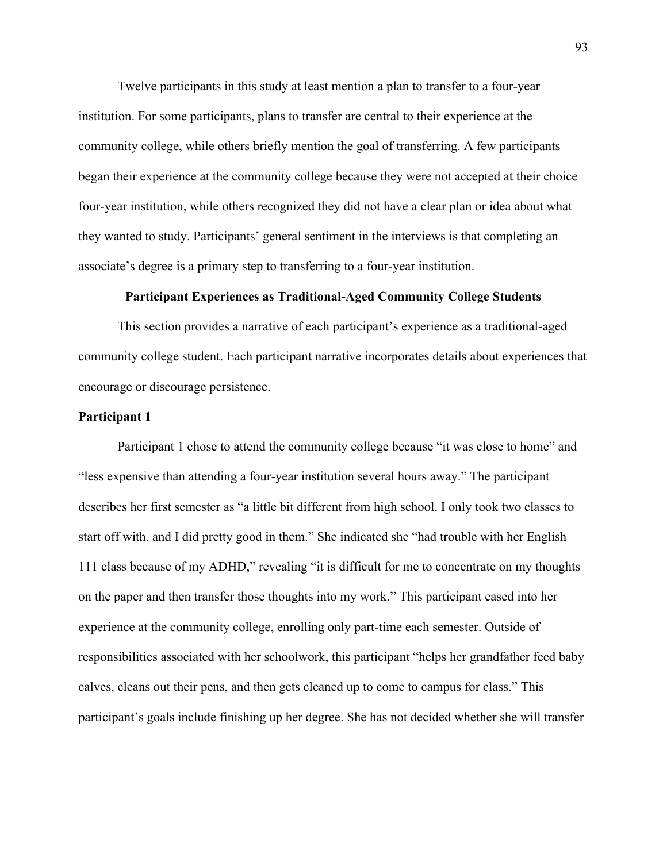Twelve participants in this study at least mention a plan to transfer to a four-year institution. For some participants, plans to transfer are central to their experience at the community college, while others briefly mention the goal of transferring. A few participants began their experience at the community college because they were not accepted at their choice four-year institution, while others recognized they did not have a clear plan or idea about what they wanted to study. Participants' general sentiment in the interviews is that completing an associate's degree is a primary step to transferring to a four-year institution.

## **Participant Experiences as Traditional-Aged Community College Students**

This section provides a narrative of each participant's experience as a traditional-aged community college student. Each participant narrative incorporates details about experiences that encourage or discourage persistence.

# **Participant 1**

Participant 1 chose to attend the community college because "it was close to home" and "less expensive than attending a four-year institution several hours away." The participant describes her first semester as "a little bit different from high school. I only took two classes to start off with, and I did pretty good in them." She indicated she "had trouble with her English 111 class because of my ADHD," revealing "it is difficult for me to concentrate on my thoughts on the paper and then transfer those thoughts into my work." This participant eased into her experience at the community college, enrolling only part-time each semester. Outside of responsibilities associated with her schoolwork, this participant "helps her grandfather feed baby calves, cleans out their pens, and then gets cleaned up to come to campus for class." This participant's goals include finishing up her degree. She has not decided whether she will transfer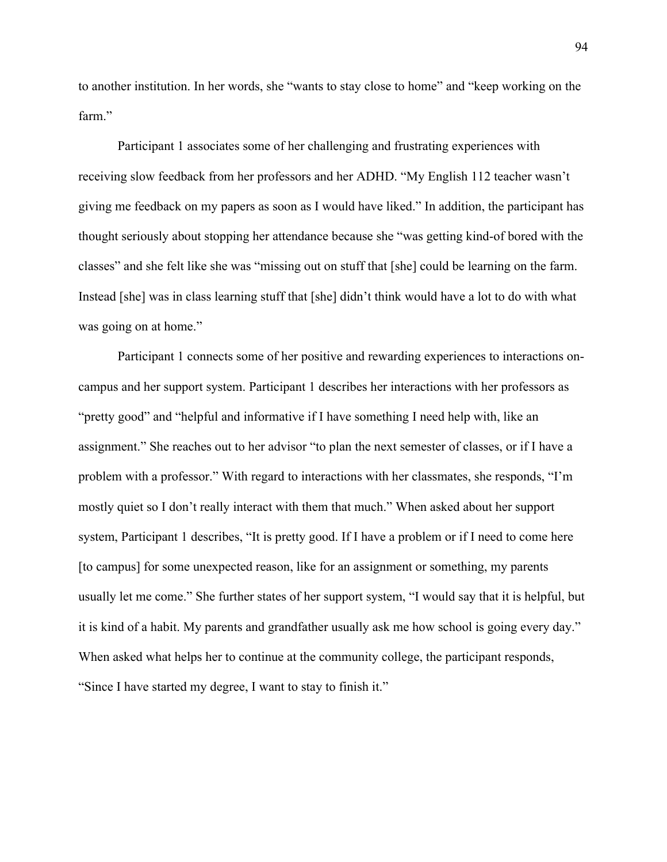to another institution. In her words, she "wants to stay close to home" and "keep working on the farm."

Participant 1 associates some of her challenging and frustrating experiences with receiving slow feedback from her professors and her ADHD. "My English 112 teacher wasn't giving me feedback on my papers as soon as I would have liked." In addition, the participant has thought seriously about stopping her attendance because she "was getting kind-of bored with the classes" and she felt like she was "missing out on stuff that [she] could be learning on the farm. Instead [she] was in class learning stuff that [she] didn't think would have a lot to do with what was going on at home."

Participant 1 connects some of her positive and rewarding experiences to interactions oncampus and her support system. Participant 1 describes her interactions with her professors as "pretty good" and "helpful and informative if I have something I need help with, like an assignment." She reaches out to her advisor "to plan the next semester of classes, or if I have a problem with a professor." With regard to interactions with her classmates, she responds, "I'm mostly quiet so I don't really interact with them that much." When asked about her support system, Participant 1 describes, "It is pretty good. If I have a problem or if I need to come here [to campus] for some unexpected reason, like for an assignment or something, my parents usually let me come." She further states of her support system, "I would say that it is helpful, but it is kind of a habit. My parents and grandfather usually ask me how school is going every day." When asked what helps her to continue at the community college, the participant responds, "Since I have started my degree, I want to stay to finish it."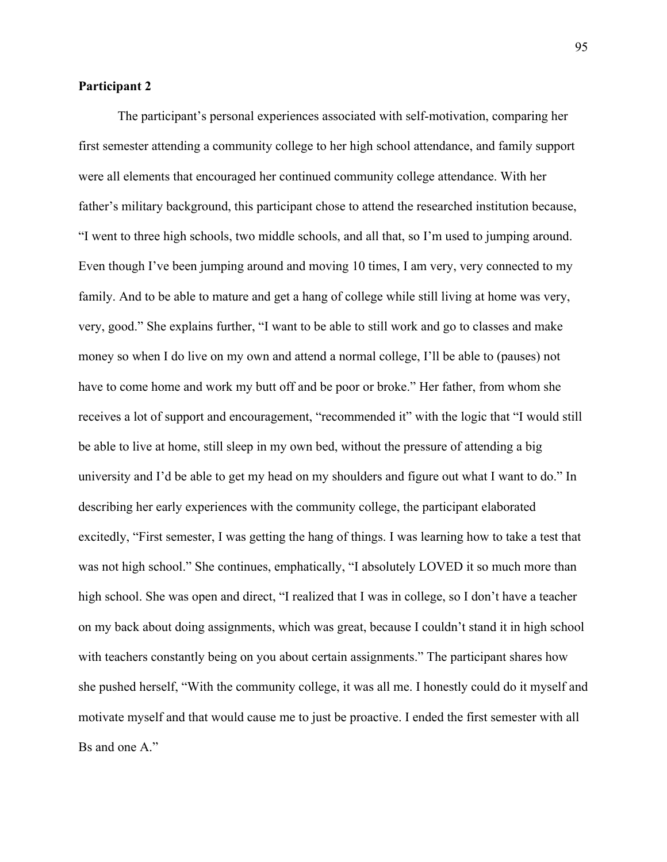# **Participant 2**

The participant's personal experiences associated with self-motivation, comparing her first semester attending a community college to her high school attendance, and family support were all elements that encouraged her continued community college attendance. With her father's military background, this participant chose to attend the researched institution because, "I went to three high schools, two middle schools, and all that, so I'm used to jumping around. Even though I've been jumping around and moving 10 times, I am very, very connected to my family. And to be able to mature and get a hang of college while still living at home was very, very, good." She explains further, "I want to be able to still work and go to classes and make money so when I do live on my own and attend a normal college, I'll be able to (pauses) not have to come home and work my butt off and be poor or broke." Her father, from whom she receives a lot of support and encouragement, "recommended it" with the logic that "I would still be able to live at home, still sleep in my own bed, without the pressure of attending a big university and I'd be able to get my head on my shoulders and figure out what I want to do." In describing her early experiences with the community college, the participant elaborated excitedly, "First semester, I was getting the hang of things. I was learning how to take a test that was not high school." She continues, emphatically, "I absolutely LOVED it so much more than high school. She was open and direct, "I realized that I was in college, so I don't have a teacher on my back about doing assignments, which was great, because I couldn't stand it in high school with teachers constantly being on you about certain assignments." The participant shares how she pushed herself, "With the community college, it was all me. I honestly could do it myself and motivate myself and that would cause me to just be proactive. I ended the first semester with all Bs and one A."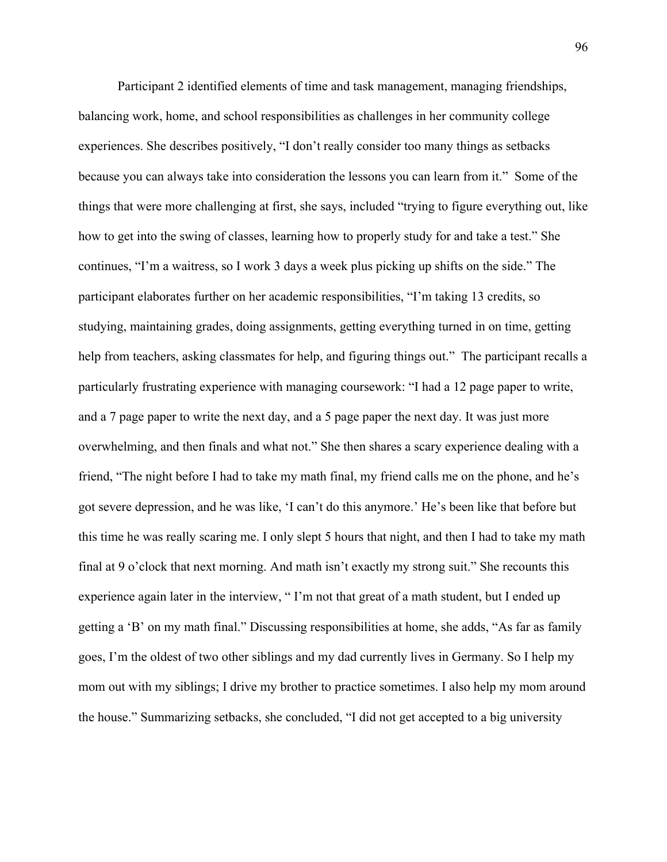Participant 2 identified elements of time and task management, managing friendships, balancing work, home, and school responsibilities as challenges in her community college experiences. She describes positively, "I don't really consider too many things as setbacks because you can always take into consideration the lessons you can learn from it." Some of the things that were more challenging at first, she says, included "trying to figure everything out, like how to get into the swing of classes, learning how to properly study for and take a test." She continues, "I'm a waitress, so I work 3 days a week plus picking up shifts on the side." The participant elaborates further on her academic responsibilities, "I'm taking 13 credits, so studying, maintaining grades, doing assignments, getting everything turned in on time, getting help from teachers, asking classmates for help, and figuring things out." The participant recalls a particularly frustrating experience with managing coursework: "I had a 12 page paper to write, and a 7 page paper to write the next day, and a 5 page paper the next day. It was just more overwhelming, and then finals and what not." She then shares a scary experience dealing with a friend, "The night before I had to take my math final, my friend calls me on the phone, and he's got severe depression, and he was like, 'I can't do this anymore.' He's been like that before but this time he was really scaring me. I only slept 5 hours that night, and then I had to take my math final at 9 o'clock that next morning. And math isn't exactly my strong suit." She recounts this experience again later in the interview, "I'm not that great of a math student, but I ended up getting a 'B' on my math final." Discussing responsibilities at home, she adds, "As far as family goes, I'm the oldest of two other siblings and my dad currently lives in Germany. So I help my mom out with my siblings; I drive my brother to practice sometimes. I also help my mom around the house." Summarizing setbacks, she concluded, "I did not get accepted to a big university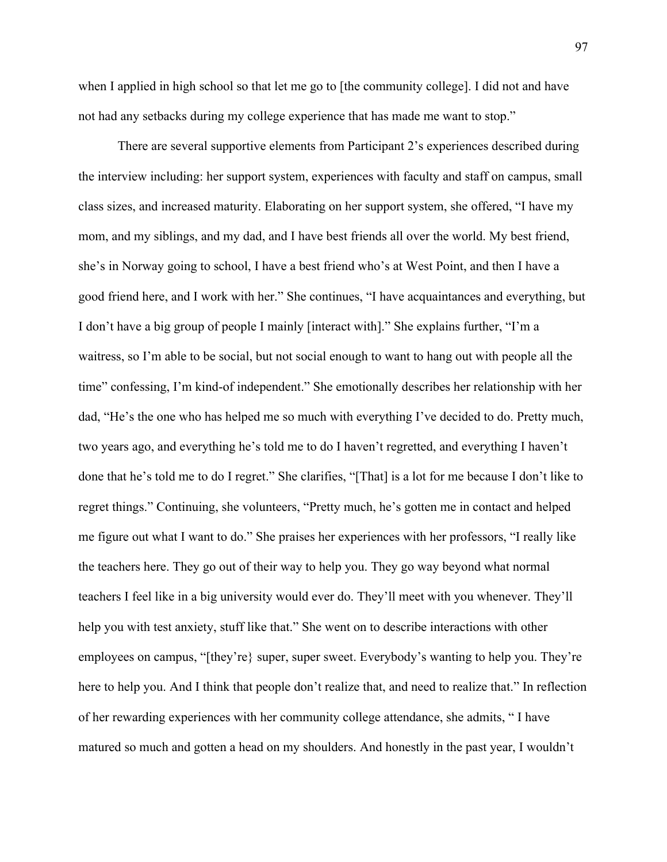when I applied in high school so that let me go to [the community college]. I did not and have not had any setbacks during my college experience that has made me want to stop."

There are several supportive elements from Participant 2's experiences described during the interview including: her support system, experiences with faculty and staff on campus, small class sizes, and increased maturity. Elaborating on her support system, she offered, "I have my mom, and my siblings, and my dad, and I have best friends all over the world. My best friend, she's in Norway going to school, I have a best friend who's at West Point, and then I have a good friend here, and I work with her." She continues, "I have acquaintances and everything, but I don't have a big group of people I mainly [interact with]." She explains further, "I'm a waitress, so I'm able to be social, but not social enough to want to hang out with people all the time" confessing, I'm kind-of independent." She emotionally describes her relationship with her dad, "He's the one who has helped me so much with everything I've decided to do. Pretty much, two years ago, and everything he's told me to do I haven't regretted, and everything I haven't done that he's told me to do I regret." She clarifies, "[That] is a lot for me because I don't like to regret things." Continuing, she volunteers, "Pretty much, he's gotten me in contact and helped me figure out what I want to do." She praises her experiences with her professors, "I really like the teachers here. They go out of their way to help you. They go way beyond what normal teachers I feel like in a big university would ever do. They'll meet with you whenever. They'll help you with test anxiety, stuff like that." She went on to describe interactions with other employees on campus, "[they're} super, super sweet. Everybody's wanting to help you. They're here to help you. And I think that people don't realize that, and need to realize that." In reflection of her rewarding experiences with her community college attendance, she admits, " I have matured so much and gotten a head on my shoulders. And honestly in the past year, I wouldn't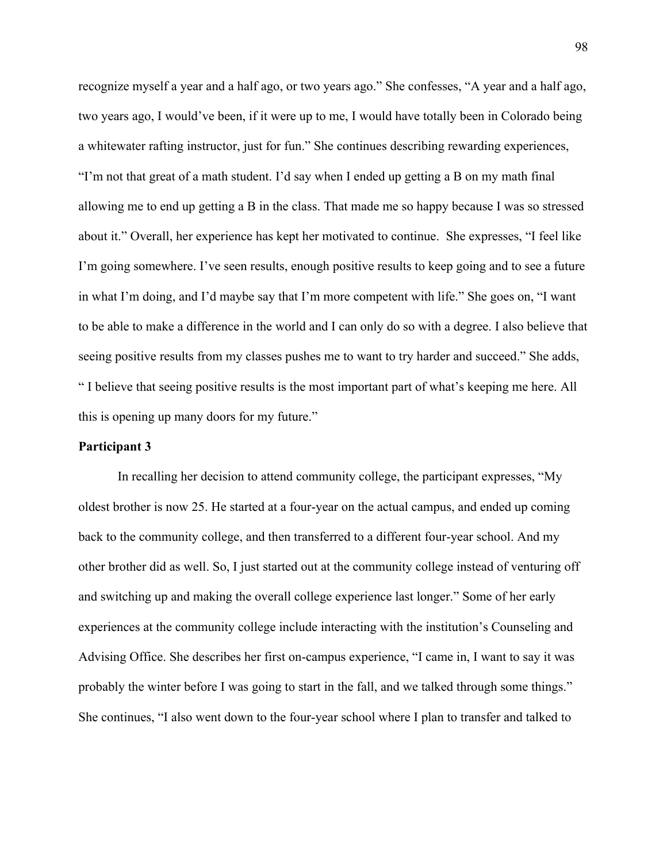recognize myself a year and a half ago, or two years ago." She confesses, "A year and a half ago, two years ago, I would've been, if it were up to me, I would have totally been in Colorado being a whitewater rafting instructor, just for fun." She continues describing rewarding experiences, "I'm not that great of a math student. I'd say when I ended up getting a B on my math final allowing me to end up getting a B in the class. That made me so happy because I was so stressed about it." Overall, her experience has kept her motivated to continue. She expresses, "I feel like I'm going somewhere. I've seen results, enough positive results to keep going and to see a future in what I'm doing, and I'd maybe say that I'm more competent with life." She goes on, "I want to be able to make a difference in the world and I can only do so with a degree. I also believe that seeing positive results from my classes pushes me to want to try harder and succeed." She adds, " I believe that seeing positive results is the most important part of what's keeping me here. All this is opening up many doors for my future."

# **Participant 3**

In recalling her decision to attend community college, the participant expresses, "My oldest brother is now 25. He started at a four-year on the actual campus, and ended up coming back to the community college, and then transferred to a different four-year school. And my other brother did as well. So, I just started out at the community college instead of venturing off and switching up and making the overall college experience last longer." Some of her early experiences at the community college include interacting with the institution's Counseling and Advising Office. She describes her first on-campus experience, "I came in, I want to say it was probably the winter before I was going to start in the fall, and we talked through some things." She continues, "I also went down to the four-year school where I plan to transfer and talked to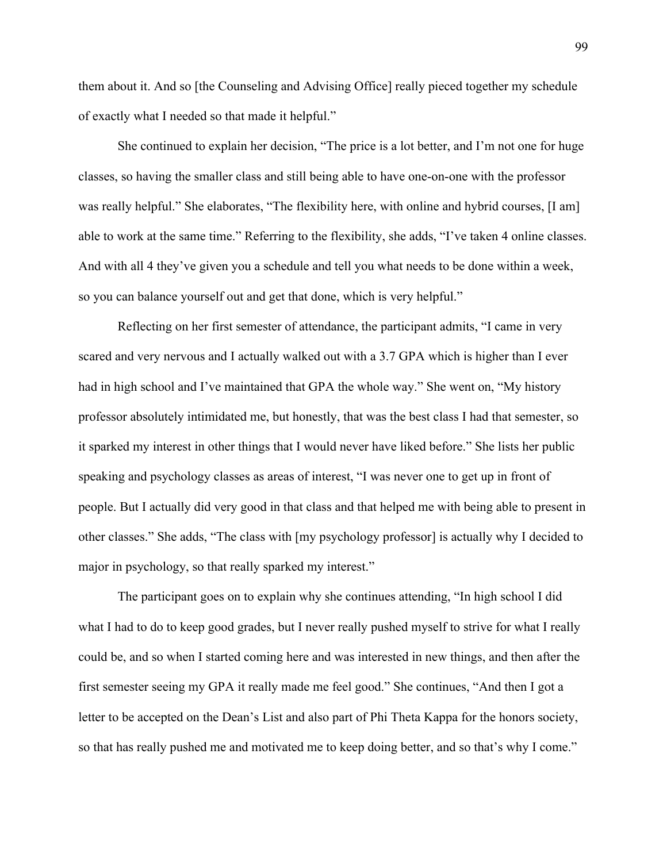them about it. And so [the Counseling and Advising Office] really pieced together my schedule of exactly what I needed so that made it helpful."

She continued to explain her decision, "The price is a lot better, and I'm not one for huge classes, so having the smaller class and still being able to have one-on-one with the professor was really helpful." She elaborates, "The flexibility here, with online and hybrid courses, [I am] able to work at the same time." Referring to the flexibility, she adds, "I've taken 4 online classes. And with all 4 they've given you a schedule and tell you what needs to be done within a week, so you can balance yourself out and get that done, which is very helpful."

Reflecting on her first semester of attendance, the participant admits, "I came in very scared and very nervous and I actually walked out with a 3.7 GPA which is higher than I ever had in high school and I've maintained that GPA the whole way." She went on, "My history professor absolutely intimidated me, but honestly, that was the best class I had that semester, so it sparked my interest in other things that I would never have liked before." She lists her public speaking and psychology classes as areas of interest, "I was never one to get up in front of people. But I actually did very good in that class and that helped me with being able to present in other classes." She adds, "The class with [my psychology professor] is actually why I decided to major in psychology, so that really sparked my interest."

The participant goes on to explain why she continues attending, "In high school I did what I had to do to keep good grades, but I never really pushed myself to strive for what I really could be, and so when I started coming here and was interested in new things, and then after the first semester seeing my GPA it really made me feel good." She continues, "And then I got a letter to be accepted on the Dean's List and also part of Phi Theta Kappa for the honors society, so that has really pushed me and motivated me to keep doing better, and so that's why I come."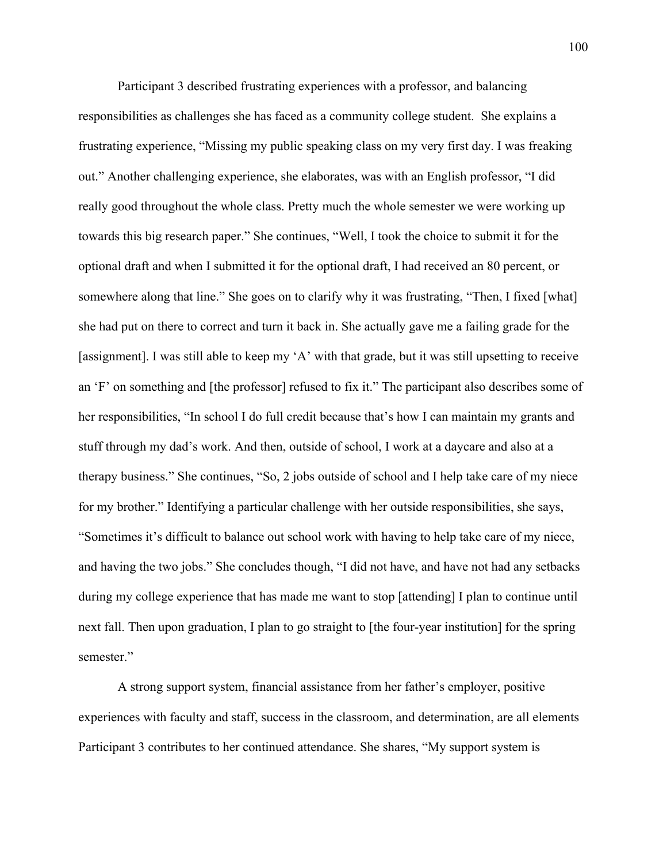Participant 3 described frustrating experiences with a professor, and balancing responsibilities as challenges she has faced as a community college student. She explains a frustrating experience, "Missing my public speaking class on my very first day. I was freaking out." Another challenging experience, she elaborates, was with an English professor, "I did really good throughout the whole class. Pretty much the whole semester we were working up towards this big research paper." She continues, "Well, I took the choice to submit it for the optional draft and when I submitted it for the optional draft, I had received an 80 percent, or somewhere along that line." She goes on to clarify why it was frustrating, "Then, I fixed [what] she had put on there to correct and turn it back in. She actually gave me a failing grade for the [assignment]. I was still able to keep my 'A' with that grade, but it was still upsetting to receive an 'F' on something and [the professor] refused to fix it." The participant also describes some of her responsibilities, "In school I do full credit because that's how I can maintain my grants and stuff through my dad's work. And then, outside of school, I work at a daycare and also at a therapy business." She continues, "So, 2 jobs outside of school and I help take care of my niece for my brother." Identifying a particular challenge with her outside responsibilities, she says, "Sometimes it's difficult to balance out school work with having to help take care of my niece, and having the two jobs." She concludes though, "I did not have, and have not had any setbacks during my college experience that has made me want to stop [attending] I plan to continue until next fall. Then upon graduation, I plan to go straight to [the four-year institution] for the spring semester."

A strong support system, financial assistance from her father's employer, positive experiences with faculty and staff, success in the classroom, and determination, are all elements Participant 3 contributes to her continued attendance. She shares, "My support system is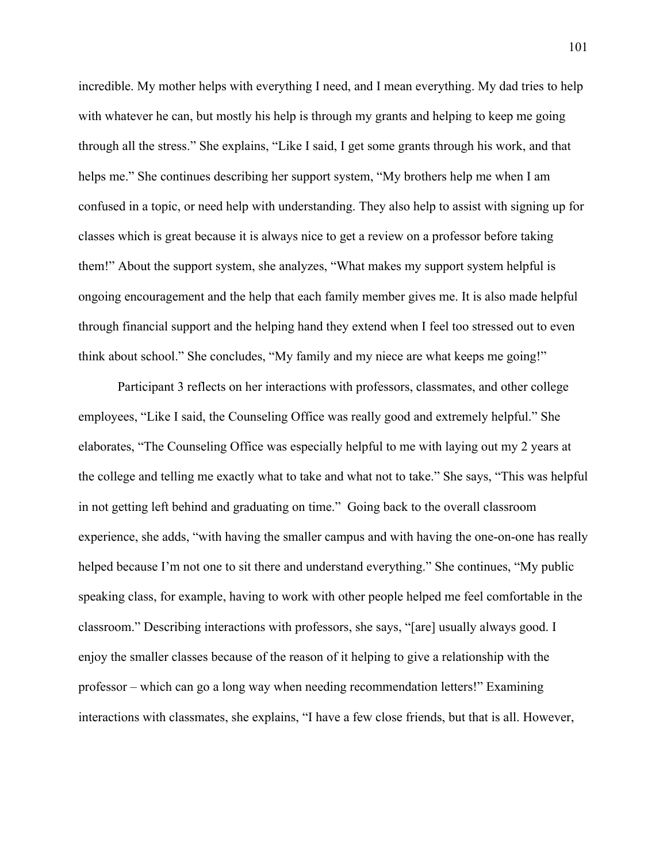incredible. My mother helps with everything I need, and I mean everything. My dad tries to help with whatever he can, but mostly his help is through my grants and helping to keep me going through all the stress." She explains, "Like I said, I get some grants through his work, and that helps me." She continues describing her support system, "My brothers help me when I am confused in a topic, or need help with understanding. They also help to assist with signing up for classes which is great because it is always nice to get a review on a professor before taking them!" About the support system, she analyzes, "What makes my support system helpful is ongoing encouragement and the help that each family member gives me. It is also made helpful through financial support and the helping hand they extend when I feel too stressed out to even think about school." She concludes, "My family and my niece are what keeps me going!"

Participant 3 reflects on her interactions with professors, classmates, and other college employees, "Like I said, the Counseling Office was really good and extremely helpful." She elaborates, "The Counseling Office was especially helpful to me with laying out my 2 years at the college and telling me exactly what to take and what not to take." She says, "This was helpful in not getting left behind and graduating on time." Going back to the overall classroom experience, she adds, "with having the smaller campus and with having the one-on-one has really helped because I'm not one to sit there and understand everything." She continues, "My public speaking class, for example, having to work with other people helped me feel comfortable in the classroom." Describing interactions with professors, she says, "[are] usually always good. I enjoy the smaller classes because of the reason of it helping to give a relationship with the professor – which can go a long way when needing recommendation letters!" Examining interactions with classmates, she explains, "I have a few close friends, but that is all. However,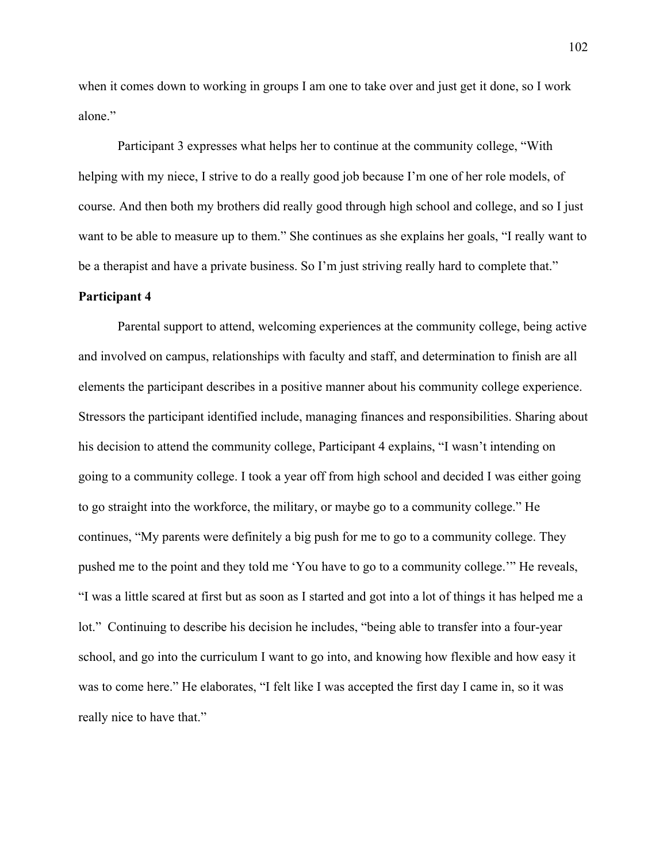when it comes down to working in groups I am one to take over and just get it done, so I work alone."

Participant 3 expresses what helps her to continue at the community college, "With helping with my niece, I strive to do a really good job because I'm one of her role models, of course. And then both my brothers did really good through high school and college, and so I just want to be able to measure up to them." She continues as she explains her goals, "I really want to be a therapist and have a private business. So I'm just striving really hard to complete that."

#### **Participant 4**

Parental support to attend, welcoming experiences at the community college, being active and involved on campus, relationships with faculty and staff, and determination to finish are all elements the participant describes in a positive manner about his community college experience. Stressors the participant identified include, managing finances and responsibilities. Sharing about his decision to attend the community college, Participant 4 explains, "I wasn't intending on going to a community college. I took a year off from high school and decided I was either going to go straight into the workforce, the military, or maybe go to a community college." He continues, "My parents were definitely a big push for me to go to a community college. They pushed me to the point and they told me 'You have to go to a community college.'" He reveals, "I was a little scared at first but as soon as I started and got into a lot of things it has helped me a lot." Continuing to describe his decision he includes, "being able to transfer into a four-year school, and go into the curriculum I want to go into, and knowing how flexible and how easy it was to come here." He elaborates, "I felt like I was accepted the first day I came in, so it was really nice to have that."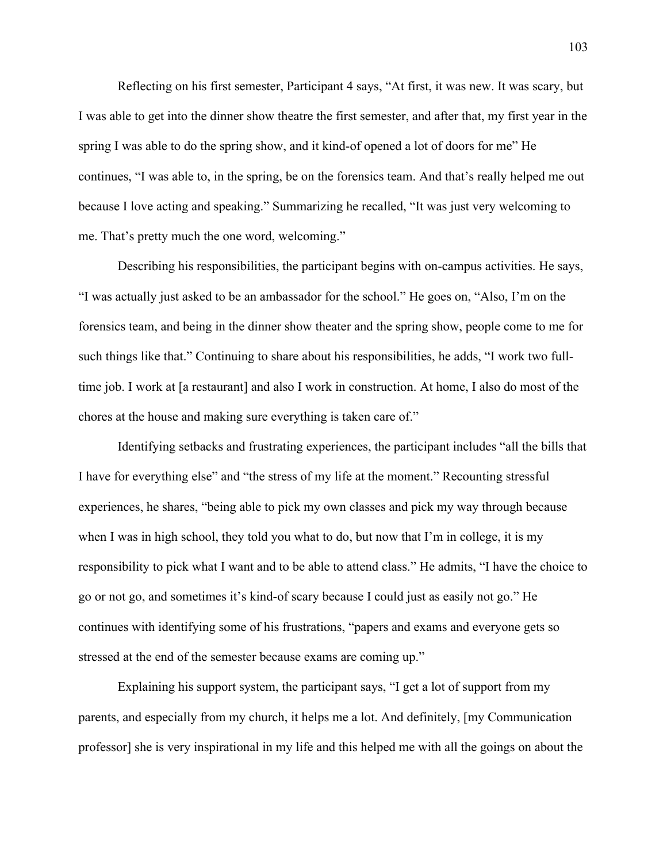Reflecting on his first semester, Participant 4 says, "At first, it was new. It was scary, but I was able to get into the dinner show theatre the first semester, and after that, my first year in the spring I was able to do the spring show, and it kind-of opened a lot of doors for me" He continues, "I was able to, in the spring, be on the forensics team. And that's really helped me out because I love acting and speaking." Summarizing he recalled, "It was just very welcoming to me. That's pretty much the one word, welcoming."

Describing his responsibilities, the participant begins with on-campus activities. He says, "I was actually just asked to be an ambassador for the school." He goes on, "Also, I'm on the forensics team, and being in the dinner show theater and the spring show, people come to me for such things like that." Continuing to share about his responsibilities, he adds, "I work two fulltime job. I work at [a restaurant] and also I work in construction. At home, I also do most of the chores at the house and making sure everything is taken care of."

Identifying setbacks and frustrating experiences, the participant includes "all the bills that I have for everything else" and "the stress of my life at the moment." Recounting stressful experiences, he shares, "being able to pick my own classes and pick my way through because when I was in high school, they told you what to do, but now that I'm in college, it is my responsibility to pick what I want and to be able to attend class." He admits, "I have the choice to go or not go, and sometimes it's kind-of scary because I could just as easily not go." He continues with identifying some of his frustrations, "papers and exams and everyone gets so stressed at the end of the semester because exams are coming up."

Explaining his support system, the participant says, "I get a lot of support from my parents, and especially from my church, it helps me a lot. And definitely, [my Communication professor] she is very inspirational in my life and this helped me with all the goings on about the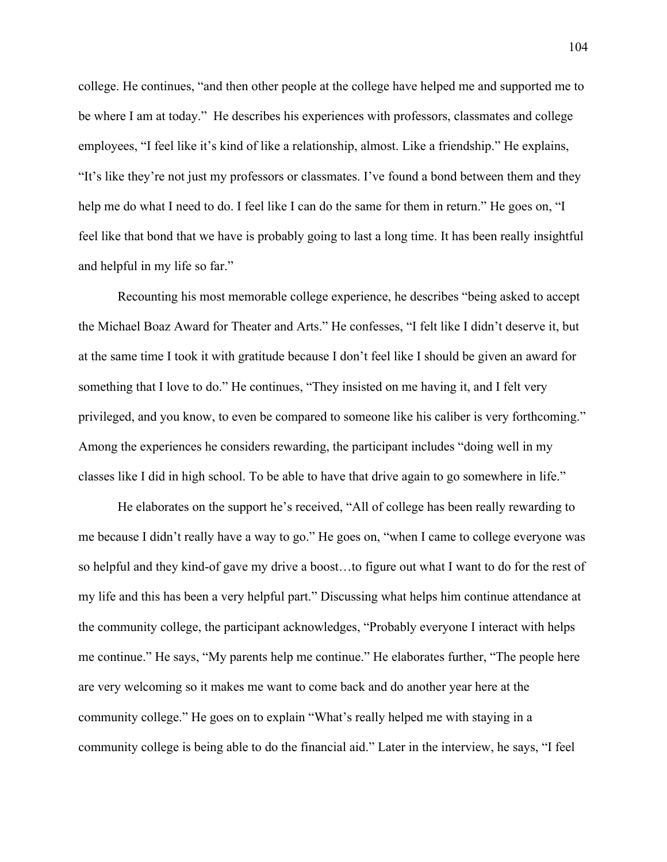college. He continues, "and then other people at the college have helped me and supported me to be where I am at today." He describes his experiences with professors, classmates and college employees, "I feel like it's kind of like a relationship, almost. Like a friendship." He explains, "It's like they're not just my professors or classmates. I've found a bond between them and they help me do what I need to do. I feel like I can do the same for them in return." He goes on, "I feel like that bond that we have is probably going to last a long time. It has been really insightful and helpful in my life so far."

Recounting his most memorable college experience, he describes "being asked to accept the Michael Boaz Award for Theater and Arts." He confesses, "I felt like I didn't deserve it, but at the same time I took it with gratitude because I don't feel like I should be given an award for something that I love to do." He continues, "They insisted on me having it, and I felt very privileged, and you know, to even be compared to someone like his caliber is very forthcoming." Among the experiences he considers rewarding, the participant includes "doing well in my classes like I did in high school. To be able to have that drive again to go somewhere in life."

He elaborates on the support he's received, "All of college has been really rewarding to me because I didn't really have a way to go." He goes on, "when I came to college everyone was so helpful and they kind-of gave my drive a boost…to figure out what I want to do for the rest of my life and this has been a very helpful part." Discussing what helps him continue attendance at the community college, the participant acknowledges, "Probably everyone I interact with helps me continue." He says, "My parents help me continue." He elaborates further, "The people here are very welcoming so it makes me want to come back and do another year here at the community college." He goes on to explain "What's really helped me with staying in a community college is being able to do the financial aid." Later in the interview, he says, "I feel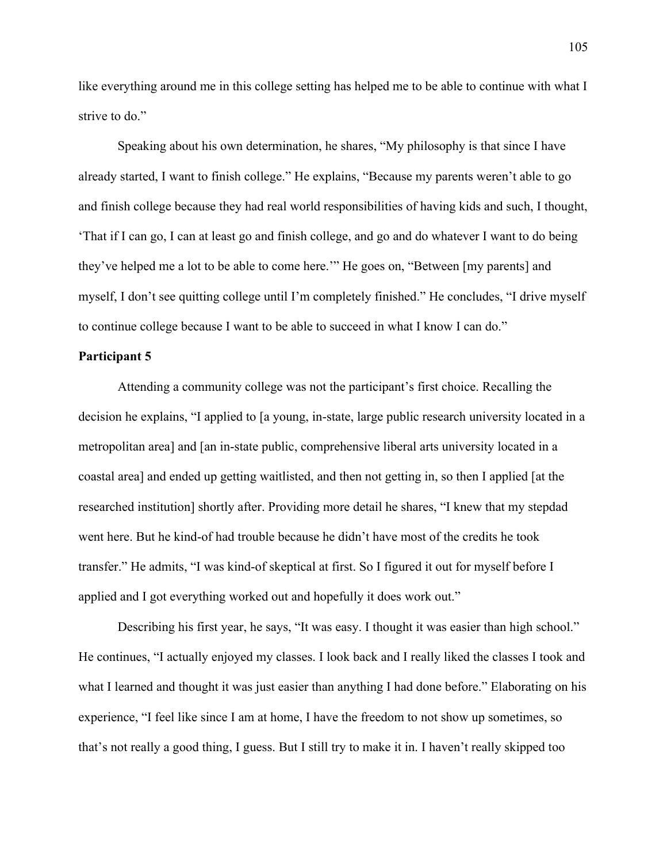like everything around me in this college setting has helped me to be able to continue with what I strive to do."

Speaking about his own determination, he shares, "My philosophy is that since I have already started, I want to finish college." He explains, "Because my parents weren't able to go and finish college because they had real world responsibilities of having kids and such, I thought, 'That if I can go, I can at least go and finish college, and go and do whatever I want to do being they've helped me a lot to be able to come here.'" He goes on, "Between [my parents] and myself, I don't see quitting college until I'm completely finished." He concludes, "I drive myself to continue college because I want to be able to succeed in what I know I can do."

# **Participant 5**

Attending a community college was not the participant's first choice. Recalling the decision he explains, "I applied to [a young, in-state, large public research university located in a metropolitan area] and [an in-state public, comprehensive liberal arts university located in a coastal area] and ended up getting waitlisted, and then not getting in, so then I applied [at the researched institution] shortly after. Providing more detail he shares, "I knew that my stepdad went here. But he kind-of had trouble because he didn't have most of the credits he took transfer." He admits, "I was kind-of skeptical at first. So I figured it out for myself before I applied and I got everything worked out and hopefully it does work out."

Describing his first year, he says, "It was easy. I thought it was easier than high school." He continues, "I actually enjoyed my classes. I look back and I really liked the classes I took and what I learned and thought it was just easier than anything I had done before." Elaborating on his experience, "I feel like since I am at home, I have the freedom to not show up sometimes, so that's not really a good thing, I guess. But I still try to make it in. I haven't really skipped too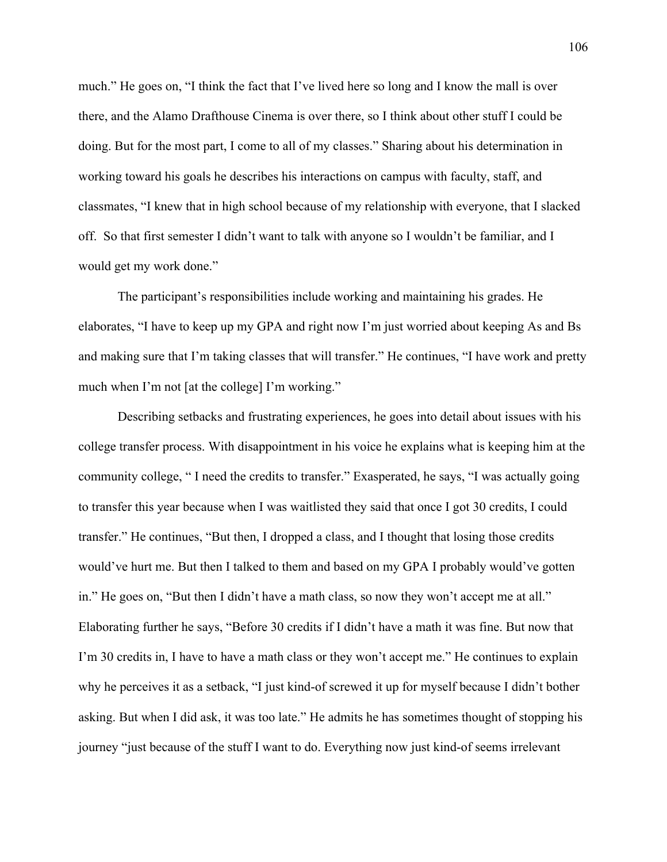much." He goes on, "I think the fact that I've lived here so long and I know the mall is over there, and the Alamo Drafthouse Cinema is over there, so I think about other stuff I could be doing. But for the most part, I come to all of my classes." Sharing about his determination in working toward his goals he describes his interactions on campus with faculty, staff, and classmates, "I knew that in high school because of my relationship with everyone, that I slacked off. So that first semester I didn't want to talk with anyone so I wouldn't be familiar, and I would get my work done."

The participant's responsibilities include working and maintaining his grades. He elaborates, "I have to keep up my GPA and right now I'm just worried about keeping As and Bs and making sure that I'm taking classes that will transfer." He continues, "I have work and pretty much when I'm not [at the college] I'm working."

Describing setbacks and frustrating experiences, he goes into detail about issues with his college transfer process. With disappointment in his voice he explains what is keeping him at the community college, " I need the credits to transfer." Exasperated, he says, "I was actually going to transfer this year because when I was waitlisted they said that once I got 30 credits, I could transfer." He continues, "But then, I dropped a class, and I thought that losing those credits would've hurt me. But then I talked to them and based on my GPA I probably would've gotten in." He goes on, "But then I didn't have a math class, so now they won't accept me at all." Elaborating further he says, "Before 30 credits if I didn't have a math it was fine. But now that I'm 30 credits in, I have to have a math class or they won't accept me." He continues to explain why he perceives it as a setback, "I just kind-of screwed it up for myself because I didn't bother asking. But when I did ask, it was too late." He admits he has sometimes thought of stopping his journey "just because of the stuff I want to do. Everything now just kind-of seems irrelevant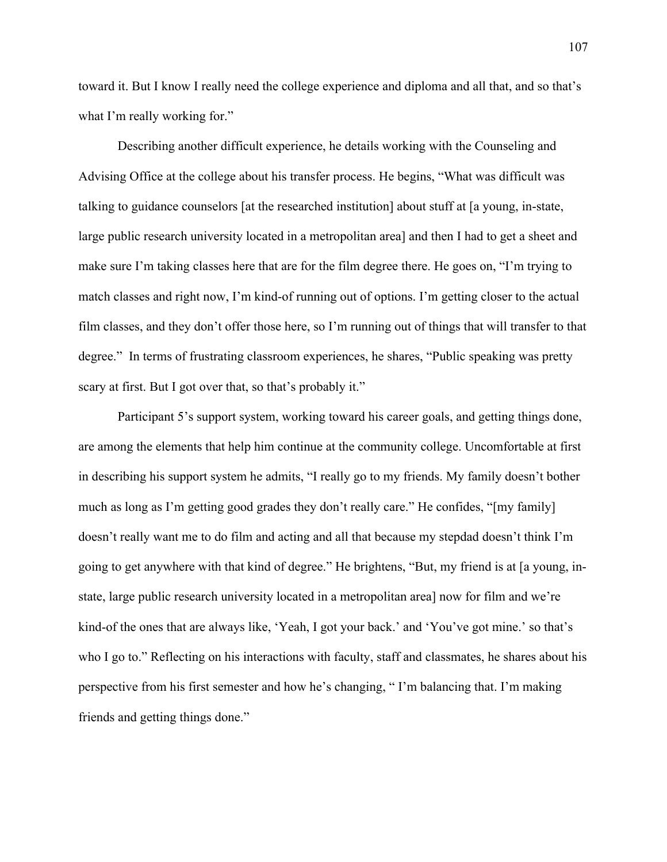toward it. But I know I really need the college experience and diploma and all that, and so that's what I'm really working for."

Describing another difficult experience, he details working with the Counseling and Advising Office at the college about his transfer process. He begins, "What was difficult was talking to guidance counselors [at the researched institution] about stuff at [a young, in-state, large public research university located in a metropolitan area] and then I had to get a sheet and make sure I'm taking classes here that are for the film degree there. He goes on, "I'm trying to match classes and right now, I'm kind-of running out of options. I'm getting closer to the actual film classes, and they don't offer those here, so I'm running out of things that will transfer to that degree." In terms of frustrating classroom experiences, he shares, "Public speaking was pretty scary at first. But I got over that, so that's probably it."

Participant 5's support system, working toward his career goals, and getting things done, are among the elements that help him continue at the community college. Uncomfortable at first in describing his support system he admits, "I really go to my friends. My family doesn't bother much as long as I'm getting good grades they don't really care." He confides, "[my family] doesn't really want me to do film and acting and all that because my stepdad doesn't think I'm going to get anywhere with that kind of degree." He brightens, "But, my friend is at [a young, instate, large public research university located in a metropolitan area] now for film and we're kind-of the ones that are always like, 'Yeah, I got your back.' and 'You've got mine.' so that's who I go to." Reflecting on his interactions with faculty, staff and classmates, he shares about his perspective from his first semester and how he's changing, " I'm balancing that. I'm making friends and getting things done."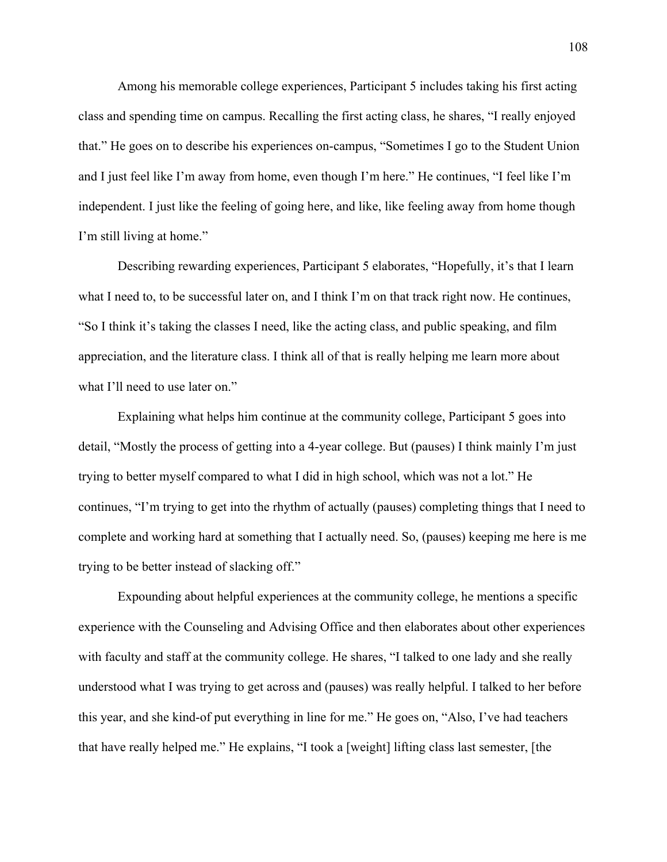Among his memorable college experiences, Participant 5 includes taking his first acting class and spending time on campus. Recalling the first acting class, he shares, "I really enjoyed that." He goes on to describe his experiences on-campus, "Sometimes I go to the Student Union and I just feel like I'm away from home, even though I'm here." He continues, "I feel like I'm independent. I just like the feeling of going here, and like, like feeling away from home though I'm still living at home."

Describing rewarding experiences, Participant 5 elaborates, "Hopefully, it's that I learn what I need to, to be successful later on, and I think I'm on that track right now. He continues, "So I think it's taking the classes I need, like the acting class, and public speaking, and film appreciation, and the literature class. I think all of that is really helping me learn more about what I'll need to use later on."

Explaining what helps him continue at the community college, Participant 5 goes into detail, "Mostly the process of getting into a 4-year college. But (pauses) I think mainly I'm just trying to better myself compared to what I did in high school, which was not a lot." He continues, "I'm trying to get into the rhythm of actually (pauses) completing things that I need to complete and working hard at something that I actually need. So, (pauses) keeping me here is me trying to be better instead of slacking off."

Expounding about helpful experiences at the community college, he mentions a specific experience with the Counseling and Advising Office and then elaborates about other experiences with faculty and staff at the community college. He shares, "I talked to one lady and she really understood what I was trying to get across and (pauses) was really helpful. I talked to her before this year, and she kind-of put everything in line for me." He goes on, "Also, I've had teachers that have really helped me." He explains, "I took a [weight] lifting class last semester, [the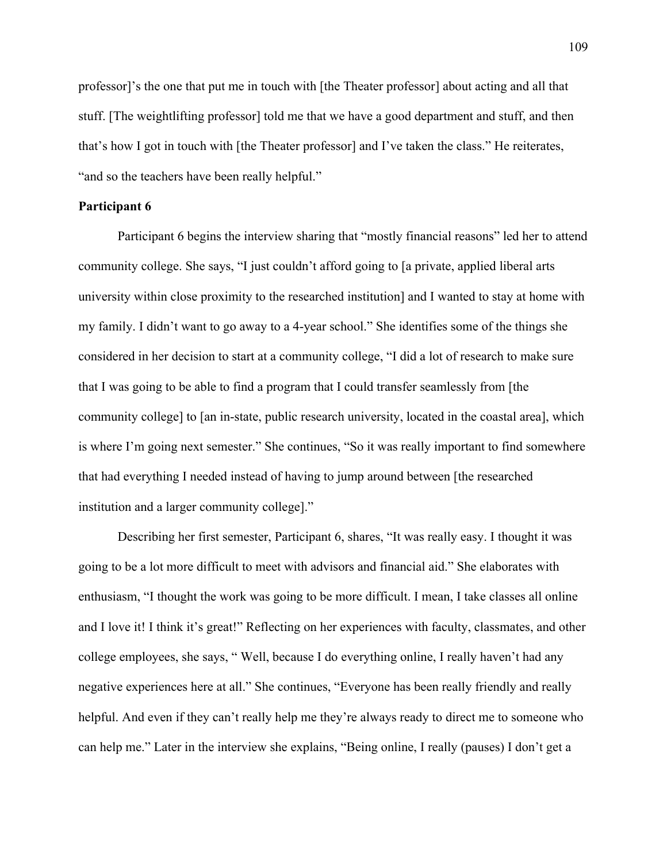professor]'s the one that put me in touch with [the Theater professor] about acting and all that stuff. [The weightlifting professor] told me that we have a good department and stuff, and then that's how I got in touch with [the Theater professor] and I've taken the class." He reiterates, "and so the teachers have been really helpful."

## **Participant 6**

Participant 6 begins the interview sharing that "mostly financial reasons" led her to attend community college. She says, "I just couldn't afford going to [a private, applied liberal arts university within close proximity to the researched institution] and I wanted to stay at home with my family. I didn't want to go away to a 4-year school." She identifies some of the things she considered in her decision to start at a community college, "I did a lot of research to make sure that I was going to be able to find a program that I could transfer seamlessly from [the community college] to [an in-state, public research university, located in the coastal area], which is where I'm going next semester." She continues, "So it was really important to find somewhere that had everything I needed instead of having to jump around between [the researched institution and a larger community college]."

Describing her first semester, Participant 6, shares, "It was really easy. I thought it was going to be a lot more difficult to meet with advisors and financial aid." She elaborates with enthusiasm, "I thought the work was going to be more difficult. I mean, I take classes all online and I love it! I think it's great!" Reflecting on her experiences with faculty, classmates, and other college employees, she says, " Well, because I do everything online, I really haven't had any negative experiences here at all." She continues, "Everyone has been really friendly and really helpful. And even if they can't really help me they're always ready to direct me to someone who can help me." Later in the interview she explains, "Being online, I really (pauses) I don't get a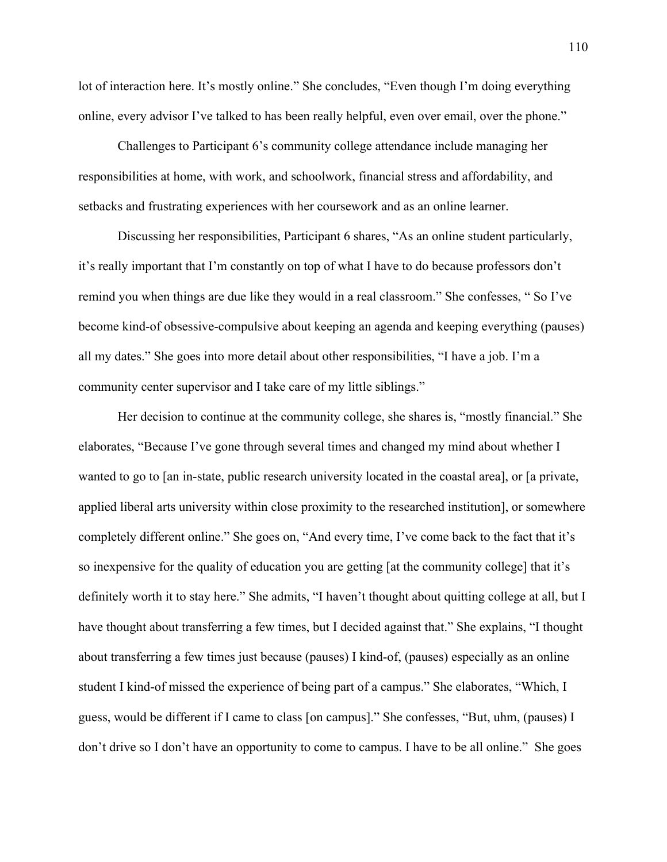lot of interaction here. It's mostly online." She concludes, "Even though I'm doing everything online, every advisor I've talked to has been really helpful, even over email, over the phone."

Challenges to Participant 6's community college attendance include managing her responsibilities at home, with work, and schoolwork, financial stress and affordability, and setbacks and frustrating experiences with her coursework and as an online learner.

Discussing her responsibilities, Participant 6 shares, "As an online student particularly, it's really important that I'm constantly on top of what I have to do because professors don't remind you when things are due like they would in a real classroom." She confesses, " So I've become kind-of obsessive-compulsive about keeping an agenda and keeping everything (pauses) all my dates." She goes into more detail about other responsibilities, "I have a job. I'm a community center supervisor and I take care of my little siblings."

Her decision to continue at the community college, she shares is, "mostly financial." She elaborates, "Because I've gone through several times and changed my mind about whether I wanted to go to [an in-state, public research university located in the coastal area], or [a private, applied liberal arts university within close proximity to the researched institution], or somewhere completely different online." She goes on, "And every time, I've come back to the fact that it's so inexpensive for the quality of education you are getting [at the community college] that it's definitely worth it to stay here." She admits, "I haven't thought about quitting college at all, but I have thought about transferring a few times, but I decided against that." She explains, "I thought about transferring a few times just because (pauses) I kind-of, (pauses) especially as an online student I kind-of missed the experience of being part of a campus." She elaborates, "Which, I guess, would be different if I came to class [on campus]." She confesses, "But, uhm, (pauses) I don't drive so I don't have an opportunity to come to campus. I have to be all online." She goes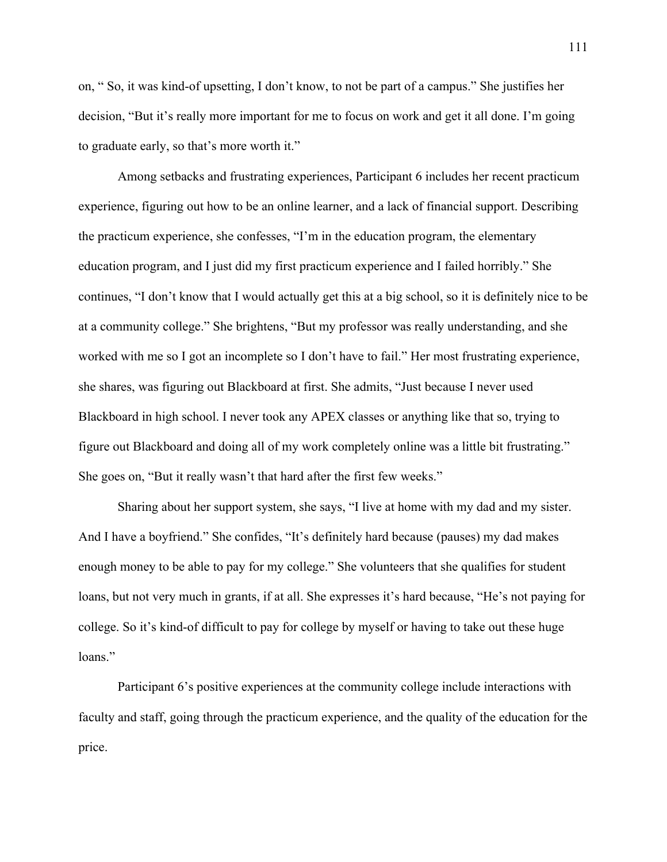on, " So, it was kind-of upsetting, I don't know, to not be part of a campus." She justifies her decision, "But it's really more important for me to focus on work and get it all done. I'm going to graduate early, so that's more worth it."

Among setbacks and frustrating experiences, Participant 6 includes her recent practicum experience, figuring out how to be an online learner, and a lack of financial support. Describing the practicum experience, she confesses, "I'm in the education program, the elementary education program, and I just did my first practicum experience and I failed horribly." She continues, "I don't know that I would actually get this at a big school, so it is definitely nice to be at a community college." She brightens, "But my professor was really understanding, and she worked with me so I got an incomplete so I don't have to fail." Her most frustrating experience, she shares, was figuring out Blackboard at first. She admits, "Just because I never used Blackboard in high school. I never took any APEX classes or anything like that so, trying to figure out Blackboard and doing all of my work completely online was a little bit frustrating." She goes on, "But it really wasn't that hard after the first few weeks."

Sharing about her support system, she says, "I live at home with my dad and my sister. And I have a boyfriend." She confides, "It's definitely hard because (pauses) my dad makes enough money to be able to pay for my college." She volunteers that she qualifies for student loans, but not very much in grants, if at all. She expresses it's hard because, "He's not paying for college. So it's kind-of difficult to pay for college by myself or having to take out these huge loans."

Participant 6's positive experiences at the community college include interactions with faculty and staff, going through the practicum experience, and the quality of the education for the price.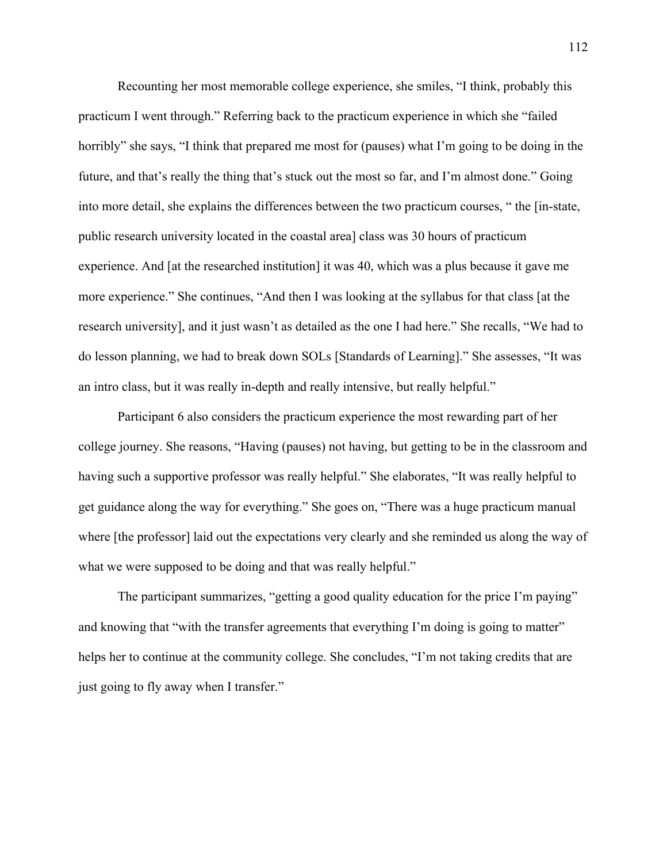Recounting her most memorable college experience, she smiles, "I think, probably this practicum I went through." Referring back to the practicum experience in which she "failed horribly" she says, "I think that prepared me most for (pauses) what I'm going to be doing in the future, and that's really the thing that's stuck out the most so far, and I'm almost done." Going into more detail, she explains the differences between the two practicum courses, " the [in-state, public research university located in the coastal area] class was 30 hours of practicum experience. And [at the researched institution] it was 40, which was a plus because it gave me more experience." She continues, "And then I was looking at the syllabus for that class [at the research university], and it just wasn't as detailed as the one I had here." She recalls, "We had to do lesson planning, we had to break down SOLs [Standards of Learning]." She assesses, "It was an intro class, but it was really in-depth and really intensive, but really helpful."

Participant 6 also considers the practicum experience the most rewarding part of her college journey. She reasons, "Having (pauses) not having, but getting to be in the classroom and having such a supportive professor was really helpful." She elaborates, "It was really helpful to get guidance along the way for everything." She goes on, "There was a huge practicum manual where [the professor] laid out the expectations very clearly and she reminded us along the way of what we were supposed to be doing and that was really helpful."

The participant summarizes, "getting a good quality education for the price I'm paying" and knowing that "with the transfer agreements that everything I'm doing is going to matter" helps her to continue at the community college. She concludes, "I'm not taking credits that are just going to fly away when I transfer."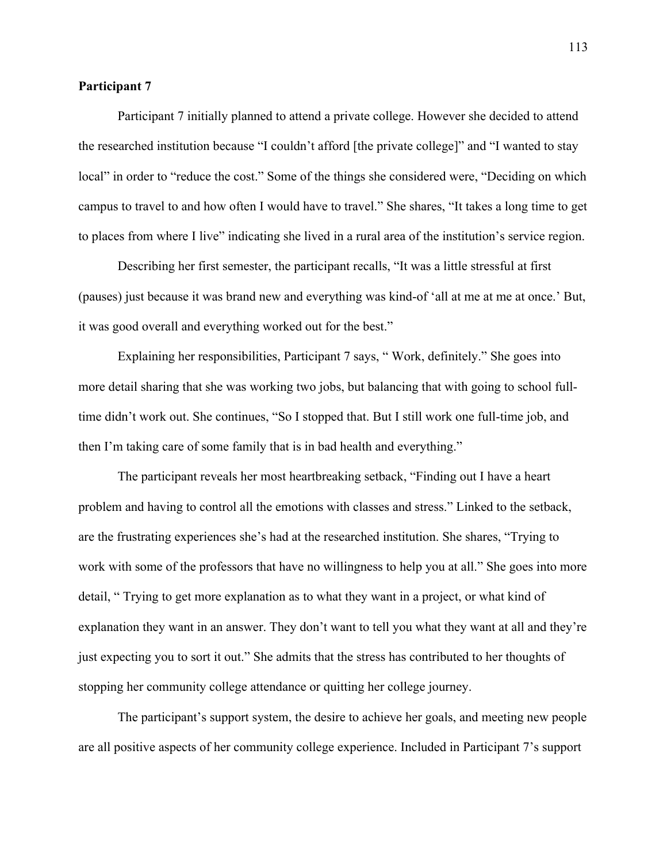### **Participant 7**

Participant 7 initially planned to attend a private college. However she decided to attend the researched institution because "I couldn't afford [the private college]" and "I wanted to stay local" in order to "reduce the cost." Some of the things she considered were, "Deciding on which campus to travel to and how often I would have to travel." She shares, "It takes a long time to get to places from where I live" indicating she lived in a rural area of the institution's service region.

Describing her first semester, the participant recalls, "It was a little stressful at first (pauses) just because it was brand new and everything was kind-of 'all at me at me at once.' But, it was good overall and everything worked out for the best."

Explaining her responsibilities, Participant 7 says, " Work, definitely." She goes into more detail sharing that she was working two jobs, but balancing that with going to school fulltime didn't work out. She continues, "So I stopped that. But I still work one full-time job, and then I'm taking care of some family that is in bad health and everything."

The participant reveals her most heartbreaking setback, "Finding out I have a heart problem and having to control all the emotions with classes and stress." Linked to the setback, are the frustrating experiences she's had at the researched institution. She shares, "Trying to work with some of the professors that have no willingness to help you at all." She goes into more detail, " Trying to get more explanation as to what they want in a project, or what kind of explanation they want in an answer. They don't want to tell you what they want at all and they're just expecting you to sort it out." She admits that the stress has contributed to her thoughts of stopping her community college attendance or quitting her college journey.

The participant's support system, the desire to achieve her goals, and meeting new people are all positive aspects of her community college experience. Included in Participant 7's support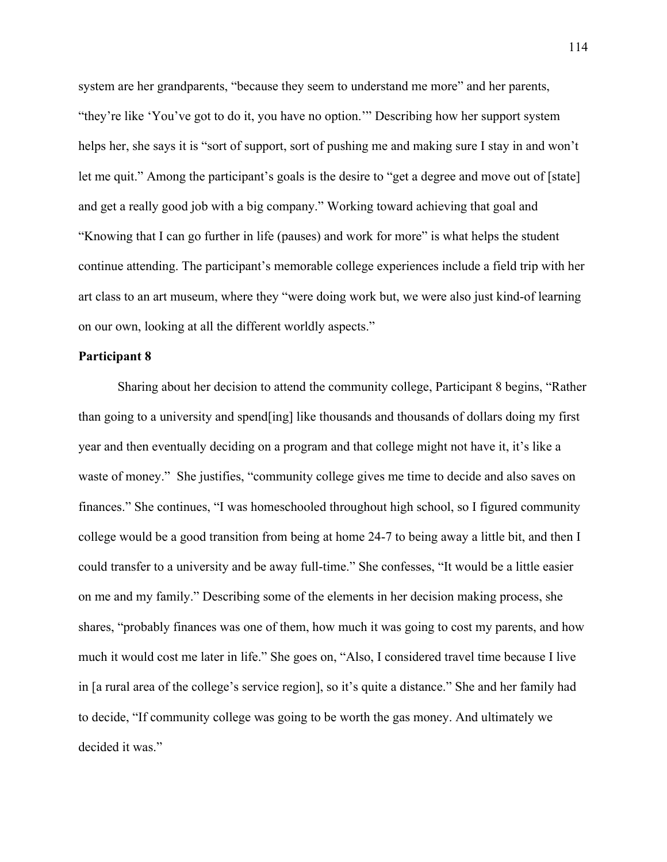system are her grandparents, "because they seem to understand me more" and her parents, "they're like 'You've got to do it, you have no option.'" Describing how her support system helps her, she says it is "sort of support, sort of pushing me and making sure I stay in and won't let me quit." Among the participant's goals is the desire to "get a degree and move out of [state] and get a really good job with a big company." Working toward achieving that goal and "Knowing that I can go further in life (pauses) and work for more" is what helps the student continue attending. The participant's memorable college experiences include a field trip with her art class to an art museum, where they "were doing work but, we were also just kind-of learning on our own, looking at all the different worldly aspects."

#### **Participant 8**

Sharing about her decision to attend the community college, Participant 8 begins, "Rather than going to a university and spend[ing] like thousands and thousands of dollars doing my first year and then eventually deciding on a program and that college might not have it, it's like a waste of money." She justifies, "community college gives me time to decide and also saves on finances." She continues, "I was homeschooled throughout high school, so I figured community college would be a good transition from being at home 24-7 to being away a little bit, and then I could transfer to a university and be away full-time." She confesses, "It would be a little easier on me and my family." Describing some of the elements in her decision making process, she shares, "probably finances was one of them, how much it was going to cost my parents, and how much it would cost me later in life." She goes on, "Also, I considered travel time because I live in [a rural area of the college's service region], so it's quite a distance." She and her family had to decide, "If community college was going to be worth the gas money. And ultimately we decided it was."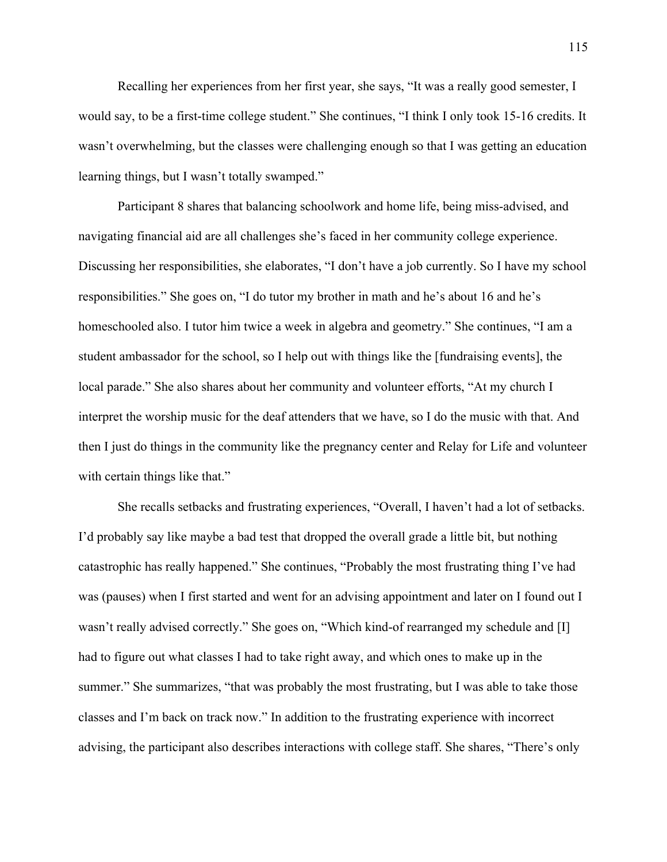Recalling her experiences from her first year, she says, "It was a really good semester, I would say, to be a first-time college student." She continues, "I think I only took 15-16 credits. It wasn't overwhelming, but the classes were challenging enough so that I was getting an education learning things, but I wasn't totally swamped."

Participant 8 shares that balancing schoolwork and home life, being miss-advised, and navigating financial aid are all challenges she's faced in her community college experience. Discussing her responsibilities, she elaborates, "I don't have a job currently. So I have my school responsibilities." She goes on, "I do tutor my brother in math and he's about 16 and he's homeschooled also. I tutor him twice a week in algebra and geometry." She continues, "I am a student ambassador for the school, so I help out with things like the [fundraising events], the local parade." She also shares about her community and volunteer efforts, "At my church I interpret the worship music for the deaf attenders that we have, so I do the music with that. And then I just do things in the community like the pregnancy center and Relay for Life and volunteer with certain things like that."

She recalls setbacks and frustrating experiences, "Overall, I haven't had a lot of setbacks. I'd probably say like maybe a bad test that dropped the overall grade a little bit, but nothing catastrophic has really happened." She continues, "Probably the most frustrating thing I've had was (pauses) when I first started and went for an advising appointment and later on I found out I wasn't really advised correctly." She goes on, "Which kind-of rearranged my schedule and [I] had to figure out what classes I had to take right away, and which ones to make up in the summer." She summarizes, "that was probably the most frustrating, but I was able to take those classes and I'm back on track now." In addition to the frustrating experience with incorrect advising, the participant also describes interactions with college staff. She shares, "There's only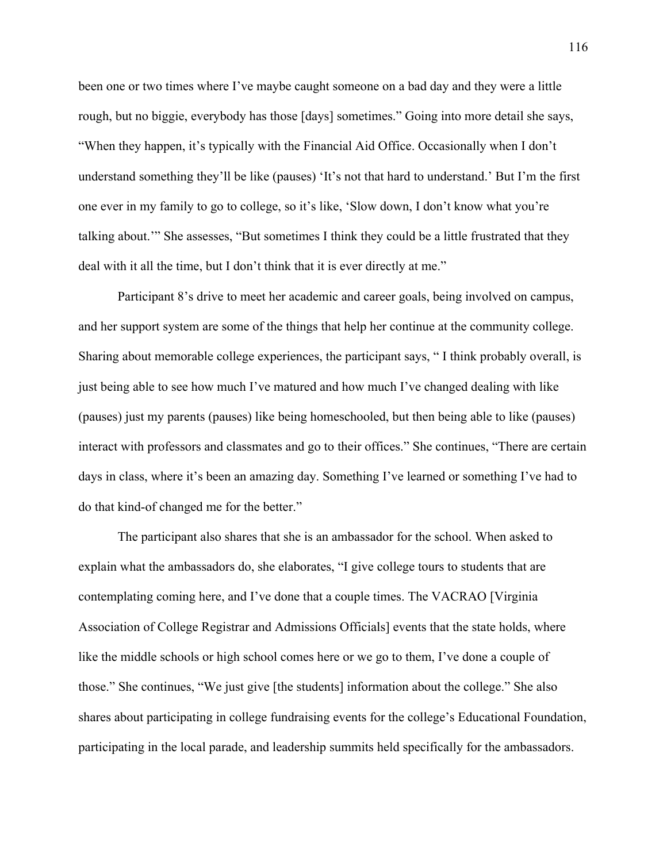been one or two times where I've maybe caught someone on a bad day and they were a little rough, but no biggie, everybody has those [days] sometimes." Going into more detail she says, "When they happen, it's typically with the Financial Aid Office. Occasionally when I don't understand something they'll be like (pauses) 'It's not that hard to understand.' But I'm the first one ever in my family to go to college, so it's like, 'Slow down, I don't know what you're talking about.'" She assesses, "But sometimes I think they could be a little frustrated that they deal with it all the time, but I don't think that it is ever directly at me."

Participant 8's drive to meet her academic and career goals, being involved on campus, and her support system are some of the things that help her continue at the community college. Sharing about memorable college experiences, the participant says, " I think probably overall, is just being able to see how much I've matured and how much I've changed dealing with like (pauses) just my parents (pauses) like being homeschooled, but then being able to like (pauses) interact with professors and classmates and go to their offices." She continues, "There are certain days in class, where it's been an amazing day. Something I've learned or something I've had to do that kind-of changed me for the better."

The participant also shares that she is an ambassador for the school. When asked to explain what the ambassadors do, she elaborates, "I give college tours to students that are contemplating coming here, and I've done that a couple times. The VACRAO [Virginia Association of College Registrar and Admissions Officials] events that the state holds, where like the middle schools or high school comes here or we go to them, I've done a couple of those." She continues, "We just give [the students] information about the college." She also shares about participating in college fundraising events for the college's Educational Foundation, participating in the local parade, and leadership summits held specifically for the ambassadors.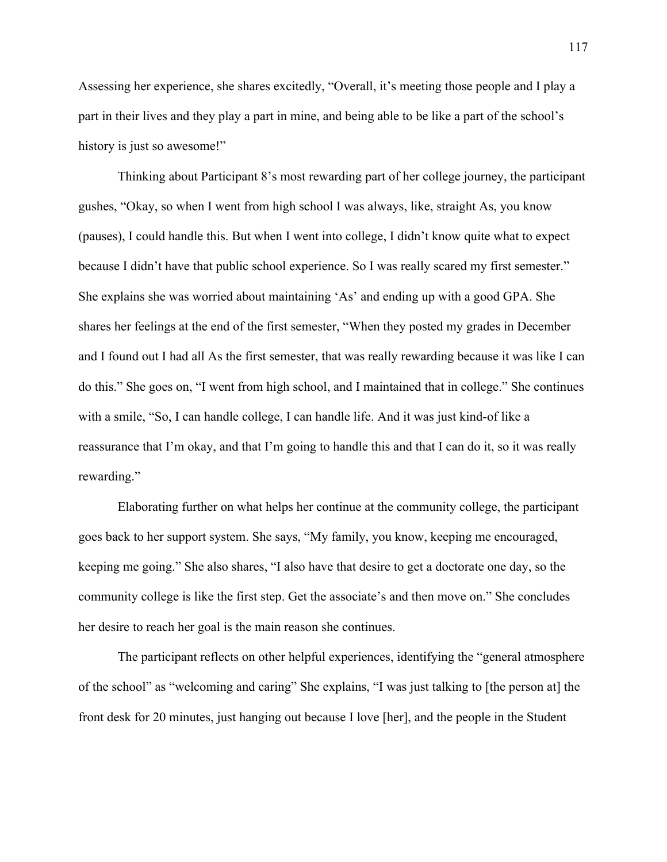Assessing her experience, she shares excitedly, "Overall, it's meeting those people and I play a part in their lives and they play a part in mine, and being able to be like a part of the school's history is just so awesome!"

Thinking about Participant 8's most rewarding part of her college journey, the participant gushes, "Okay, so when I went from high school I was always, like, straight As, you know (pauses), I could handle this. But when I went into college, I didn't know quite what to expect because I didn't have that public school experience. So I was really scared my first semester." She explains she was worried about maintaining 'As' and ending up with a good GPA. She shares her feelings at the end of the first semester, "When they posted my grades in December and I found out I had all As the first semester, that was really rewarding because it was like I can do this." She goes on, "I went from high school, and I maintained that in college." She continues with a smile, "So, I can handle college, I can handle life. And it was just kind-of like a reassurance that I'm okay, and that I'm going to handle this and that I can do it, so it was really rewarding."

Elaborating further on what helps her continue at the community college, the participant goes back to her support system. She says, "My family, you know, keeping me encouraged, keeping me going." She also shares, "I also have that desire to get a doctorate one day, so the community college is like the first step. Get the associate's and then move on." She concludes her desire to reach her goal is the main reason she continues.

The participant reflects on other helpful experiences, identifying the "general atmosphere of the school" as "welcoming and caring" She explains, "I was just talking to [the person at] the front desk for 20 minutes, just hanging out because I love [her], and the people in the Student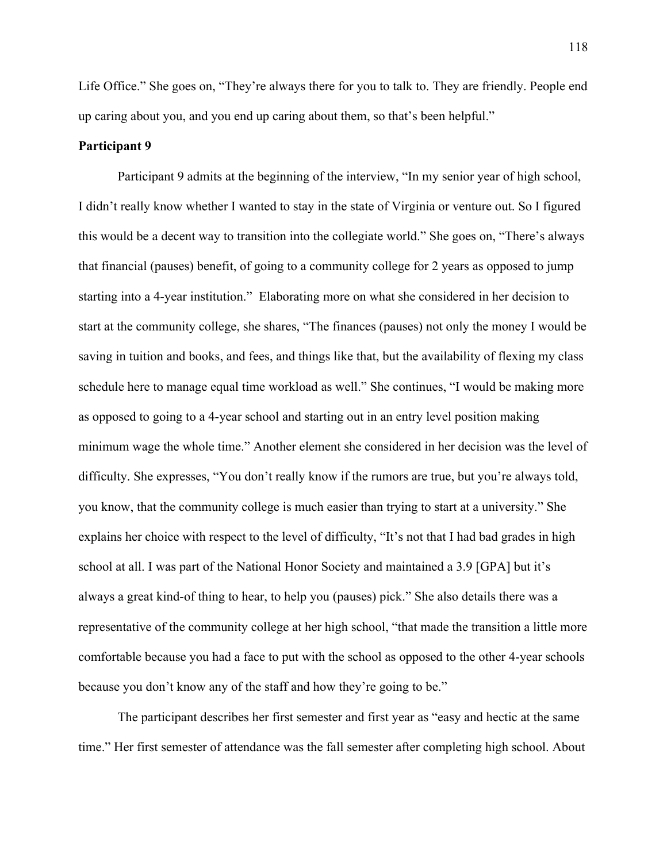Life Office." She goes on, "They're always there for you to talk to. They are friendly. People end up caring about you, and you end up caring about them, so that's been helpful."

### **Participant 9**

Participant 9 admits at the beginning of the interview, "In my senior year of high school, I didn't really know whether I wanted to stay in the state of Virginia or venture out. So I figured this would be a decent way to transition into the collegiate world." She goes on, "There's always that financial (pauses) benefit, of going to a community college for 2 years as opposed to jump starting into a 4-year institution." Elaborating more on what she considered in her decision to start at the community college, she shares, "The finances (pauses) not only the money I would be saving in tuition and books, and fees, and things like that, but the availability of flexing my class schedule here to manage equal time workload as well." She continues, "I would be making more as opposed to going to a 4-year school and starting out in an entry level position making minimum wage the whole time." Another element she considered in her decision was the level of difficulty. She expresses, "You don't really know if the rumors are true, but you're always told, you know, that the community college is much easier than trying to start at a university." She explains her choice with respect to the level of difficulty, "It's not that I had bad grades in high school at all. I was part of the National Honor Society and maintained a 3.9 [GPA] but it's always a great kind-of thing to hear, to help you (pauses) pick." She also details there was a representative of the community college at her high school, "that made the transition a little more comfortable because you had a face to put with the school as opposed to the other 4-year schools because you don't know any of the staff and how they're going to be."

The participant describes her first semester and first year as "easy and hectic at the same time." Her first semester of attendance was the fall semester after completing high school. About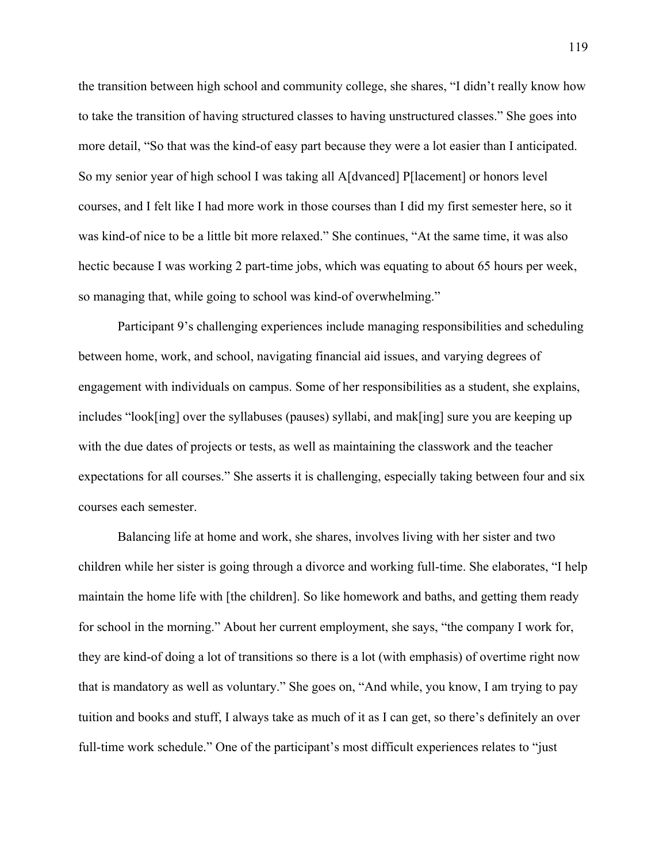the transition between high school and community college, she shares, "I didn't really know how to take the transition of having structured classes to having unstructured classes." She goes into more detail, "So that was the kind-of easy part because they were a lot easier than I anticipated. So my senior year of high school I was taking all A[dvanced] P[lacement] or honors level courses, and I felt like I had more work in those courses than I did my first semester here, so it was kind-of nice to be a little bit more relaxed." She continues, "At the same time, it was also hectic because I was working 2 part-time jobs, which was equating to about 65 hours per week, so managing that, while going to school was kind-of overwhelming."

Participant 9's challenging experiences include managing responsibilities and scheduling between home, work, and school, navigating financial aid issues, and varying degrees of engagement with individuals on campus. Some of her responsibilities as a student, she explains, includes "look[ing] over the syllabuses (pauses) syllabi, and mak[ing] sure you are keeping up with the due dates of projects or tests, as well as maintaining the classwork and the teacher expectations for all courses." She asserts it is challenging, especially taking between four and six courses each semester.

Balancing life at home and work, she shares, involves living with her sister and two children while her sister is going through a divorce and working full-time. She elaborates, "I help maintain the home life with [the children]. So like homework and baths, and getting them ready for school in the morning." About her current employment, she says, "the company I work for, they are kind-of doing a lot of transitions so there is a lot (with emphasis) of overtime right now that is mandatory as well as voluntary." She goes on, "And while, you know, I am trying to pay tuition and books and stuff, I always take as much of it as I can get, so there's definitely an over full-time work schedule." One of the participant's most difficult experiences relates to "just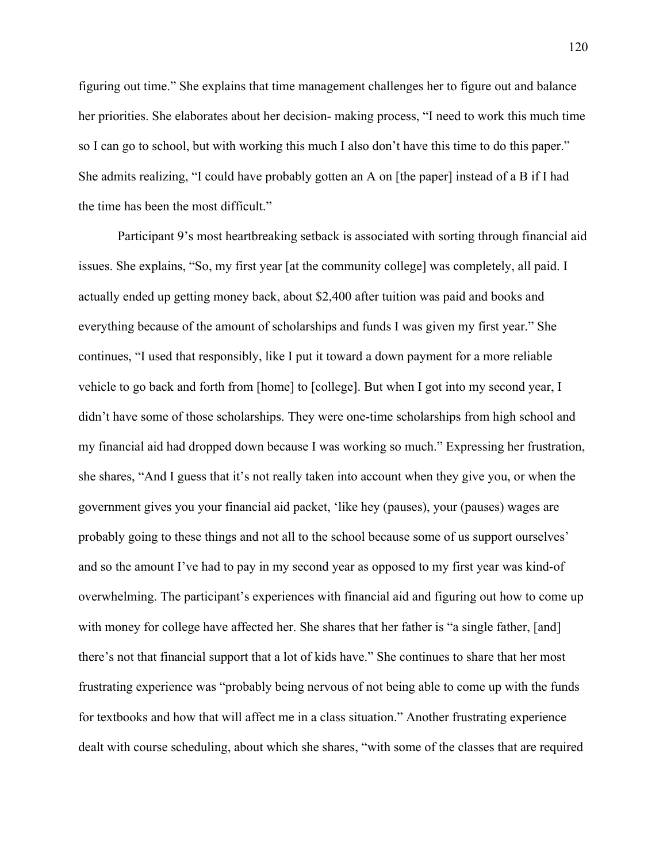figuring out time." She explains that time management challenges her to figure out and balance her priorities. She elaborates about her decision- making process, "I need to work this much time so I can go to school, but with working this much I also don't have this time to do this paper." She admits realizing, "I could have probably gotten an A on [the paper] instead of a B if I had the time has been the most difficult."

Participant 9's most heartbreaking setback is associated with sorting through financial aid issues. She explains, "So, my first year [at the community college] was completely, all paid. I actually ended up getting money back, about \$2,400 after tuition was paid and books and everything because of the amount of scholarships and funds I was given my first year." She continues, "I used that responsibly, like I put it toward a down payment for a more reliable vehicle to go back and forth from [home] to [college]. But when I got into my second year, I didn't have some of those scholarships. They were one-time scholarships from high school and my financial aid had dropped down because I was working so much." Expressing her frustration, she shares, "And I guess that it's not really taken into account when they give you, or when the government gives you your financial aid packet, 'like hey (pauses), your (pauses) wages are probably going to these things and not all to the school because some of us support ourselves' and so the amount I've had to pay in my second year as opposed to my first year was kind-of overwhelming. The participant's experiences with financial aid and figuring out how to come up with money for college have affected her. She shares that her father is "a single father, [and] there's not that financial support that a lot of kids have." She continues to share that her most frustrating experience was "probably being nervous of not being able to come up with the funds for textbooks and how that will affect me in a class situation." Another frustrating experience dealt with course scheduling, about which she shares, "with some of the classes that are required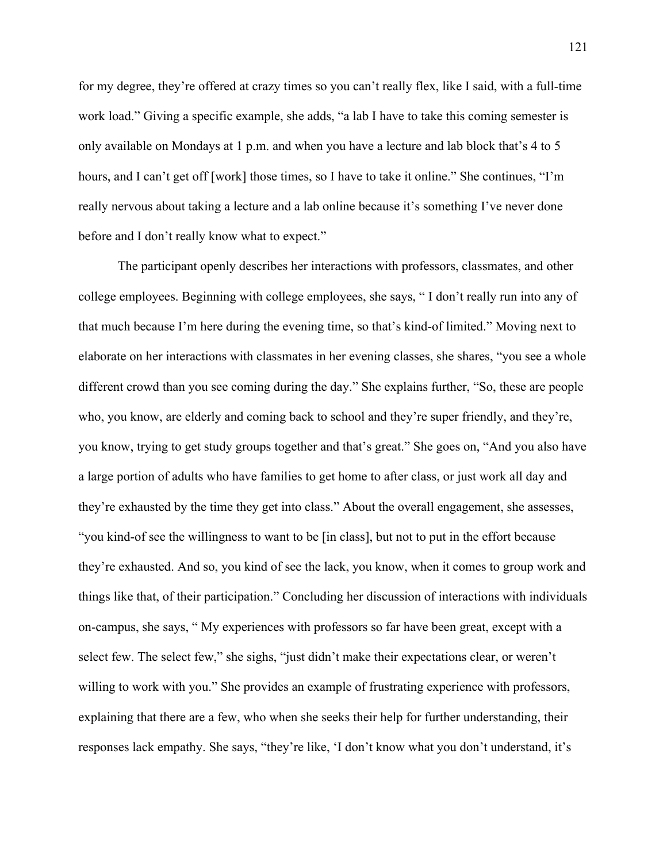for my degree, they're offered at crazy times so you can't really flex, like I said, with a full-time work load." Giving a specific example, she adds, "a lab I have to take this coming semester is only available on Mondays at 1 p.m. and when you have a lecture and lab block that's 4 to 5 hours, and I can't get off [work] those times, so I have to take it online." She continues, "I'm really nervous about taking a lecture and a lab online because it's something I've never done before and I don't really know what to expect."

The participant openly describes her interactions with professors, classmates, and other college employees. Beginning with college employees, she says, " I don't really run into any of that much because I'm here during the evening time, so that's kind-of limited." Moving next to elaborate on her interactions with classmates in her evening classes, she shares, "you see a whole different crowd than you see coming during the day." She explains further, "So, these are people who, you know, are elderly and coming back to school and they're super friendly, and they're, you know, trying to get study groups together and that's great." She goes on, "And you also have a large portion of adults who have families to get home to after class, or just work all day and they're exhausted by the time they get into class." About the overall engagement, she assesses, "you kind-of see the willingness to want to be [in class], but not to put in the effort because they're exhausted. And so, you kind of see the lack, you know, when it comes to group work and things like that, of their participation." Concluding her discussion of interactions with individuals on-campus, she says, " My experiences with professors so far have been great, except with a select few. The select few," she sighs, "just didn't make their expectations clear, or weren't willing to work with you." She provides an example of frustrating experience with professors, explaining that there are a few, who when she seeks their help for further understanding, their responses lack empathy. She says, "they're like, 'I don't know what you don't understand, it's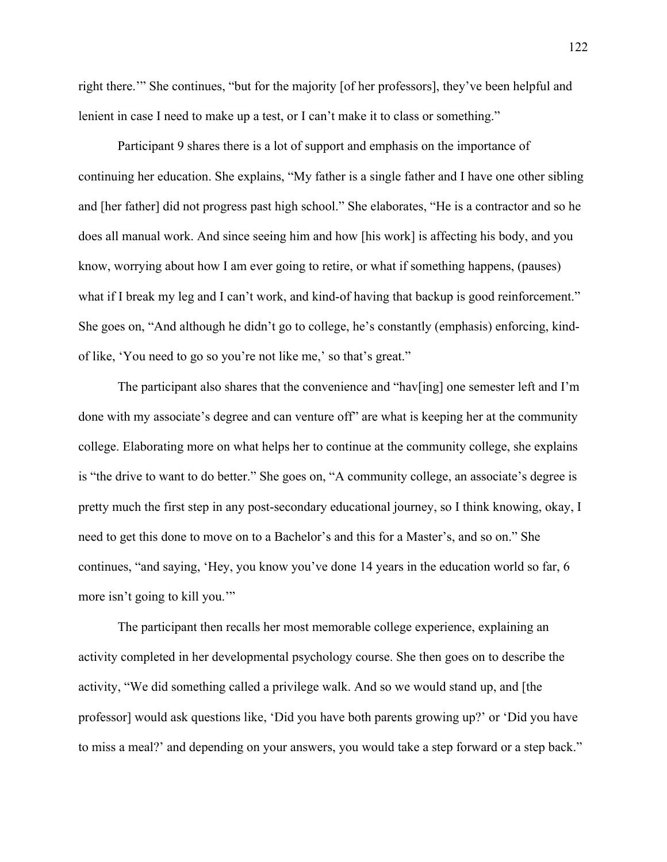right there.'" She continues, "but for the majority [of her professors], they've been helpful and lenient in case I need to make up a test, or I can't make it to class or something."

Participant 9 shares there is a lot of support and emphasis on the importance of continuing her education. She explains, "My father is a single father and I have one other sibling and [her father] did not progress past high school." She elaborates, "He is a contractor and so he does all manual work. And since seeing him and how [his work] is affecting his body, and you know, worrying about how I am ever going to retire, or what if something happens, (pauses) what if I break my leg and I can't work, and kind-of having that backup is good reinforcement." She goes on, "And although he didn't go to college, he's constantly (emphasis) enforcing, kindof like, 'You need to go so you're not like me,' so that's great."

The participant also shares that the convenience and "hav[ing] one semester left and  $\Gamma$ m done with my associate's degree and can venture off" are what is keeping her at the community college. Elaborating more on what helps her to continue at the community college, she explains is "the drive to want to do better." She goes on, "A community college, an associate's degree is pretty much the first step in any post-secondary educational journey, so I think knowing, okay, I need to get this done to move on to a Bachelor's and this for a Master's, and so on." She continues, "and saying, 'Hey, you know you've done 14 years in the education world so far, 6 more isn't going to kill you.'"

The participant then recalls her most memorable college experience, explaining an activity completed in her developmental psychology course. She then goes on to describe the activity, "We did something called a privilege walk. And so we would stand up, and [the professor] would ask questions like, 'Did you have both parents growing up?' or 'Did you have to miss a meal?' and depending on your answers, you would take a step forward or a step back."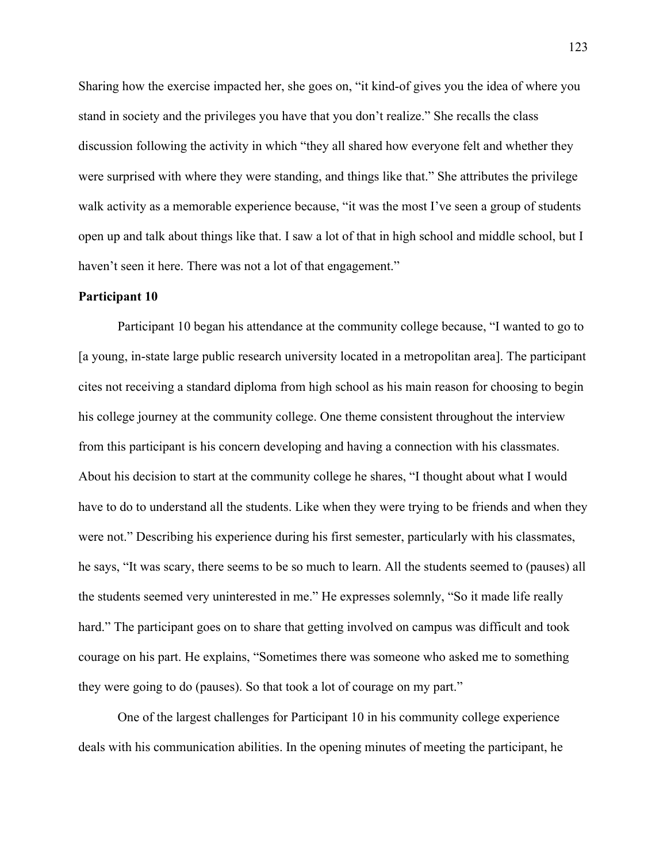Sharing how the exercise impacted her, she goes on, "it kind-of gives you the idea of where you stand in society and the privileges you have that you don't realize." She recalls the class discussion following the activity in which "they all shared how everyone felt and whether they were surprised with where they were standing, and things like that." She attributes the privilege walk activity as a memorable experience because, "it was the most I've seen a group of students open up and talk about things like that. I saw a lot of that in high school and middle school, but I haven't seen it here. There was not a lot of that engagement."

#### **Participant 10**

Participant 10 began his attendance at the community college because, "I wanted to go to [a young, in-state large public research university located in a metropolitan area]. The participant cites not receiving a standard diploma from high school as his main reason for choosing to begin his college journey at the community college. One theme consistent throughout the interview from this participant is his concern developing and having a connection with his classmates. About his decision to start at the community college he shares, "I thought about what I would have to do to understand all the students. Like when they were trying to be friends and when they were not." Describing his experience during his first semester, particularly with his classmates, he says, "It was scary, there seems to be so much to learn. All the students seemed to (pauses) all the students seemed very uninterested in me." He expresses solemnly, "So it made life really hard." The participant goes on to share that getting involved on campus was difficult and took courage on his part. He explains, "Sometimes there was someone who asked me to something they were going to do (pauses). So that took a lot of courage on my part."

One of the largest challenges for Participant 10 in his community college experience deals with his communication abilities. In the opening minutes of meeting the participant, he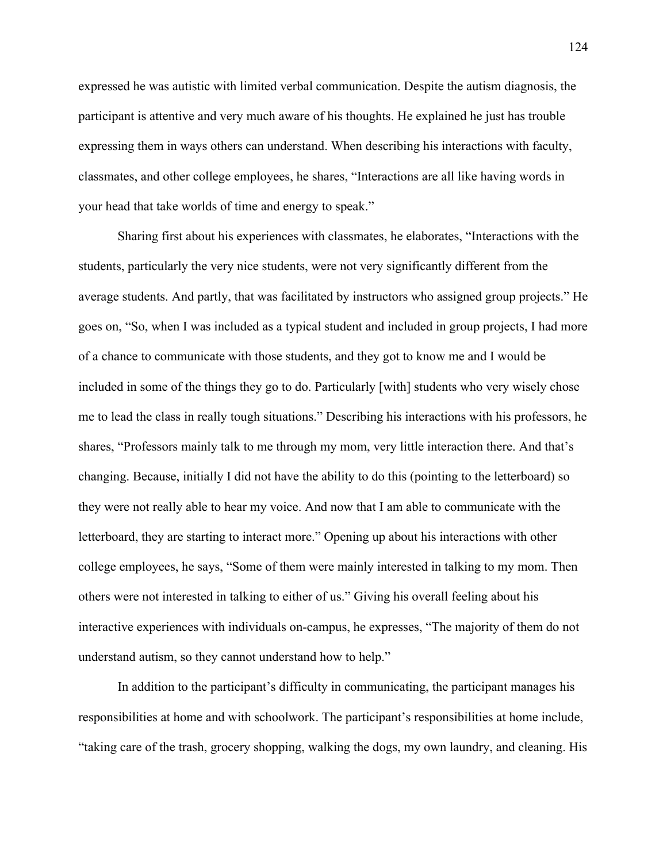expressed he was autistic with limited verbal communication. Despite the autism diagnosis, the participant is attentive and very much aware of his thoughts. He explained he just has trouble expressing them in ways others can understand. When describing his interactions with faculty, classmates, and other college employees, he shares, "Interactions are all like having words in your head that take worlds of time and energy to speak."

Sharing first about his experiences with classmates, he elaborates, "Interactions with the students, particularly the very nice students, were not very significantly different from the average students. And partly, that was facilitated by instructors who assigned group projects." He goes on, "So, when I was included as a typical student and included in group projects, I had more of a chance to communicate with those students, and they got to know me and I would be included in some of the things they go to do. Particularly [with] students who very wisely chose me to lead the class in really tough situations." Describing his interactions with his professors, he shares, "Professors mainly talk to me through my mom, very little interaction there. And that's changing. Because, initially I did not have the ability to do this (pointing to the letterboard) so they were not really able to hear my voice. And now that I am able to communicate with the letterboard, they are starting to interact more." Opening up about his interactions with other college employees, he says, "Some of them were mainly interested in talking to my mom. Then others were not interested in talking to either of us." Giving his overall feeling about his interactive experiences with individuals on-campus, he expresses, "The majority of them do not understand autism, so they cannot understand how to help."

In addition to the participant's difficulty in communicating, the participant manages his responsibilities at home and with schoolwork. The participant's responsibilities at home include, "taking care of the trash, grocery shopping, walking the dogs, my own laundry, and cleaning. His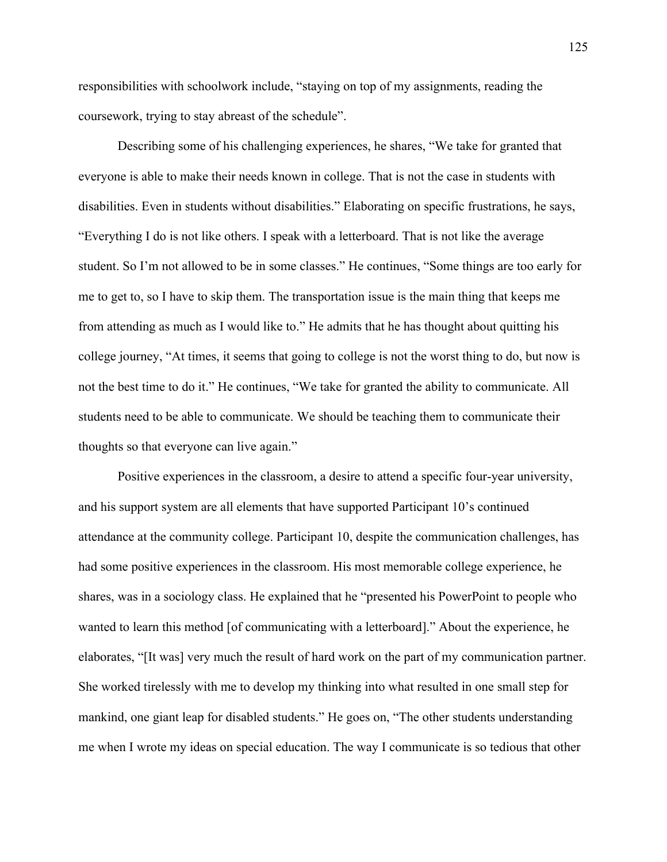responsibilities with schoolwork include, "staying on top of my assignments, reading the coursework, trying to stay abreast of the schedule".

Describing some of his challenging experiences, he shares, "We take for granted that everyone is able to make their needs known in college. That is not the case in students with disabilities. Even in students without disabilities." Elaborating on specific frustrations, he says, "Everything I do is not like others. I speak with a letterboard. That is not like the average student. So I'm not allowed to be in some classes." He continues, "Some things are too early for me to get to, so I have to skip them. The transportation issue is the main thing that keeps me from attending as much as I would like to." He admits that he has thought about quitting his college journey, "At times, it seems that going to college is not the worst thing to do, but now is not the best time to do it." He continues, "We take for granted the ability to communicate. All students need to be able to communicate. We should be teaching them to communicate their thoughts so that everyone can live again."

Positive experiences in the classroom, a desire to attend a specific four-year university, and his support system are all elements that have supported Participant 10's continued attendance at the community college. Participant 10, despite the communication challenges, has had some positive experiences in the classroom. His most memorable college experience, he shares, was in a sociology class. He explained that he "presented his PowerPoint to people who wanted to learn this method [of communicating with a letterboard]." About the experience, he elaborates, "[It was] very much the result of hard work on the part of my communication partner. She worked tirelessly with me to develop my thinking into what resulted in one small step for mankind, one giant leap for disabled students." He goes on, "The other students understanding me when I wrote my ideas on special education. The way I communicate is so tedious that other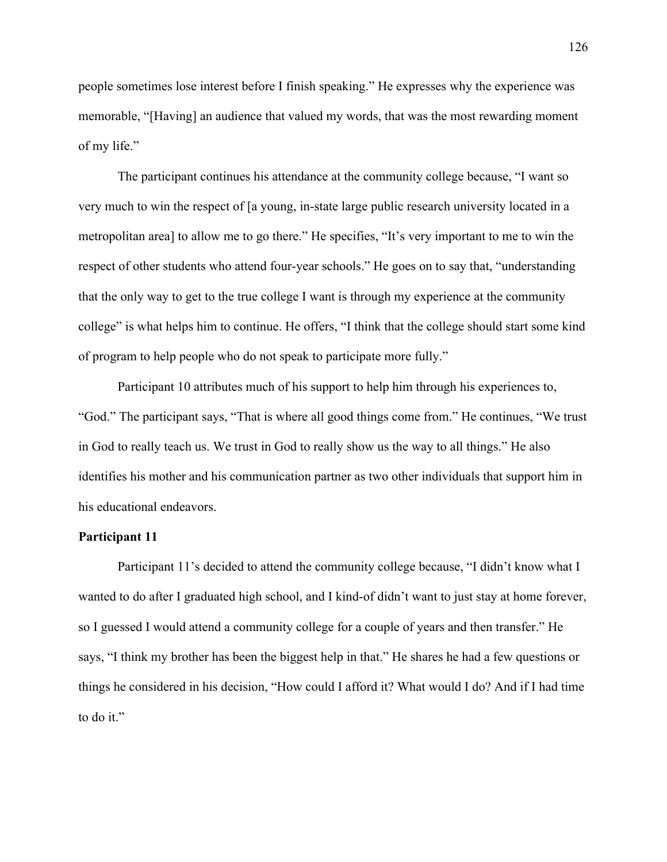people sometimes lose interest before I finish speaking." He expresses why the experience was memorable, "[Having] an audience that valued my words, that was the most rewarding moment of my life."

The participant continues his attendance at the community college because, "I want so very much to win the respect of [a young, in-state large public research university located in a metropolitan area] to allow me to go there." He specifies, "It's very important to me to win the respect of other students who attend four-year schools." He goes on to say that, "understanding that the only way to get to the true college I want is through my experience at the community college" is what helps him to continue. He offers, "I think that the college should start some kind of program to help people who do not speak to participate more fully."

Participant 10 attributes much of his support to help him through his experiences to, "God." The participant says, "That is where all good things come from." He continues, "We trust in God to really teach us. We trust in God to really show us the way to all things." He also identifies his mother and his communication partner as two other individuals that support him in his educational endeavors.

### **Participant 11**

Participant 11's decided to attend the community college because, "I didn't know what I wanted to do after I graduated high school, and I kind-of didn't want to just stay at home forever, so I guessed I would attend a community college for a couple of years and then transfer." He says, "I think my brother has been the biggest help in that." He shares he had a few questions or things he considered in his decision, "How could I afford it? What would I do? And if I had time to do it."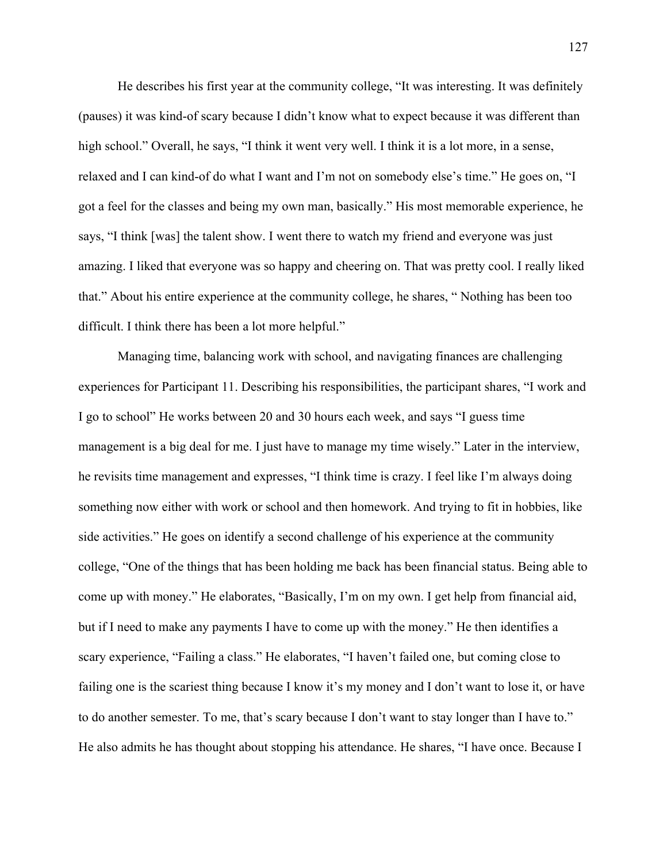He describes his first year at the community college, "It was interesting. It was definitely (pauses) it was kind-of scary because I didn't know what to expect because it was different than high school." Overall, he says, "I think it went very well. I think it is a lot more, in a sense, relaxed and I can kind-of do what I want and I'm not on somebody else's time." He goes on, "I got a feel for the classes and being my own man, basically." His most memorable experience, he says, "I think [was] the talent show. I went there to watch my friend and everyone was just amazing. I liked that everyone was so happy and cheering on. That was pretty cool. I really liked that." About his entire experience at the community college, he shares, " Nothing has been too difficult. I think there has been a lot more helpful."

Managing time, balancing work with school, and navigating finances are challenging experiences for Participant 11. Describing his responsibilities, the participant shares, "I work and I go to school" He works between 20 and 30 hours each week, and says "I guess time management is a big deal for me. I just have to manage my time wisely." Later in the interview, he revisits time management and expresses, "I think time is crazy. I feel like I'm always doing something now either with work or school and then homework. And trying to fit in hobbies, like side activities." He goes on identify a second challenge of his experience at the community college, "One of the things that has been holding me back has been financial status. Being able to come up with money." He elaborates, "Basically, I'm on my own. I get help from financial aid, but if I need to make any payments I have to come up with the money." He then identifies a scary experience, "Failing a class." He elaborates, "I haven't failed one, but coming close to failing one is the scariest thing because I know it's my money and I don't want to lose it, or have to do another semester. To me, that's scary because I don't want to stay longer than I have to." He also admits he has thought about stopping his attendance. He shares, "I have once. Because I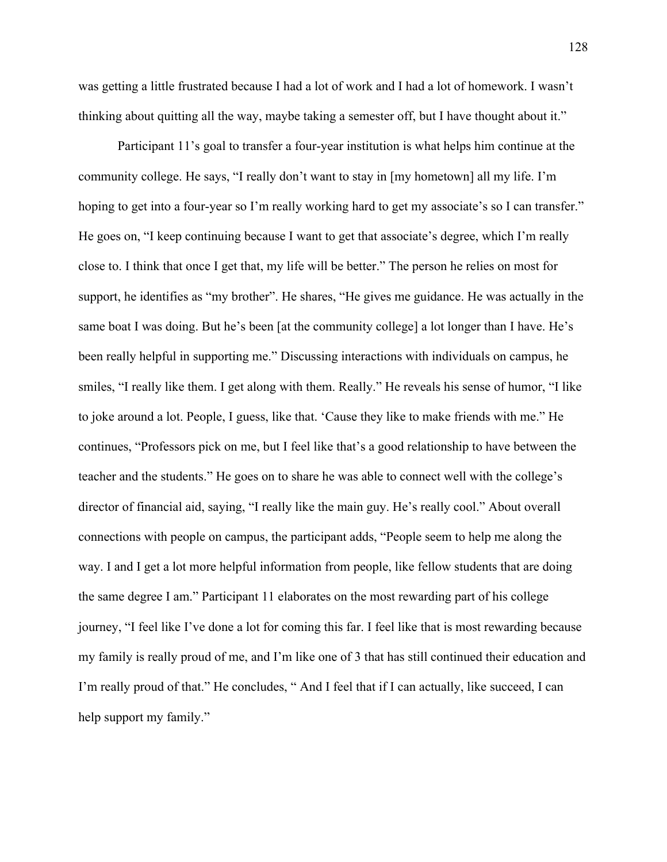was getting a little frustrated because I had a lot of work and I had a lot of homework. I wasn't thinking about quitting all the way, maybe taking a semester off, but I have thought about it."

Participant 11's goal to transfer a four-year institution is what helps him continue at the community college. He says, "I really don't want to stay in [my hometown] all my life. I'm hoping to get into a four-year so I'm really working hard to get my associate's so I can transfer." He goes on, "I keep continuing because I want to get that associate's degree, which I'm really close to. I think that once I get that, my life will be better." The person he relies on most for support, he identifies as "my brother". He shares, "He gives me guidance. He was actually in the same boat I was doing. But he's been [at the community college] a lot longer than I have. He's been really helpful in supporting me." Discussing interactions with individuals on campus, he smiles, "I really like them. I get along with them. Really." He reveals his sense of humor, "I like to joke around a lot. People, I guess, like that. 'Cause they like to make friends with me." He continues, "Professors pick on me, but I feel like that's a good relationship to have between the teacher and the students." He goes on to share he was able to connect well with the college's director of financial aid, saying, "I really like the main guy. He's really cool." About overall connections with people on campus, the participant adds, "People seem to help me along the way. I and I get a lot more helpful information from people, like fellow students that are doing the same degree I am." Participant 11 elaborates on the most rewarding part of his college journey, "I feel like I've done a lot for coming this far. I feel like that is most rewarding because my family is really proud of me, and I'm like one of 3 that has still continued their education and I'm really proud of that." He concludes, " And I feel that if I can actually, like succeed, I can help support my family."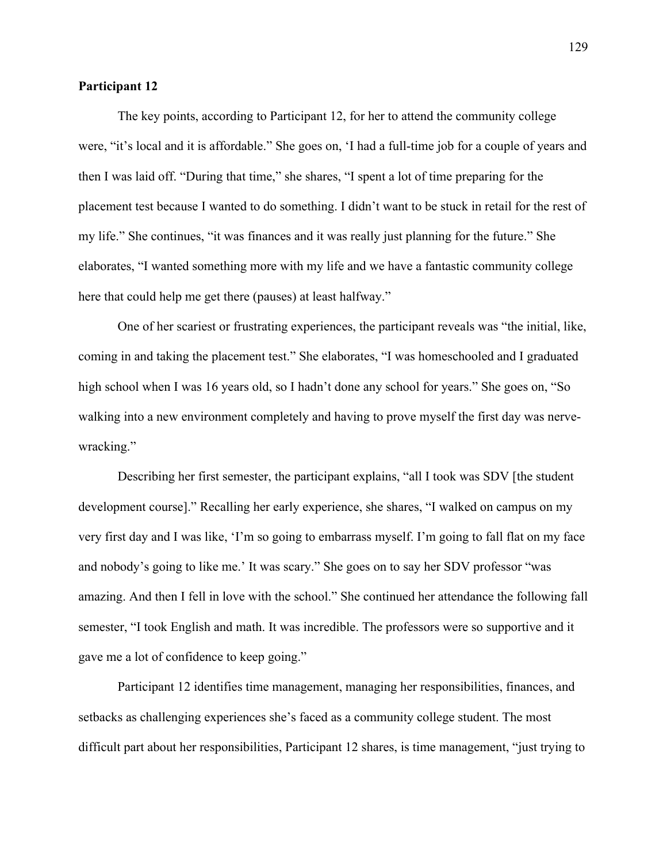### **Participant 12**

The key points, according to Participant 12, for her to attend the community college were, "it's local and it is affordable." She goes on, 'I had a full-time job for a couple of years and then I was laid off. "During that time," she shares, "I spent a lot of time preparing for the placement test because I wanted to do something. I didn't want to be stuck in retail for the rest of my life." She continues, "it was finances and it was really just planning for the future." She elaborates, "I wanted something more with my life and we have a fantastic community college here that could help me get there (pauses) at least halfway."

One of her scariest or frustrating experiences, the participant reveals was "the initial, like, coming in and taking the placement test." She elaborates, "I was homeschooled and I graduated high school when I was 16 years old, so I hadn't done any school for years." She goes on, "So walking into a new environment completely and having to prove myself the first day was nervewracking."

Describing her first semester, the participant explains, "all I took was SDV [the student development course]." Recalling her early experience, she shares, "I walked on campus on my very first day and I was like, 'I'm so going to embarrass myself. I'm going to fall flat on my face and nobody's going to like me.' It was scary." She goes on to say her SDV professor "was amazing. And then I fell in love with the school." She continued her attendance the following fall semester, "I took English and math. It was incredible. The professors were so supportive and it gave me a lot of confidence to keep going."

Participant 12 identifies time management, managing her responsibilities, finances, and setbacks as challenging experiences she's faced as a community college student. The most difficult part about her responsibilities, Participant 12 shares, is time management, "just trying to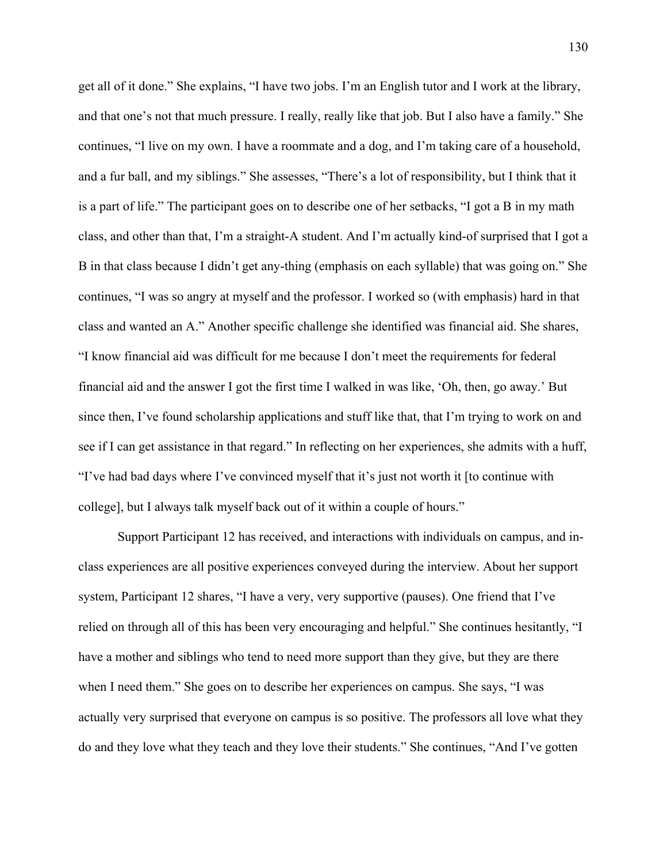get all of it done." She explains, "I have two jobs. I'm an English tutor and I work at the library, and that one's not that much pressure. I really, really like that job. But I also have a family." She continues, "I live on my own. I have a roommate and a dog, and I'm taking care of a household, and a fur ball, and my siblings." She assesses, "There's a lot of responsibility, but I think that it is a part of life." The participant goes on to describe one of her setbacks, "I got a B in my math class, and other than that, I'm a straight-A student. And I'm actually kind-of surprised that I got a B in that class because I didn't get any-thing (emphasis on each syllable) that was going on." She continues, "I was so angry at myself and the professor. I worked so (with emphasis) hard in that class and wanted an A." Another specific challenge she identified was financial aid. She shares, "I know financial aid was difficult for me because I don't meet the requirements for federal financial aid and the answer I got the first time I walked in was like, 'Oh, then, go away.' But since then, I've found scholarship applications and stuff like that, that I'm trying to work on and see if I can get assistance in that regard." In reflecting on her experiences, she admits with a huff, "I've had bad days where I've convinced myself that it's just not worth it [to continue with college], but I always talk myself back out of it within a couple of hours."

Support Participant 12 has received, and interactions with individuals on campus, and inclass experiences are all positive experiences conveyed during the interview. About her support system, Participant 12 shares, "I have a very, very supportive (pauses). One friend that I've relied on through all of this has been very encouraging and helpful." She continues hesitantly, "I have a mother and siblings who tend to need more support than they give, but they are there when I need them." She goes on to describe her experiences on campus. She says, "I was actually very surprised that everyone on campus is so positive. The professors all love what they do and they love what they teach and they love their students." She continues, "And I've gotten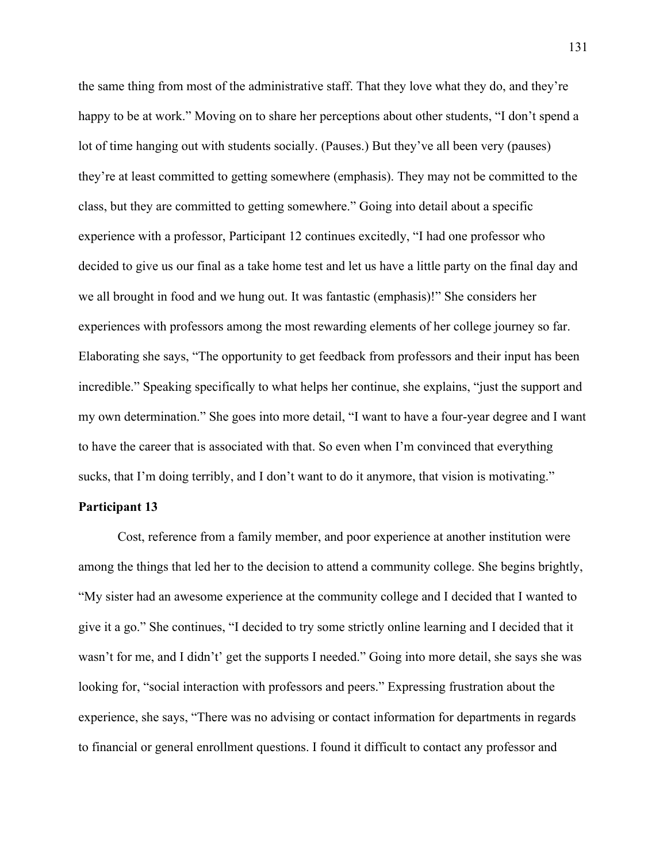the same thing from most of the administrative staff. That they love what they do, and they're happy to be at work." Moving on to share her perceptions about other students, "I don't spend a lot of time hanging out with students socially. (Pauses.) But they've all been very (pauses) they're at least committed to getting somewhere (emphasis). They may not be committed to the class, but they are committed to getting somewhere." Going into detail about a specific experience with a professor, Participant 12 continues excitedly, "I had one professor who decided to give us our final as a take home test and let us have a little party on the final day and we all brought in food and we hung out. It was fantastic (emphasis)!" She considers her experiences with professors among the most rewarding elements of her college journey so far. Elaborating she says, "The opportunity to get feedback from professors and their input has been incredible." Speaking specifically to what helps her continue, she explains, "just the support and my own determination." She goes into more detail, "I want to have a four-year degree and I want to have the career that is associated with that. So even when I'm convinced that everything sucks, that I'm doing terribly, and I don't want to do it anymore, that vision is motivating."

## **Participant 13**

Cost, reference from a family member, and poor experience at another institution were among the things that led her to the decision to attend a community college. She begins brightly, "My sister had an awesome experience at the community college and I decided that I wanted to give it a go." She continues, "I decided to try some strictly online learning and I decided that it wasn't for me, and I didn't' get the supports I needed." Going into more detail, she says she was looking for, "social interaction with professors and peers." Expressing frustration about the experience, she says, "There was no advising or contact information for departments in regards to financial or general enrollment questions. I found it difficult to contact any professor and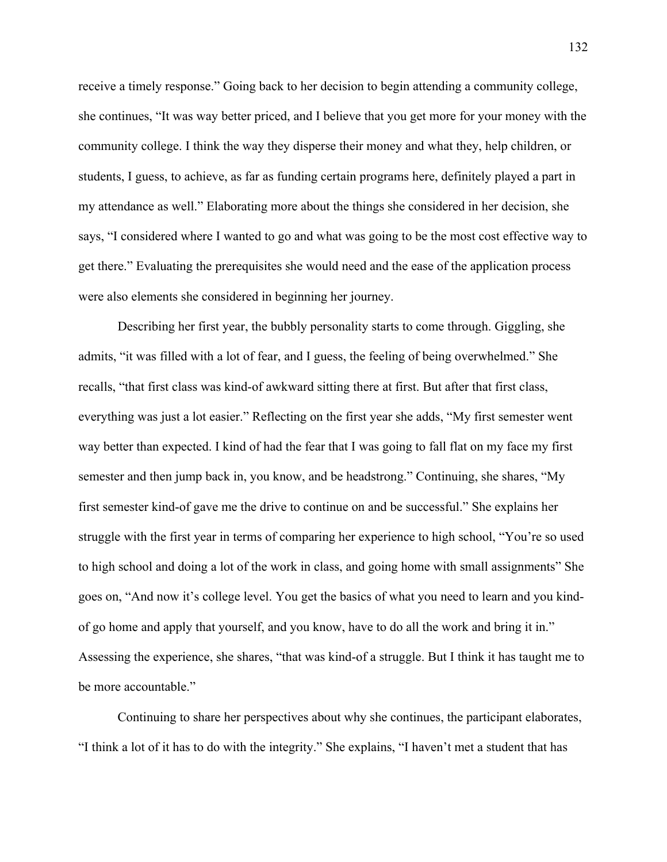receive a timely response." Going back to her decision to begin attending a community college, she continues, "It was way better priced, and I believe that you get more for your money with the community college. I think the way they disperse their money and what they, help children, or students, I guess, to achieve, as far as funding certain programs here, definitely played a part in my attendance as well." Elaborating more about the things she considered in her decision, she says, "I considered where I wanted to go and what was going to be the most cost effective way to get there." Evaluating the prerequisites she would need and the ease of the application process were also elements she considered in beginning her journey.

Describing her first year, the bubbly personality starts to come through. Giggling, she admits, "it was filled with a lot of fear, and I guess, the feeling of being overwhelmed." She recalls, "that first class was kind-of awkward sitting there at first. But after that first class, everything was just a lot easier." Reflecting on the first year she adds, "My first semester went way better than expected. I kind of had the fear that I was going to fall flat on my face my first semester and then jump back in, you know, and be headstrong." Continuing, she shares, "My first semester kind-of gave me the drive to continue on and be successful." She explains her struggle with the first year in terms of comparing her experience to high school, "You're so used to high school and doing a lot of the work in class, and going home with small assignments" She goes on, "And now it's college level. You get the basics of what you need to learn and you kindof go home and apply that yourself, and you know, have to do all the work and bring it in." Assessing the experience, she shares, "that was kind-of a struggle. But I think it has taught me to be more accountable."

Continuing to share her perspectives about why she continues, the participant elaborates, "I think a lot of it has to do with the integrity." She explains, "I haven't met a student that has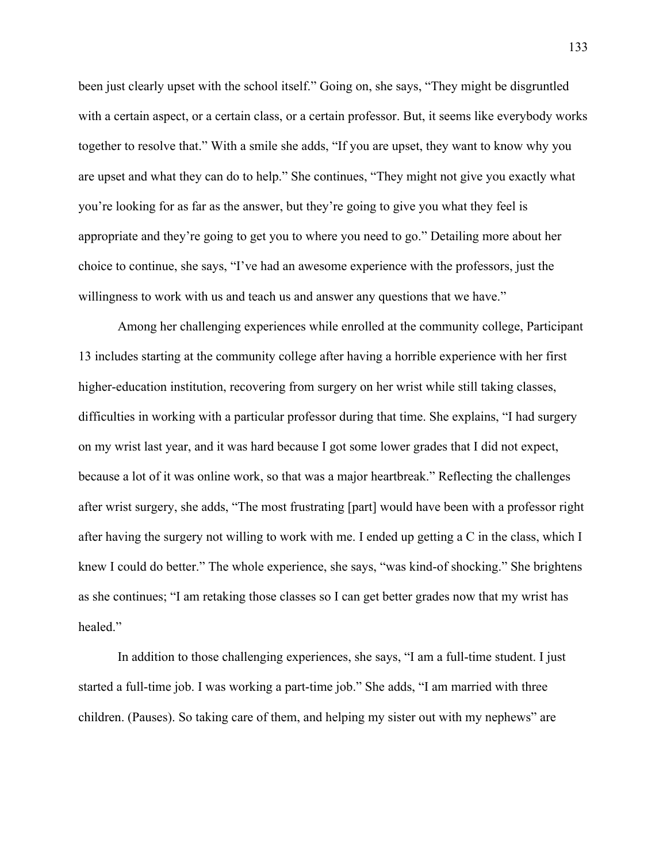been just clearly upset with the school itself." Going on, she says, "They might be disgruntled with a certain aspect, or a certain class, or a certain professor. But, it seems like everybody works together to resolve that." With a smile she adds, "If you are upset, they want to know why you are upset and what they can do to help." She continues, "They might not give you exactly what you're looking for as far as the answer, but they're going to give you what they feel is appropriate and they're going to get you to where you need to go." Detailing more about her choice to continue, she says, "I've had an awesome experience with the professors, just the willingness to work with us and teach us and answer any questions that we have."

Among her challenging experiences while enrolled at the community college, Participant 13 includes starting at the community college after having a horrible experience with her first higher-education institution, recovering from surgery on her wrist while still taking classes, difficulties in working with a particular professor during that time. She explains, "I had surgery on my wrist last year, and it was hard because I got some lower grades that I did not expect, because a lot of it was online work, so that was a major heartbreak." Reflecting the challenges after wrist surgery, she adds, "The most frustrating [part] would have been with a professor right after having the surgery not willing to work with me. I ended up getting a C in the class, which I knew I could do better." The whole experience, she says, "was kind-of shocking." She brightens as she continues; "I am retaking those classes so I can get better grades now that my wrist has healed."

In addition to those challenging experiences, she says, "I am a full-time student. I just started a full-time job. I was working a part-time job." She adds, "I am married with three children. (Pauses). So taking care of them, and helping my sister out with my nephews" are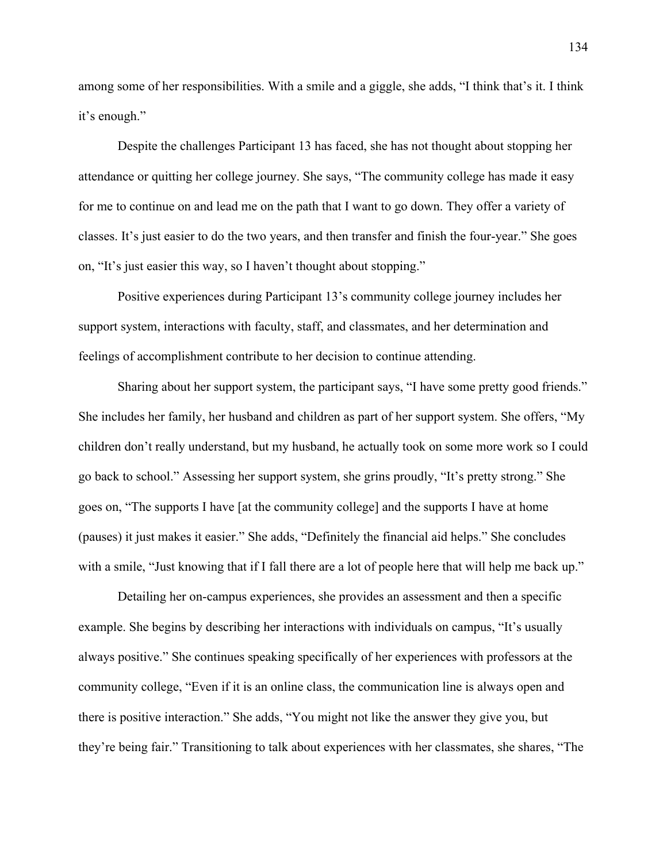among some of her responsibilities. With a smile and a giggle, she adds, "I think that's it. I think it's enough."

Despite the challenges Participant 13 has faced, she has not thought about stopping her attendance or quitting her college journey. She says, "The community college has made it easy for me to continue on and lead me on the path that I want to go down. They offer a variety of classes. It's just easier to do the two years, and then transfer and finish the four-year." She goes on, "It's just easier this way, so I haven't thought about stopping."

Positive experiences during Participant 13's community college journey includes her support system, interactions with faculty, staff, and classmates, and her determination and feelings of accomplishment contribute to her decision to continue attending.

Sharing about her support system, the participant says, "I have some pretty good friends." She includes her family, her husband and children as part of her support system. She offers, "My children don't really understand, but my husband, he actually took on some more work so I could go back to school." Assessing her support system, she grins proudly, "It's pretty strong." She goes on, "The supports I have [at the community college] and the supports I have at home (pauses) it just makes it easier." She adds, "Definitely the financial aid helps." She concludes with a smile, "Just knowing that if I fall there are a lot of people here that will help me back up."

Detailing her on-campus experiences, she provides an assessment and then a specific example. She begins by describing her interactions with individuals on campus, "It's usually always positive." She continues speaking specifically of her experiences with professors at the community college, "Even if it is an online class, the communication line is always open and there is positive interaction." She adds, "You might not like the answer they give you, but they're being fair." Transitioning to talk about experiences with her classmates, she shares, "The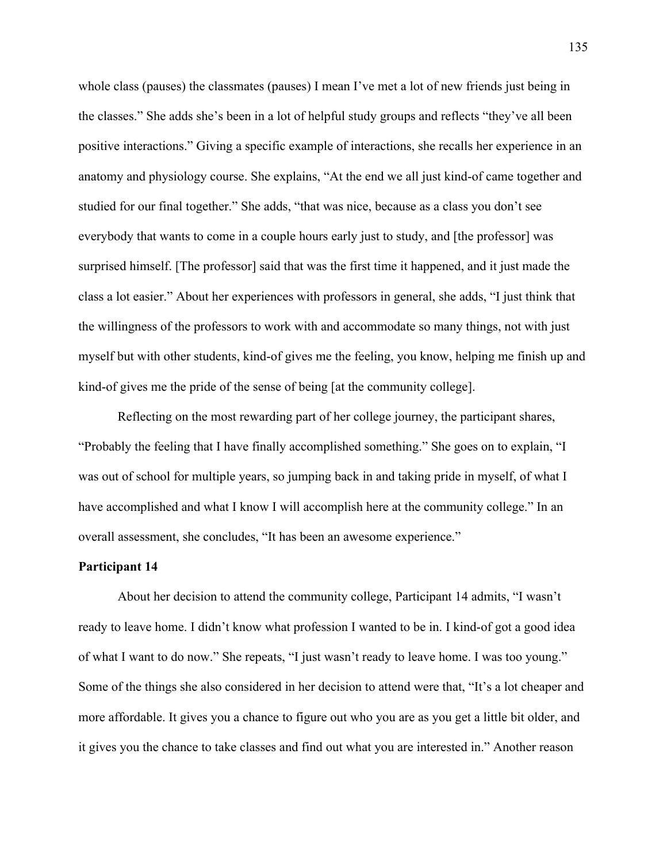whole class (pauses) the classmates (pauses) I mean I've met a lot of new friends just being in the classes." She adds she's been in a lot of helpful study groups and reflects "they've all been positive interactions." Giving a specific example of interactions, she recalls her experience in an anatomy and physiology course. She explains, "At the end we all just kind-of came together and studied for our final together." She adds, "that was nice, because as a class you don't see everybody that wants to come in a couple hours early just to study, and [the professor] was surprised himself. [The professor] said that was the first time it happened, and it just made the class a lot easier." About her experiences with professors in general, she adds, "I just think that the willingness of the professors to work with and accommodate so many things, not with just myself but with other students, kind-of gives me the feeling, you know, helping me finish up and kind-of gives me the pride of the sense of being [at the community college].

Reflecting on the most rewarding part of her college journey, the participant shares, "Probably the feeling that I have finally accomplished something." She goes on to explain, "I was out of school for multiple years, so jumping back in and taking pride in myself, of what I have accomplished and what I know I will accomplish here at the community college." In an overall assessment, she concludes, "It has been an awesome experience."

#### **Participant 14**

About her decision to attend the community college, Participant 14 admits, "I wasn't ready to leave home. I didn't know what profession I wanted to be in. I kind-of got a good idea of what I want to do now." She repeats, "I just wasn't ready to leave home. I was too young." Some of the things she also considered in her decision to attend were that, "It's a lot cheaper and more affordable. It gives you a chance to figure out who you are as you get a little bit older, and it gives you the chance to take classes and find out what you are interested in." Another reason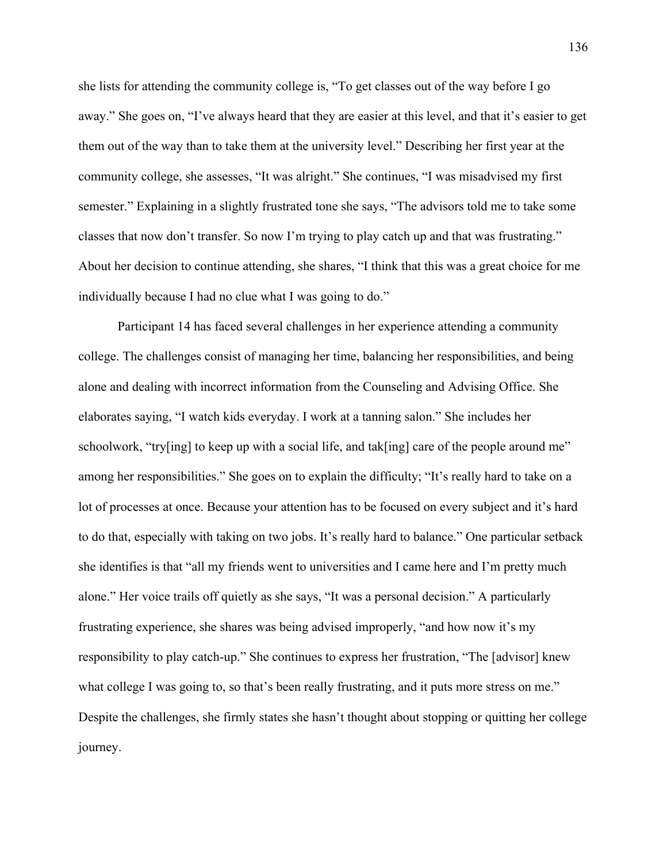she lists for attending the community college is, "To get classes out of the way before I go away." She goes on, "I've always heard that they are easier at this level, and that it's easier to get them out of the way than to take them at the university level." Describing her first year at the community college, she assesses, "It was alright." She continues, "I was misadvised my first semester." Explaining in a slightly frustrated tone she says, "The advisors told me to take some classes that now don't transfer. So now I'm trying to play catch up and that was frustrating." About her decision to continue attending, she shares, "I think that this was a great choice for me individually because I had no clue what I was going to do."

Participant 14 has faced several challenges in her experience attending a community college. The challenges consist of managing her time, balancing her responsibilities, and being alone and dealing with incorrect information from the Counseling and Advising Office. She elaborates saying, "I watch kids everyday. I work at a tanning salon." She includes her schoolwork, "try[ing] to keep up with a social life, and tak[ing] care of the people around me" among her responsibilities." She goes on to explain the difficulty; "It's really hard to take on a lot of processes at once. Because your attention has to be focused on every subject and it's hard to do that, especially with taking on two jobs. It's really hard to balance." One particular setback she identifies is that "all my friends went to universities and I came here and I'm pretty much alone." Her voice trails off quietly as she says, "It was a personal decision." A particularly frustrating experience, she shares was being advised improperly, "and how now it's my responsibility to play catch-up." She continues to express her frustration, "The [advisor] knew what college I was going to, so that's been really frustrating, and it puts more stress on me." Despite the challenges, she firmly states she hasn't thought about stopping or quitting her college journey.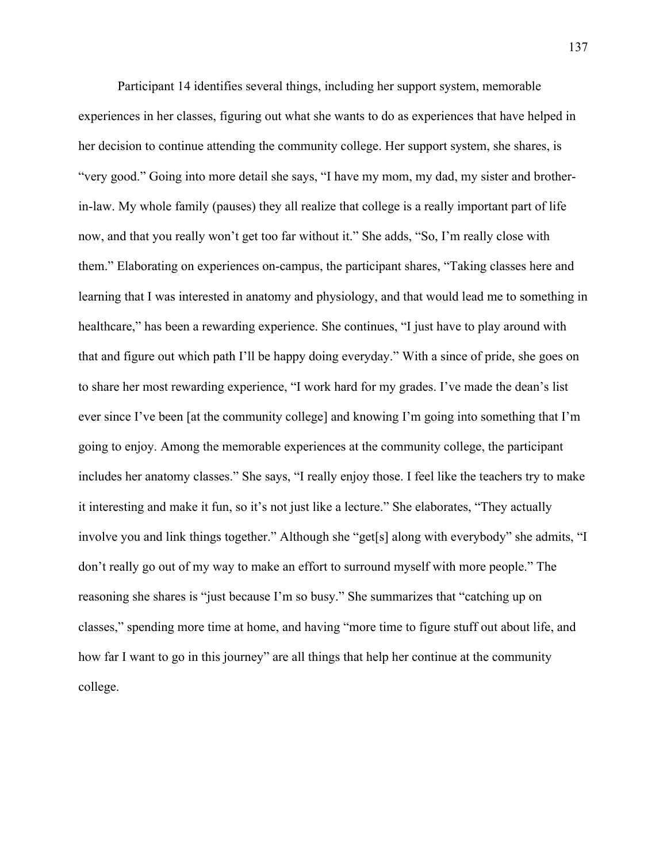Participant 14 identifies several things, including her support system, memorable experiences in her classes, figuring out what she wants to do as experiences that have helped in her decision to continue attending the community college. Her support system, she shares, is "very good." Going into more detail she says, "I have my mom, my dad, my sister and brotherin-law. My whole family (pauses) they all realize that college is a really important part of life now, and that you really won't get too far without it." She adds, "So, I'm really close with them." Elaborating on experiences on-campus, the participant shares, "Taking classes here and learning that I was interested in anatomy and physiology, and that would lead me to something in healthcare," has been a rewarding experience. She continues, "I just have to play around with that and figure out which path I'll be happy doing everyday." With a since of pride, she goes on to share her most rewarding experience, "I work hard for my grades. I've made the dean's list ever since I've been [at the community college] and knowing I'm going into something that I'm going to enjoy. Among the memorable experiences at the community college, the participant includes her anatomy classes." She says, "I really enjoy those. I feel like the teachers try to make it interesting and make it fun, so it's not just like a lecture." She elaborates, "They actually involve you and link things together." Although she "get[s] along with everybody" she admits, "I don't really go out of my way to make an effort to surround myself with more people." The reasoning she shares is "just because I'm so busy." She summarizes that "catching up on classes," spending more time at home, and having "more time to figure stuff out about life, and how far I want to go in this journey" are all things that help her continue at the community college.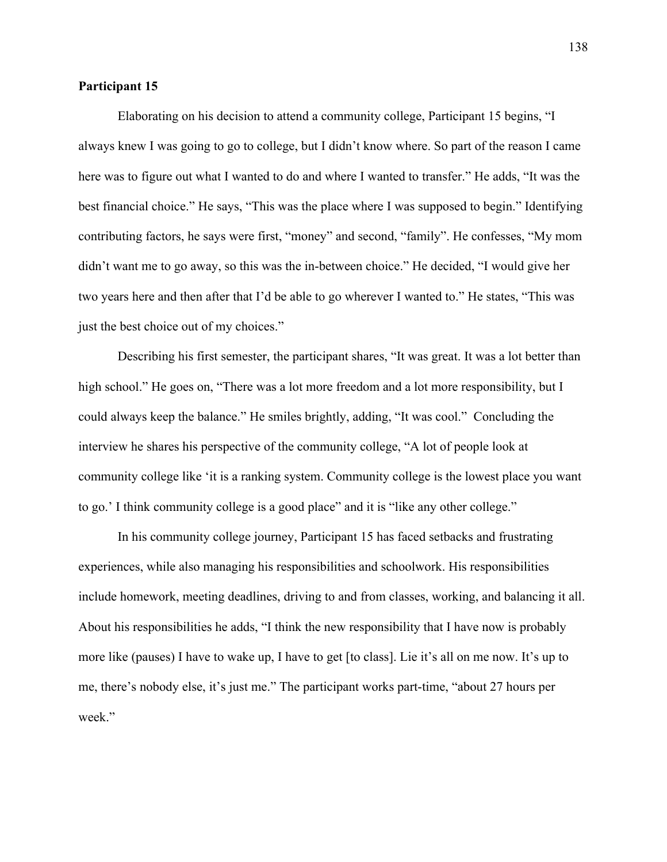### **Participant 15**

Elaborating on his decision to attend a community college, Participant 15 begins, "I always knew I was going to go to college, but I didn't know where. So part of the reason I came here was to figure out what I wanted to do and where I wanted to transfer." He adds, "It was the best financial choice." He says, "This was the place where I was supposed to begin." Identifying contributing factors, he says were first, "money" and second, "family". He confesses, "My mom didn't want me to go away, so this was the in-between choice." He decided, "I would give her two years here and then after that I'd be able to go wherever I wanted to." He states, "This was just the best choice out of my choices."

Describing his first semester, the participant shares, "It was great. It was a lot better than high school." He goes on, "There was a lot more freedom and a lot more responsibility, but I could always keep the balance." He smiles brightly, adding, "It was cool." Concluding the interview he shares his perspective of the community college, "A lot of people look at community college like 'it is a ranking system. Community college is the lowest place you want to go.' I think community college is a good place" and it is "like any other college."

In his community college journey, Participant 15 has faced setbacks and frustrating experiences, while also managing his responsibilities and schoolwork. His responsibilities include homework, meeting deadlines, driving to and from classes, working, and balancing it all. About his responsibilities he adds, "I think the new responsibility that I have now is probably more like (pauses) I have to wake up, I have to get [to class]. Lie it's all on me now. It's up to me, there's nobody else, it's just me." The participant works part-time, "about 27 hours per week."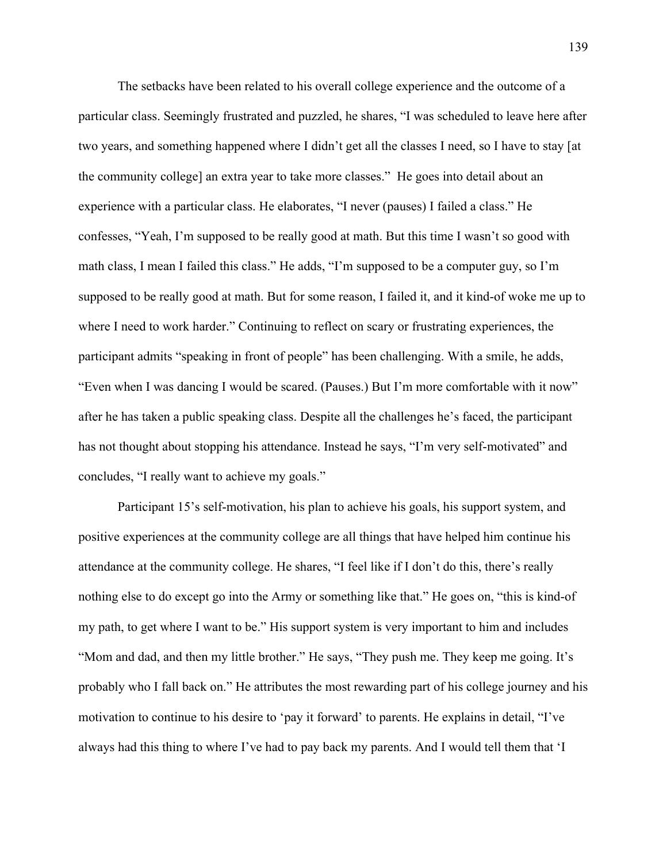The setbacks have been related to his overall college experience and the outcome of a particular class. Seemingly frustrated and puzzled, he shares, "I was scheduled to leave here after two years, and something happened where I didn't get all the classes I need, so I have to stay [at the community college] an extra year to take more classes." He goes into detail about an experience with a particular class. He elaborates, "I never (pauses) I failed a class." He confesses, "Yeah, I'm supposed to be really good at math. But this time I wasn't so good with math class, I mean I failed this class." He adds, "I'm supposed to be a computer guy, so I'm supposed to be really good at math. But for some reason, I failed it, and it kind-of woke me up to where I need to work harder." Continuing to reflect on scary or frustrating experiences, the participant admits "speaking in front of people" has been challenging. With a smile, he adds, "Even when I was dancing I would be scared. (Pauses.) But I'm more comfortable with it now" after he has taken a public speaking class. Despite all the challenges he's faced, the participant has not thought about stopping his attendance. Instead he says, "I'm very self-motivated" and concludes, "I really want to achieve my goals."

Participant 15's self-motivation, his plan to achieve his goals, his support system, and positive experiences at the community college are all things that have helped him continue his attendance at the community college. He shares, "I feel like if I don't do this, there's really nothing else to do except go into the Army or something like that." He goes on, "this is kind-of my path, to get where I want to be." His support system is very important to him and includes "Mom and dad, and then my little brother." He says, "They push me. They keep me going. It's probably who I fall back on." He attributes the most rewarding part of his college journey and his motivation to continue to his desire to 'pay it forward' to parents. He explains in detail, "I've always had this thing to where I've had to pay back my parents. And I would tell them that 'I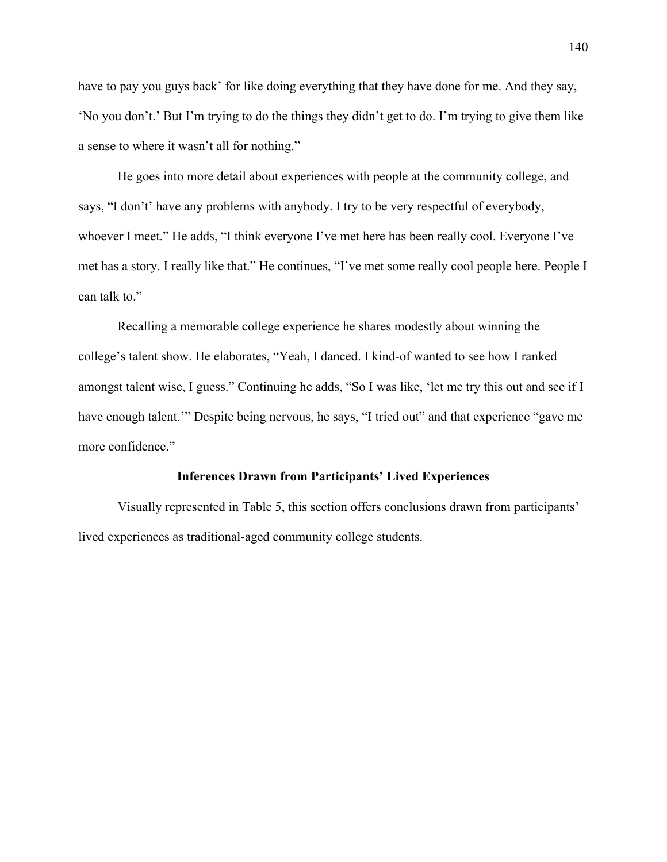have to pay you guys back' for like doing everything that they have done for me. And they say, 'No you don't.' But I'm trying to do the things they didn't get to do. I'm trying to give them like a sense to where it wasn't all for nothing."

He goes into more detail about experiences with people at the community college, and says, "I don't' have any problems with anybody. I try to be very respectful of everybody, whoever I meet." He adds, "I think everyone I've met here has been really cool. Everyone I've met has a story. I really like that." He continues, "I've met some really cool people here. People I can talk to."

Recalling a memorable college experience he shares modestly about winning the college's talent show. He elaborates, "Yeah, I danced. I kind-of wanted to see how I ranked amongst talent wise, I guess." Continuing he adds, "So I was like, 'let me try this out and see if I have enough talent." Despite being nervous, he says, "I tried out" and that experience "gave me more confidence."

## **Inferences Drawn from Participants' Lived Experiences**

Visually represented in Table 5, this section offers conclusions drawn from participants' lived experiences as traditional-aged community college students.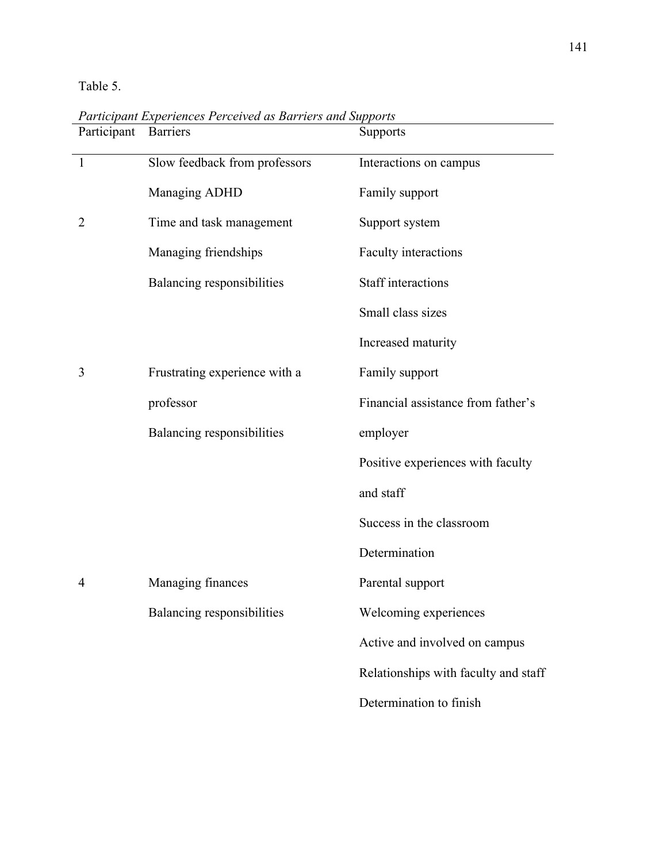Table 5.

| Participant    | <b>Barriers</b>               | Supports                             |
|----------------|-------------------------------|--------------------------------------|
| $\overline{1}$ | Slow feedback from professors | Interactions on campus               |
|                | Managing ADHD                 | Family support                       |
| $\overline{2}$ | Time and task management      | Support system                       |
|                | Managing friendships          | Faculty interactions                 |
|                | Balancing responsibilities    | <b>Staff</b> interactions            |
|                |                               | Small class sizes                    |
|                |                               | Increased maturity                   |
| 3              | Frustrating experience with a | Family support                       |
|                | professor                     | Financial assistance from father's   |
|                | Balancing responsibilities    | employer                             |
|                |                               | Positive experiences with faculty    |
|                |                               | and staff                            |
|                |                               | Success in the classroom             |
|                |                               | Determination                        |
| 4              | Managing finances             | Parental support                     |
|                | Balancing responsibilities    | Welcoming experiences                |
|                |                               | Active and involved on campus        |
|                |                               | Relationships with faculty and staff |
|                |                               | Determination to finish              |

*Participant Experiences Perceived as Barriers and Supports*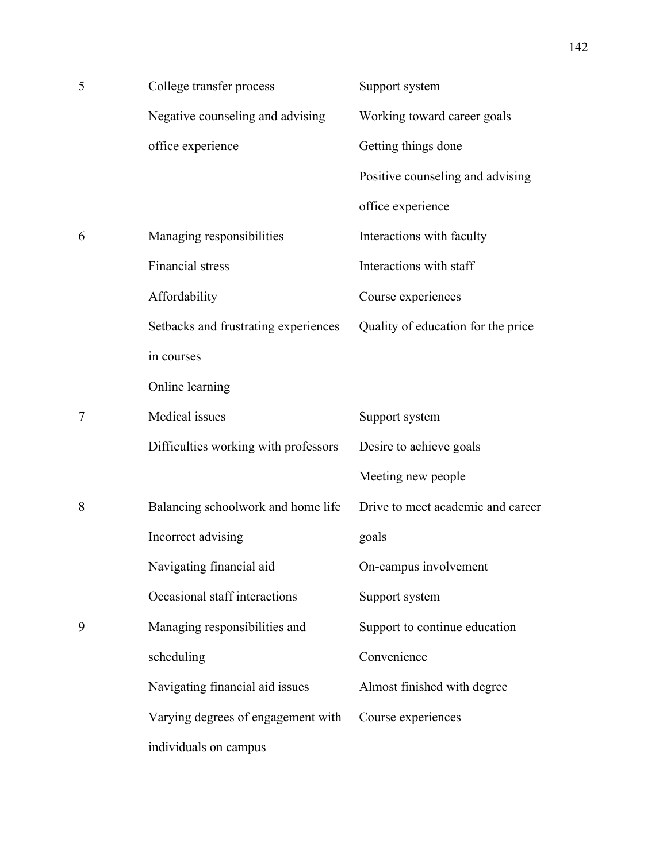| 5 | College transfer process             | Support system                     |
|---|--------------------------------------|------------------------------------|
|   | Negative counseling and advising     | Working toward career goals        |
|   | office experience                    | Getting things done                |
|   |                                      | Positive counseling and advising   |
|   |                                      | office experience                  |
| 6 | Managing responsibilities            | Interactions with faculty          |
|   | Financial stress                     | Interactions with staff            |
|   | Affordability                        | Course experiences                 |
|   | Setbacks and frustrating experiences | Quality of education for the price |
|   | in courses                           |                                    |
|   | Online learning                      |                                    |
| 7 | Medical issues                       | Support system                     |
|   | Difficulties working with professors | Desire to achieve goals            |
|   |                                      | Meeting new people                 |
| 8 | Balancing schoolwork and home life   | Drive to meet academic and career  |
|   | Incorrect advising                   | goals                              |
|   | Navigating financial aid             | On-campus involvement              |
|   | Occasional staff interactions        | Support system                     |
| 9 | Managing responsibilities and        | Support to continue education      |
|   | scheduling                           | Convenience                        |
|   | Navigating financial aid issues      | Almost finished with degree        |
|   | Varying degrees of engagement with   | Course experiences                 |
|   | individuals on campus                |                                    |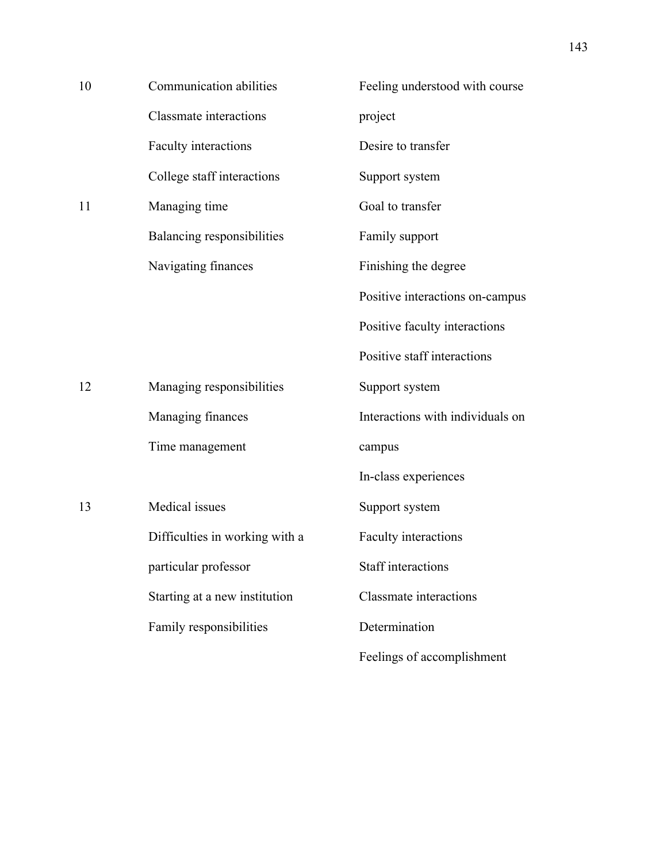| 10 | Communication abilities        | Feeling understood with course   |
|----|--------------------------------|----------------------------------|
|    | <b>Classmate</b> interactions  | project                          |
|    | Faculty interactions           | Desire to transfer               |
|    | College staff interactions     | Support system                   |
| 11 | Managing time                  | Goal to transfer                 |
|    | Balancing responsibilities     | Family support                   |
|    | Navigating finances            | Finishing the degree             |
|    |                                | Positive interactions on-campus  |
|    |                                | Positive faculty interactions    |
|    |                                | Positive staff interactions      |
| 12 | Managing responsibilities      | Support system                   |
|    | Managing finances              | Interactions with individuals on |
|    | Time management                | campus                           |
|    |                                | In-class experiences             |
| 13 | Medical issues                 | Support system                   |
|    | Difficulties in working with a | Faculty interactions             |
|    | particular professor           | Staff interactions               |
|    | Starting at a new institution  | <b>Classmate</b> interactions    |
|    | Family responsibilities        | Determination                    |
|    |                                | Feelings of accomplishment       |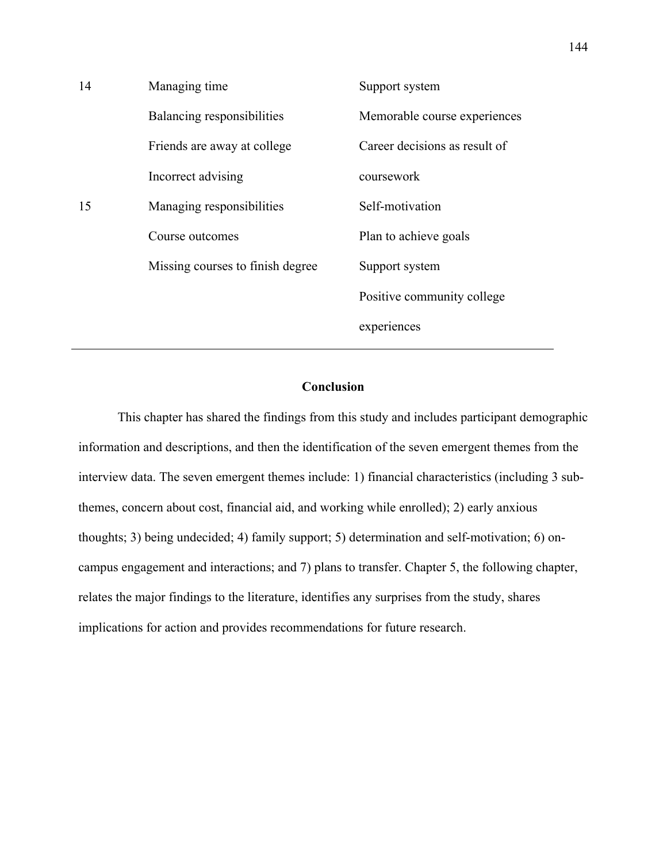| 14 | Managing time                    | Support system                |
|----|----------------------------------|-------------------------------|
|    | Balancing responsibilities       | Memorable course experiences  |
|    | Friends are away at college      | Career decisions as result of |
|    | Incorrect advising               | coursework                    |
| 15 | Managing responsibilities        | Self-motivation               |
|    | Course outcomes                  | Plan to achieve goals         |
|    | Missing courses to finish degree | Support system                |
|    |                                  | Positive community college    |
|    |                                  | experiences                   |

# **Conclusion**

This chapter has shared the findings from this study and includes participant demographic information and descriptions, and then the identification of the seven emergent themes from the interview data. The seven emergent themes include: 1) financial characteristics (including 3 subthemes, concern about cost, financial aid, and working while enrolled); 2) early anxious thoughts; 3) being undecided; 4) family support; 5) determination and self-motivation; 6) oncampus engagement and interactions; and 7) plans to transfer. Chapter 5, the following chapter, relates the major findings to the literature, identifies any surprises from the study, shares implications for action and provides recommendations for future research.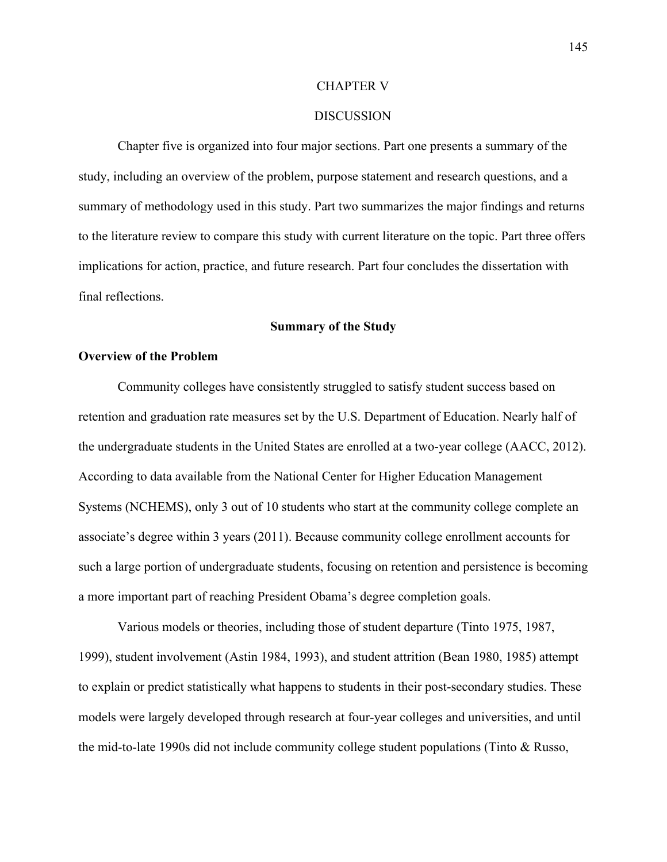#### CHAPTER V

### **DISCUSSION**

Chapter five is organized into four major sections. Part one presents a summary of the study, including an overview of the problem, purpose statement and research questions, and a summary of methodology used in this study. Part two summarizes the major findings and returns to the literature review to compare this study with current literature on the topic. Part three offers implications for action, practice, and future research. Part four concludes the dissertation with final reflections.

### **Summary of the Study**

## **Overview of the Problem**

Community colleges have consistently struggled to satisfy student success based on retention and graduation rate measures set by the U.S. Department of Education. Nearly half of the undergraduate students in the United States are enrolled at a two-year college (AACC, 2012). According to data available from the National Center for Higher Education Management Systems (NCHEMS), only 3 out of 10 students who start at the community college complete an associate's degree within 3 years (2011). Because community college enrollment accounts for such a large portion of undergraduate students, focusing on retention and persistence is becoming a more important part of reaching President Obama's degree completion goals.

Various models or theories, including those of student departure (Tinto 1975, 1987, 1999), student involvement (Astin 1984, 1993), and student attrition (Bean 1980, 1985) attempt to explain or predict statistically what happens to students in their post-secondary studies. These models were largely developed through research at four-year colleges and universities, and until the mid-to-late 1990s did not include community college student populations (Tinto & Russo,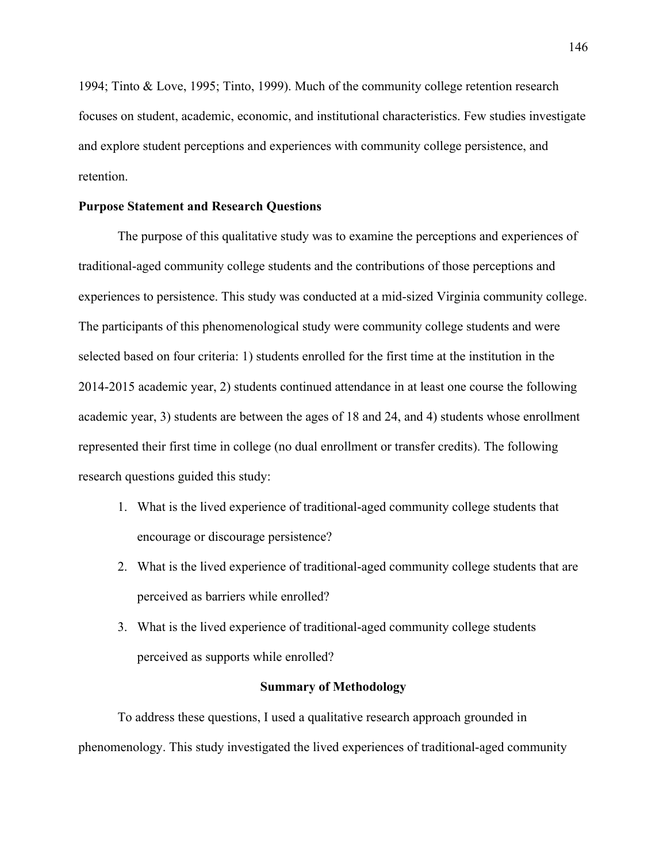1994; Tinto & Love, 1995; Tinto, 1999). Much of the community college retention research focuses on student, academic, economic, and institutional characteristics. Few studies investigate and explore student perceptions and experiences with community college persistence, and retention.

## **Purpose Statement and Research Questions**

The purpose of this qualitative study was to examine the perceptions and experiences of traditional-aged community college students and the contributions of those perceptions and experiences to persistence. This study was conducted at a mid-sized Virginia community college. The participants of this phenomenological study were community college students and were selected based on four criteria: 1) students enrolled for the first time at the institution in the 2014-2015 academic year, 2) students continued attendance in at least one course the following academic year, 3) students are between the ages of 18 and 24, and 4) students whose enrollment represented their first time in college (no dual enrollment or transfer credits). The following research questions guided this study:

- 1. What is the lived experience of traditional-aged community college students that encourage or discourage persistence?
- 2. What is the lived experience of traditional-aged community college students that are perceived as barriers while enrolled?
- 3. What is the lived experience of traditional-aged community college students perceived as supports while enrolled?

#### **Summary of Methodology**

To address these questions, I used a qualitative research approach grounded in phenomenology. This study investigated the lived experiences of traditional-aged community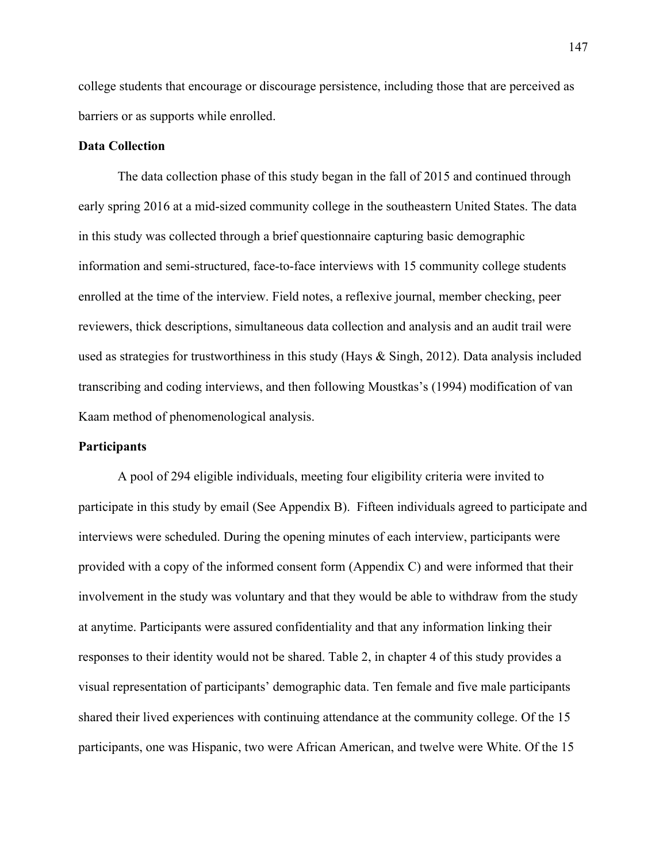college students that encourage or discourage persistence, including those that are perceived as barriers or as supports while enrolled.

### **Data Collection**

The data collection phase of this study began in the fall of 2015 and continued through early spring 2016 at a mid-sized community college in the southeastern United States. The data in this study was collected through a brief questionnaire capturing basic demographic information and semi-structured, face-to-face interviews with 15 community college students enrolled at the time of the interview. Field notes, a reflexive journal, member checking, peer reviewers, thick descriptions, simultaneous data collection and analysis and an audit trail were used as strategies for trustworthiness in this study (Hays & Singh, 2012). Data analysis included transcribing and coding interviews, and then following Moustkas's (1994) modification of van Kaam method of phenomenological analysis.

#### **Participants**

A pool of 294 eligible individuals, meeting four eligibility criteria were invited to participate in this study by email (See Appendix B). Fifteen individuals agreed to participate and interviews were scheduled. During the opening minutes of each interview, participants were provided with a copy of the informed consent form (Appendix C) and were informed that their involvement in the study was voluntary and that they would be able to withdraw from the study at anytime. Participants were assured confidentiality and that any information linking their responses to their identity would not be shared. Table 2, in chapter 4 of this study provides a visual representation of participants' demographic data. Ten female and five male participants shared their lived experiences with continuing attendance at the community college. Of the 15 participants, one was Hispanic, two were African American, and twelve were White. Of the 15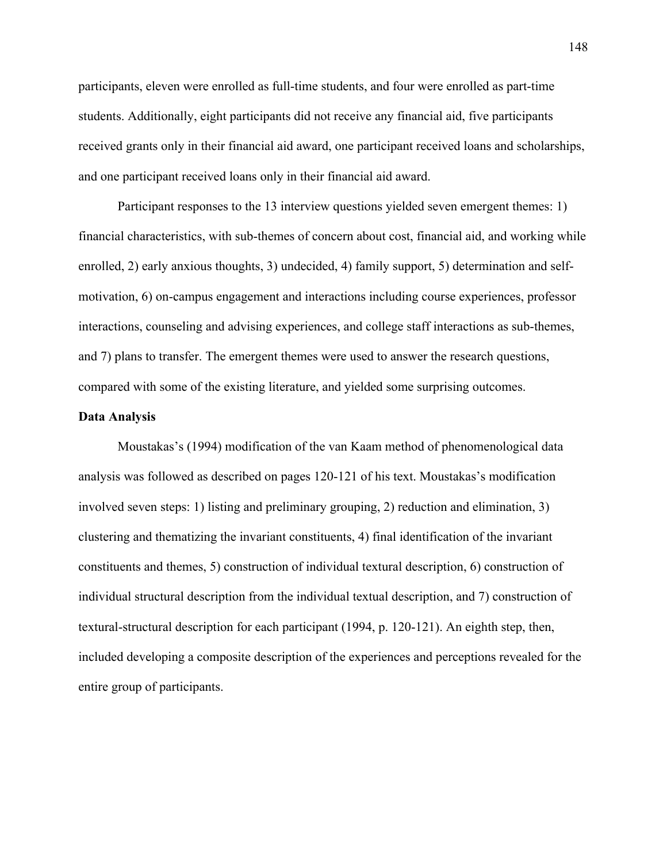participants, eleven were enrolled as full-time students, and four were enrolled as part-time students. Additionally, eight participants did not receive any financial aid, five participants received grants only in their financial aid award, one participant received loans and scholarships, and one participant received loans only in their financial aid award.

Participant responses to the 13 interview questions yielded seven emergent themes: 1) financial characteristics, with sub-themes of concern about cost, financial aid, and working while enrolled, 2) early anxious thoughts, 3) undecided, 4) family support, 5) determination and selfmotivation, 6) on-campus engagement and interactions including course experiences, professor interactions, counseling and advising experiences, and college staff interactions as sub-themes, and 7) plans to transfer. The emergent themes were used to answer the research questions, compared with some of the existing literature, and yielded some surprising outcomes.

### **Data Analysis**

Moustakas's (1994) modification of the van Kaam method of phenomenological data analysis was followed as described on pages 120-121 of his text. Moustakas's modification involved seven steps: 1) listing and preliminary grouping, 2) reduction and elimination, 3) clustering and thematizing the invariant constituents, 4) final identification of the invariant constituents and themes, 5) construction of individual textural description, 6) construction of individual structural description from the individual textual description, and 7) construction of textural-structural description for each participant (1994, p. 120-121). An eighth step, then, included developing a composite description of the experiences and perceptions revealed for the entire group of participants.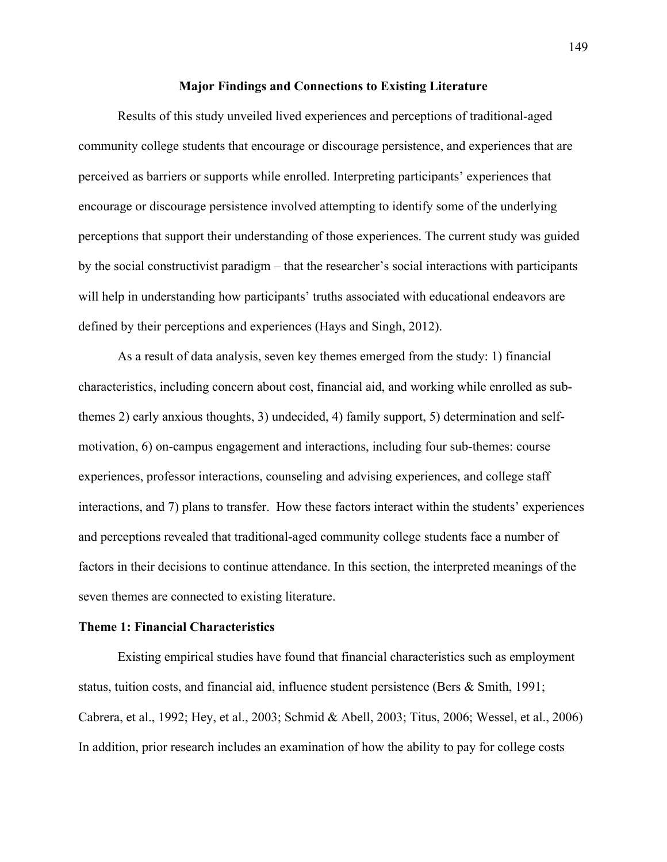#### **Major Findings and Connections to Existing Literature**

Results of this study unveiled lived experiences and perceptions of traditional-aged community college students that encourage or discourage persistence, and experiences that are perceived as barriers or supports while enrolled. Interpreting participants' experiences that encourage or discourage persistence involved attempting to identify some of the underlying perceptions that support their understanding of those experiences. The current study was guided by the social constructivist paradigm – that the researcher's social interactions with participants will help in understanding how participants' truths associated with educational endeavors are defined by their perceptions and experiences (Hays and Singh, 2012).

As a result of data analysis, seven key themes emerged from the study: 1) financial characteristics, including concern about cost, financial aid, and working while enrolled as subthemes 2) early anxious thoughts, 3) undecided, 4) family support, 5) determination and selfmotivation, 6) on-campus engagement and interactions, including four sub-themes: course experiences, professor interactions, counseling and advising experiences, and college staff interactions, and 7) plans to transfer. How these factors interact within the students' experiences and perceptions revealed that traditional-aged community college students face a number of factors in their decisions to continue attendance. In this section, the interpreted meanings of the seven themes are connected to existing literature.

### **Theme 1: Financial Characteristics**

Existing empirical studies have found that financial characteristics such as employment status, tuition costs, and financial aid, influence student persistence (Bers & Smith, 1991; Cabrera, et al., 1992; Hey, et al., 2003; Schmid & Abell, 2003; Titus, 2006; Wessel, et al., 2006) In addition, prior research includes an examination of how the ability to pay for college costs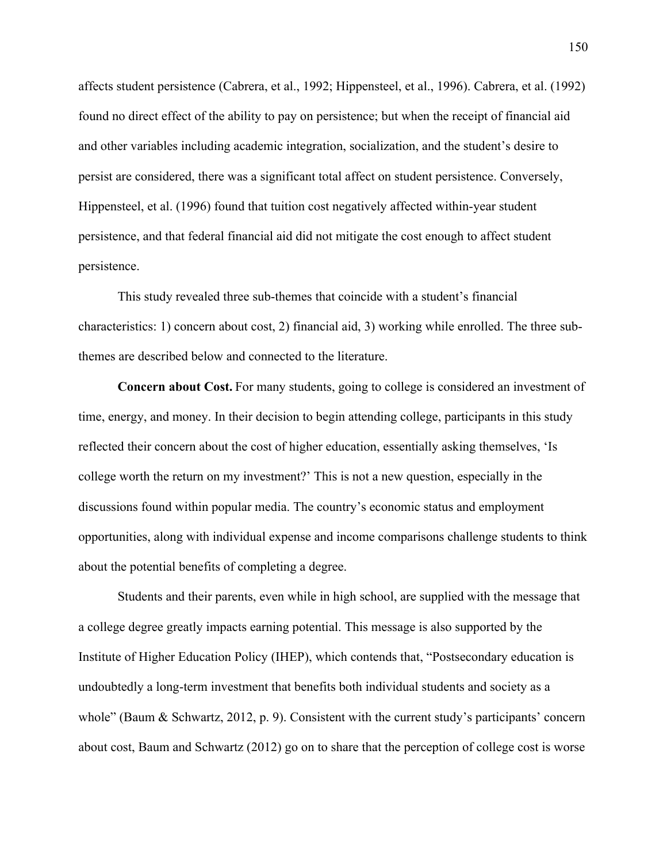affects student persistence (Cabrera, et al., 1992; Hippensteel, et al., 1996). Cabrera, et al. (1992) found no direct effect of the ability to pay on persistence; but when the receipt of financial aid and other variables including academic integration, socialization, and the student's desire to persist are considered, there was a significant total affect on student persistence. Conversely, Hippensteel, et al. (1996) found that tuition cost negatively affected within-year student persistence, and that federal financial aid did not mitigate the cost enough to affect student persistence.

This study revealed three sub-themes that coincide with a student's financial characteristics: 1) concern about cost, 2) financial aid, 3) working while enrolled. The three subthemes are described below and connected to the literature.

**Concern about Cost.** For many students, going to college is considered an investment of time, energy, and money. In their decision to begin attending college, participants in this study reflected their concern about the cost of higher education, essentially asking themselves, 'Is college worth the return on my investment?' This is not a new question, especially in the discussions found within popular media. The country's economic status and employment opportunities, along with individual expense and income comparisons challenge students to think about the potential benefits of completing a degree.

Students and their parents, even while in high school, are supplied with the message that a college degree greatly impacts earning potential. This message is also supported by the Institute of Higher Education Policy (IHEP), which contends that, "Postsecondary education is undoubtedly a long-term investment that benefits both individual students and society as a whole" (Baum & Schwartz, 2012, p. 9). Consistent with the current study's participants' concern about cost, Baum and Schwartz (2012) go on to share that the perception of college cost is worse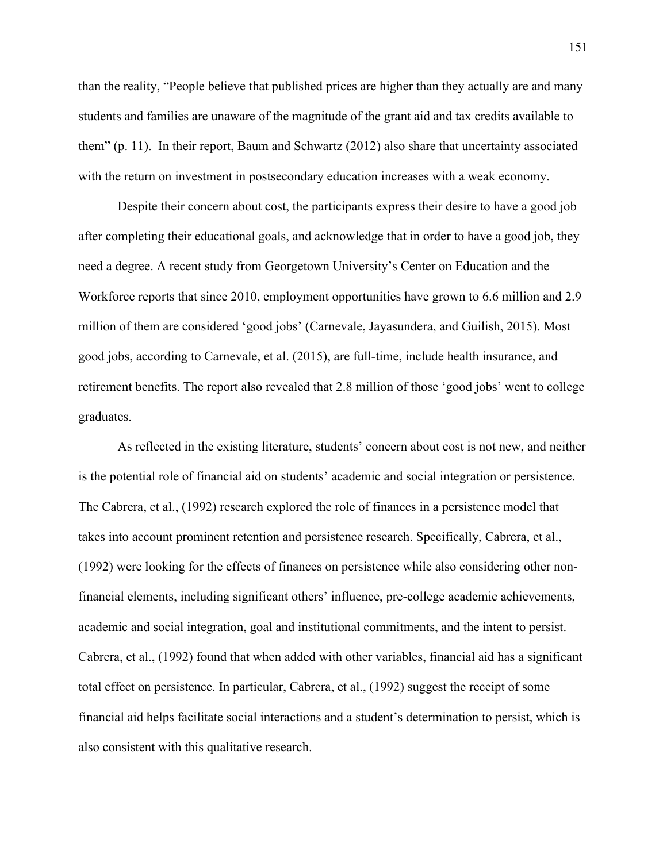than the reality, "People believe that published prices are higher than they actually are and many students and families are unaware of the magnitude of the grant aid and tax credits available to them" (p. 11). In their report, Baum and Schwartz (2012) also share that uncertainty associated with the return on investment in postsecondary education increases with a weak economy.

Despite their concern about cost, the participants express their desire to have a good job after completing their educational goals, and acknowledge that in order to have a good job, they need a degree. A recent study from Georgetown University's Center on Education and the Workforce reports that since 2010, employment opportunities have grown to 6.6 million and 2.9 million of them are considered 'good jobs' (Carnevale, Jayasundera, and Guilish, 2015). Most good jobs, according to Carnevale, et al. (2015), are full-time, include health insurance, and retirement benefits. The report also revealed that 2.8 million of those 'good jobs' went to college graduates.

As reflected in the existing literature, students' concern about cost is not new, and neither is the potential role of financial aid on students' academic and social integration or persistence. The Cabrera, et al., (1992) research explored the role of finances in a persistence model that takes into account prominent retention and persistence research. Specifically, Cabrera, et al., (1992) were looking for the effects of finances on persistence while also considering other nonfinancial elements, including significant others' influence, pre-college academic achievements, academic and social integration, goal and institutional commitments, and the intent to persist. Cabrera, et al., (1992) found that when added with other variables, financial aid has a significant total effect on persistence. In particular, Cabrera, et al., (1992) suggest the receipt of some financial aid helps facilitate social interactions and a student's determination to persist, which is also consistent with this qualitative research.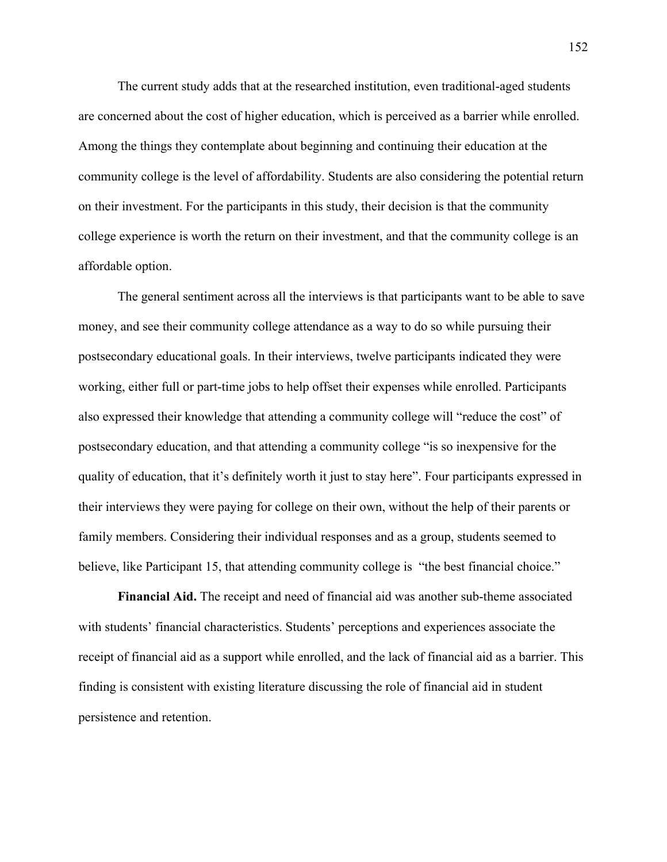The current study adds that at the researched institution, even traditional-aged students are concerned about the cost of higher education, which is perceived as a barrier while enrolled. Among the things they contemplate about beginning and continuing their education at the community college is the level of affordability. Students are also considering the potential return on their investment. For the participants in this study, their decision is that the community college experience is worth the return on their investment, and that the community college is an affordable option.

The general sentiment across all the interviews is that participants want to be able to save money, and see their community college attendance as a way to do so while pursuing their postsecondary educational goals. In their interviews, twelve participants indicated they were working, either full or part-time jobs to help offset their expenses while enrolled. Participants also expressed their knowledge that attending a community college will "reduce the cost" of postsecondary education, and that attending a community college "is so inexpensive for the quality of education, that it's definitely worth it just to stay here". Four participants expressed in their interviews they were paying for college on their own, without the help of their parents or family members. Considering their individual responses and as a group, students seemed to believe, like Participant 15, that attending community college is "the best financial choice."

**Financial Aid.** The receipt and need of financial aid was another sub-theme associated with students' financial characteristics. Students' perceptions and experiences associate the receipt of financial aid as a support while enrolled, and the lack of financial aid as a barrier. This finding is consistent with existing literature discussing the role of financial aid in student persistence and retention.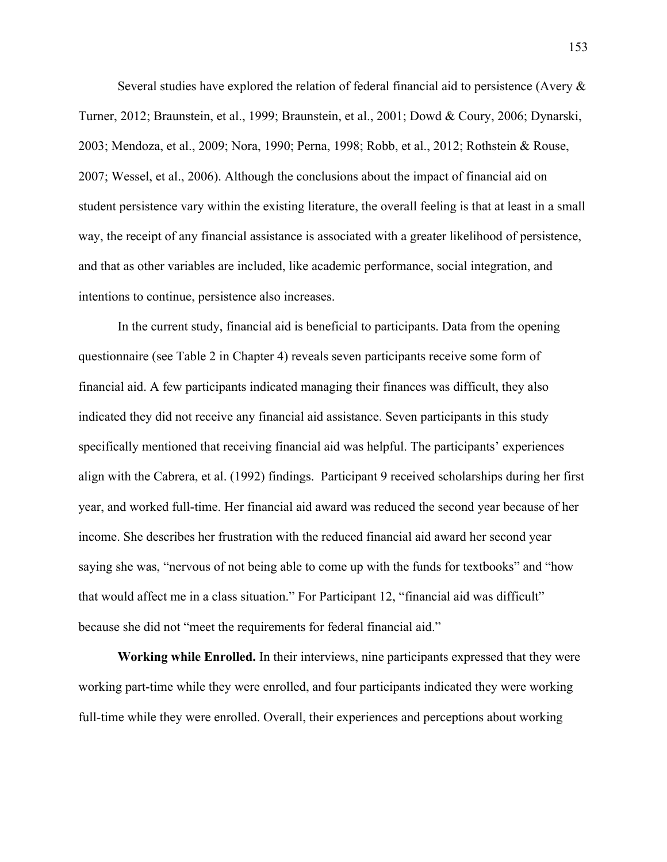Several studies have explored the relation of federal financial aid to persistence (Avery  $\&$ Turner, 2012; Braunstein, et al., 1999; Braunstein, et al., 2001; Dowd & Coury, 2006; Dynarski, 2003; Mendoza, et al., 2009; Nora, 1990; Perna, 1998; Robb, et al., 2012; Rothstein & Rouse, 2007; Wessel, et al., 2006). Although the conclusions about the impact of financial aid on student persistence vary within the existing literature, the overall feeling is that at least in a small way, the receipt of any financial assistance is associated with a greater likelihood of persistence, and that as other variables are included, like academic performance, social integration, and intentions to continue, persistence also increases.

In the current study, financial aid is beneficial to participants. Data from the opening questionnaire (see Table 2 in Chapter 4) reveals seven participants receive some form of financial aid. A few participants indicated managing their finances was difficult, they also indicated they did not receive any financial aid assistance. Seven participants in this study specifically mentioned that receiving financial aid was helpful. The participants' experiences align with the Cabrera, et al. (1992) findings. Participant 9 received scholarships during her first year, and worked full-time. Her financial aid award was reduced the second year because of her income. She describes her frustration with the reduced financial aid award her second year saying she was, "nervous of not being able to come up with the funds for textbooks" and "how that would affect me in a class situation." For Participant 12, "financial aid was difficult" because she did not "meet the requirements for federal financial aid."

**Working while Enrolled.** In their interviews, nine participants expressed that they were working part-time while they were enrolled, and four participants indicated they were working full-time while they were enrolled. Overall, their experiences and perceptions about working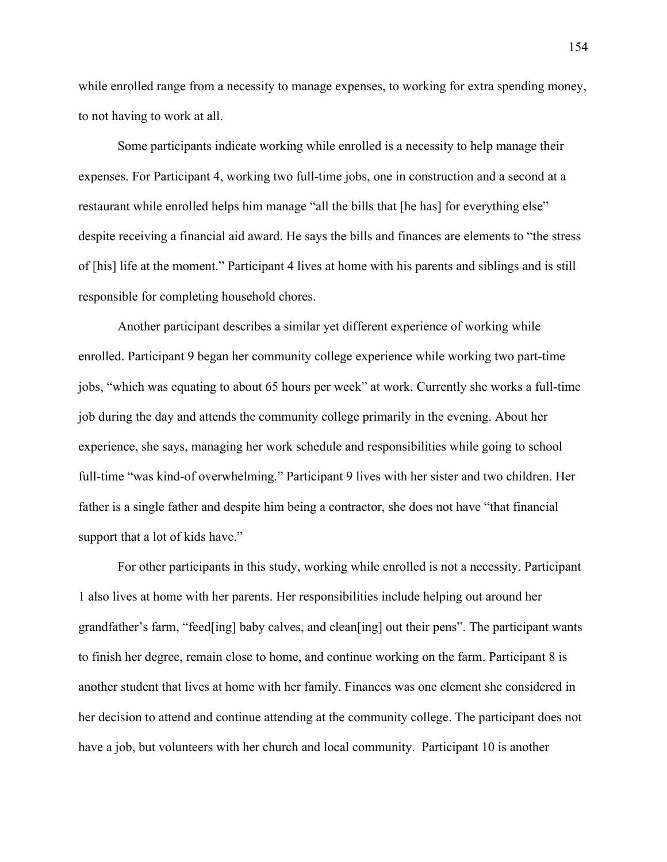while enrolled range from a necessity to manage expenses, to working for extra spending money, to not having to work at all.

Some participants indicate working while enrolled is a necessity to help manage their expenses. For Participant 4, working two full-time jobs, one in construction and a second at a restaurant while enrolled helps him manage "all the bills that [he has] for everything else" despite receiving a financial aid award. He says the bills and finances are elements to "the stress of [his] life at the moment." Participant 4 lives at home with his parents and siblings and is still responsible for completing household chores.

Another participant describes a similar yet different experience of working while enrolled. Participant 9 began her community college experience while working two part-time jobs, "which was equating to about 65 hours per week" at work. Currently she works a full-time job during the day and attends the community college primarily in the evening. About her experience, she says, managing her work schedule and responsibilities while going to school full-time "was kind-of overwhelming." Participant 9 lives with her sister and two children. Her father is a single father and despite him being a contractor, she does not have "that financial support that a lot of kids have."

For other participants in this study, working while enrolled is not a necessity. Participant 1 also lives at home with her parents. Her responsibilities include helping out around her grandfather's farm, "feed[ing] baby calves, and clean[ing] out their pens". The participant wants to finish her degree, remain close to home, and continue working on the farm. Participant 8 is another student that lives at home with her family. Finances was one element she considered in her decision to attend and continue attending at the community college. The participant does not have a job, but volunteers with her church and local community. Participant 10 is another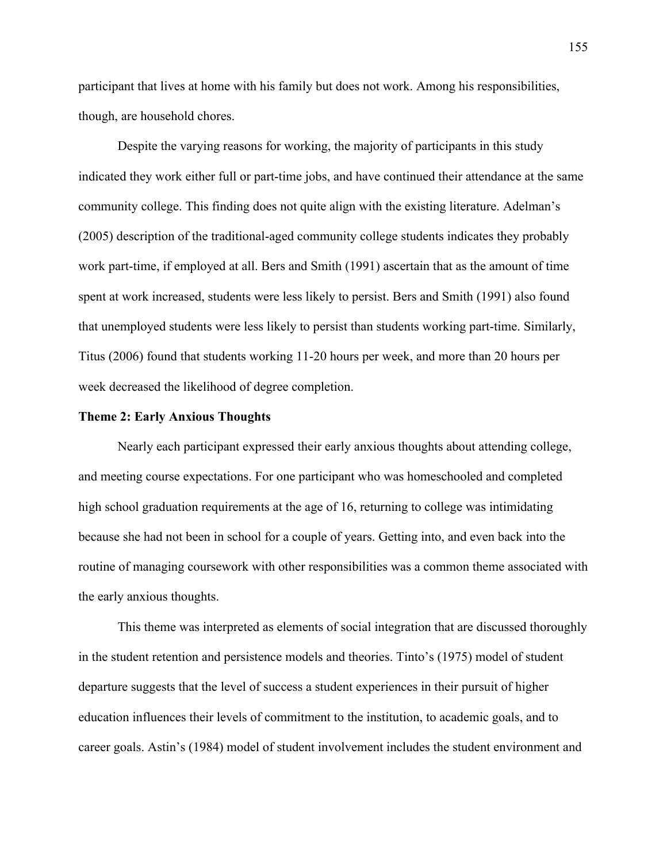participant that lives at home with his family but does not work. Among his responsibilities, though, are household chores.

Despite the varying reasons for working, the majority of participants in this study indicated they work either full or part-time jobs, and have continued their attendance at the same community college. This finding does not quite align with the existing literature. Adelman's (2005) description of the traditional-aged community college students indicates they probably work part-time, if employed at all. Bers and Smith (1991) ascertain that as the amount of time spent at work increased, students were less likely to persist. Bers and Smith (1991) also found that unemployed students were less likely to persist than students working part-time. Similarly, Titus (2006) found that students working 11-20 hours per week, and more than 20 hours per week decreased the likelihood of degree completion.

### **Theme 2: Early Anxious Thoughts**

Nearly each participant expressed their early anxious thoughts about attending college, and meeting course expectations. For one participant who was homeschooled and completed high school graduation requirements at the age of 16, returning to college was intimidating because she had not been in school for a couple of years. Getting into, and even back into the routine of managing coursework with other responsibilities was a common theme associated with the early anxious thoughts.

This theme was interpreted as elements of social integration that are discussed thoroughly in the student retention and persistence models and theories. Tinto's (1975) model of student departure suggests that the level of success a student experiences in their pursuit of higher education influences their levels of commitment to the institution, to academic goals, and to career goals. Astin's (1984) model of student involvement includes the student environment and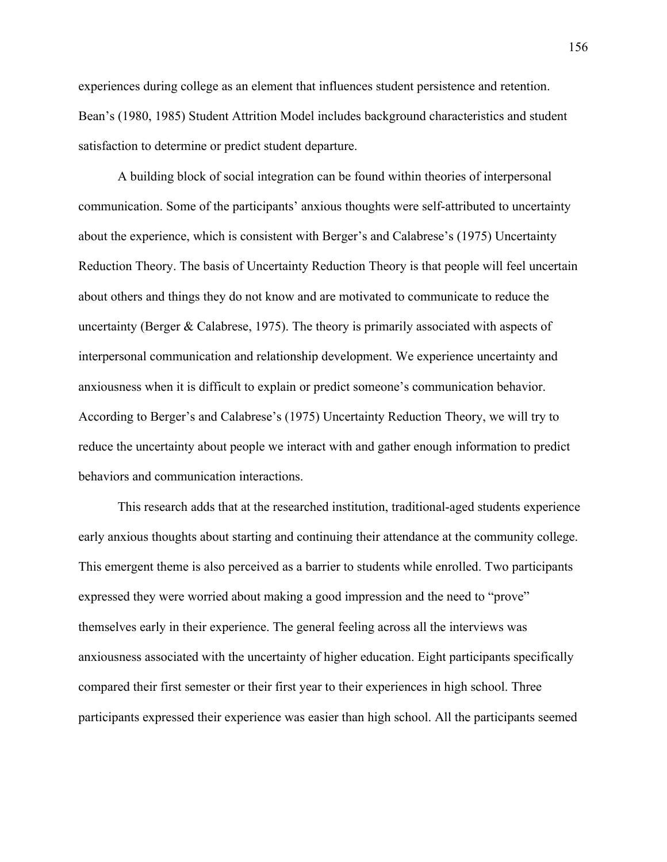experiences during college as an element that influences student persistence and retention. Bean's (1980, 1985) Student Attrition Model includes background characteristics and student satisfaction to determine or predict student departure.

A building block of social integration can be found within theories of interpersonal communication. Some of the participants' anxious thoughts were self-attributed to uncertainty about the experience, which is consistent with Berger's and Calabrese's (1975) Uncertainty Reduction Theory. The basis of Uncertainty Reduction Theory is that people will feel uncertain about others and things they do not know and are motivated to communicate to reduce the uncertainty (Berger & Calabrese, 1975). The theory is primarily associated with aspects of interpersonal communication and relationship development. We experience uncertainty and anxiousness when it is difficult to explain or predict someone's communication behavior. According to Berger's and Calabrese's (1975) Uncertainty Reduction Theory, we will try to reduce the uncertainty about people we interact with and gather enough information to predict behaviors and communication interactions.

This research adds that at the researched institution, traditional-aged students experience early anxious thoughts about starting and continuing their attendance at the community college. This emergent theme is also perceived as a barrier to students while enrolled. Two participants expressed they were worried about making a good impression and the need to "prove" themselves early in their experience. The general feeling across all the interviews was anxiousness associated with the uncertainty of higher education. Eight participants specifically compared their first semester or their first year to their experiences in high school. Three participants expressed their experience was easier than high school. All the participants seemed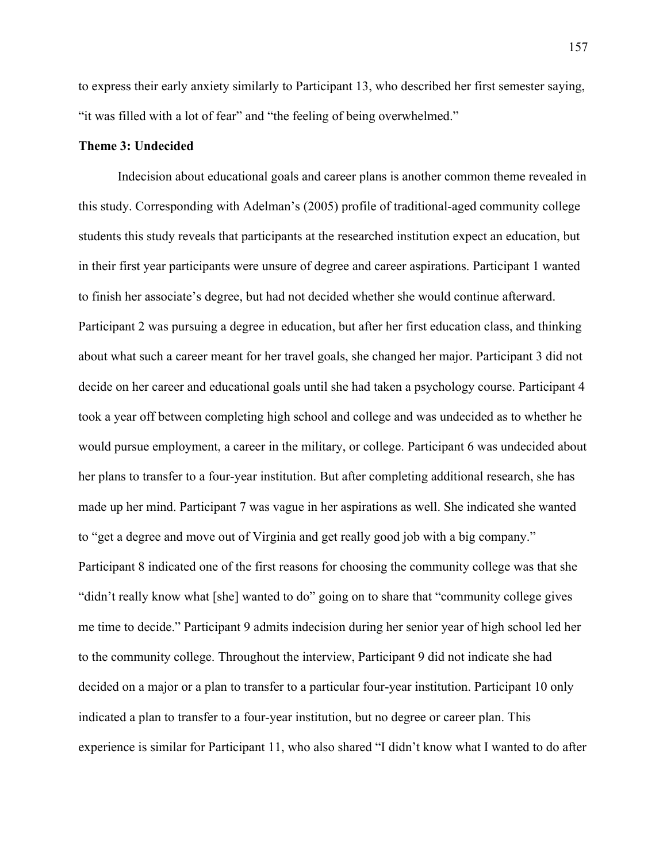to express their early anxiety similarly to Participant 13, who described her first semester saying, "it was filled with a lot of fear" and "the feeling of being overwhelmed."

## **Theme 3: Undecided**

Indecision about educational goals and career plans is another common theme revealed in this study. Corresponding with Adelman's (2005) profile of traditional-aged community college students this study reveals that participants at the researched institution expect an education, but in their first year participants were unsure of degree and career aspirations. Participant 1 wanted to finish her associate's degree, but had not decided whether she would continue afterward. Participant 2 was pursuing a degree in education, but after her first education class, and thinking about what such a career meant for her travel goals, she changed her major. Participant 3 did not decide on her career and educational goals until she had taken a psychology course. Participant 4 took a year off between completing high school and college and was undecided as to whether he would pursue employment, a career in the military, or college. Participant 6 was undecided about her plans to transfer to a four-year institution. But after completing additional research, she has made up her mind. Participant 7 was vague in her aspirations as well. She indicated she wanted to "get a degree and move out of Virginia and get really good job with a big company." Participant 8 indicated one of the first reasons for choosing the community college was that she "didn't really know what [she] wanted to do" going on to share that "community college gives me time to decide." Participant 9 admits indecision during her senior year of high school led her to the community college. Throughout the interview, Participant 9 did not indicate she had decided on a major or a plan to transfer to a particular four-year institution. Participant 10 only indicated a plan to transfer to a four-year institution, but no degree or career plan. This experience is similar for Participant 11, who also shared "I didn't know what I wanted to do after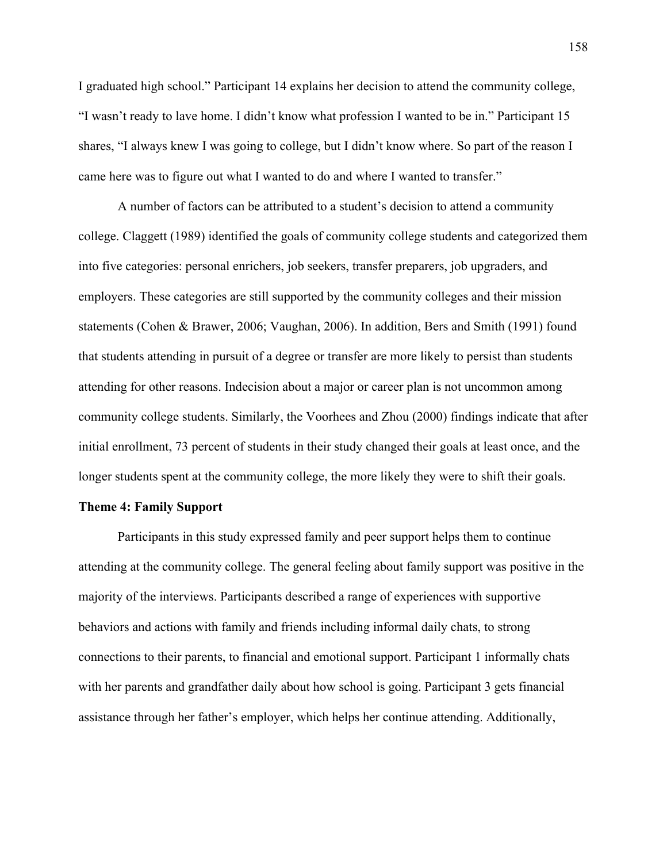I graduated high school." Participant 14 explains her decision to attend the community college, "I wasn't ready to lave home. I didn't know what profession I wanted to be in." Participant 15 shares, "I always knew I was going to college, but I didn't know where. So part of the reason I came here was to figure out what I wanted to do and where I wanted to transfer."

A number of factors can be attributed to a student's decision to attend a community college. Claggett (1989) identified the goals of community college students and categorized them into five categories: personal enrichers, job seekers, transfer preparers, job upgraders, and employers. These categories are still supported by the community colleges and their mission statements (Cohen & Brawer, 2006; Vaughan, 2006). In addition, Bers and Smith (1991) found that students attending in pursuit of a degree or transfer are more likely to persist than students attending for other reasons. Indecision about a major or career plan is not uncommon among community college students. Similarly, the Voorhees and Zhou (2000) findings indicate that after initial enrollment, 73 percent of students in their study changed their goals at least once, and the longer students spent at the community college, the more likely they were to shift their goals.

## **Theme 4: Family Support**

Participants in this study expressed family and peer support helps them to continue attending at the community college. The general feeling about family support was positive in the majority of the interviews. Participants described a range of experiences with supportive behaviors and actions with family and friends including informal daily chats, to strong connections to their parents, to financial and emotional support. Participant 1 informally chats with her parents and grandfather daily about how school is going. Participant 3 gets financial assistance through her father's employer, which helps her continue attending. Additionally,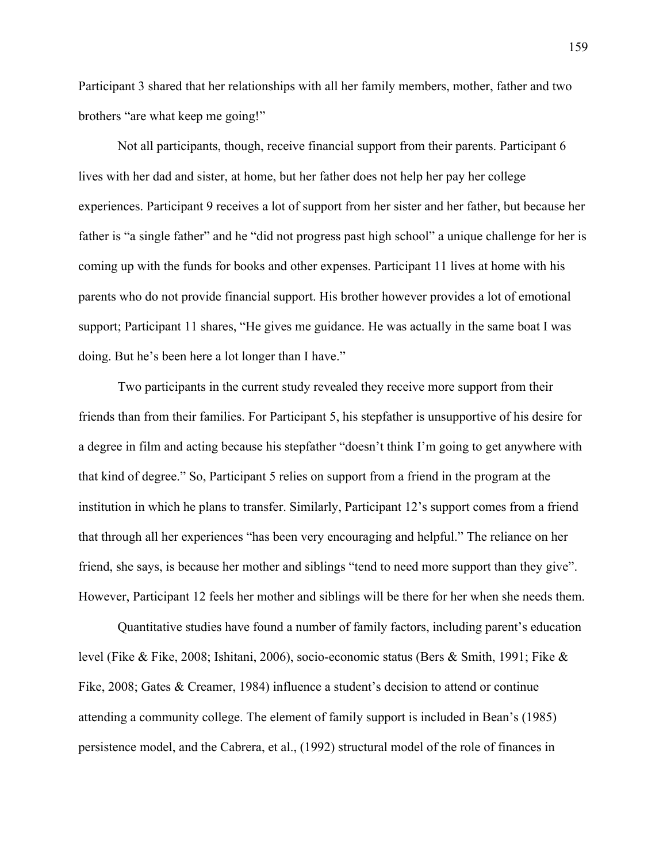Participant 3 shared that her relationships with all her family members, mother, father and two brothers "are what keep me going!"

Not all participants, though, receive financial support from their parents. Participant 6 lives with her dad and sister, at home, but her father does not help her pay her college experiences. Participant 9 receives a lot of support from her sister and her father, but because her father is "a single father" and he "did not progress past high school" a unique challenge for her is coming up with the funds for books and other expenses. Participant 11 lives at home with his parents who do not provide financial support. His brother however provides a lot of emotional support; Participant 11 shares, "He gives me guidance. He was actually in the same boat I was doing. But he's been here a lot longer than I have."

Two participants in the current study revealed they receive more support from their friends than from their families. For Participant 5, his stepfather is unsupportive of his desire for a degree in film and acting because his stepfather "doesn't think I'm going to get anywhere with that kind of degree." So, Participant 5 relies on support from a friend in the program at the institution in which he plans to transfer. Similarly, Participant 12's support comes from a friend that through all her experiences "has been very encouraging and helpful." The reliance on her friend, she says, is because her mother and siblings "tend to need more support than they give". However, Participant 12 feels her mother and siblings will be there for her when she needs them.

Quantitative studies have found a number of family factors, including parent's education level (Fike & Fike, 2008; Ishitani, 2006), socio-economic status (Bers & Smith, 1991; Fike & Fike, 2008; Gates & Creamer, 1984) influence a student's decision to attend or continue attending a community college. The element of family support is included in Bean's (1985) persistence model, and the Cabrera, et al., (1992) structural model of the role of finances in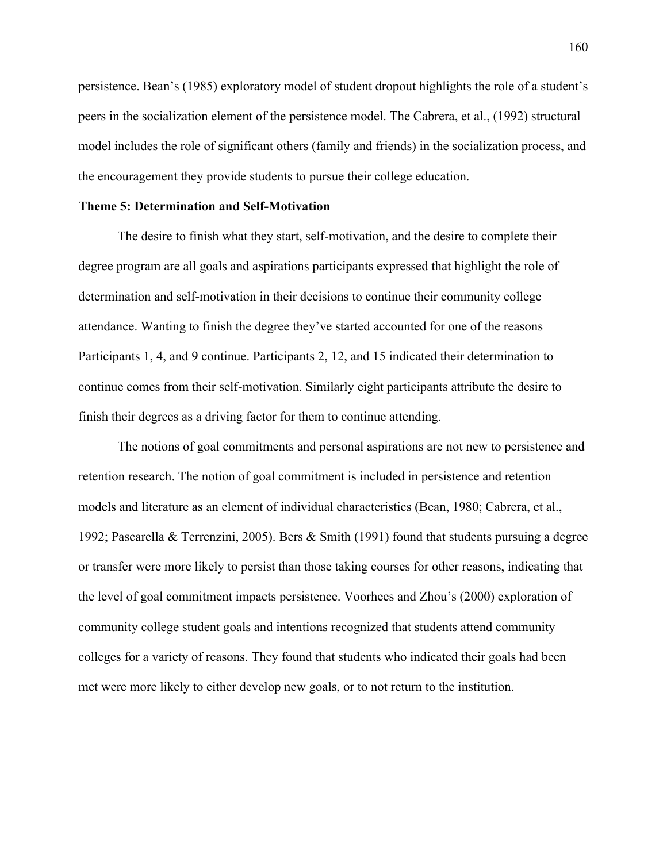persistence. Bean's (1985) exploratory model of student dropout highlights the role of a student's peers in the socialization element of the persistence model. The Cabrera, et al., (1992) structural model includes the role of significant others (family and friends) in the socialization process, and the encouragement they provide students to pursue their college education.

### **Theme 5: Determination and Self-Motivation**

The desire to finish what they start, self-motivation, and the desire to complete their degree program are all goals and aspirations participants expressed that highlight the role of determination and self-motivation in their decisions to continue their community college attendance. Wanting to finish the degree they've started accounted for one of the reasons Participants 1, 4, and 9 continue. Participants 2, 12, and 15 indicated their determination to continue comes from their self-motivation. Similarly eight participants attribute the desire to finish their degrees as a driving factor for them to continue attending.

The notions of goal commitments and personal aspirations are not new to persistence and retention research. The notion of goal commitment is included in persistence and retention models and literature as an element of individual characteristics (Bean, 1980; Cabrera, et al., 1992; Pascarella & Terrenzini, 2005). Bers & Smith (1991) found that students pursuing a degree or transfer were more likely to persist than those taking courses for other reasons, indicating that the level of goal commitment impacts persistence. Voorhees and Zhou's (2000) exploration of community college student goals and intentions recognized that students attend community colleges for a variety of reasons. They found that students who indicated their goals had been met were more likely to either develop new goals, or to not return to the institution.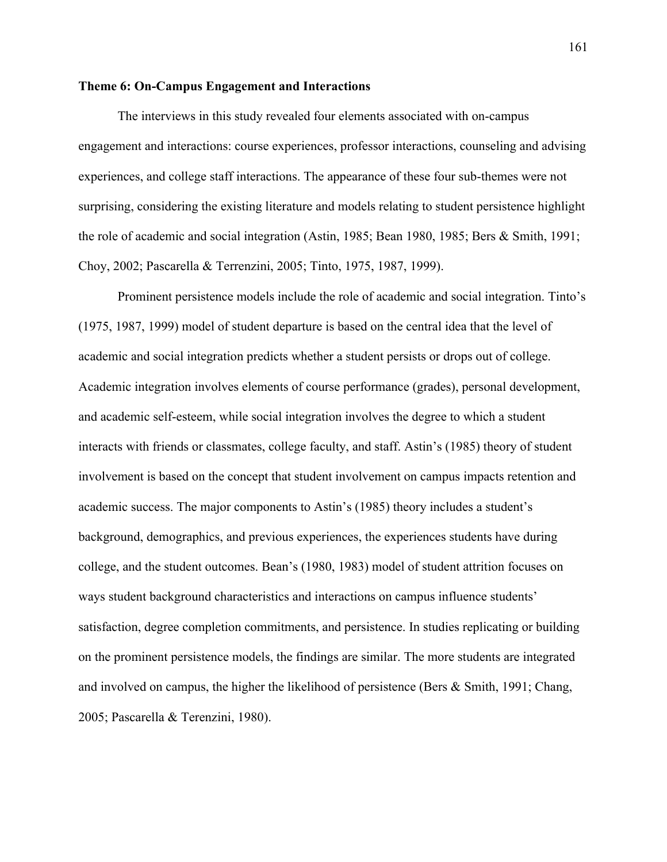### **Theme 6: On-Campus Engagement and Interactions**

The interviews in this study revealed four elements associated with on-campus engagement and interactions: course experiences, professor interactions, counseling and advising experiences, and college staff interactions. The appearance of these four sub-themes were not surprising, considering the existing literature and models relating to student persistence highlight the role of academic and social integration (Astin, 1985; Bean 1980, 1985; Bers & Smith, 1991; Choy, 2002; Pascarella & Terrenzini, 2005; Tinto, 1975, 1987, 1999).

Prominent persistence models include the role of academic and social integration. Tinto's (1975, 1987, 1999) model of student departure is based on the central idea that the level of academic and social integration predicts whether a student persists or drops out of college. Academic integration involves elements of course performance (grades), personal development, and academic self-esteem, while social integration involves the degree to which a student interacts with friends or classmates, college faculty, and staff. Astin's (1985) theory of student involvement is based on the concept that student involvement on campus impacts retention and academic success. The major components to Astin's (1985) theory includes a student's background, demographics, and previous experiences, the experiences students have during college, and the student outcomes. Bean's (1980, 1983) model of student attrition focuses on ways student background characteristics and interactions on campus influence students' satisfaction, degree completion commitments, and persistence. In studies replicating or building on the prominent persistence models, the findings are similar. The more students are integrated and involved on campus, the higher the likelihood of persistence (Bers & Smith, 1991; Chang, 2005; Pascarella & Terenzini, 1980).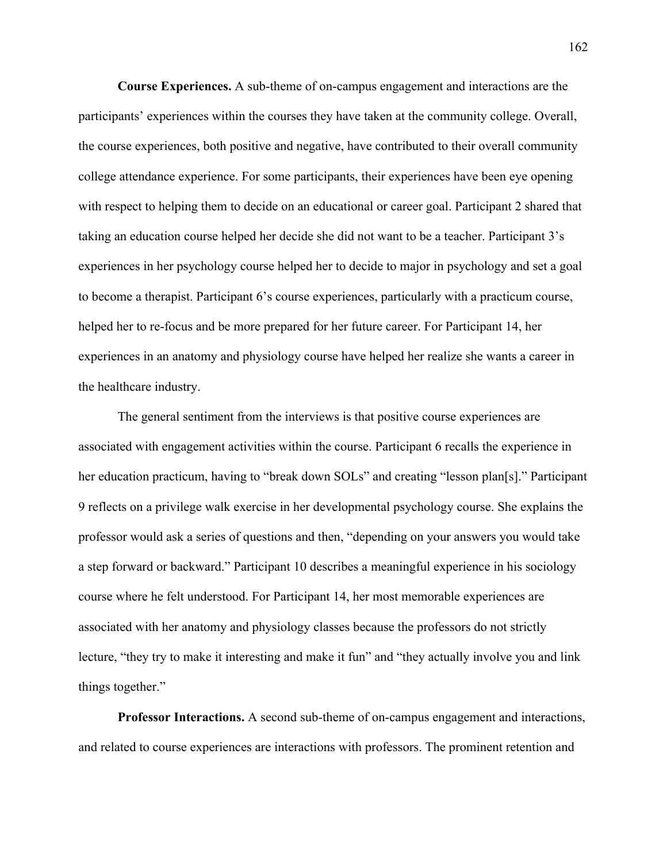**Course Experiences.** A sub-theme of on-campus engagement and interactions are the participants' experiences within the courses they have taken at the community college. Overall, the course experiences, both positive and negative, have contributed to their overall community college attendance experience. For some participants, their experiences have been eye opening with respect to helping them to decide on an educational or career goal. Participant 2 shared that taking an education course helped her decide she did not want to be a teacher. Participant 3's experiences in her psychology course helped her to decide to major in psychology and set a goal to become a therapist. Participant 6's course experiences, particularly with a practicum course, helped her to re-focus and be more prepared for her future career. For Participant 14, her experiences in an anatomy and physiology course have helped her realize she wants a career in the healthcare industry.

The general sentiment from the interviews is that positive course experiences are associated with engagement activities within the course. Participant 6 recalls the experience in her education practicum, having to "break down SOLs" and creating "lesson plan[s]." Participant 9 reflects on a privilege walk exercise in her developmental psychology course. She explains the professor would ask a series of questions and then, "depending on your answers you would take a step forward or backward." Participant 10 describes a meaningful experience in his sociology course where he felt understood. For Participant 14, her most memorable experiences are associated with her anatomy and physiology classes because the professors do not strictly lecture, "they try to make it interesting and make it fun" and "they actually involve you and link things together."

**Professor Interactions.** A second sub-theme of on-campus engagement and interactions, and related to course experiences are interactions with professors. The prominent retention and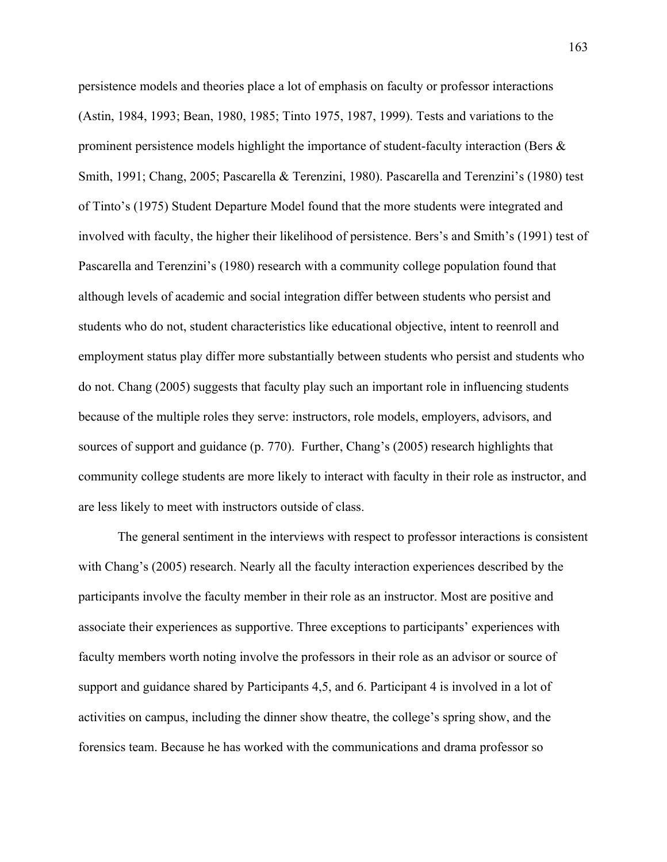persistence models and theories place a lot of emphasis on faculty or professor interactions (Astin, 1984, 1993; Bean, 1980, 1985; Tinto 1975, 1987, 1999). Tests and variations to the prominent persistence models highlight the importance of student-faculty interaction (Bers  $\&$ Smith, 1991; Chang, 2005; Pascarella & Terenzini, 1980). Pascarella and Terenzini's (1980) test of Tinto's (1975) Student Departure Model found that the more students were integrated and involved with faculty, the higher their likelihood of persistence. Bers's and Smith's (1991) test of Pascarella and Terenzini's (1980) research with a community college population found that although levels of academic and social integration differ between students who persist and students who do not, student characteristics like educational objective, intent to reenroll and employment status play differ more substantially between students who persist and students who do not. Chang (2005) suggests that faculty play such an important role in influencing students because of the multiple roles they serve: instructors, role models, employers, advisors, and sources of support and guidance (p. 770). Further, Chang's (2005) research highlights that community college students are more likely to interact with faculty in their role as instructor, and are less likely to meet with instructors outside of class.

The general sentiment in the interviews with respect to professor interactions is consistent with Chang's (2005) research. Nearly all the faculty interaction experiences described by the participants involve the faculty member in their role as an instructor. Most are positive and associate their experiences as supportive. Three exceptions to participants' experiences with faculty members worth noting involve the professors in their role as an advisor or source of support and guidance shared by Participants 4,5, and 6. Participant 4 is involved in a lot of activities on campus, including the dinner show theatre, the college's spring show, and the forensics team. Because he has worked with the communications and drama professor so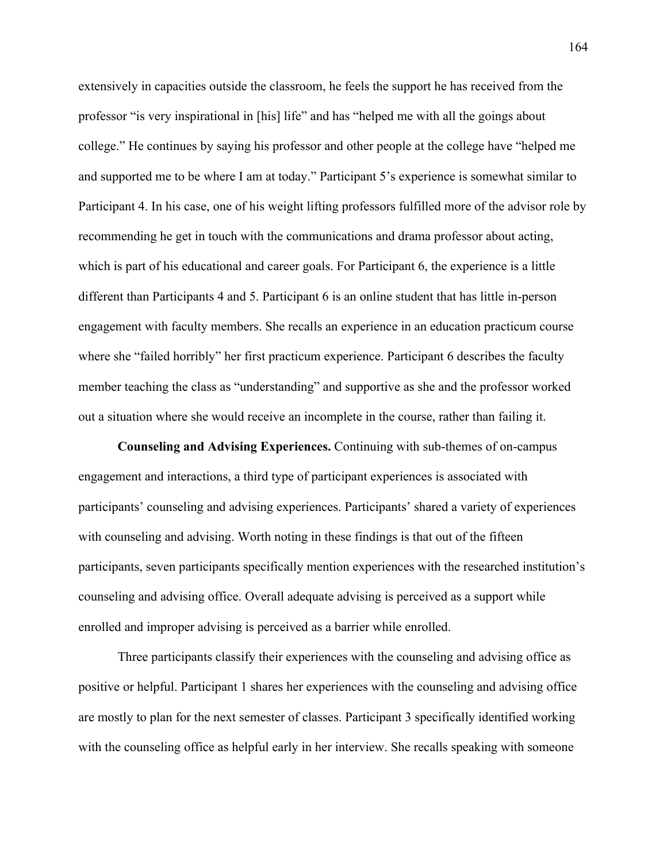extensively in capacities outside the classroom, he feels the support he has received from the professor "is very inspirational in [his] life" and has "helped me with all the goings about college." He continues by saying his professor and other people at the college have "helped me and supported me to be where I am at today." Participant 5's experience is somewhat similar to Participant 4. In his case, one of his weight lifting professors fulfilled more of the advisor role by recommending he get in touch with the communications and drama professor about acting, which is part of his educational and career goals. For Participant 6, the experience is a little different than Participants 4 and 5. Participant 6 is an online student that has little in-person engagement with faculty members. She recalls an experience in an education practicum course where she "failed horribly" her first practicum experience. Participant 6 describes the faculty member teaching the class as "understanding" and supportive as she and the professor worked out a situation where she would receive an incomplete in the course, rather than failing it.

**Counseling and Advising Experiences.** Continuing with sub-themes of on-campus engagement and interactions, a third type of participant experiences is associated with participants' counseling and advising experiences. Participants' shared a variety of experiences with counseling and advising. Worth noting in these findings is that out of the fifteen participants, seven participants specifically mention experiences with the researched institution's counseling and advising office. Overall adequate advising is perceived as a support while enrolled and improper advising is perceived as a barrier while enrolled.

Three participants classify their experiences with the counseling and advising office as positive or helpful. Participant 1 shares her experiences with the counseling and advising office are mostly to plan for the next semester of classes. Participant 3 specifically identified working with the counseling office as helpful early in her interview. She recalls speaking with someone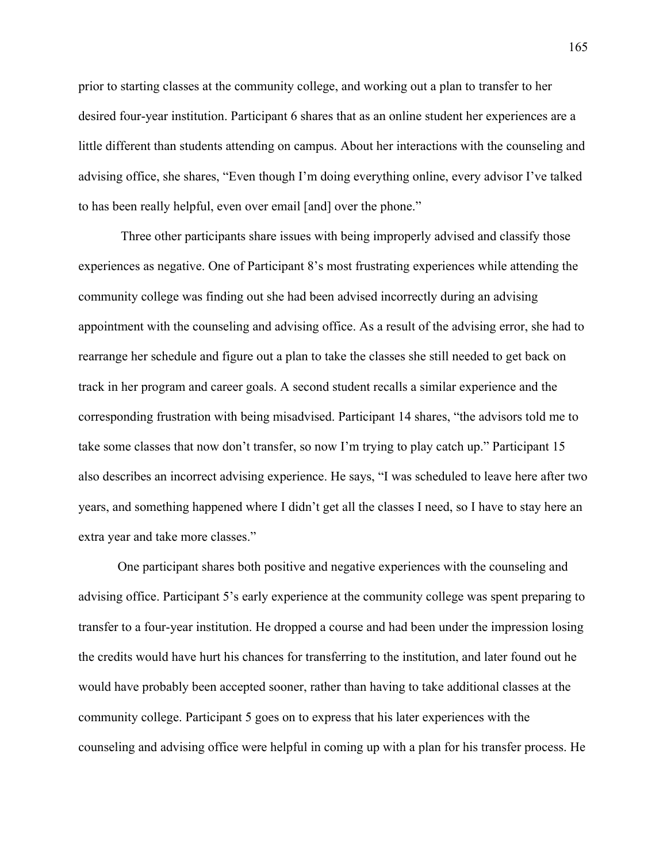prior to starting classes at the community college, and working out a plan to transfer to her desired four-year institution. Participant 6 shares that as an online student her experiences are a little different than students attending on campus. About her interactions with the counseling and advising office, she shares, "Even though I'm doing everything online, every advisor I've talked to has been really helpful, even over email [and] over the phone."

Three other participants share issues with being improperly advised and classify those experiences as negative. One of Participant 8's most frustrating experiences while attending the community college was finding out she had been advised incorrectly during an advising appointment with the counseling and advising office. As a result of the advising error, she had to rearrange her schedule and figure out a plan to take the classes she still needed to get back on track in her program and career goals. A second student recalls a similar experience and the corresponding frustration with being misadvised. Participant 14 shares, "the advisors told me to take some classes that now don't transfer, so now I'm trying to play catch up." Participant 15 also describes an incorrect advising experience. He says, "I was scheduled to leave here after two years, and something happened where I didn't get all the classes I need, so I have to stay here an extra year and take more classes."

One participant shares both positive and negative experiences with the counseling and advising office. Participant 5's early experience at the community college was spent preparing to transfer to a four-year institution. He dropped a course and had been under the impression losing the credits would have hurt his chances for transferring to the institution, and later found out he would have probably been accepted sooner, rather than having to take additional classes at the community college. Participant 5 goes on to express that his later experiences with the counseling and advising office were helpful in coming up with a plan for his transfer process. He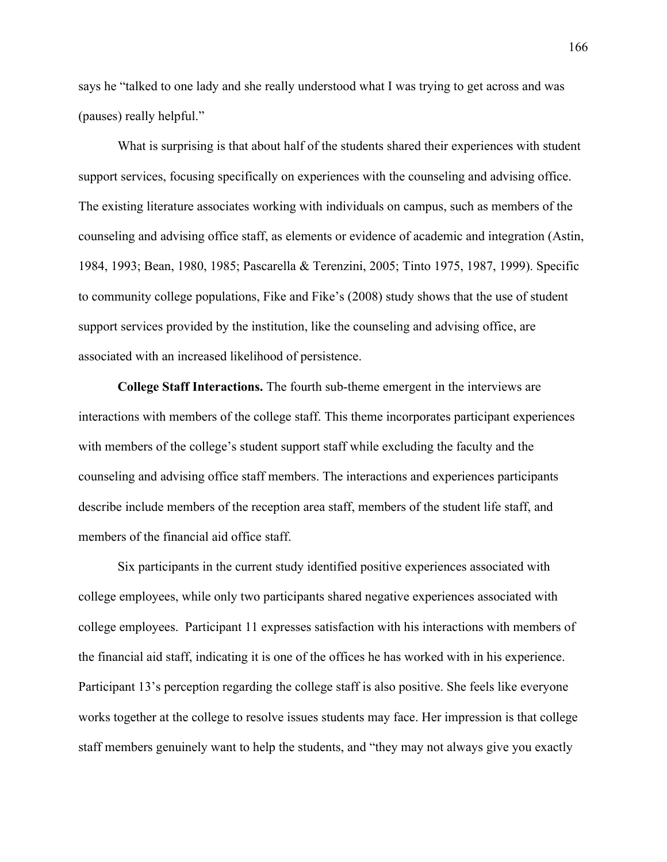says he "talked to one lady and she really understood what I was trying to get across and was (pauses) really helpful."

What is surprising is that about half of the students shared their experiences with student support services, focusing specifically on experiences with the counseling and advising office. The existing literature associates working with individuals on campus, such as members of the counseling and advising office staff, as elements or evidence of academic and integration (Astin, 1984, 1993; Bean, 1980, 1985; Pascarella & Terenzini, 2005; Tinto 1975, 1987, 1999). Specific to community college populations, Fike and Fike's (2008) study shows that the use of student support services provided by the institution, like the counseling and advising office, are associated with an increased likelihood of persistence.

**College Staff Interactions.** The fourth sub-theme emergent in the interviews are interactions with members of the college staff. This theme incorporates participant experiences with members of the college's student support staff while excluding the faculty and the counseling and advising office staff members. The interactions and experiences participants describe include members of the reception area staff, members of the student life staff, and members of the financial aid office staff.

Six participants in the current study identified positive experiences associated with college employees, while only two participants shared negative experiences associated with college employees. Participant 11 expresses satisfaction with his interactions with members of the financial aid staff, indicating it is one of the offices he has worked with in his experience. Participant 13's perception regarding the college staff is also positive. She feels like everyone works together at the college to resolve issues students may face. Her impression is that college staff members genuinely want to help the students, and "they may not always give you exactly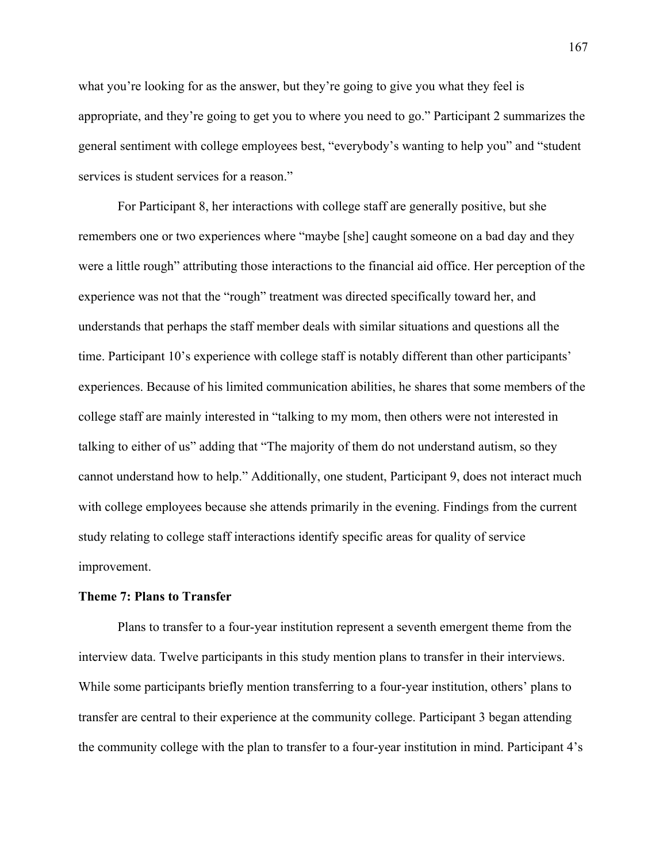what you're looking for as the answer, but they're going to give you what they feel is appropriate, and they're going to get you to where you need to go." Participant 2 summarizes the general sentiment with college employees best, "everybody's wanting to help you" and "student services is student services for a reason."

For Participant 8, her interactions with college staff are generally positive, but she remembers one or two experiences where "maybe [she] caught someone on a bad day and they were a little rough" attributing those interactions to the financial aid office. Her perception of the experience was not that the "rough" treatment was directed specifically toward her, and understands that perhaps the staff member deals with similar situations and questions all the time. Participant 10's experience with college staff is notably different than other participants' experiences. Because of his limited communication abilities, he shares that some members of the college staff are mainly interested in "talking to my mom, then others were not interested in talking to either of us" adding that "The majority of them do not understand autism, so they cannot understand how to help." Additionally, one student, Participant 9, does not interact much with college employees because she attends primarily in the evening. Findings from the current study relating to college staff interactions identify specific areas for quality of service improvement.

### **Theme 7: Plans to Transfer**

Plans to transfer to a four-year institution represent a seventh emergent theme from the interview data. Twelve participants in this study mention plans to transfer in their interviews. While some participants briefly mention transferring to a four-year institution, others' plans to transfer are central to their experience at the community college. Participant 3 began attending the community college with the plan to transfer to a four-year institution in mind. Participant 4's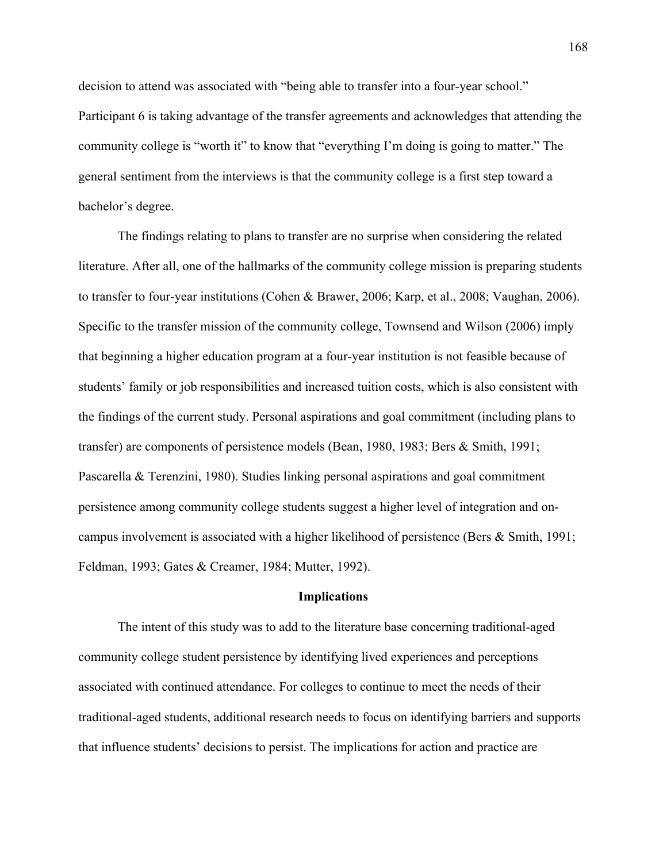decision to attend was associated with "being able to transfer into a four-year school." Participant 6 is taking advantage of the transfer agreements and acknowledges that attending the community college is "worth it" to know that "everything I'm doing is going to matter." The general sentiment from the interviews is that the community college is a first step toward a bachelor's degree.

The findings relating to plans to transfer are no surprise when considering the related literature. After all, one of the hallmarks of the community college mission is preparing students to transfer to four-year institutions (Cohen & Brawer, 2006; Karp, et al., 2008; Vaughan, 2006). Specific to the transfer mission of the community college, Townsend and Wilson (2006) imply that beginning a higher education program at a four-year institution is not feasible because of students' family or job responsibilities and increased tuition costs, which is also consistent with the findings of the current study. Personal aspirations and goal commitment (including plans to transfer) are components of persistence models (Bean, 1980, 1983; Bers & Smith, 1991; Pascarella & Terenzini, 1980). Studies linking personal aspirations and goal commitment persistence among community college students suggest a higher level of integration and oncampus involvement is associated with a higher likelihood of persistence (Bers & Smith, 1991; Feldman, 1993; Gates & Creamer, 1984; Mutter, 1992).

# **Implications**

The intent of this study was to add to the literature base concerning traditional-aged community college student persistence by identifying lived experiences and perceptions associated with continued attendance. For colleges to continue to meet the needs of their traditional-aged students, additional research needs to focus on identifying barriers and supports that influence students' decisions to persist. The implications for action and practice are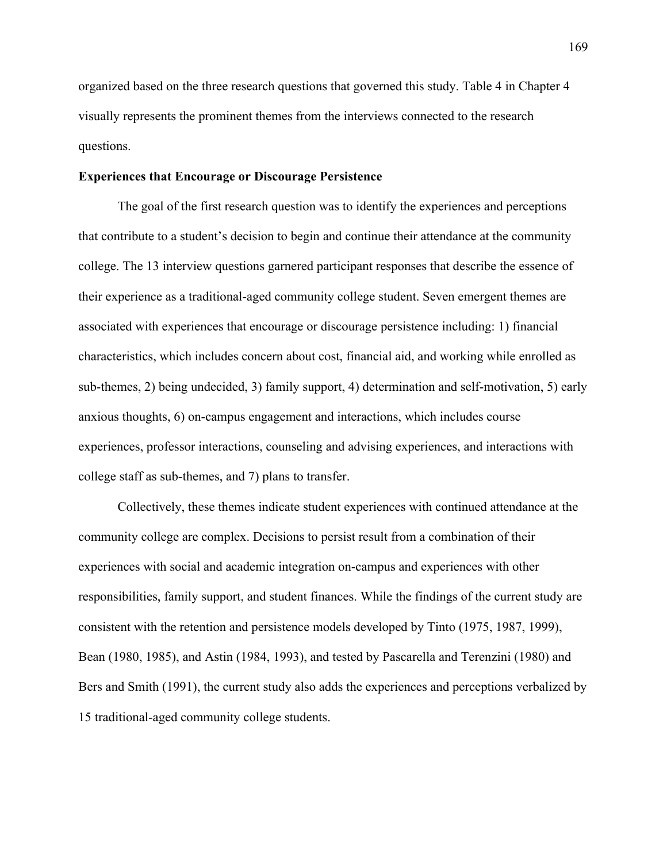organized based on the three research questions that governed this study. Table 4 in Chapter 4 visually represents the prominent themes from the interviews connected to the research questions.

## **Experiences that Encourage or Discourage Persistence**

The goal of the first research question was to identify the experiences and perceptions that contribute to a student's decision to begin and continue their attendance at the community college. The 13 interview questions garnered participant responses that describe the essence of their experience as a traditional-aged community college student. Seven emergent themes are associated with experiences that encourage or discourage persistence including: 1) financial characteristics, which includes concern about cost, financial aid, and working while enrolled as sub-themes, 2) being undecided, 3) family support, 4) determination and self-motivation, 5) early anxious thoughts, 6) on-campus engagement and interactions, which includes course experiences, professor interactions, counseling and advising experiences, and interactions with college staff as sub-themes, and 7) plans to transfer.

Collectively, these themes indicate student experiences with continued attendance at the community college are complex. Decisions to persist result from a combination of their experiences with social and academic integration on-campus and experiences with other responsibilities, family support, and student finances. While the findings of the current study are consistent with the retention and persistence models developed by Tinto (1975, 1987, 1999), Bean (1980, 1985), and Astin (1984, 1993), and tested by Pascarella and Terenzini (1980) and Bers and Smith (1991), the current study also adds the experiences and perceptions verbalized by 15 traditional-aged community college students.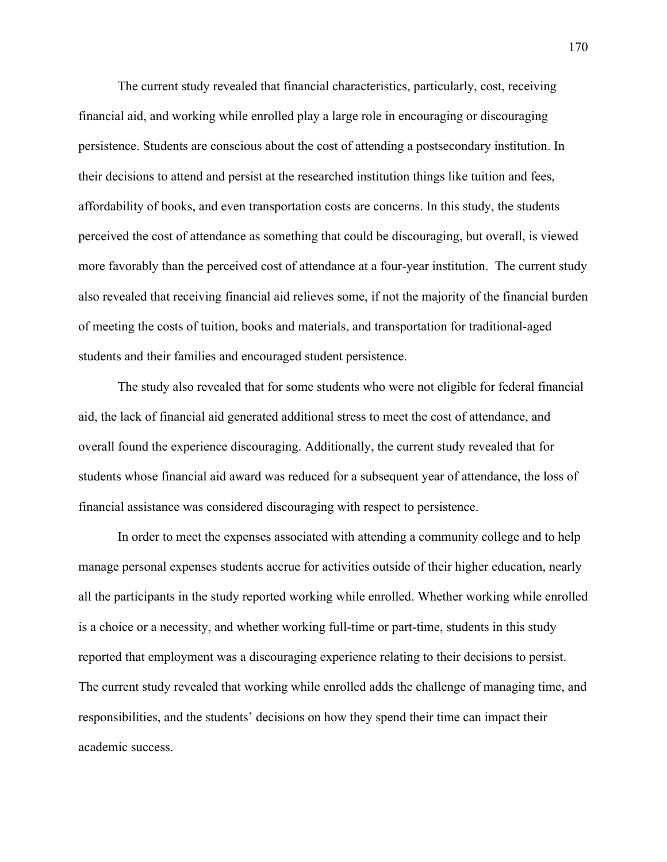The current study revealed that financial characteristics, particularly, cost, receiving financial aid, and working while enrolled play a large role in encouraging or discouraging persistence. Students are conscious about the cost of attending a postsecondary institution. In their decisions to attend and persist at the researched institution things like tuition and fees, affordability of books, and even transportation costs are concerns. In this study, the students perceived the cost of attendance as something that could be discouraging, but overall, is viewed more favorably than the perceived cost of attendance at a four-year institution. The current study also revealed that receiving financial aid relieves some, if not the majority of the financial burden of meeting the costs of tuition, books and materials, and transportation for traditional-aged students and their families and encouraged student persistence.

The study also revealed that for some students who were not eligible for federal financial aid, the lack of financial aid generated additional stress to meet the cost of attendance, and overall found the experience discouraging. Additionally, the current study revealed that for students whose financial aid award was reduced for a subsequent year of attendance, the loss of financial assistance was considered discouraging with respect to persistence.

In order to meet the expenses associated with attending a community college and to help manage personal expenses students accrue for activities outside of their higher education, nearly all the participants in the study reported working while enrolled. Whether working while enrolled is a choice or a necessity, and whether working full-time or part-time, students in this study reported that employment was a discouraging experience relating to their decisions to persist. The current study revealed that working while enrolled adds the challenge of managing time, and responsibilities, and the students' decisions on how they spend their time can impact their academic success.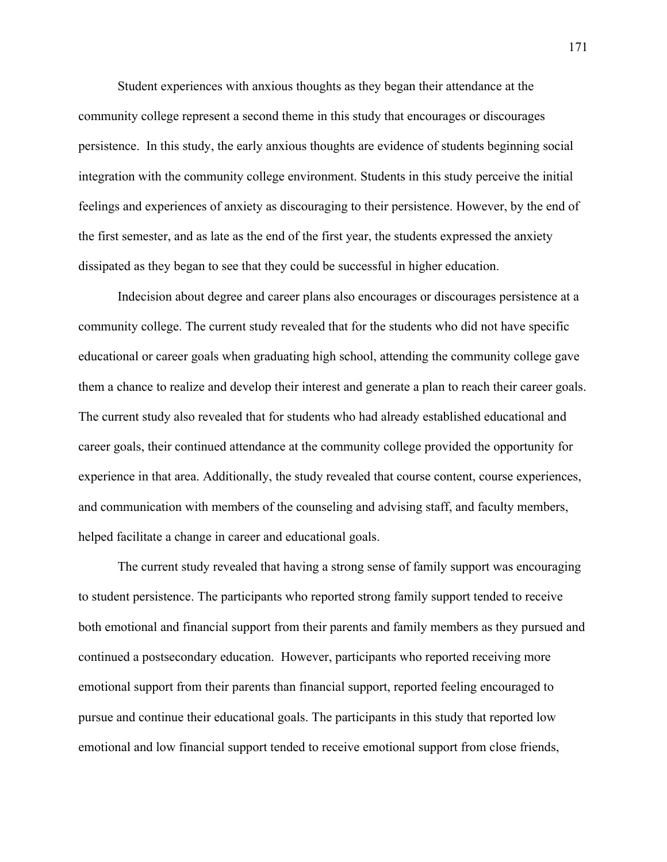Student experiences with anxious thoughts as they began their attendance at the community college represent a second theme in this study that encourages or discourages persistence. In this study, the early anxious thoughts are evidence of students beginning social integration with the community college environment. Students in this study perceive the initial feelings and experiences of anxiety as discouraging to their persistence. However, by the end of the first semester, and as late as the end of the first year, the students expressed the anxiety dissipated as they began to see that they could be successful in higher education.

Indecision about degree and career plans also encourages or discourages persistence at a community college. The current study revealed that for the students who did not have specific educational or career goals when graduating high school, attending the community college gave them a chance to realize and develop their interest and generate a plan to reach their career goals. The current study also revealed that for students who had already established educational and career goals, their continued attendance at the community college provided the opportunity for experience in that area. Additionally, the study revealed that course content, course experiences, and communication with members of the counseling and advising staff, and faculty members, helped facilitate a change in career and educational goals.

The current study revealed that having a strong sense of family support was encouraging to student persistence. The participants who reported strong family support tended to receive both emotional and financial support from their parents and family members as they pursued and continued a postsecondary education. However, participants who reported receiving more emotional support from their parents than financial support, reported feeling encouraged to pursue and continue their educational goals. The participants in this study that reported low emotional and low financial support tended to receive emotional support from close friends,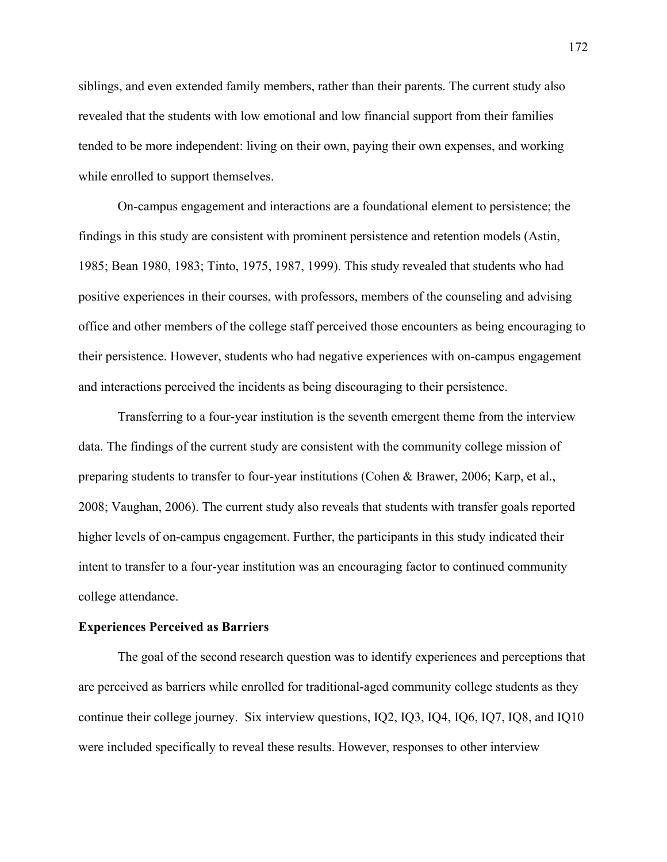siblings, and even extended family members, rather than their parents. The current study also revealed that the students with low emotional and low financial support from their families tended to be more independent: living on their own, paying their own expenses, and working while enrolled to support themselves.

On-campus engagement and interactions are a foundational element to persistence; the findings in this study are consistent with prominent persistence and retention models (Astin, 1985; Bean 1980, 1983; Tinto, 1975, 1987, 1999). This study revealed that students who had positive experiences in their courses, with professors, members of the counseling and advising office and other members of the college staff perceived those encounters as being encouraging to their persistence. However, students who had negative experiences with on-campus engagement and interactions perceived the incidents as being discouraging to their persistence.

Transferring to a four-year institution is the seventh emergent theme from the interview data. The findings of the current study are consistent with the community college mission of preparing students to transfer to four-year institutions (Cohen & Brawer, 2006; Karp, et al., 2008; Vaughan, 2006). The current study also reveals that students with transfer goals reported higher levels of on-campus engagement. Further, the participants in this study indicated their intent to transfer to a four-year institution was an encouraging factor to continued community college attendance.

#### **Experiences Perceived as Barriers**

The goal of the second research question was to identify experiences and perceptions that are perceived as barriers while enrolled for traditional-aged community college students as they continue their college journey. Six interview questions, IQ2, IQ3, IQ4, IQ6, IQ7, IQ8, and IQ10 were included specifically to reveal these results. However, responses to other interview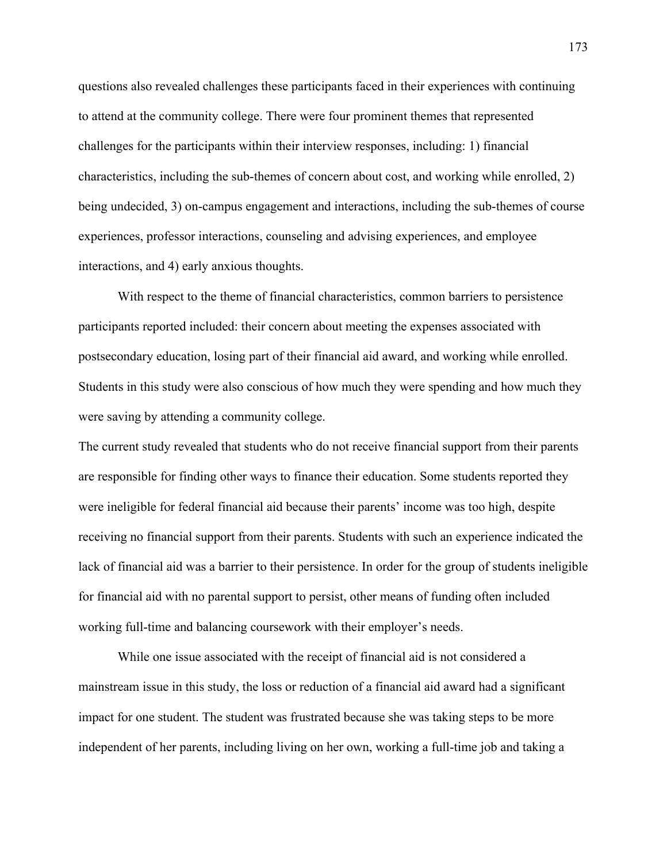questions also revealed challenges these participants faced in their experiences with continuing to attend at the community college. There were four prominent themes that represented challenges for the participants within their interview responses, including: 1) financial characteristics, including the sub-themes of concern about cost, and working while enrolled, 2) being undecided, 3) on-campus engagement and interactions, including the sub-themes of course experiences, professor interactions, counseling and advising experiences, and employee interactions, and 4) early anxious thoughts.

With respect to the theme of financial characteristics, common barriers to persistence participants reported included: their concern about meeting the expenses associated with postsecondary education, losing part of their financial aid award, and working while enrolled. Students in this study were also conscious of how much they were spending and how much they were saving by attending a community college.

The current study revealed that students who do not receive financial support from their parents are responsible for finding other ways to finance their education. Some students reported they were ineligible for federal financial aid because their parents' income was too high, despite receiving no financial support from their parents. Students with such an experience indicated the lack of financial aid was a barrier to their persistence. In order for the group of students ineligible for financial aid with no parental support to persist, other means of funding often included working full-time and balancing coursework with their employer's needs.

While one issue associated with the receipt of financial aid is not considered a mainstream issue in this study, the loss or reduction of a financial aid award had a significant impact for one student. The student was frustrated because she was taking steps to be more independent of her parents, including living on her own, working a full-time job and taking a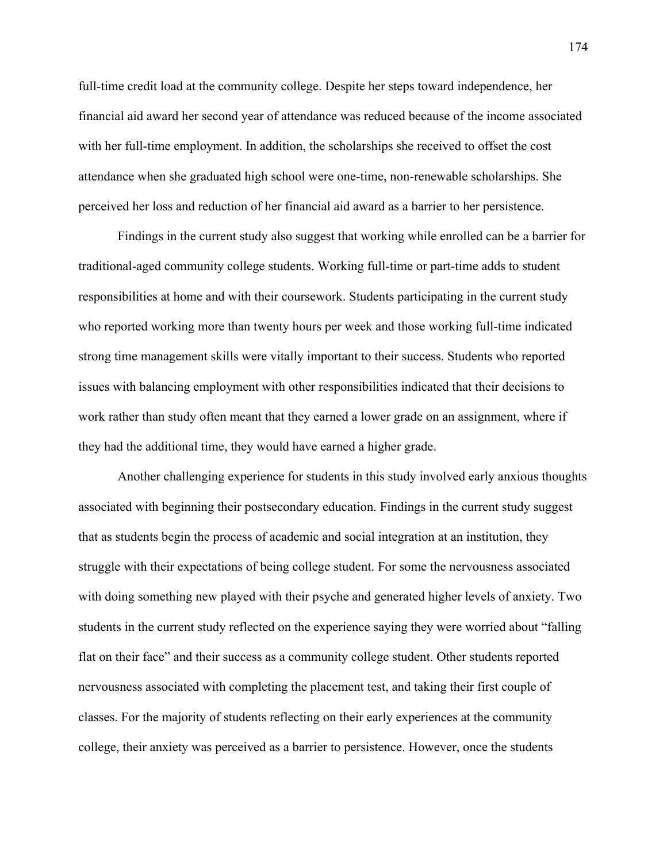full-time credit load at the community college. Despite her steps toward independence, her financial aid award her second year of attendance was reduced because of the income associated with her full-time employment. In addition, the scholarships she received to offset the cost attendance when she graduated high school were one-time, non-renewable scholarships. She perceived her loss and reduction of her financial aid award as a barrier to her persistence.

Findings in the current study also suggest that working while enrolled can be a barrier for traditional-aged community college students. Working full-time or part-time adds to student responsibilities at home and with their coursework. Students participating in the current study who reported working more than twenty hours per week and those working full-time indicated strong time management skills were vitally important to their success. Students who reported issues with balancing employment with other responsibilities indicated that their decisions to work rather than study often meant that they earned a lower grade on an assignment, where if they had the additional time, they would have earned a higher grade.

Another challenging experience for students in this study involved early anxious thoughts associated with beginning their postsecondary education. Findings in the current study suggest that as students begin the process of academic and social integration at an institution, they struggle with their expectations of being college student. For some the nervousness associated with doing something new played with their psyche and generated higher levels of anxiety. Two students in the current study reflected on the experience saying they were worried about "falling flat on their face" and their success as a community college student. Other students reported nervousness associated with completing the placement test, and taking their first couple of classes. For the majority of students reflecting on their early experiences at the community college, their anxiety was perceived as a barrier to persistence. However, once the students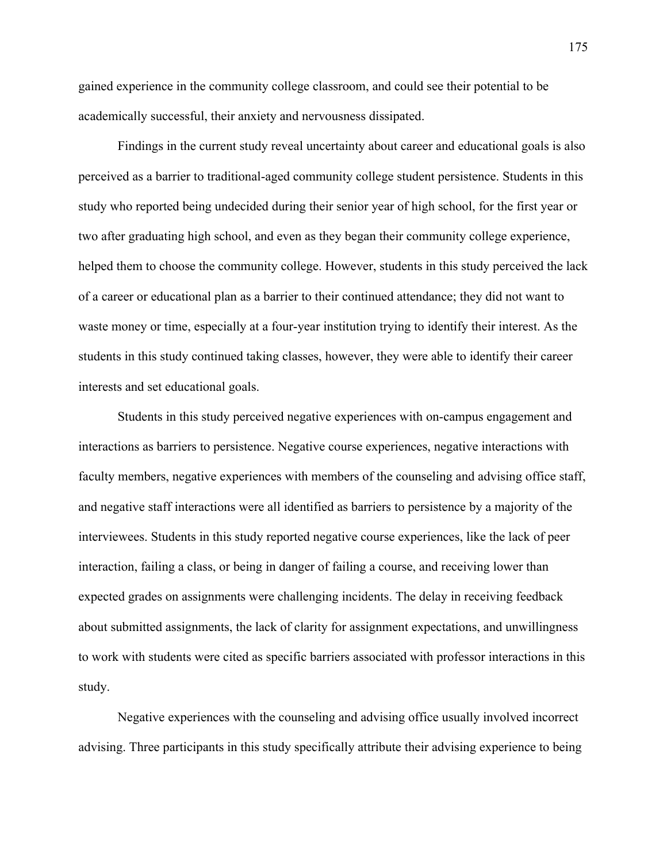gained experience in the community college classroom, and could see their potential to be academically successful, their anxiety and nervousness dissipated.

Findings in the current study reveal uncertainty about career and educational goals is also perceived as a barrier to traditional-aged community college student persistence. Students in this study who reported being undecided during their senior year of high school, for the first year or two after graduating high school, and even as they began their community college experience, helped them to choose the community college. However, students in this study perceived the lack of a career or educational plan as a barrier to their continued attendance; they did not want to waste money or time, especially at a four-year institution trying to identify their interest. As the students in this study continued taking classes, however, they were able to identify their career interests and set educational goals.

Students in this study perceived negative experiences with on-campus engagement and interactions as barriers to persistence. Negative course experiences, negative interactions with faculty members, negative experiences with members of the counseling and advising office staff, and negative staff interactions were all identified as barriers to persistence by a majority of the interviewees. Students in this study reported negative course experiences, like the lack of peer interaction, failing a class, or being in danger of failing a course, and receiving lower than expected grades on assignments were challenging incidents. The delay in receiving feedback about submitted assignments, the lack of clarity for assignment expectations, and unwillingness to work with students were cited as specific barriers associated with professor interactions in this study.

Negative experiences with the counseling and advising office usually involved incorrect advising. Three participants in this study specifically attribute their advising experience to being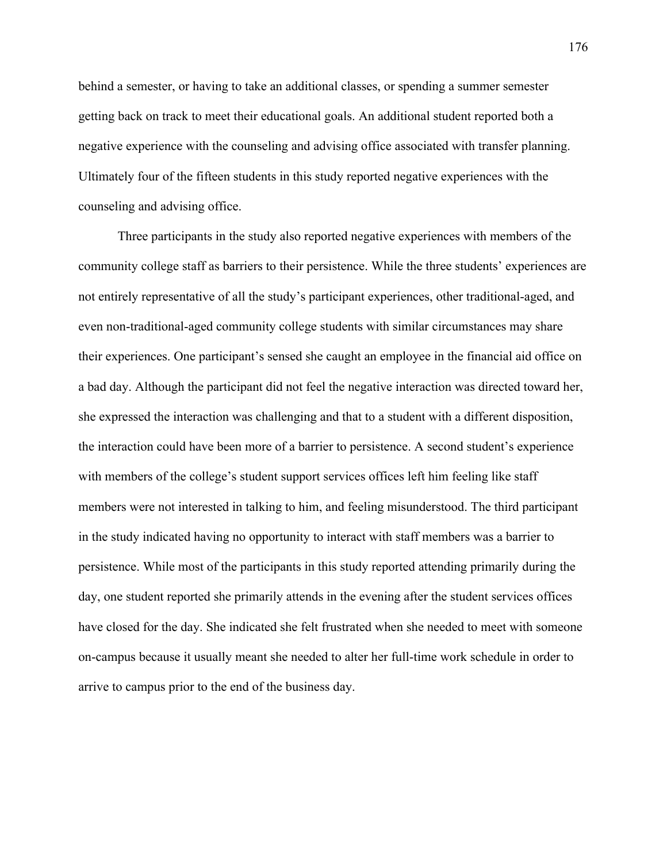behind a semester, or having to take an additional classes, or spending a summer semester getting back on track to meet their educational goals. An additional student reported both a negative experience with the counseling and advising office associated with transfer planning. Ultimately four of the fifteen students in this study reported negative experiences with the counseling and advising office.

Three participants in the study also reported negative experiences with members of the community college staff as barriers to their persistence. While the three students' experiences are not entirely representative of all the study's participant experiences, other traditional-aged, and even non-traditional-aged community college students with similar circumstances may share their experiences. One participant's sensed she caught an employee in the financial aid office on a bad day. Although the participant did not feel the negative interaction was directed toward her, she expressed the interaction was challenging and that to a student with a different disposition, the interaction could have been more of a barrier to persistence. A second student's experience with members of the college's student support services offices left him feeling like staff members were not interested in talking to him, and feeling misunderstood. The third participant in the study indicated having no opportunity to interact with staff members was a barrier to persistence. While most of the participants in this study reported attending primarily during the day, one student reported she primarily attends in the evening after the student services offices have closed for the day. She indicated she felt frustrated when she needed to meet with someone on-campus because it usually meant she needed to alter her full-time work schedule in order to arrive to campus prior to the end of the business day.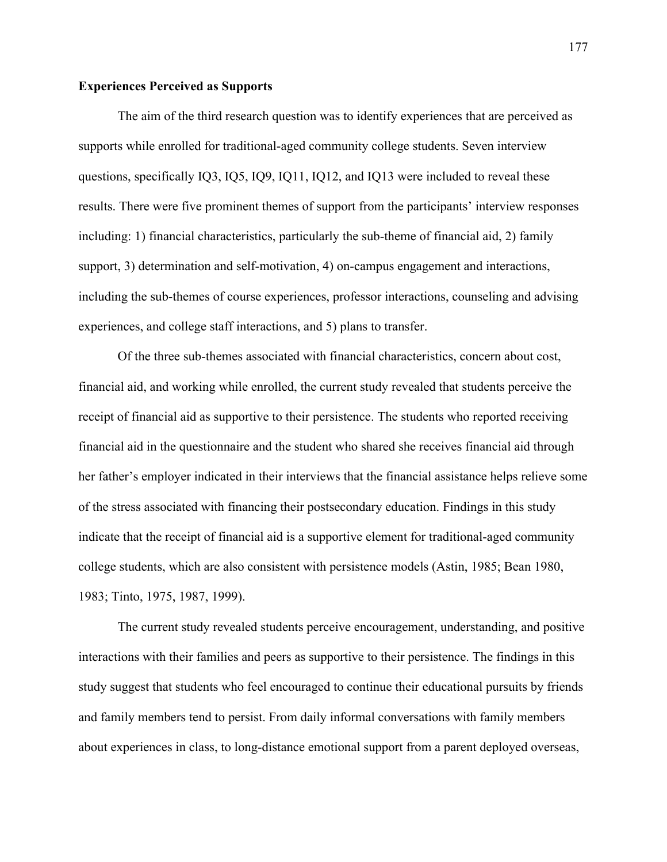# **Experiences Perceived as Supports**

The aim of the third research question was to identify experiences that are perceived as supports while enrolled for traditional-aged community college students. Seven interview questions, specifically IQ3, IQ5, IQ9, IQ11, IQ12, and IQ13 were included to reveal these results. There were five prominent themes of support from the participants' interview responses including: 1) financial characteristics, particularly the sub-theme of financial aid, 2) family support, 3) determination and self-motivation, 4) on-campus engagement and interactions, including the sub-themes of course experiences, professor interactions, counseling and advising experiences, and college staff interactions, and 5) plans to transfer.

Of the three sub-themes associated with financial characteristics, concern about cost, financial aid, and working while enrolled, the current study revealed that students perceive the receipt of financial aid as supportive to their persistence. The students who reported receiving financial aid in the questionnaire and the student who shared she receives financial aid through her father's employer indicated in their interviews that the financial assistance helps relieve some of the stress associated with financing their postsecondary education. Findings in this study indicate that the receipt of financial aid is a supportive element for traditional-aged community college students, which are also consistent with persistence models (Astin, 1985; Bean 1980, 1983; Tinto, 1975, 1987, 1999).

The current study revealed students perceive encouragement, understanding, and positive interactions with their families and peers as supportive to their persistence. The findings in this study suggest that students who feel encouraged to continue their educational pursuits by friends and family members tend to persist. From daily informal conversations with family members about experiences in class, to long-distance emotional support from a parent deployed overseas,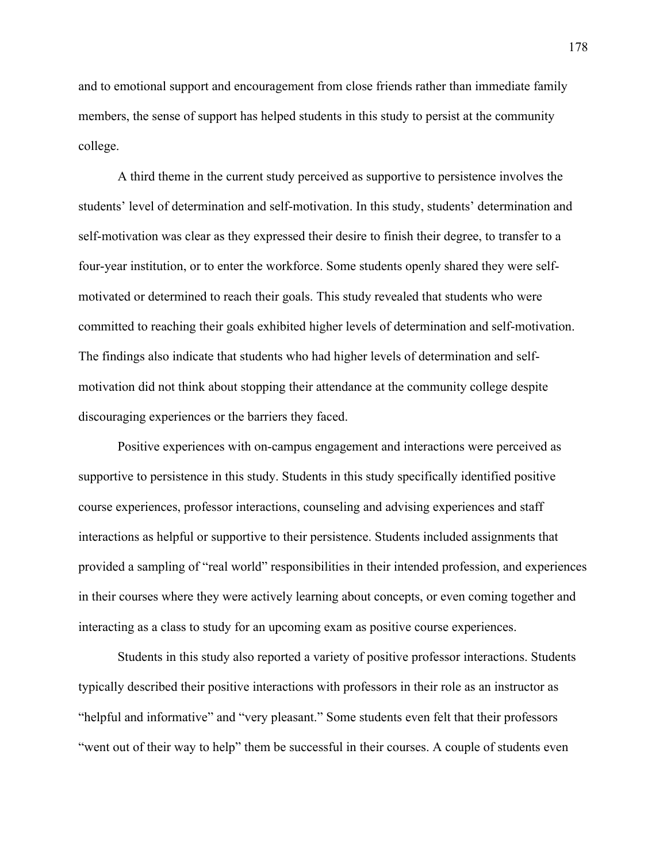and to emotional support and encouragement from close friends rather than immediate family members, the sense of support has helped students in this study to persist at the community college.

A third theme in the current study perceived as supportive to persistence involves the students' level of determination and self-motivation. In this study, students' determination and self-motivation was clear as they expressed their desire to finish their degree, to transfer to a four-year institution, or to enter the workforce. Some students openly shared they were selfmotivated or determined to reach their goals. This study revealed that students who were committed to reaching their goals exhibited higher levels of determination and self-motivation. The findings also indicate that students who had higher levels of determination and selfmotivation did not think about stopping their attendance at the community college despite discouraging experiences or the barriers they faced.

Positive experiences with on-campus engagement and interactions were perceived as supportive to persistence in this study. Students in this study specifically identified positive course experiences, professor interactions, counseling and advising experiences and staff interactions as helpful or supportive to their persistence. Students included assignments that provided a sampling of "real world" responsibilities in their intended profession, and experiences in their courses where they were actively learning about concepts, or even coming together and interacting as a class to study for an upcoming exam as positive course experiences.

Students in this study also reported a variety of positive professor interactions. Students typically described their positive interactions with professors in their role as an instructor as "helpful and informative" and "very pleasant." Some students even felt that their professors "went out of their way to help" them be successful in their courses. A couple of students even

178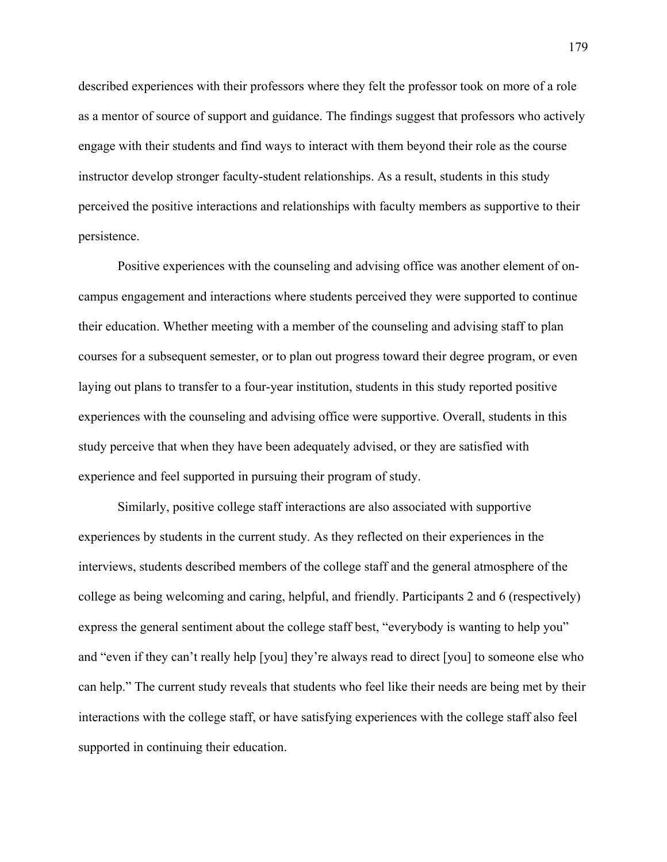described experiences with their professors where they felt the professor took on more of a role as a mentor of source of support and guidance. The findings suggest that professors who actively engage with their students and find ways to interact with them beyond their role as the course instructor develop stronger faculty-student relationships. As a result, students in this study perceived the positive interactions and relationships with faculty members as supportive to their persistence.

Positive experiences with the counseling and advising office was another element of oncampus engagement and interactions where students perceived they were supported to continue their education. Whether meeting with a member of the counseling and advising staff to plan courses for a subsequent semester, or to plan out progress toward their degree program, or even laying out plans to transfer to a four-year institution, students in this study reported positive experiences with the counseling and advising office were supportive. Overall, students in this study perceive that when they have been adequately advised, or they are satisfied with experience and feel supported in pursuing their program of study.

Similarly, positive college staff interactions are also associated with supportive experiences by students in the current study. As they reflected on their experiences in the interviews, students described members of the college staff and the general atmosphere of the college as being welcoming and caring, helpful, and friendly. Participants 2 and 6 (respectively) express the general sentiment about the college staff best, "everybody is wanting to help you" and "even if they can't really help [you] they're always read to direct [you] to someone else who can help." The current study reveals that students who feel like their needs are being met by their interactions with the college staff, or have satisfying experiences with the college staff also feel supported in continuing their education.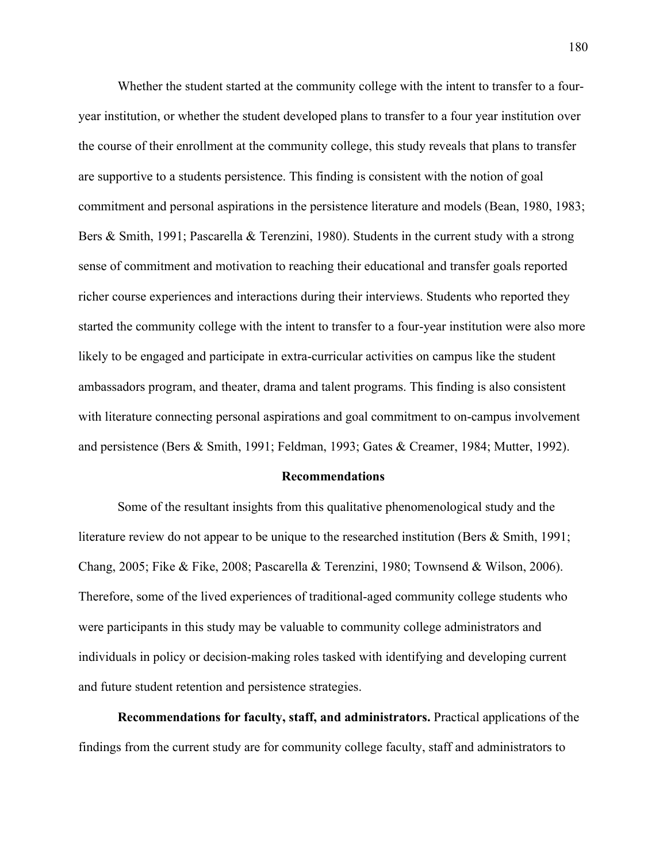Whether the student started at the community college with the intent to transfer to a fouryear institution, or whether the student developed plans to transfer to a four year institution over the course of their enrollment at the community college, this study reveals that plans to transfer are supportive to a students persistence. This finding is consistent with the notion of goal commitment and personal aspirations in the persistence literature and models (Bean, 1980, 1983; Bers & Smith, 1991; Pascarella & Terenzini, 1980). Students in the current study with a strong sense of commitment and motivation to reaching their educational and transfer goals reported richer course experiences and interactions during their interviews. Students who reported they started the community college with the intent to transfer to a four-year institution were also more likely to be engaged and participate in extra-curricular activities on campus like the student ambassadors program, and theater, drama and talent programs. This finding is also consistent with literature connecting personal aspirations and goal commitment to on-campus involvement and persistence (Bers & Smith, 1991; Feldman, 1993; Gates & Creamer, 1984; Mutter, 1992).

#### **Recommendations**

Some of the resultant insights from this qualitative phenomenological study and the literature review do not appear to be unique to the researched institution (Bers & Smith, 1991; Chang, 2005; Fike & Fike, 2008; Pascarella & Terenzini, 1980; Townsend & Wilson, 2006). Therefore, some of the lived experiences of traditional-aged community college students who were participants in this study may be valuable to community college administrators and individuals in policy or decision-making roles tasked with identifying and developing current and future student retention and persistence strategies.

**Recommendations for faculty, staff, and administrators.** Practical applications of the findings from the current study are for community college faculty, staff and administrators to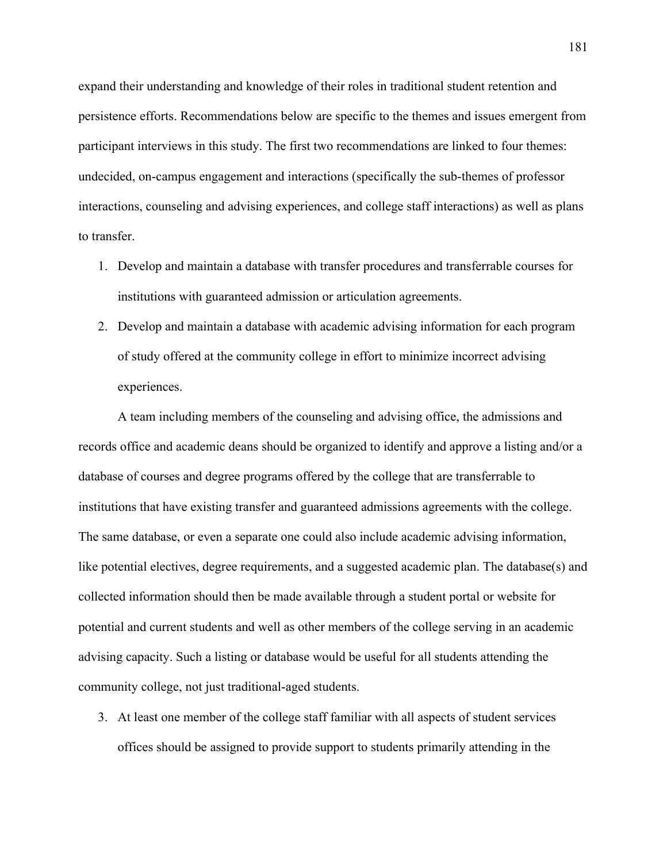expand their understanding and knowledge of their roles in traditional student retention and persistence efforts. Recommendations below are specific to the themes and issues emergent from participant interviews in this study. The first two recommendations are linked to four themes: undecided, on-campus engagement and interactions (specifically the sub-themes of professor interactions, counseling and advising experiences, and college staff interactions) as well as plans to transfer.

- 1. Develop and maintain a database with transfer procedures and transferrable courses for institutions with guaranteed admission or articulation agreements.
- 2. Develop and maintain a database with academic advising information for each program of study offered at the community college in effort to minimize incorrect advising experiences.

A team including members of the counseling and advising office, the admissions and records office and academic deans should be organized to identify and approve a listing and/or a database of courses and degree programs offered by the college that are transferrable to institutions that have existing transfer and guaranteed admissions agreements with the college. The same database, or even a separate one could also include academic advising information, like potential electives, degree requirements, and a suggested academic plan. The database(s) and collected information should then be made available through a student portal or website for potential and current students and well as other members of the college serving in an academic advising capacity. Such a listing or database would be useful for all students attending the community college, not just traditional-aged students.

3. At least one member of the college staff familiar with all aspects of student services offices should be assigned to provide support to students primarily attending in the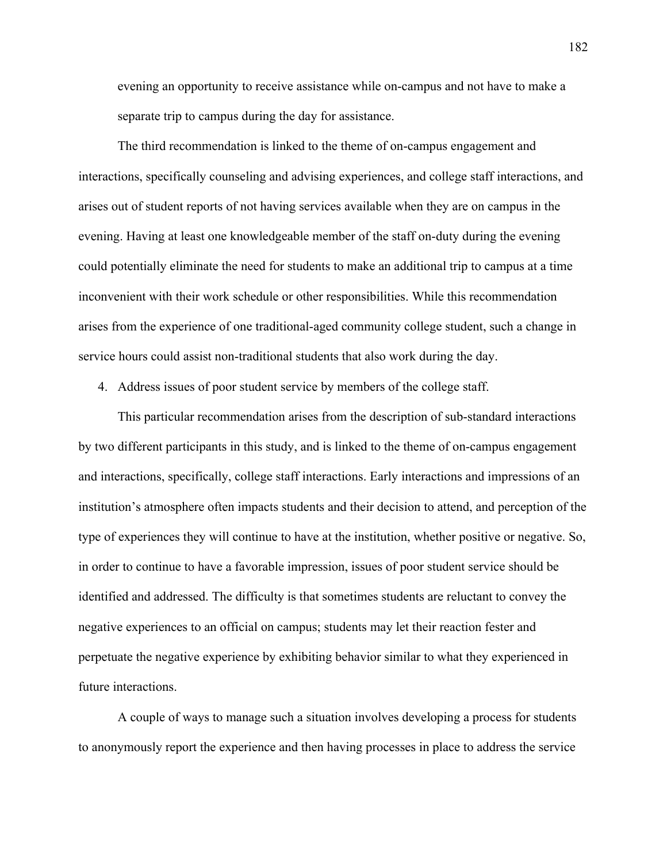evening an opportunity to receive assistance while on-campus and not have to make a separate trip to campus during the day for assistance.

The third recommendation is linked to the theme of on-campus engagement and interactions, specifically counseling and advising experiences, and college staff interactions, and arises out of student reports of not having services available when they are on campus in the evening. Having at least one knowledgeable member of the staff on-duty during the evening could potentially eliminate the need for students to make an additional trip to campus at a time inconvenient with their work schedule or other responsibilities. While this recommendation arises from the experience of one traditional-aged community college student, such a change in service hours could assist non-traditional students that also work during the day.

4. Address issues of poor student service by members of the college staff.

This particular recommendation arises from the description of sub-standard interactions by two different participants in this study, and is linked to the theme of on-campus engagement and interactions, specifically, college staff interactions. Early interactions and impressions of an institution's atmosphere often impacts students and their decision to attend, and perception of the type of experiences they will continue to have at the institution, whether positive or negative. So, in order to continue to have a favorable impression, issues of poor student service should be identified and addressed. The difficulty is that sometimes students are reluctant to convey the negative experiences to an official on campus; students may let their reaction fester and perpetuate the negative experience by exhibiting behavior similar to what they experienced in future interactions.

A couple of ways to manage such a situation involves developing a process for students to anonymously report the experience and then having processes in place to address the service

182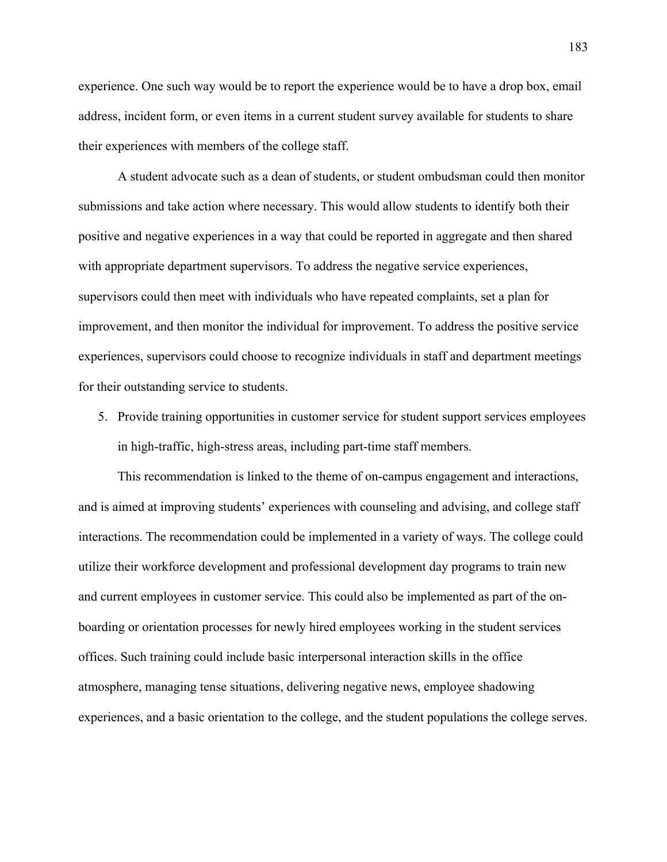experience. One such way would be to report the experience would be to have a drop box, email address, incident form, or even items in a current student survey available for students to share their experiences with members of the college staff.

A student advocate such as a dean of students, or student ombudsman could then monitor submissions and take action where necessary. This would allow students to identify both their positive and negative experiences in a way that could be reported in aggregate and then shared with appropriate department supervisors. To address the negative service experiences, supervisors could then meet with individuals who have repeated complaints, set a plan for improvement, and then monitor the individual for improvement. To address the positive service experiences, supervisors could choose to recognize individuals in staff and department meetings for their outstanding service to students.

5. Provide training opportunities in customer service for student support services employees in high-traffic, high-stress areas, including part-time staff members.

This recommendation is linked to the theme of on-campus engagement and interactions, and is aimed at improving students' experiences with counseling and advising, and college staff interactions. The recommendation could be implemented in a variety of ways. The college could utilize their workforce development and professional development day programs to train new and current employees in customer service. This could also be implemented as part of the onboarding or orientation processes for newly hired employees working in the student services offices. Such training could include basic interpersonal interaction skills in the office atmosphere, managing tense situations, delivering negative news, employee shadowing experiences, and a basic orientation to the college, and the student populations the college serves.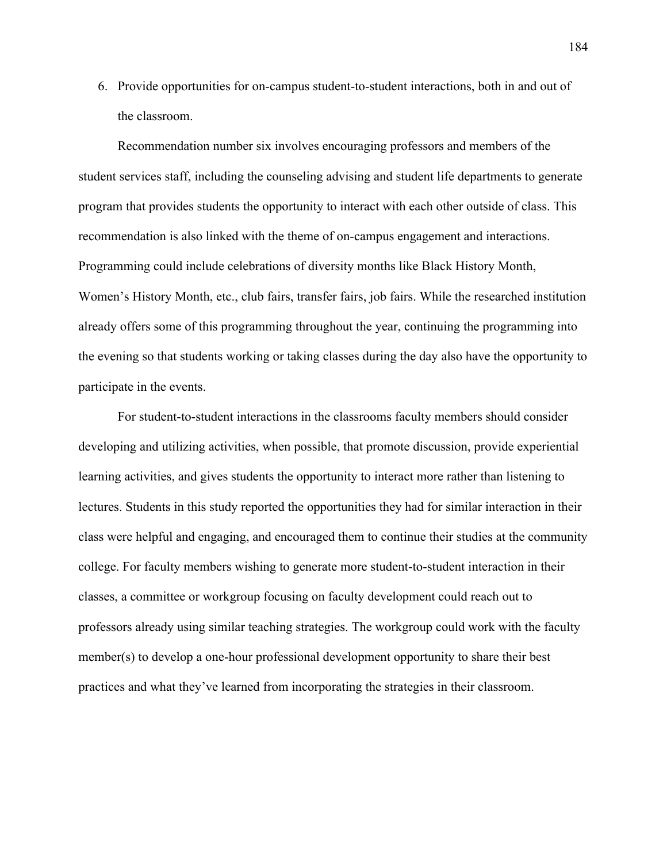6. Provide opportunities for on-campus student-to-student interactions, both in and out of the classroom.

Recommendation number six involves encouraging professors and members of the student services staff, including the counseling advising and student life departments to generate program that provides students the opportunity to interact with each other outside of class. This recommendation is also linked with the theme of on-campus engagement and interactions. Programming could include celebrations of diversity months like Black History Month, Women's History Month, etc., club fairs, transfer fairs, job fairs. While the researched institution already offers some of this programming throughout the year, continuing the programming into the evening so that students working or taking classes during the day also have the opportunity to participate in the events.

For student-to-student interactions in the classrooms faculty members should consider developing and utilizing activities, when possible, that promote discussion, provide experiential learning activities, and gives students the opportunity to interact more rather than listening to lectures. Students in this study reported the opportunities they had for similar interaction in their class were helpful and engaging, and encouraged them to continue their studies at the community college. For faculty members wishing to generate more student-to-student interaction in their classes, a committee or workgroup focusing on faculty development could reach out to professors already using similar teaching strategies. The workgroup could work with the faculty member(s) to develop a one-hour professional development opportunity to share their best practices and what they've learned from incorporating the strategies in their classroom.

184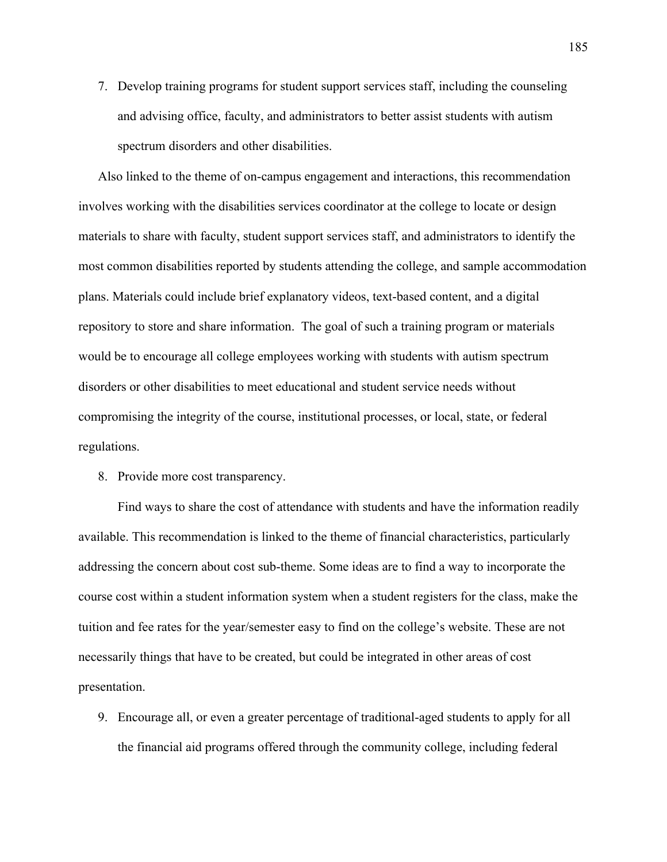7. Develop training programs for student support services staff, including the counseling and advising office, faculty, and administrators to better assist students with autism spectrum disorders and other disabilities.

Also linked to the theme of on-campus engagement and interactions, this recommendation involves working with the disabilities services coordinator at the college to locate or design materials to share with faculty, student support services staff, and administrators to identify the most common disabilities reported by students attending the college, and sample accommodation plans. Materials could include brief explanatory videos, text-based content, and a digital repository to store and share information. The goal of such a training program or materials would be to encourage all college employees working with students with autism spectrum disorders or other disabilities to meet educational and student service needs without compromising the integrity of the course, institutional processes, or local, state, or federal regulations.

8. Provide more cost transparency.

Find ways to share the cost of attendance with students and have the information readily available. This recommendation is linked to the theme of financial characteristics, particularly addressing the concern about cost sub-theme. Some ideas are to find a way to incorporate the course cost within a student information system when a student registers for the class, make the tuition and fee rates for the year/semester easy to find on the college's website. These are not necessarily things that have to be created, but could be integrated in other areas of cost presentation.

9. Encourage all, or even a greater percentage of traditional-aged students to apply for all the financial aid programs offered through the community college, including federal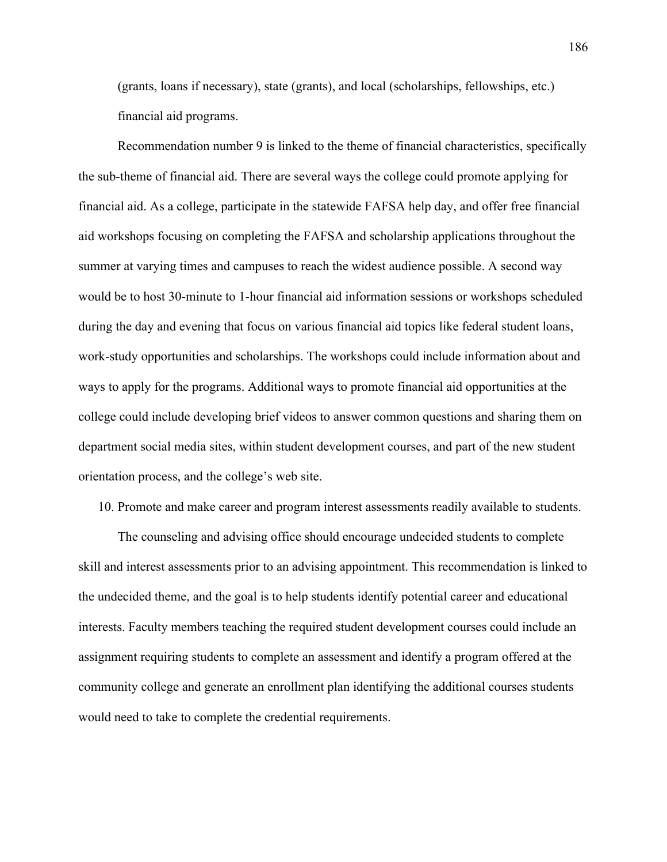(grants, loans if necessary), state (grants), and local (scholarships, fellowships, etc.) financial aid programs.

Recommendation number 9 is linked to the theme of financial characteristics, specifically the sub-theme of financial aid. There are several ways the college could promote applying for financial aid. As a college, participate in the statewide FAFSA help day, and offer free financial aid workshops focusing on completing the FAFSA and scholarship applications throughout the summer at varying times and campuses to reach the widest audience possible. A second way would be to host 30-minute to 1-hour financial aid information sessions or workshops scheduled during the day and evening that focus on various financial aid topics like federal student loans, work-study opportunities and scholarships. The workshops could include information about and ways to apply for the programs. Additional ways to promote financial aid opportunities at the college could include developing brief videos to answer common questions and sharing them on department social media sites, within student development courses, and part of the new student orientation process, and the college's web site.

10. Promote and make career and program interest assessments readily available to students.

The counseling and advising office should encourage undecided students to complete skill and interest assessments prior to an advising appointment. This recommendation is linked to the undecided theme, and the goal is to help students identify potential career and educational interests. Faculty members teaching the required student development courses could include an assignment requiring students to complete an assessment and identify a program offered at the community college and generate an enrollment plan identifying the additional courses students would need to take to complete the credential requirements.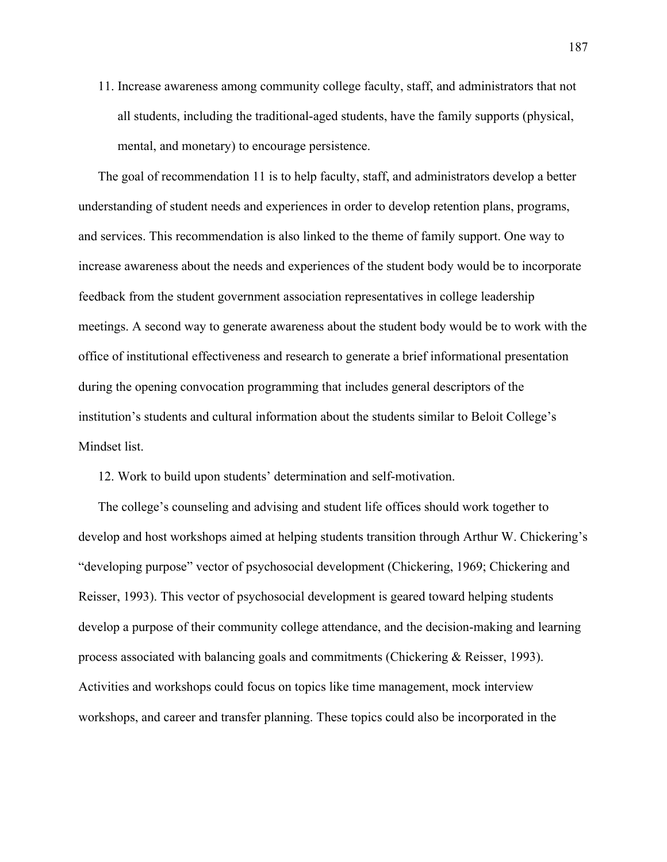11. Increase awareness among community college faculty, staff, and administrators that not all students, including the traditional-aged students, have the family supports (physical, mental, and monetary) to encourage persistence.

The goal of recommendation 11 is to help faculty, staff, and administrators develop a better understanding of student needs and experiences in order to develop retention plans, programs, and services. This recommendation is also linked to the theme of family support. One way to increase awareness about the needs and experiences of the student body would be to incorporate feedback from the student government association representatives in college leadership meetings. A second way to generate awareness about the student body would be to work with the office of institutional effectiveness and research to generate a brief informational presentation during the opening convocation programming that includes general descriptors of the institution's students and cultural information about the students similar to Beloit College's Mindset list.

12. Work to build upon students' determination and self-motivation.

The college's counseling and advising and student life offices should work together to develop and host workshops aimed at helping students transition through Arthur W. Chickering's "developing purpose" vector of psychosocial development (Chickering, 1969; Chickering and Reisser, 1993). This vector of psychosocial development is geared toward helping students develop a purpose of their community college attendance, and the decision-making and learning process associated with balancing goals and commitments (Chickering & Reisser, 1993). Activities and workshops could focus on topics like time management, mock interview workshops, and career and transfer planning. These topics could also be incorporated in the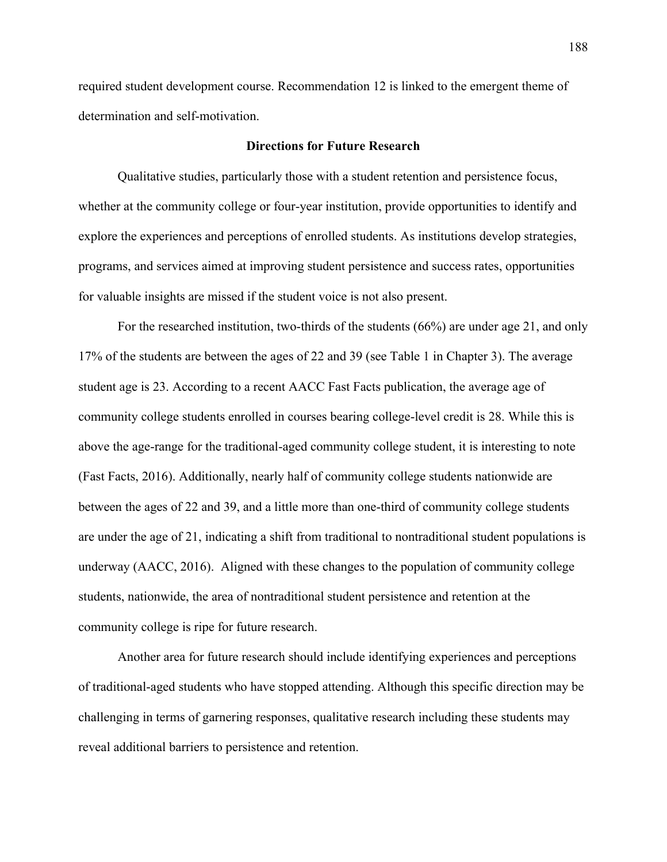required student development course. Recommendation 12 is linked to the emergent theme of determination and self-motivation.

## **Directions for Future Research**

Qualitative studies, particularly those with a student retention and persistence focus, whether at the community college or four-year institution, provide opportunities to identify and explore the experiences and perceptions of enrolled students. As institutions develop strategies, programs, and services aimed at improving student persistence and success rates, opportunities for valuable insights are missed if the student voice is not also present.

For the researched institution, two-thirds of the students (66%) are under age 21, and only 17% of the students are between the ages of 22 and 39 (see Table 1 in Chapter 3). The average student age is 23. According to a recent AACC Fast Facts publication, the average age of community college students enrolled in courses bearing college-level credit is 28. While this is above the age-range for the traditional-aged community college student, it is interesting to note (Fast Facts, 2016). Additionally, nearly half of community college students nationwide are between the ages of 22 and 39, and a little more than one-third of community college students are under the age of 21, indicating a shift from traditional to nontraditional student populations is underway (AACC, 2016). Aligned with these changes to the population of community college students, nationwide, the area of nontraditional student persistence and retention at the community college is ripe for future research.

Another area for future research should include identifying experiences and perceptions of traditional-aged students who have stopped attending. Although this specific direction may be challenging in terms of garnering responses, qualitative research including these students may reveal additional barriers to persistence and retention.

188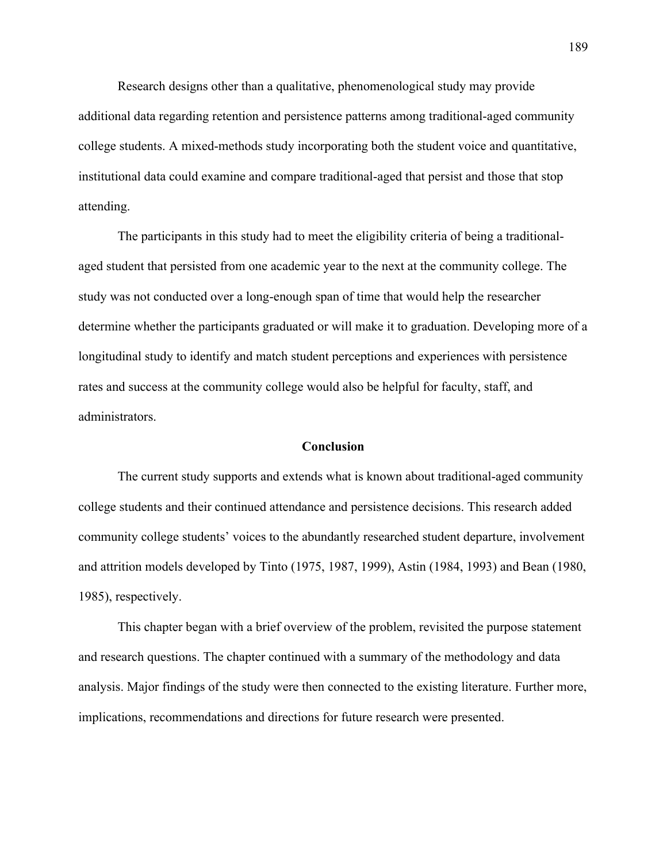Research designs other than a qualitative, phenomenological study may provide additional data regarding retention and persistence patterns among traditional-aged community college students. A mixed-methods study incorporating both the student voice and quantitative, institutional data could examine and compare traditional-aged that persist and those that stop attending.

The participants in this study had to meet the eligibility criteria of being a traditionalaged student that persisted from one academic year to the next at the community college. The study was not conducted over a long-enough span of time that would help the researcher determine whether the participants graduated or will make it to graduation. Developing more of a longitudinal study to identify and match student perceptions and experiences with persistence rates and success at the community college would also be helpful for faculty, staff, and administrators.

#### **Conclusion**

The current study supports and extends what is known about traditional-aged community college students and their continued attendance and persistence decisions. This research added community college students' voices to the abundantly researched student departure, involvement and attrition models developed by Tinto (1975, 1987, 1999), Astin (1984, 1993) and Bean (1980, 1985), respectively.

This chapter began with a brief overview of the problem, revisited the purpose statement and research questions. The chapter continued with a summary of the methodology and data analysis. Major findings of the study were then connected to the existing literature. Further more, implications, recommendations and directions for future research were presented.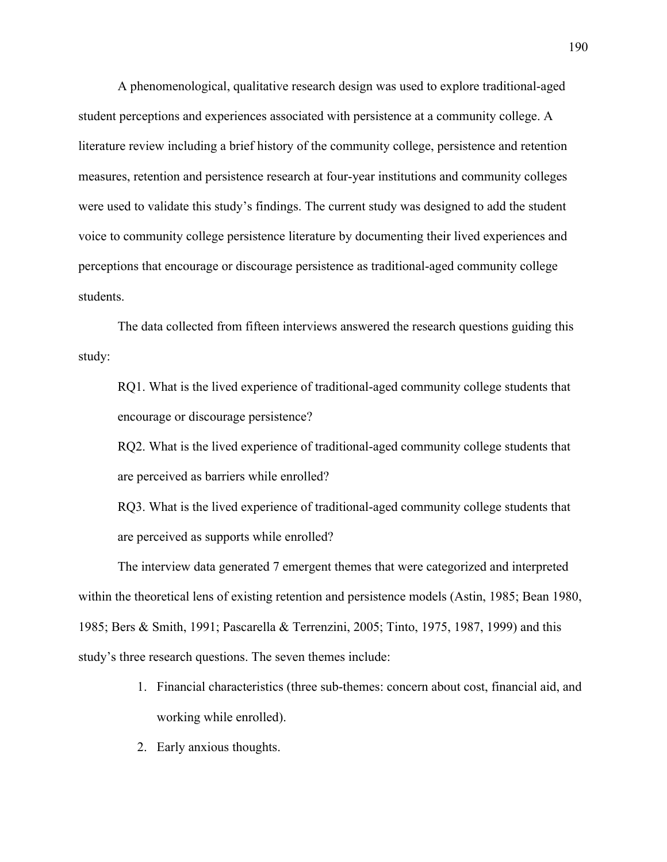A phenomenological, qualitative research design was used to explore traditional-aged student perceptions and experiences associated with persistence at a community college. A literature review including a brief history of the community college, persistence and retention measures, retention and persistence research at four-year institutions and community colleges were used to validate this study's findings. The current study was designed to add the student voice to community college persistence literature by documenting their lived experiences and perceptions that encourage or discourage persistence as traditional-aged community college students.

The data collected from fifteen interviews answered the research questions guiding this study:

RQ1. What is the lived experience of traditional-aged community college students that encourage or discourage persistence?

RQ2. What is the lived experience of traditional-aged community college students that are perceived as barriers while enrolled?

RQ3. What is the lived experience of traditional-aged community college students that are perceived as supports while enrolled?

The interview data generated 7 emergent themes that were categorized and interpreted within the theoretical lens of existing retention and persistence models (Astin, 1985; Bean 1980, 1985; Bers & Smith, 1991; Pascarella & Terrenzini, 2005; Tinto, 1975, 1987, 1999) and this study's three research questions. The seven themes include:

- 1. Financial characteristics (three sub-themes: concern about cost, financial aid, and working while enrolled).
- 2. Early anxious thoughts.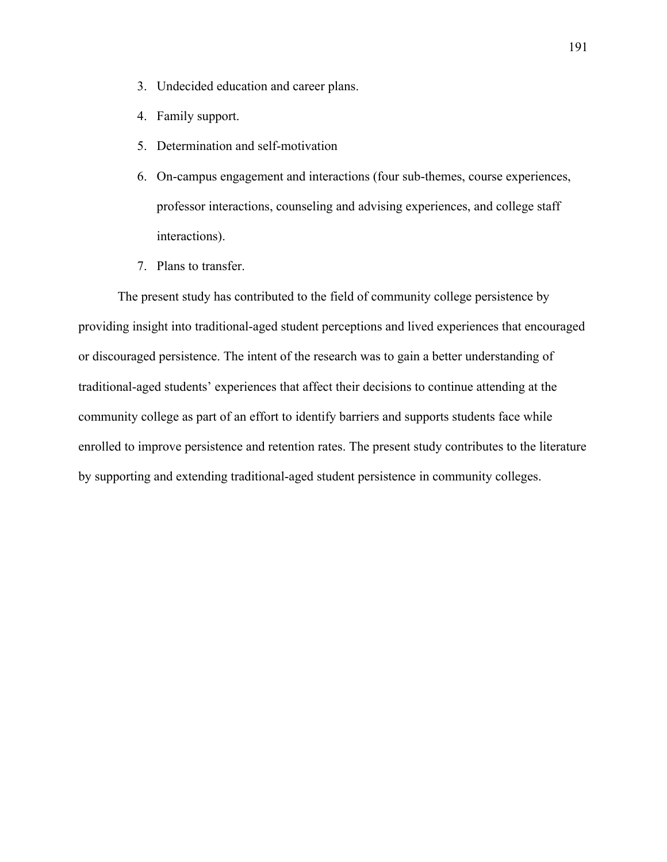- 3. Undecided education and career plans.
- 4. Family support.
- 5. Determination and self-motivation
- 6. On-campus engagement and interactions (four sub-themes, course experiences, professor interactions, counseling and advising experiences, and college staff interactions).
- 7. Plans to transfer.

The present study has contributed to the field of community college persistence by providing insight into traditional-aged student perceptions and lived experiences that encouraged or discouraged persistence. The intent of the research was to gain a better understanding of traditional-aged students' experiences that affect their decisions to continue attending at the community college as part of an effort to identify barriers and supports students face while enrolled to improve persistence and retention rates. The present study contributes to the literature by supporting and extending traditional-aged student persistence in community colleges.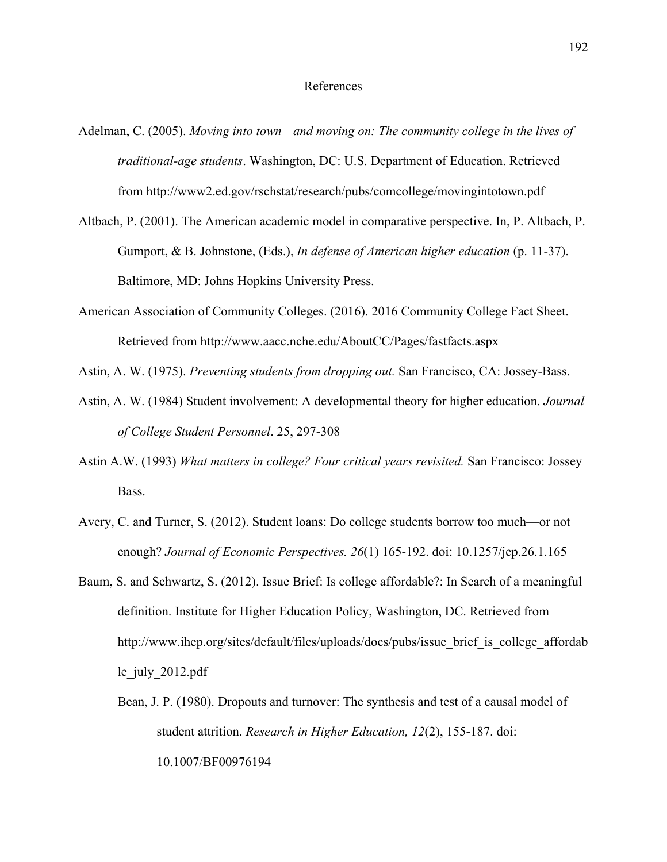## References

- Adelman, C. (2005). *Moving into town—and moving on: The community college in the lives of traditional-age students*. Washington, DC: U.S. Department of Education. Retrieved from http://www2.ed.gov/rschstat/research/pubs/comcollege/movingintotown.pdf
- Altbach, P. (2001). The American academic model in comparative perspective. In, P. Altbach, P. Gumport, & B. Johnstone, (Eds.), *In defense of American higher education* (p. 11-37). Baltimore, MD: Johns Hopkins University Press.
- American Association of Community Colleges. (2016). 2016 Community College Fact Sheet. Retrieved from http://www.aacc.nche.edu/AboutCC/Pages/fastfacts.aspx

Astin, A. W. (1975). *Preventing students from dropping out.* San Francisco, CA: Jossey-Bass.

- Astin, A. W. (1984) Student involvement: A developmental theory for higher education. *Journal of College Student Personnel*. 25, 297-308
- Astin A.W. (1993) *What matters in college? Four critical years revisited.* San Francisco: Jossey Bass.
- Avery, C. and Turner, S. (2012). Student loans: Do college students borrow too much—or not enough? *Journal of Economic Perspectives. 26*(1) 165-192. doi: 10.1257/jep.26.1.165
- Baum, S. and Schwartz, S. (2012). Issue Brief: Is college affordable?: In Search of a meaningful definition. Institute for Higher Education Policy, Washington, DC. Retrieved from http://www.ihep.org/sites/default/files/uploads/docs/pubs/issue brief is college affordab le\_july\_2012.pdf
	- Bean, J. P. (1980). Dropouts and turnover: The synthesis and test of a causal model of student attrition. *Research in Higher Education, 12*(2), 155-187. doi: 10.1007/BF00976194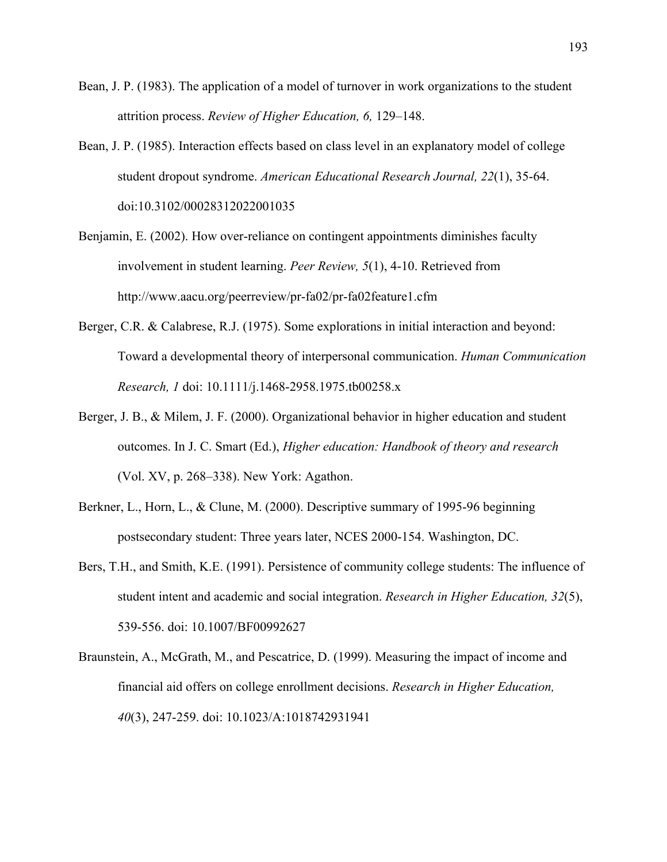- Bean, J. P. (1983). The application of a model of turnover in work organizations to the student attrition process. *Review of Higher Education, 6,* 129–148.
- Bean, J. P. (1985). Interaction effects based on class level in an explanatory model of college student dropout syndrome. *American Educational Research Journal, 22*(1), 35-64. doi:10.3102/00028312022001035
- Benjamin, E. (2002). How over-reliance on contingent appointments diminishes faculty involvement in student learning. *Peer Review, 5*(1), 4-10. Retrieved from http://www.aacu.org/peerreview/pr-fa02/pr-fa02feature1.cfm
- Berger, C.R. & Calabrese, R.J. (1975). Some explorations in initial interaction and beyond: Toward a developmental theory of interpersonal communication. *Human Communication Research, 1* doi: 10.1111/j.1468-2958.1975.tb00258.x
- Berger, J. B., & Milem, J. F. (2000). Organizational behavior in higher education and student outcomes. In J. C. Smart (Ed.), *Higher education: Handbook of theory and research*  (Vol. XV, p. 268–338). New York: Agathon.
- Berkner, L., Horn, L., & Clune, M. (2000). Descriptive summary of 1995-96 beginning postsecondary student: Three years later, NCES 2000-154. Washington, DC.
- Bers, T.H., and Smith, K.E. (1991). Persistence of community college students: The influence of student intent and academic and social integration. *Research in Higher Education, 32*(5), 539-556. doi: 10.1007/BF00992627
- Braunstein, A., McGrath, M., and Pescatrice, D. (1999). Measuring the impact of income and financial aid offers on college enrollment decisions. *Research in Higher Education, 40*(3), 247-259. doi: 10.1023/A:1018742931941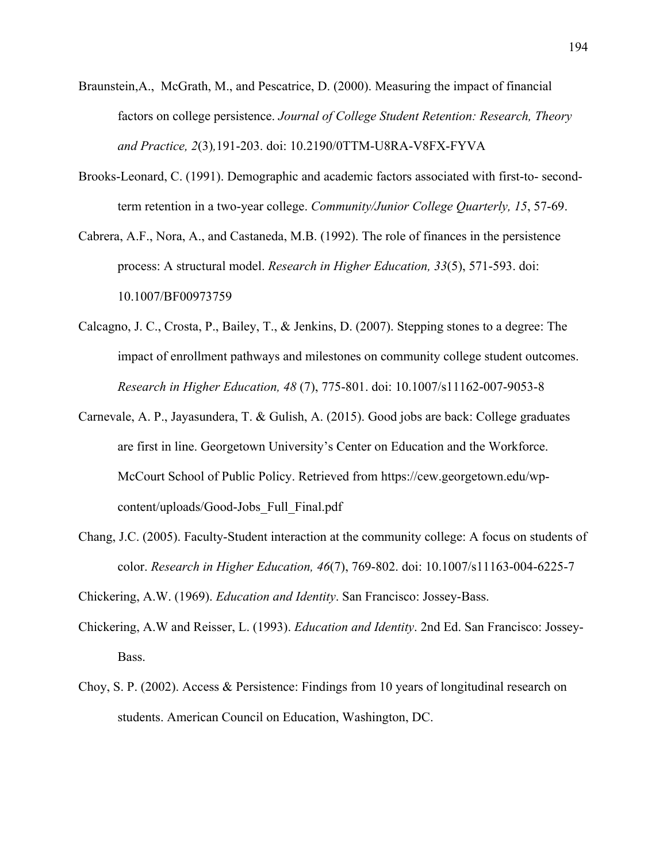- Braunstein,A., McGrath, M., and Pescatrice, D. (2000). Measuring the impact of financial factors on college persistence. *Journal of College Student Retention: Research, Theory and Practice, 2*(3)*,*191-203. doi: 10.2190/0TTM-U8RA-V8FX-FYVA
- Brooks-Leonard, C. (1991). Demographic and academic factors associated with first-to- secondterm retention in a two-year college. *Community/Junior College Quarterly, 15*, 57-69.
- Cabrera, A.F., Nora, A., and Castaneda, M.B. (1992). The role of finances in the persistence process: A structural model. *Research in Higher Education, 33*(5), 571-593. doi: 10.1007/BF00973759
- Calcagno, J. C., Crosta, P., Bailey, T., & Jenkins, D. (2007). Stepping stones to a degree: The impact of enrollment pathways and milestones on community college student outcomes. *Research in Higher Education, 48* (7), 775-801. doi: 10.1007/s11162-007-9053-8
- Carnevale, A. P., Jayasundera, T. & Gulish, A. (2015). Good jobs are back: College graduates are first in line. Georgetown University's Center on Education and the Workforce. McCourt School of Public Policy. Retrieved from https://cew.georgetown.edu/wpcontent/uploads/Good-Jobs\_Full\_Final.pdf
- Chang, J.C. (2005). Faculty-Student interaction at the community college: A focus on students of color. *Research in Higher Education, 46*(7), 769-802. doi: 10.1007/s11163-004-6225-7

Chickering, A.W. (1969). *Education and Identity*. San Francisco: Jossey-Bass.

- Chickering, A.W and Reisser, L. (1993). *Education and Identity*. 2nd Ed. San Francisco: Jossey-Bass.
- Choy, S. P. (2002). Access & Persistence: Findings from 10 years of longitudinal research on students. American Council on Education, Washington, DC.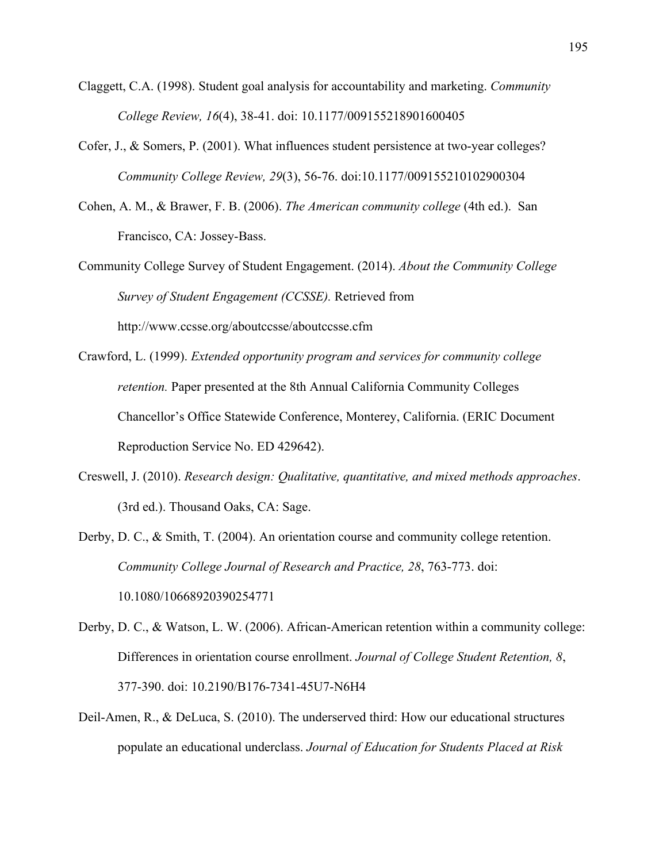- Claggett, C.A. (1998). Student goal analysis for accountability and marketing. *Community College Review, 16*(4), 38-41. doi: 10.1177/009155218901600405
- Cofer, J., & Somers, P. (2001). What influences student persistence at two-year colleges? *Community College Review, 29*(3), 56-76. doi:10.1177/009155210102900304
- Cohen, A. M., & Brawer, F. B. (2006). *The American community college* (4th ed.). San Francisco, CA: Jossey-Bass.
- Community College Survey of Student Engagement. (2014). *About the Community College Survey of Student Engagement (CCSSE).* Retrieved from http://www.ccsse.org/aboutccsse/aboutccsse.cfm
- Crawford, L. (1999). *Extended opportunity program and services for community college retention.* Paper presented at the 8th Annual California Community Colleges Chancellor's Office Statewide Conference, Monterey, California. (ERIC Document Reproduction Service No. ED 429642).
- Creswell, J. (2010). *Research design: Qualitative, quantitative, and mixed methods approaches*. (3rd ed.). Thousand Oaks, CA: Sage.
- Derby, D. C., & Smith, T. (2004). An orientation course and community college retention. *Community College Journal of Research and Practice, 28*, 763-773. doi: 10.1080/10668920390254771
- Derby, D. C., & Watson, L. W. (2006). African-American retention within a community college: Differences in orientation course enrollment. *Journal of College Student Retention, 8*, 377-390. doi: 10.2190/B176-7341-45U7-N6H4
- Deil-Amen, R., & DeLuca, S. (2010). The underserved third: How our educational structures populate an educational underclass. *Journal of Education for Students Placed at Risk*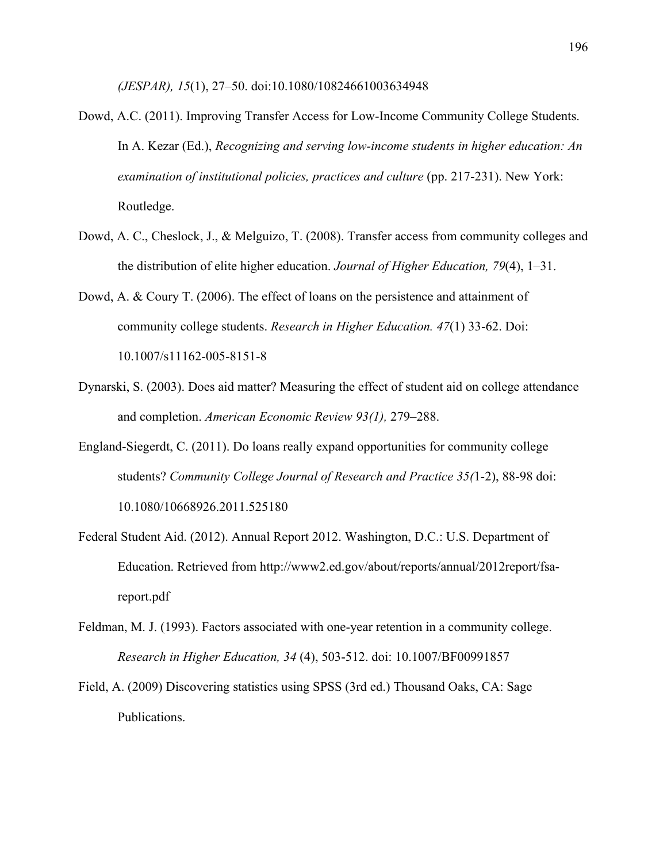*(JESPAR), 15*(1), 27–50. doi:10.1080/10824661003634948

- Dowd, A.C. (2011). Improving Transfer Access for Low-Income Community College Students. In A. Kezar (Ed.), *Recognizing and serving low-income students in higher education: An examination of institutional policies, practices and culture* (pp. 217-231). New York: Routledge.
- Dowd, A. C., Cheslock, J., & Melguizo, T. (2008). Transfer access from community colleges and the distribution of elite higher education. *Journal of Higher Education, 79*(4), 1–31.
- Dowd, A. & Coury T. (2006). The effect of loans on the persistence and attainment of community college students. *Research in Higher Education. 47*(1) 33-62. Doi: 10.1007/s11162-005-8151-8
- Dynarski, S. (2003). Does aid matter? Measuring the effect of student aid on college attendance and completion. *American Economic Review 93(1),* 279–288.
- England-Siegerdt, C. (2011). Do loans really expand opportunities for community college students? *Community College Journal of Research and Practice 35(*1-2), 88-98 doi: 10.1080/10668926.2011.525180
- Federal Student Aid. (2012). Annual Report 2012. Washington, D.C.: U.S. Department of Education. Retrieved from http://www2.ed.gov/about/reports/annual/2012report/fsareport.pdf
- Feldman, M. J. (1993). Factors associated with one-year retention in a community college. *Research in Higher Education, 34* (4), 503-512. doi: 10.1007/BF00991857
- Field, A. (2009) Discovering statistics using SPSS (3rd ed.) Thousand Oaks, CA: Sage Publications.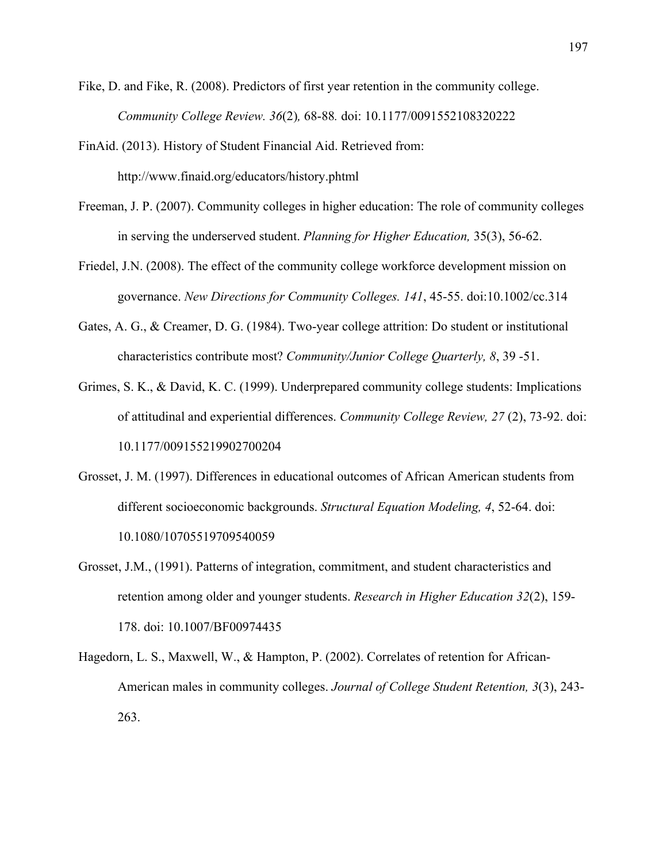- Fike, D. and Fike, R. (2008). Predictors of first year retention in the community college. *Community College Review. 36*(2)*,* 68-88*.* doi: 10.1177/0091552108320222
- FinAid. (2013). History of Student Financial Aid. Retrieved from: http://www.finaid.org/educators/history.phtml
- Freeman, J. P. (2007). Community colleges in higher education: The role of community colleges in serving the underserved student. *Planning for Higher Education,* 35(3), 56-62.
- Friedel, J.N. (2008). The effect of the community college workforce development mission on governance. *New Directions for Community Colleges. 141*, 45-55. doi:10.1002/cc.314
- Gates, A. G., & Creamer, D. G. (1984). Two-year college attrition: Do student or institutional characteristics contribute most? *Community/Junior College Quarterly, 8*, 39 -51.
- Grimes, S. K., & David, K. C. (1999). Underprepared community college students: Implications of attitudinal and experiential differences. *Community College Review, 27* (2), 73-92. doi: 10.1177/009155219902700204
- Grosset, J. M. (1997). Differences in educational outcomes of African American students from different socioeconomic backgrounds. *Structural Equation Modeling, 4*, 52-64. doi: 10.1080/10705519709540059
- Grosset, J.M., (1991). Patterns of integration, commitment, and student characteristics and retention among older and younger students. *Research in Higher Education 32*(2), 159- 178. doi: 10.1007/BF00974435
- Hagedorn, L. S., Maxwell, W., & Hampton, P. (2002). Correlates of retention for African-American males in community colleges. *Journal of College Student Retention, 3*(3), 243- 263.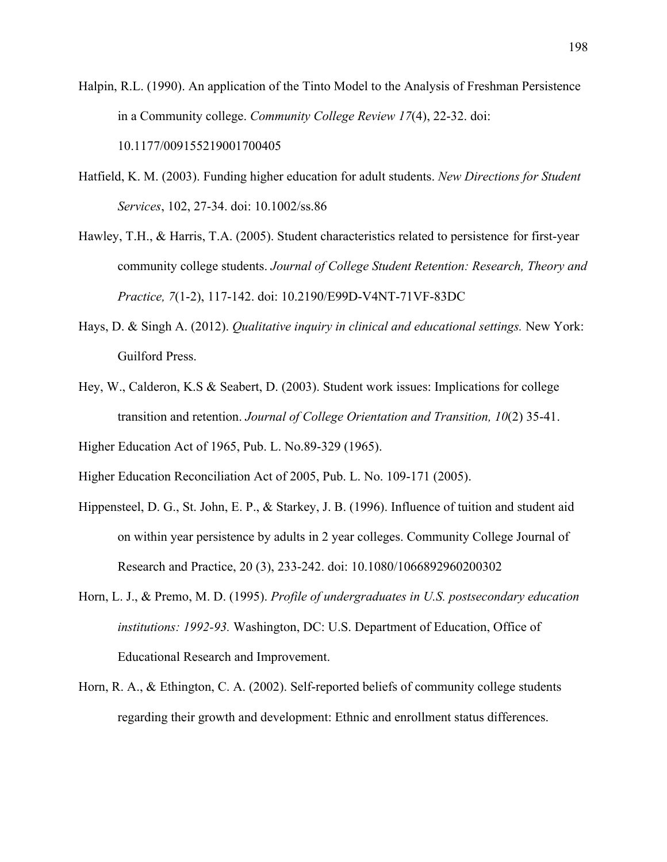Halpin, R.L. (1990). An application of the Tinto Model to the Analysis of Freshman Persistence in a Community college. *Community College Review 17*(4), 22-32. doi: 10.1177/009155219001700405

- Hatfield, K. M. (2003). Funding higher education for adult students. *New Directions for Student Services*, 102, 27-34. doi: 10.1002/ss.86
- Hawley, T.H., & Harris, T.A. (2005). Student characteristics related to persistence for first-year community college students. *Journal of College Student Retention: Research, Theory and Practice, 7*(1-2), 117-142. doi: 10.2190/E99D-V4NT-71VF-83DC
- Hays, D. & Singh A. (2012). *Qualitative inquiry in clinical and educational settings.* New York: Guilford Press.
- Hey, W., Calderon, K.S & Seabert, D. (2003). Student work issues: Implications for college transition and retention. *Journal of College Orientation and Transition, 10*(2) 35-41.
- Higher Education Act of 1965, Pub. L. No.89-329 (1965).
- Higher Education Reconciliation Act of 2005, Pub. L. No. 109-171 (2005).
- Hippensteel, D. G., St. John, E. P., & Starkey, J. B. (1996). Influence of tuition and student aid on within year persistence by adults in 2 year colleges. Community College Journal of Research and Practice, 20 (3), 233-242. doi: 10.1080/1066892960200302
- Horn, L. J., & Premo, M. D. (1995). *Profile of undergraduates in U.S. postsecondary education institutions: 1992-93.* Washington, DC: U.S. Department of Education, Office of Educational Research and Improvement.
- Horn, R. A., & Ethington, C. A. (2002). Self-reported beliefs of community college students regarding their growth and development: Ethnic and enrollment status differences.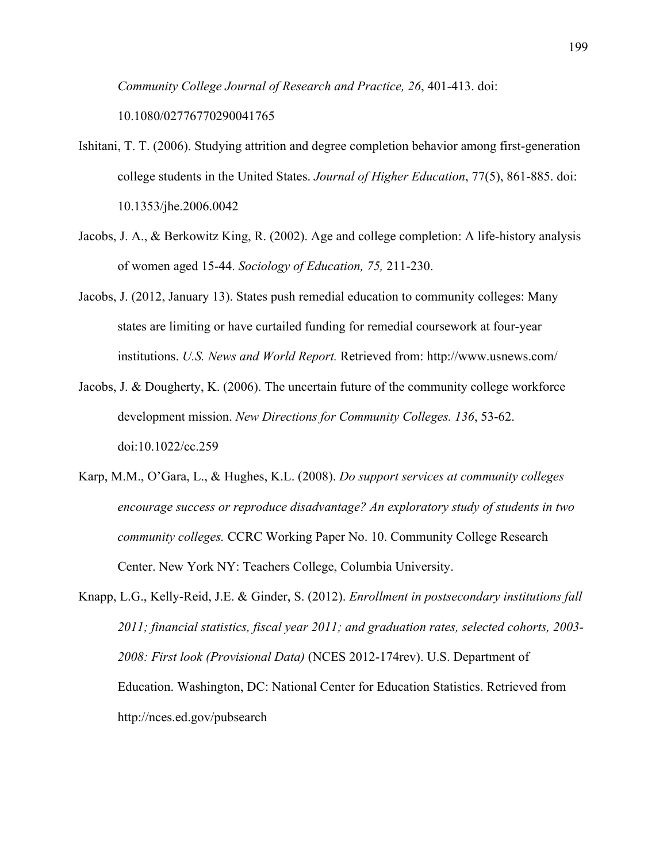*Community College Journal of Research and Practice, 26*, 401-413. doi:

10.1080/02776770290041765

- Ishitani, T. T. (2006). Studying attrition and degree completion behavior among first-generation college students in the United States. *Journal of Higher Education*, 77(5), 861-885. doi: 10.1353/jhe.2006.0042
- Jacobs, J. A., & Berkowitz King, R. (2002). Age and college completion: A life-history analysis of women aged 15-44. *Sociology of Education, 75,* 211-230.
- Jacobs, J. (2012, January 13). States push remedial education to community colleges: Many states are limiting or have curtailed funding for remedial coursework at four-year institutions. *U.S. News and World Report.* Retrieved from: http://www.usnews.com/
- Jacobs, J. & Dougherty, K. (2006). The uncertain future of the community college workforce development mission. *New Directions for Community Colleges. 136*, 53-62. doi:10.1022/cc.259
- Karp, M.M., O'Gara, L., & Hughes, K.L. (2008). *Do support services at community colleges encourage success or reproduce disadvantage? An exploratory study of students in two community colleges.* CCRC Working Paper No. 10. Community College Research Center. New York NY: Teachers College, Columbia University.
- Knapp, L.G., Kelly-Reid, J.E. & Ginder, S. (2012). *Enrollment in postsecondary institutions fall 2011; financial statistics, fiscal year 2011; and graduation rates, selected cohorts, 2003- 2008: First look (Provisional Data)* (NCES 2012-174rev). U.S. Department of Education. Washington, DC: National Center for Education Statistics. Retrieved from http://nces.ed.gov/pubsearch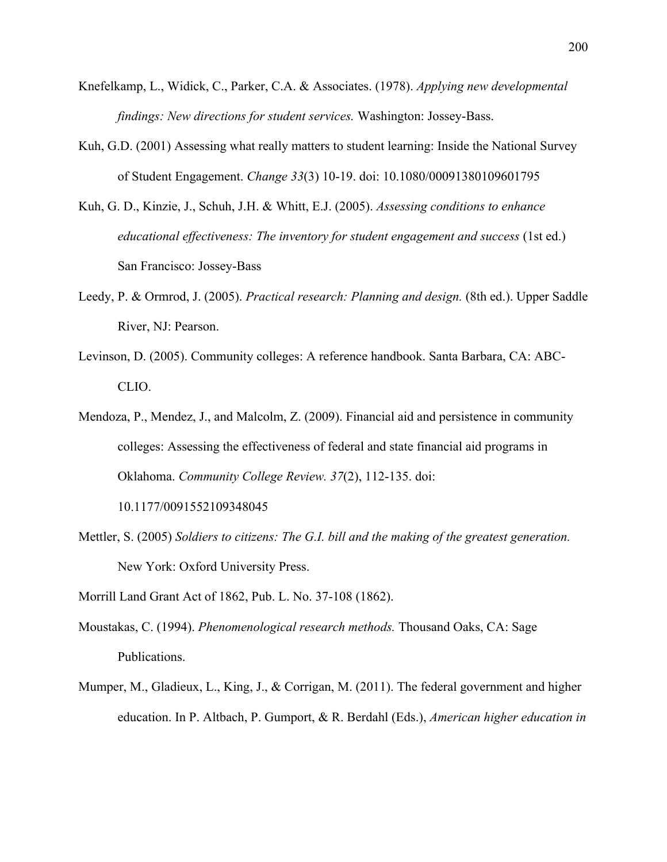- Knefelkamp, L., Widick, C., Parker, C.A. & Associates. (1978). *Applying new developmental findings: New directions for student services.* Washington: Jossey-Bass.
- Kuh, G.D. (2001) Assessing what really matters to student learning: Inside the National Survey of Student Engagement. *Change 33*(3) 10-19. doi: 10.1080/00091380109601795
- Kuh, G. D., Kinzie, J., Schuh, J.H. & Whitt, E.J. (2005). *Assessing conditions to enhance educational effectiveness: The inventory for student engagement and success* (1st ed.) San Francisco: Jossey-Bass
- Leedy, P. & Ormrod, J. (2005). *Practical research: Planning and design.* (8th ed.). Upper Saddle River, NJ: Pearson.
- Levinson, D. (2005). Community colleges: A reference handbook. Santa Barbara, CA: ABC-CLIO.
- Mendoza, P., Mendez, J., and Malcolm, Z. (2009). Financial aid and persistence in community colleges: Assessing the effectiveness of federal and state financial aid programs in Oklahoma. *Community College Review. 37*(2), 112-135. doi:

10.1177/0091552109348045

Mettler, S. (2005) *Soldiers to citizens: The G.I. bill and the making of the greatest generation.*  New York: Oxford University Press.

Morrill Land Grant Act of 1862, Pub. L. No. 37-108 (1862).

- Moustakas, C. (1994). *Phenomenological research methods.* Thousand Oaks, CA: Sage Publications.
- Mumper, M., Gladieux, L., King, J., & Corrigan, M. (2011). The federal government and higher education. In P. Altbach, P. Gumport, & R. Berdahl (Eds.), *American higher education in*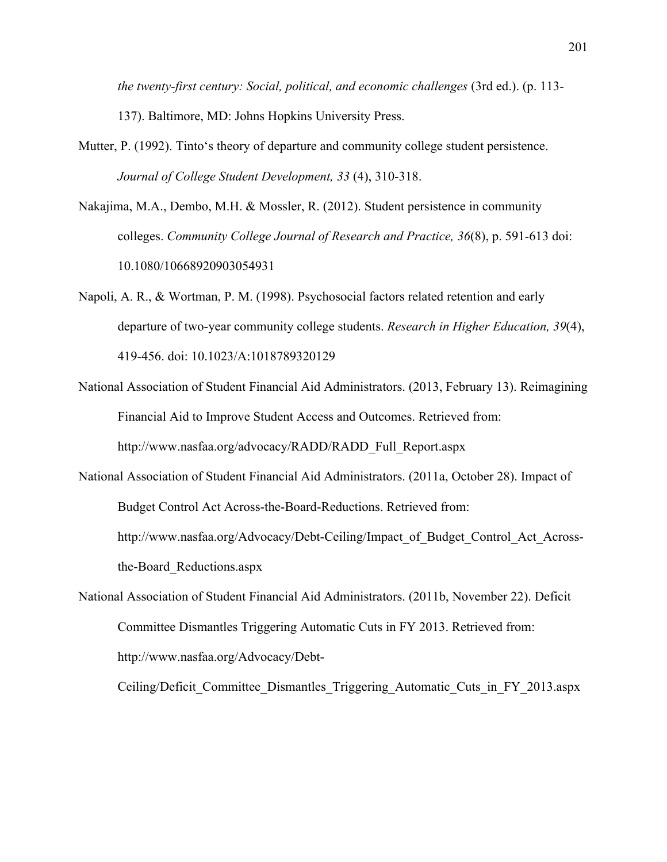*the twenty-first century: Social, political, and economic challenges* (3rd ed.). (p. 113- 137). Baltimore, MD: Johns Hopkins University Press.

- Mutter, P. (1992). Tinto's theory of departure and community college student persistence. *Journal of College Student Development, 33* (4), 310-318.
- Nakajima, M.A., Dembo, M.H. & Mossler, R. (2012). Student persistence in community colleges. *Community College Journal of Research and Practice, 36*(8), p. 591-613 doi: 10.1080/10668920903054931
- Napoli, A. R., & Wortman, P. M. (1998). Psychosocial factors related retention and early departure of two-year community college students. *Research in Higher Education, 39*(4), 419-456. doi: 10.1023/A:1018789320129
- National Association of Student Financial Aid Administrators. (2013, February 13). Reimagining Financial Aid to Improve Student Access and Outcomes. Retrieved from: http://www.nasfaa.org/advocacy/RADD/RADD\_Full\_Report.aspx
- National Association of Student Financial Aid Administrators. (2011a, October 28). Impact of Budget Control Act Across-the-Board-Reductions. Retrieved from: http://www.nasfaa.org/Advocacy/Debt-Ceiling/Impact\_of\_Budget\_Control\_Act\_Acrossthe-Board\_Reductions.aspx
- National Association of Student Financial Aid Administrators. (2011b, November 22). Deficit Committee Dismantles Triggering Automatic Cuts in FY 2013. Retrieved from: http://www.nasfaa.org/Advocacy/Debt-

Ceiling/Deficit\_Committee\_Dismantles\_Triggering\_Automatic\_Cuts\_in\_FY\_2013.aspx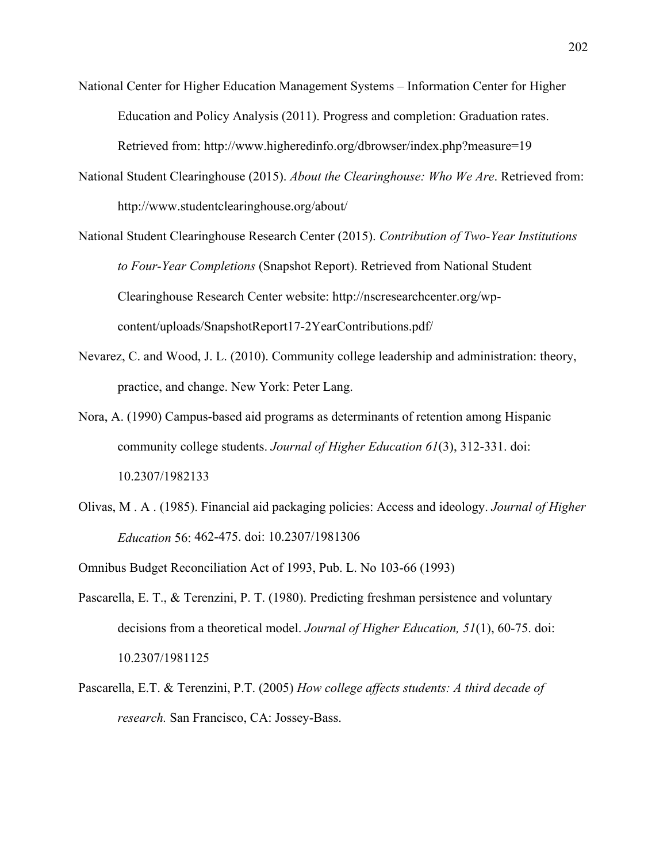- National Center for Higher Education Management Systems Information Center for Higher Education and Policy Analysis (2011). Progress and completion: Graduation rates. Retrieved from: http://www.higheredinfo.org/dbrowser/index.php?measure=19
- National Student Clearinghouse (2015). *About the Clearinghouse: Who We Are*. Retrieved from: http://www.studentclearinghouse.org/about/
- National Student Clearinghouse Research Center (2015). *Contribution of Two-Year Institutions to Four-Year Completions* (Snapshot Report). Retrieved from National Student Clearinghouse Research Center website: http://nscresearchcenter.org/wpcontent/uploads/SnapshotReport17-2YearContributions.pdf/
- Nevarez, C. and Wood, J. L. (2010). Community college leadership and administration: theory, practice, and change. New York: Peter Lang.
- Nora, A. (1990) Campus-based aid programs as determinants of retention among Hispanic community college students. *Journal of Higher Education 61*(3), 312-331. doi: 10.2307/1982133
- Olivas, M . A . (1985). Financial aid packaging policies: Access and ideology. *Journal of Higher Education* 56: 462-475. doi: 10.2307/1981306
- Omnibus Budget Reconciliation Act of 1993, Pub. L. No 103-66 (1993)
- Pascarella, E. T., & Terenzini, P. T. (1980). Predicting freshman persistence and voluntary decisions from a theoretical model. *Journal of Higher Education, 51*(1), 60-75. doi: 10.2307/1981125
- Pascarella, E.T. & Terenzini, P.T. (2005) *How college affects students: A third decade of research.* San Francisco, CA: Jossey-Bass.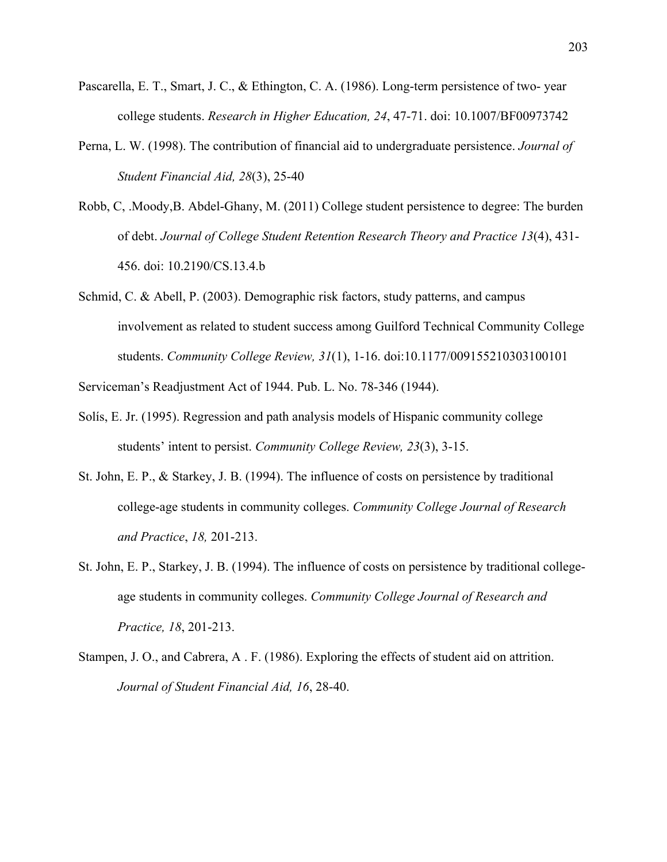- Pascarella, E. T., Smart, J. C., & Ethington, C. A. (1986). Long-term persistence of two- year college students. *Research in Higher Education, 24*, 47-71. doi: 10.1007/BF00973742
- Perna, L. W. (1998). The contribution of financial aid to undergraduate persistence. *Journal of Student Financial Aid, 28*(3), 25-40
- Robb, C, .Moody,B. Abdel-Ghany, M. (2011) College student persistence to degree: The burden of debt. *Journal of College Student Retention Research Theory and Practice 13*(4), 431- 456. doi: 10.2190/CS.13.4.b
- Schmid, C. & Abell, P. (2003). Demographic risk factors, study patterns, and campus involvement as related to student success among Guilford Technical Community College students. *Community College Review, 31*(1), 1-16. doi:10.1177/009155210303100101

Serviceman's Readjustment Act of 1944. Pub. L. No. 78-346 (1944).

- Solís, E. Jr. (1995). Regression and path analysis models of Hispanic community college students' intent to persist. *Community College Review, 23*(3), 3-15.
- St. John, E. P., & Starkey, J. B. (1994). The influence of costs on persistence by traditional college-age students in community colleges. *Community College Journal of Research and Practice*, *18,* 201-213.
- St. John, E. P., Starkey, J. B. (1994). The influence of costs on persistence by traditional collegeage students in community colleges. *Community College Journal of Research and Practice, 18*, 201-213.
- Stampen, J. O., and Cabrera, A . F. (1986). Exploring the effects of student aid on attrition. *Journal of Student Financial Aid, 16*, 28-40.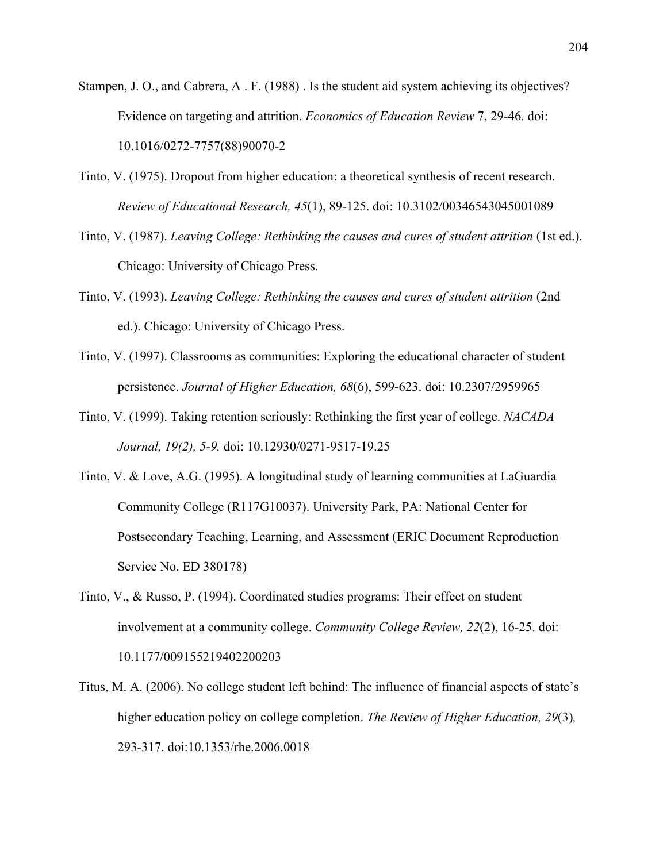- Stampen, J. O., and Cabrera, A . F. (1988) . Is the student aid system achieving its objectives? Evidence on targeting and attrition. *Economics of Education Review* 7, 29-46. doi: 10.1016/0272-7757(88)90070-2
- Tinto, V. (1975). Dropout from higher education: a theoretical synthesis of recent research. *Review of Educational Research, 45*(1), 89-125. doi: 10.3102/00346543045001089
- Tinto, V. (1987). *Leaving College: Rethinking the causes and cures of student attrition* (1st ed.). Chicago: University of Chicago Press.
- Tinto, V. (1993). *Leaving College: Rethinking the causes and cures of student attrition* (2nd ed.). Chicago: University of Chicago Press.
- Tinto, V. (1997). Classrooms as communities: Exploring the educational character of student persistence. *Journal of Higher Education, 68*(6), 599-623. doi: 10.2307/2959965
- Tinto, V. (1999). Taking retention seriously: Rethinking the first year of college. *NACADA Journal, 19(2), 5-9.* doi: 10.12930/0271-9517-19.25
- Tinto, V. & Love, A.G. (1995). A longitudinal study of learning communities at LaGuardia Community College (R117G10037). University Park, PA: National Center for Postsecondary Teaching, Learning, and Assessment (ERIC Document Reproduction Service No. ED 380178)
- Tinto, V., & Russo, P. (1994). Coordinated studies programs: Their effect on student involvement at a community college. *Community College Review, 22*(2), 16-25. doi: 10.1177/009155219402200203
- Titus, M. A. (2006). No college student left behind: The influence of financial aspects of state's higher education policy on college completion. *The Review of Higher Education, 29*(3)*,*  293-317. doi:10.1353/rhe.2006.0018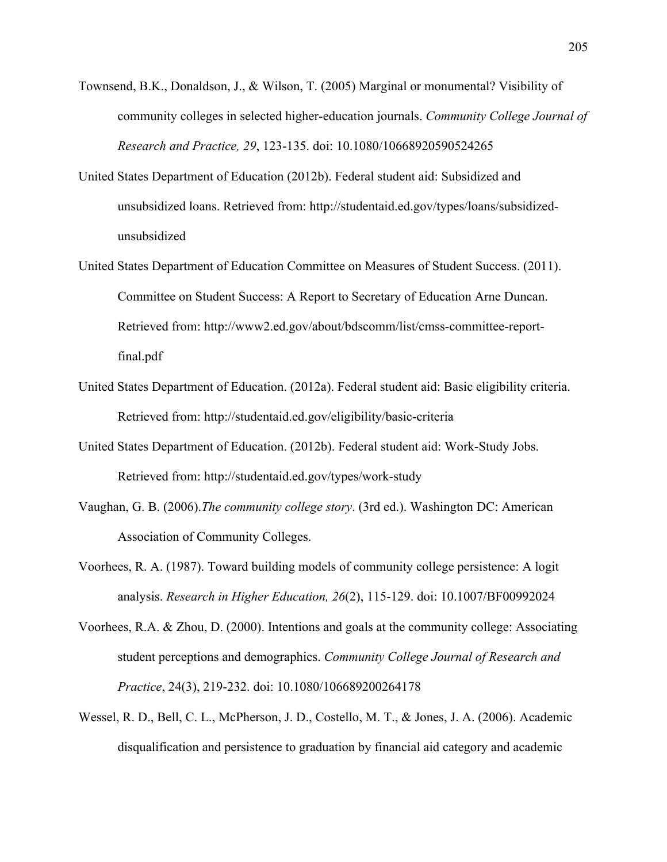- Townsend, B.K., Donaldson, J., & Wilson, T. (2005) Marginal or monumental? Visibility of community colleges in selected higher-education journals. *Community College Journal of Research and Practice, 29*, 123-135. doi: 10.1080/10668920590524265
- United States Department of Education (2012b). Federal student aid: Subsidized and unsubsidized loans. Retrieved from: http://studentaid.ed.gov/types/loans/subsidizedunsubsidized
- United States Department of Education Committee on Measures of Student Success. (2011). Committee on Student Success: A Report to Secretary of Education Arne Duncan. Retrieved from: http://www2.ed.gov/about/bdscomm/list/cmss-committee-reportfinal.pdf
- United States Department of Education. (2012a). Federal student aid: Basic eligibility criteria. Retrieved from: http://studentaid.ed.gov/eligibility/basic-criteria
- United States Department of Education. (2012b). Federal student aid: Work-Study Jobs. Retrieved from: http://studentaid.ed.gov/types/work-study
- Vaughan, G. B. (2006).*The community college story*. (3rd ed.). Washington DC: American Association of Community Colleges.
- Voorhees, R. A. (1987). Toward building models of community college persistence: A logit analysis. *Research in Higher Education, 26*(2), 115-129. doi: 10.1007/BF00992024
- Voorhees, R.A. & Zhou, D. (2000). Intentions and goals at the community college: Associating student perceptions and demographics. *Community College Journal of Research and Practice*, 24(3), 219-232. doi: 10.1080/106689200264178
- Wessel, R. D., Bell, C. L., McPherson, J. D., Costello, M. T., & Jones, J. A. (2006). Academic disqualification and persistence to graduation by financial aid category and academic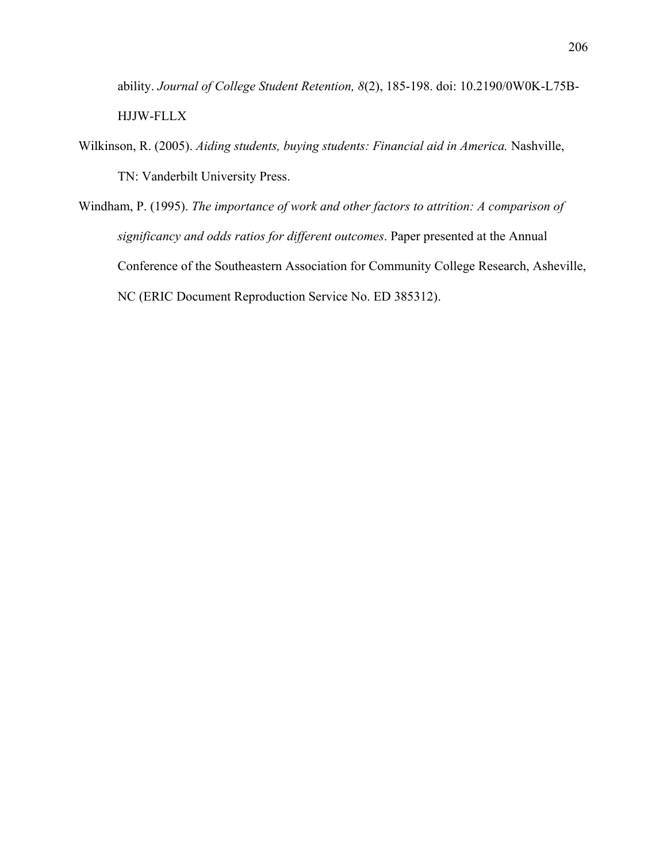ability. *Journal of College Student Retention, 8*(2), 185-198. doi: 10.2190/0W0K-L75B-HJJW-FLLX

- Wilkinson, R. (2005). *Aiding students, buying students: Financial aid in America.* Nashville, TN: Vanderbilt University Press.
- Windham, P. (1995). *The importance of work and other factors to attrition: A comparison of significancy and odds ratios for different outcomes*. Paper presented at the Annual Conference of the Southeastern Association for Community College Research, Asheville, NC (ERIC Document Reproduction Service No. ED 385312).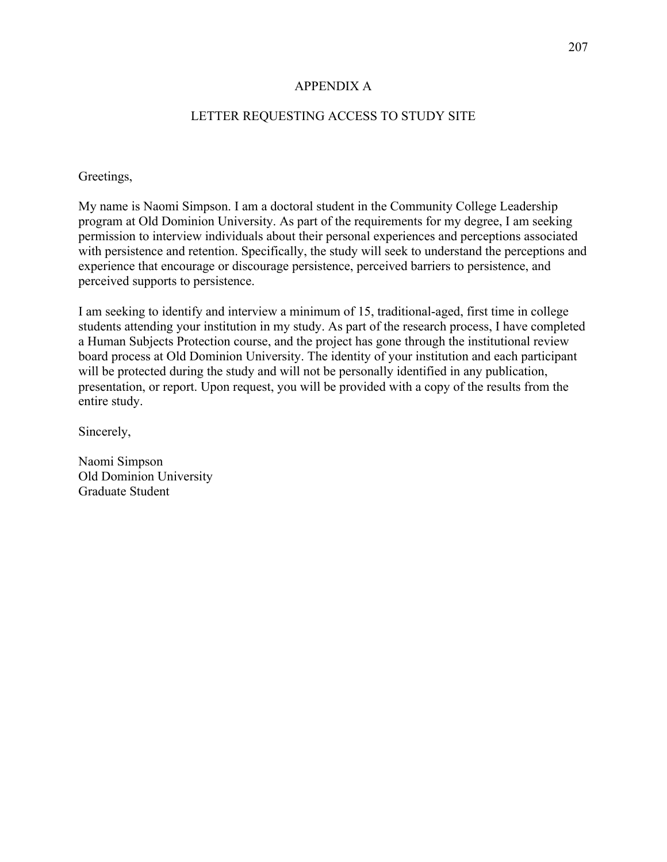### APPENDIX A

# LETTER REQUESTING ACCESS TO STUDY SITE

#### Greetings,

My name is Naomi Simpson. I am a doctoral student in the Community College Leadership program at Old Dominion University. As part of the requirements for my degree, I am seeking permission to interview individuals about their personal experiences and perceptions associated with persistence and retention. Specifically, the study will seek to understand the perceptions and experience that encourage or discourage persistence, perceived barriers to persistence, and perceived supports to persistence.

I am seeking to identify and interview a minimum of 15, traditional-aged, first time in college students attending your institution in my study. As part of the research process, I have completed a Human Subjects Protection course, and the project has gone through the institutional review board process at Old Dominion University. The identity of your institution and each participant will be protected during the study and will not be personally identified in any publication, presentation, or report. Upon request, you will be provided with a copy of the results from the entire study.

Sincerely,

Naomi Simpson Old Dominion University Graduate Student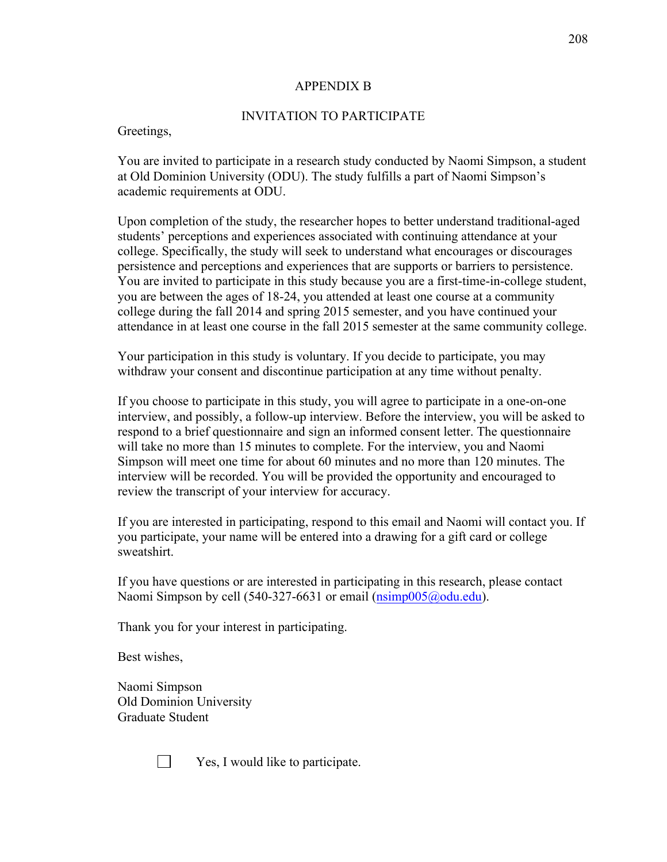#### APPENDIX B

### INVITATION TO PARTICIPATE

#### Greetings,

You are invited to participate in a research study conducted by Naomi Simpson, a student at Old Dominion University (ODU). The study fulfills a part of Naomi Simpson's academic requirements at ODU.

Upon completion of the study, the researcher hopes to better understand traditional-aged students' perceptions and experiences associated with continuing attendance at your college. Specifically, the study will seek to understand what encourages or discourages persistence and perceptions and experiences that are supports or barriers to persistence. You are invited to participate in this study because you are a first-time-in-college student, you are between the ages of 18-24, you attended at least one course at a community college during the fall 2014 and spring 2015 semester, and you have continued your attendance in at least one course in the fall 2015 semester at the same community college.

Your participation in this study is voluntary. If you decide to participate, you may withdraw your consent and discontinue participation at any time without penalty.

If you choose to participate in this study, you will agree to participate in a one-on-one interview, and possibly, a follow-up interview. Before the interview, you will be asked to respond to a brief questionnaire and sign an informed consent letter. The questionnaire will take no more than 15 minutes to complete. For the interview, you and Naomi Simpson will meet one time for about 60 minutes and no more than 120 minutes. The interview will be recorded. You will be provided the opportunity and encouraged to review the transcript of your interview for accuracy.

If you are interested in participating, respond to this email and Naomi will contact you. If you participate, your name will be entered into a drawing for a gift card or college sweatshirt.

If you have questions or are interested in participating in this research, please contact Naomi Simpson by cell (540-327-6631 or email (nsimp005@odu.edu).

Thank you for your interest in participating.

Best wishes,

Naomi Simpson Old Dominion University Graduate Student

 $\perp$ 

Yes, I would like to participate.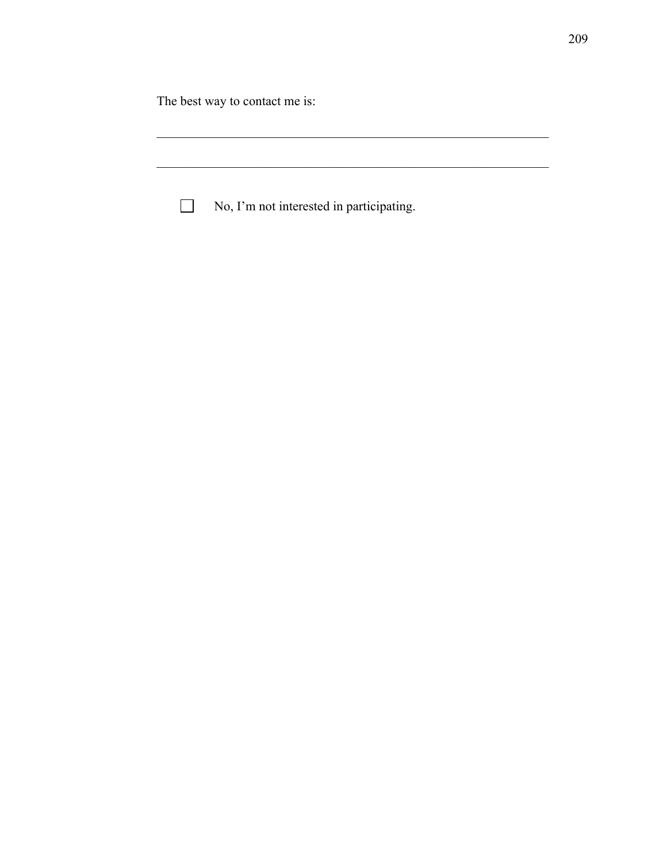The best way to contact me is:

| $\mathbf{I}$ | No, I'm not interested in participating. |
|--------------|------------------------------------------|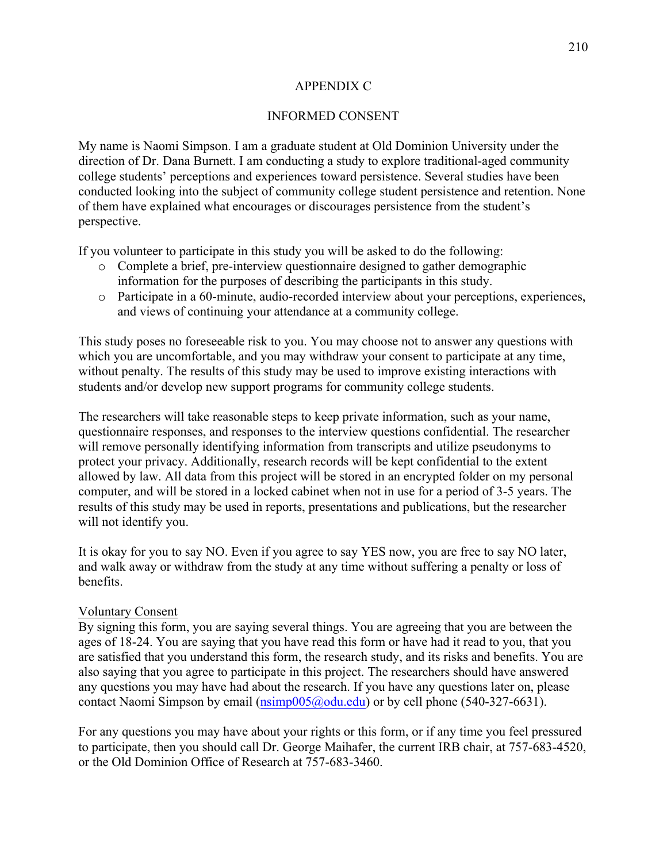### APPENDIX C

# INFORMED CONSENT

My name is Naomi Simpson. I am a graduate student at Old Dominion University under the direction of Dr. Dana Burnett. I am conducting a study to explore traditional-aged community college students' perceptions and experiences toward persistence. Several studies have been conducted looking into the subject of community college student persistence and retention. None of them have explained what encourages or discourages persistence from the student's perspective.

If you volunteer to participate in this study you will be asked to do the following:

- o Complete a brief, pre-interview questionnaire designed to gather demographic information for the purposes of describing the participants in this study.
- o Participate in a 60-minute, audio-recorded interview about your perceptions, experiences, and views of continuing your attendance at a community college.

This study poses no foreseeable risk to you. You may choose not to answer any questions with which you are uncomfortable, and you may withdraw your consent to participate at any time, without penalty. The results of this study may be used to improve existing interactions with students and/or develop new support programs for community college students.

The researchers will take reasonable steps to keep private information, such as your name, questionnaire responses, and responses to the interview questions confidential. The researcher will remove personally identifying information from transcripts and utilize pseudonyms to protect your privacy. Additionally, research records will be kept confidential to the extent allowed by law. All data from this project will be stored in an encrypted folder on my personal computer, and will be stored in a locked cabinet when not in use for a period of 3-5 years. The results of this study may be used in reports, presentations and publications, but the researcher will not identify you.

It is okay for you to say NO. Even if you agree to say YES now, you are free to say NO later, and walk away or withdraw from the study at any time without suffering a penalty or loss of benefits.

#### Voluntary Consent

By signing this form, you are saying several things. You are agreeing that you are between the ages of 18-24. You are saying that you have read this form or have had it read to you, that you are satisfied that you understand this form, the research study, and its risks and benefits. You are also saying that you agree to participate in this project. The researchers should have answered any questions you may have had about the research. If you have any questions later on, please contact Naomi Simpson by email (nsimp005@odu.edu) or by cell phone (540-327-6631).

For any questions you may have about your rights or this form, or if any time you feel pressured to participate, then you should call Dr. George Maihafer, the current IRB chair, at 757-683-4520, or the Old Dominion Office of Research at 757-683-3460.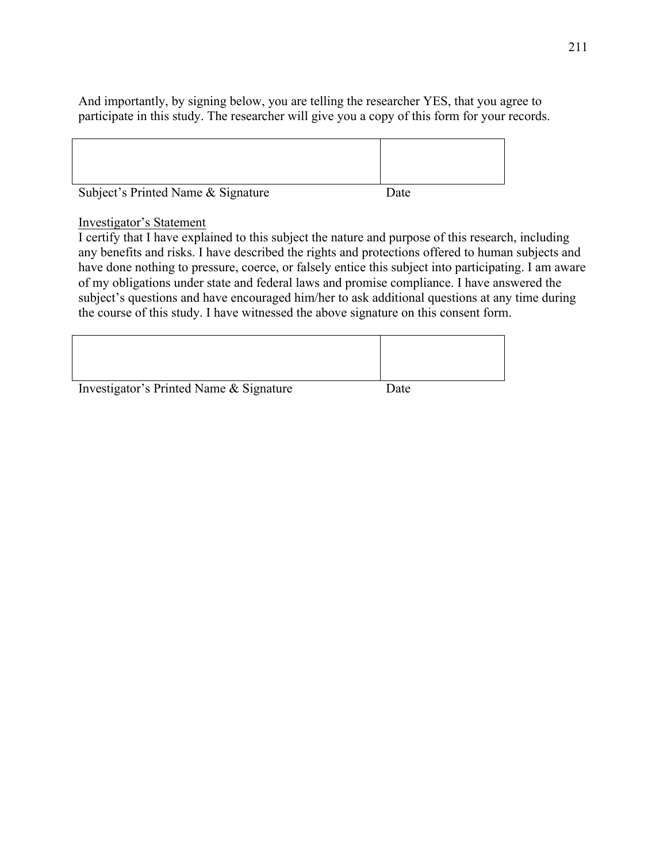And importantly, by signing below, you are telling the researcher YES, that you agree to participate in this study. The researcher will give you a copy of this form for your records.

| Subject's Printed Name & Signature | Date |  |
|------------------------------------|------|--|

# Investigator's Statement

I certify that I have explained to this subject the nature and purpose of this research, including any benefits and risks. I have described the rights and protections offered to human subjects and have done nothing to pressure, coerce, or falsely entice this subject into participating. I am aware of my obligations under state and federal laws and promise compliance. I have answered the subject's questions and have encouraged him/her to ask additional questions at any time during the course of this study. I have witnessed the above signature on this consent form.

| Investigator's Printed Name & Signature | Date |
|-----------------------------------------|------|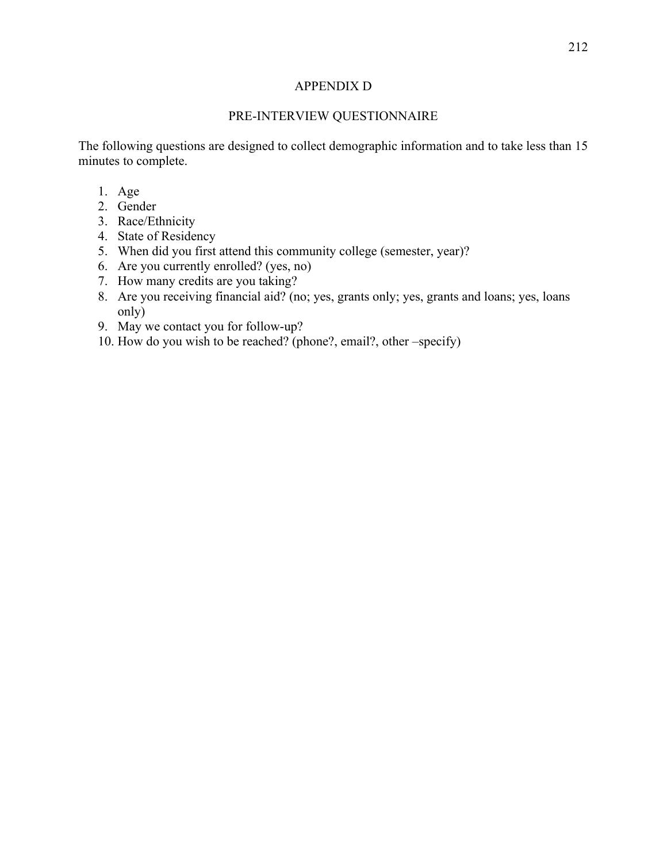### APPENDIX D

# PRE-INTERVIEW QUESTIONNAIRE

The following questions are designed to collect demographic information and to take less than 15 minutes to complete.

- 1. Age
- 2. Gender
- 3. Race/Ethnicity
- 4. State of Residency
- 5. When did you first attend this community college (semester, year)?
- 6. Are you currently enrolled? (yes, no)
- 7. How many credits are you taking?
- 8. Are you receiving financial aid? (no; yes, grants only; yes, grants and loans; yes, loans only)
- 9. May we contact you for follow-up?
- 10. How do you wish to be reached? (phone?, email?, other –specify)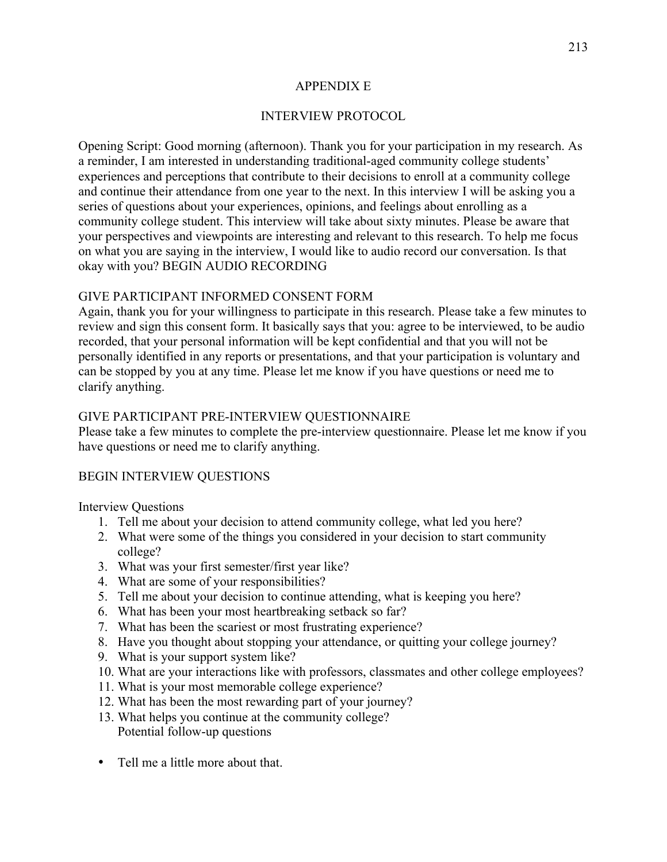# APPENDIX E

# INTERVIEW PROTOCOL

Opening Script: Good morning (afternoon). Thank you for your participation in my research. As a reminder, I am interested in understanding traditional-aged community college students' experiences and perceptions that contribute to their decisions to enroll at a community college and continue their attendance from one year to the next. In this interview I will be asking you a series of questions about your experiences, opinions, and feelings about enrolling as a community college student. This interview will take about sixty minutes. Please be aware that your perspectives and viewpoints are interesting and relevant to this research. To help me focus on what you are saying in the interview, I would like to audio record our conversation. Is that okay with you? BEGIN AUDIO RECORDING

# GIVE PARTICIPANT INFORMED CONSENT FORM

Again, thank you for your willingness to participate in this research. Please take a few minutes to review and sign this consent form. It basically says that you: agree to be interviewed, to be audio recorded, that your personal information will be kept confidential and that you will not be personally identified in any reports or presentations, and that your participation is voluntary and can be stopped by you at any time. Please let me know if you have questions or need me to clarify anything.

# GIVE PARTICIPANT PRE-INTERVIEW QUESTIONNAIRE

Please take a few minutes to complete the pre-interview questionnaire. Please let me know if you have questions or need me to clarify anything.

#### BEGIN INTERVIEW QUESTIONS

Interview Questions

- 1. Tell me about your decision to attend community college, what led you here?
- 2. What were some of the things you considered in your decision to start community college?
- 3. What was your first semester/first year like?
- 4. What are some of your responsibilities?
- 5. Tell me about your decision to continue attending, what is keeping you here?
- 6. What has been your most heartbreaking setback so far?
- 7. What has been the scariest or most frustrating experience?
- 8. Have you thought about stopping your attendance, or quitting your college journey?
- 9. What is your support system like?
- 10. What are your interactions like with professors, classmates and other college employees?
- 11. What is your most memorable college experience?
- 12. What has been the most rewarding part of your journey?
- 13. What helps you continue at the community college? Potential follow-up questions
- Tell me a little more about that.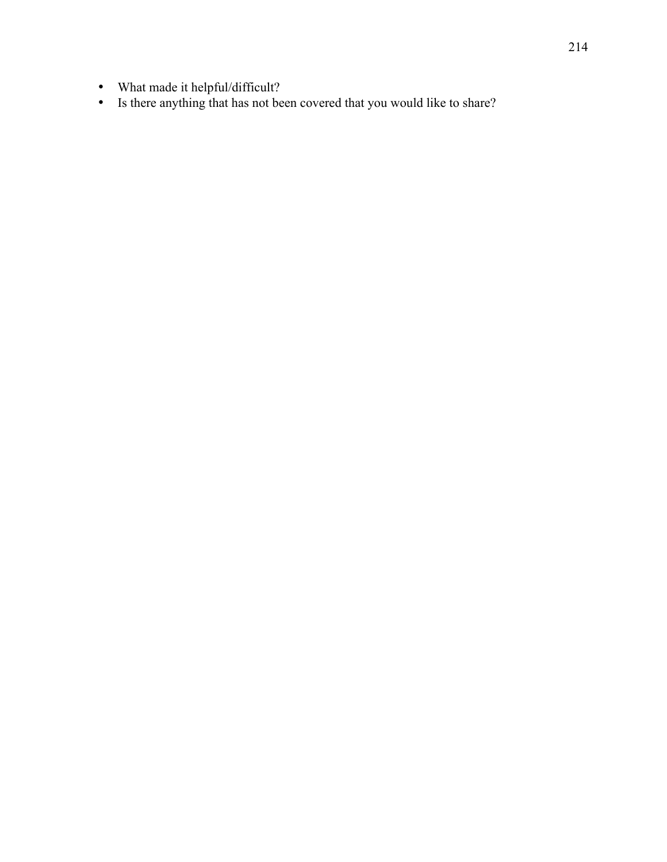- What made it helpful/difficult?
- Is there anything that has not been covered that you would like to share?